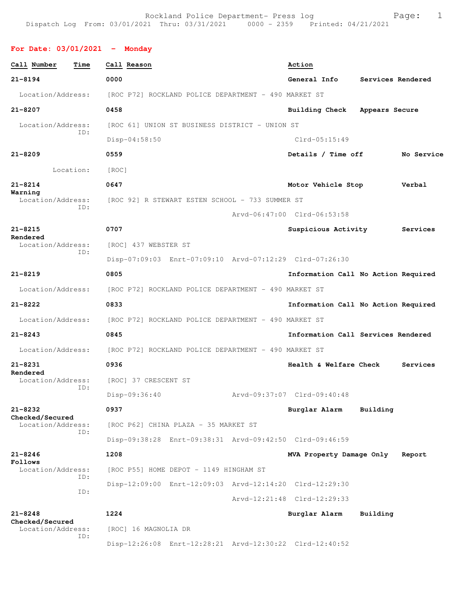## **For Date: 03/01/2021 - Monday**

| Call Number                          | Time      | Call Reason          |                                                         |  | Action                              |                   |            |  |
|--------------------------------------|-----------|----------------------|---------------------------------------------------------|--|-------------------------------------|-------------------|------------|--|
| $21 - 8194$                          |           | 0000                 |                                                         |  | General Info                        | Services Rendered |            |  |
| Location/Address:                    |           |                      | [ROC P72] ROCKLAND POLICE DEPARTMENT - 490 MARKET ST    |  |                                     |                   |            |  |
| $21 - 8207$                          |           | 0458                 |                                                         |  | Building Check                      | Appears Secure    |            |  |
| Location/Address:                    |           |                      | [ROC 61] UNION ST BUSINESS DISTRICT - UNION ST          |  |                                     |                   |            |  |
|                                      | ID:       | $Disp-04:58:50$      |                                                         |  | $Clrd-05:15:49$                     |                   |            |  |
| $21 - 8209$                          |           | 0559                 |                                                         |  | Details / Time off                  |                   | No Service |  |
|                                      | Location: | [ROC]                |                                                         |  |                                     |                   |            |  |
| $21 - 8214$                          |           | 0647                 |                                                         |  | Motor Vehicle Stop                  |                   | Verbal     |  |
| Warning<br>Location/Address:         | ID:       |                      | [ROC 92] R STEWART ESTEN SCHOOL - 733 SUMMER ST         |  |                                     |                   |            |  |
|                                      |           |                      |                                                         |  | Arvd-06:47:00 Clrd-06:53:58         |                   |            |  |
| $21 - 8215$<br>Rendered              |           | 0707                 |                                                         |  | Suspicious Activity                 |                   | Services   |  |
| Location/Address:                    | ID:       | [ROC] 437 WEBSTER ST |                                                         |  |                                     |                   |            |  |
|                                      |           |                      | Disp-07:09:03 Enrt-07:09:10 Arvd-07:12:29 Clrd-07:26:30 |  |                                     |                   |            |  |
| $21 - 8219$                          |           | 0805                 |                                                         |  | Information Call No Action Required |                   |            |  |
| Location/Address:                    |           |                      | [ROC P72] ROCKLAND POLICE DEPARTMENT - 490 MARKET ST    |  |                                     |                   |            |  |
| $21 - 8222$                          |           | 0833                 |                                                         |  | Information Call No Action Required |                   |            |  |
| Location/Address:                    |           |                      | [ROC P72] ROCKLAND POLICE DEPARTMENT - 490 MARKET ST    |  |                                     |                   |            |  |
| $21 - 8243$                          |           | 0845                 |                                                         |  | Information Call Services Rendered  |                   |            |  |
| Location/Address:                    |           |                      | [ROC P72] ROCKLAND POLICE DEPARTMENT - 490 MARKET ST    |  |                                     |                   |            |  |
| $21 - 8231$                          |           | 0936                 |                                                         |  | Health & Welfare Check              |                   | Services   |  |
| Rendered<br>Location/Address:        |           | [ROC] 37 CRESCENT ST |                                                         |  |                                     |                   |            |  |
|                                      | ID:       | Disp-09:36:40        |                                                         |  | Arvd-09:37:07 Clrd-09:40:48         |                   |            |  |
| 21-8232                              |           | 0937                 |                                                         |  | Burglar Alarm                       | Building          |            |  |
| Checked/Secured<br>Location/Address: |           |                      | [ROC P62] CHINA PLAZA - 35 MARKET ST                    |  |                                     |                   |            |  |
|                                      | ID:       |                      | Disp-09:38:28 Enrt-09:38:31 Arvd-09:42:50 Clrd-09:46:59 |  |                                     |                   |            |  |
| $21 - 8246$                          |           | 1208                 |                                                         |  | MVA Property Damage Only            |                   | Report     |  |
| Follows<br>Location/Address:         |           |                      | [ROC P55] HOME DEPOT - 1149 HINGHAM ST                  |  |                                     |                   |            |  |
|                                      | ID:       |                      | Disp-12:09:00 Enrt-12:09:03 Arvd-12:14:20 Clrd-12:29:30 |  |                                     |                   |            |  |
|                                      | ID:       |                      |                                                         |  | Arvd-12:21:48 Clrd-12:29:33         |                   |            |  |
| $21 - 8248$                          |           | 1224                 |                                                         |  | Burglar Alarm                       | Building          |            |  |
| Checked/Secured<br>Location/Address: |           | [ROC] 16 MAGNOLIA DR |                                                         |  |                                     |                   |            |  |
|                                      | ID:       |                      | Disp-12:26:08 Enrt-12:28:21 Arvd-12:30:22 Clrd-12:40:52 |  |                                     |                   |            |  |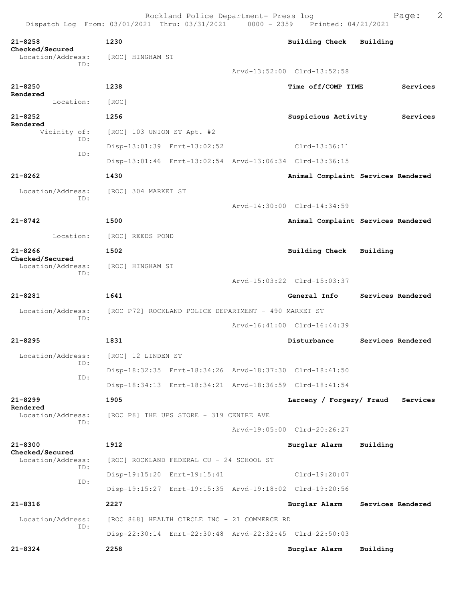| $21 - 8258$<br>Checked/Secured       | 1230                                                    | <b>Building Check</b>       | Building                           |
|--------------------------------------|---------------------------------------------------------|-----------------------------|------------------------------------|
| Location/Address:                    | [ROC] HINGHAM ST                                        |                             |                                    |
| ID:                                  |                                                         | Arvd-13:52:00 Clrd-13:52:58 |                                    |
| $21 - 8250$                          | 1238                                                    | Time off/COMP TIME          | Services                           |
| Rendered<br>Location:                | [ROC]                                                   |                             |                                    |
| $21 - 8252$                          | 1256                                                    | Suspicious Activity         | Services                           |
| Rendered<br>Vicinity of:             | [ROC] 103 UNION ST Apt. #2                              |                             |                                    |
| ID:                                  | Disp-13:01:39 Enrt-13:02:52                             | $Clrd-13:36:11$             |                                    |
| ID:                                  | Disp-13:01:46 Enrt-13:02:54 Arvd-13:06:34 Clrd-13:36:15 |                             |                                    |
| $21 - 8262$                          | 1430                                                    |                             | Animal Complaint Services Rendered |
| Location/Address:                    | [ROC] 304 MARKET ST                                     |                             |                                    |
| ID:                                  |                                                         | Arvd-14:30:00 Clrd-14:34:59 |                                    |
| $21 - 8742$                          |                                                         |                             |                                    |
|                                      | 1500                                                    |                             | Animal Complaint Services Rendered |
| Location:                            | [ROC] REEDS POND                                        |                             |                                    |
| $21 - 8266$<br>Checked/Secured       | 1502                                                    | <b>Building Check</b>       | Building                           |
| Location/Address:<br>ID:             | [ROC] HINGHAM ST                                        |                             |                                    |
|                                      |                                                         | Arvd-15:03:22 Clrd-15:03:37 |                                    |
| $21 - 8281$                          | 1641                                                    | General Info                | Services Rendered                  |
| Location/Address:<br>ID:             | [ROC P72] ROCKLAND POLICE DEPARTMENT - 490 MARKET ST    |                             |                                    |
|                                      |                                                         | Arvd-16:41:00 Clrd-16:44:39 |                                    |
| $21 - 8295$                          | 1831                                                    | Disturbance                 | Services Rendered                  |
| Location/Address:                    | [ROC] 12 LINDEN ST                                      |                             |                                    |
| ID:                                  | Disp-18:32:35 Enrt-18:34:26 Arvd-18:37:30 Clrd-18:41:50 |                             |                                    |
| ID:                                  | Disp-18:34:13 Enrt-18:34:21 Arvd-18:36:59 Clrd-18:41:54 |                             |                                    |
| $21 - 8299$                          | 1905                                                    | Larceny / Forgery/ Fraud    | Services                           |
| Rendered<br>Location/Address:        | [ROC P8] THE UPS STORE - 319 CENTRE AVE                 |                             |                                    |
| ID:                                  |                                                         | Arvd-19:05:00 Clrd-20:26:27 |                                    |
| $21 - 8300$                          | 1912                                                    | Burglar Alarm               | Building                           |
| Checked/Secured<br>Location/Address: | [ROC] ROCKLAND FEDERAL CU - 24 SCHOOL ST                |                             |                                    |
| ID:                                  | Disp-19:15:20 Enrt-19:15:41                             | Clrd-19:20:07               |                                    |
| ID:                                  | Disp-19:15:27 Enrt-19:15:35 Arvd-19:18:02 Clrd-19:20:56 |                             |                                    |
| $21 - 8316$                          | 2227                                                    | Burglar Alarm               | Services Rendered                  |
| Location/Address:                    | [ROC 868] HEALTH CIRCLE INC - 21 COMMERCE RD            |                             |                                    |
| ID:                                  | Disp-22:30:14 Enrt-22:30:48 Arvd-22:32:45 Clrd-22:50:03 |                             |                                    |
| $21 - 8324$                          | 2258                                                    | Burglar Alarm               | Building                           |
|                                      |                                                         |                             |                                    |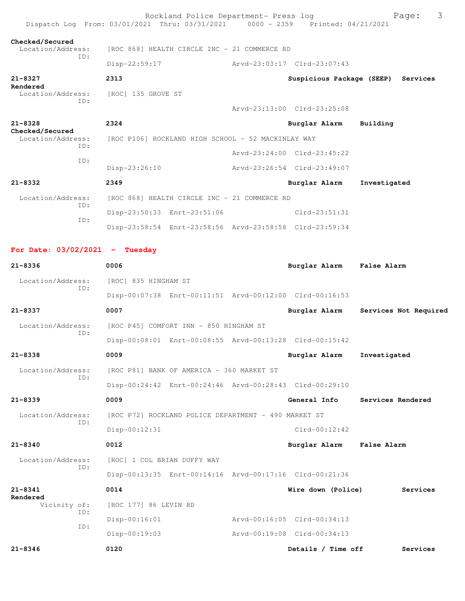|                                             | Rockland Police Department- Press log<br>Dispatch Log From: 03/01/2021 Thru: 03/31/2021 0000 - 2359 Printed: 04/21/2021 |                             | 3<br>Page:                         |
|---------------------------------------------|-------------------------------------------------------------------------------------------------------------------------|-----------------------------|------------------------------------|
| Checked/Secured<br>Location/Address:<br>ID: | [ROC 868] HEALTH CIRCLE INC - 21 COMMERCE RD                                                                            |                             |                                    |
|                                             | Disp-22:59:17                                                                                                           | Arvd-23:03:17 Clrd-23:07:43 |                                    |
| 21-8327                                     | 2313                                                                                                                    |                             | Suspicious Package (SEEP) Services |
| Rendered<br>Location/Address:               | [ROC] 135 GROVE ST                                                                                                      |                             |                                    |
| ID:                                         |                                                                                                                         | Arvd-23:13:00 Clrd-23:25:08 |                                    |
| $21 - 8328$                                 | 2324                                                                                                                    | Burglar Alarm               | Building                           |
| Checked/Secured<br>Location/Address:        | [ROC P106] ROCKLAND HIGH SCHOOL - 52 MACKINLAY WAY                                                                      |                             |                                    |
| ID:                                         |                                                                                                                         | Arvd-23:24:00 Clrd-23:45:22 |                                    |
| ID:                                         | $Disp-23:26:10$                                                                                                         | Arvd-23:26:54 Clrd-23:49:07 |                                    |
| $21 - 8332$                                 | 2349                                                                                                                    | Burglar Alarm               | Investigated                       |
| Location/Address:                           | [ROC 868] HEALTH CIRCLE INC - 21 COMMERCE RD                                                                            |                             |                                    |
| ID:                                         | Disp-23:50:33 Enrt-23:51:06                                                                                             | $C1rd-23:51:31$             |                                    |
| ID:                                         | Disp-23:58:54 Enrt-23:58:56 Arvd-23:58:58 Clrd-23:59:34                                                                 |                             |                                    |
|                                             |                                                                                                                         |                             |                                    |
| For Date: $03/02/2021$ - Tuesday            |                                                                                                                         |                             |                                    |
| $21 - 8336$                                 | 0006                                                                                                                    | Burglar Alarm False Alarm   |                                    |
| Location/Address:<br>ID:                    | [ROC] 835 HINGHAM ST                                                                                                    |                             |                                    |
|                                             | Disp-00:07:38 Enrt-00:11:51 Arvd-00:12:00 Clrd-00:16:53                                                                 |                             |                                    |
| $21 - 8337$                                 | 0007                                                                                                                    | Burglar Alarm               | Services Not Required              |
| Location/Address:<br>ID:                    | [ROC P45] COMFORT INN - 850 HINGHAM ST                                                                                  |                             |                                    |
|                                             | Disp-00:08:01 Enrt-00:08:55 Arvd-00:13:28 Clrd-00:15:42                                                                 |                             |                                    |
| $21 - 8338$                                 | 0009                                                                                                                    | Burglar Alarm               | Investigated                       |
| Location/Address:<br>ID:                    | [ROC P81] BANK OF AMERICA - 360 MARKET ST                                                                               |                             |                                    |
|                                             | Disp-00:24:42 Enrt-00:24:46 Arvd-00:28:43 Clrd-00:29:10                                                                 |                             |                                    |
| $21 - 8339$                                 | 0009                                                                                                                    | General Info                | Services Rendered                  |
| Location/Address:<br>ID:                    | [ROC P72] ROCKLAND POLICE DEPARTMENT - 490 MARKET ST                                                                    |                             |                                    |
|                                             | Disp-00:12:31                                                                                                           | $Clrd-00:12:42$             |                                    |
| $21 - 8340$                                 | 0012                                                                                                                    | Burglar Alarm               | <b>False Alarm</b>                 |
| Location/Address:<br>ID:                    | [ROC] 1 COL BRIAN DUFFY WAY                                                                                             |                             |                                    |
|                                             | Disp-00:13:35 Enrt-00:14:16 Arvd-00:17:16 Clrd-00:21:36                                                                 |                             |                                    |
| $21 - 8341$                                 | 0014                                                                                                                    | Wire down (Police)          | Services                           |
| Rendered<br>Vicinity of:                    | [ROC 177] 86 LEVIN RD                                                                                                   |                             |                                    |
| ID:<br>TD:                                  | $Disp-00:16:01$                                                                                                         | Arvd-00:16:05 Clrd-00:34:13 |                                    |
|                                             | $Disp-00:19:03$                                                                                                         | Arvd-00:19:08 Clrd-00:34:13 |                                    |
| $21 - 8346$                                 | 0120                                                                                                                    | Details / Time off          | Services                           |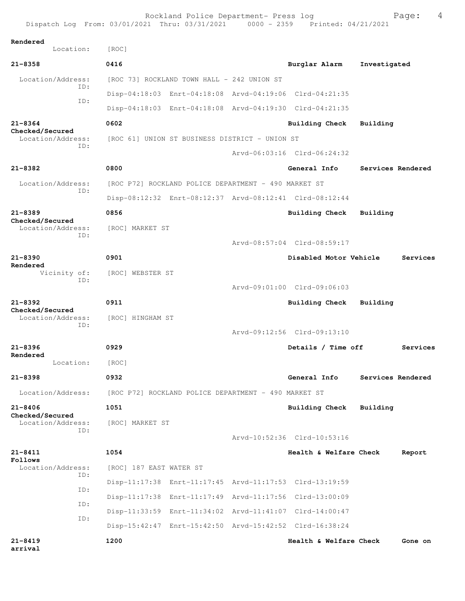|                                      | Rockland Police Department- Press log<br>Dispatch Log From: 03/01/2021 Thru: 03/31/2021 0000 - 2359 Printed: 04/21/2021 |                             | 4<br>Page:        |
|--------------------------------------|-------------------------------------------------------------------------------------------------------------------------|-----------------------------|-------------------|
| Rendered                             |                                                                                                                         |                             |                   |
| Location:                            | [ROC]                                                                                                                   |                             |                   |
| $21 - 8358$                          | 0416                                                                                                                    | Burglar Alarm               | Investigated      |
| Location/Address:<br>TD:             | [ROC 73] ROCKLAND TOWN HALL - 242 UNION ST                                                                              |                             |                   |
| ID:                                  | Disp-04:18:03 Enrt-04:18:08 Arvd-04:19:06 Clrd-04:21:35                                                                 |                             |                   |
|                                      | Disp-04:18:03 Enrt-04:18:08 Arvd-04:19:30 Clrd-04:21:35                                                                 |                             |                   |
| $21 - 8364$                          | 0602                                                                                                                    | Building Check              | Building          |
| Checked/Secured<br>Location/Address: | [ROC 61] UNION ST BUSINESS DISTRICT - UNION ST                                                                          |                             |                   |
| ID:                                  |                                                                                                                         | Arvd-06:03:16 Clrd-06:24:32 |                   |
| $21 - 8382$                          | 0800                                                                                                                    | General Info                | Services Rendered |
| Location/Address:                    | [ROC P72] ROCKLAND POLICE DEPARTMENT - 490 MARKET ST                                                                    |                             |                   |
| ID:                                  | Disp-08:12:32 Enrt-08:12:37 Arvd-08:12:41 Clrd-08:12:44                                                                 |                             |                   |
| $21 - 8389$                          | 0856                                                                                                                    | Building Check              | Building          |
| Checked/Secured<br>Location/Address: | [ROC] MARKET ST                                                                                                         |                             |                   |
| ID:                                  |                                                                                                                         | Arvd-08:57:04 Clrd-08:59:17 |                   |
| $21 - 8390$                          | 0901                                                                                                                    | Disabled Motor Vehicle      | Services          |
| Rendered<br>Vicinity of:             | [ROC] WEBSTER ST                                                                                                        |                             |                   |
| ID:                                  |                                                                                                                         | Arvd-09:01:00 Clrd-09:06:03 |                   |
| $21 - 8392$                          | 0911                                                                                                                    | Building Check              | Building          |
| Checked/Secured<br>Location/Address: | [ROC] HINGHAM ST                                                                                                        |                             |                   |
| ID:                                  |                                                                                                                         | Arvd-09:12:56 Clrd-09:13:10 |                   |
| $21 - 8396$                          | 0929                                                                                                                    | Details / Time off          | Services          |
| Rendered<br>Location:                |                                                                                                                         |                             |                   |
|                                      | [ROC]                                                                                                                   |                             |                   |
| $21 - 8398$                          | 0932                                                                                                                    | General Info                | Services Rendered |
| Location/Address:                    | [ROC P72] ROCKLAND POLICE DEPARTMENT - 490 MARKET ST                                                                    |                             |                   |
| $21 - 8406$<br>Checked/Secured       | 1051                                                                                                                    | Building Check              | Building          |
| Location/Address:<br>ID:             | [ROC] MARKET ST                                                                                                         |                             |                   |
|                                      |                                                                                                                         | Arvd-10:52:36 Clrd-10:53:16 |                   |
| $21 - 8411$<br>Follows               | 1054                                                                                                                    | Health & Welfare Check      | Report            |
| Location/Address:<br>ID:             | [ROC] 187 EAST WATER ST                                                                                                 |                             |                   |
| ID:                                  | Disp-11:17:38 Enrt-11:17:45 Arvd-11:17:53 Clrd-13:19:59                                                                 |                             |                   |
| ID:                                  | Disp-11:17:38 Enrt-11:17:49 Arvd-11:17:56 Clrd-13:00:09                                                                 |                             |                   |
| ID:                                  | Disp-11:33:59 Enrt-11:34:02 Arvd-11:41:07 Clrd-14:00:47                                                                 |                             |                   |
|                                      | Disp-15:42:47 Enrt-15:42:50 Arvd-15:42:52 Clrd-16:38:24                                                                 |                             |                   |
| $21 - 8419$<br>arrival               | 1200                                                                                                                    | Health & Welfare Check      | Gone on           |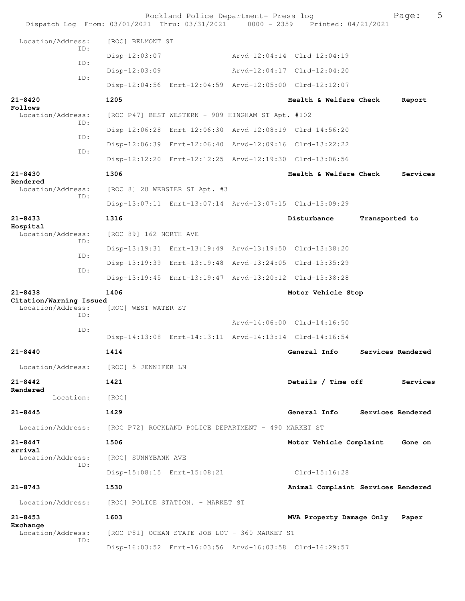|                                              |            |                                   | Rockland Police Department- Press log                | Dispatch Log From: 03/01/2021 Thru: 03/31/2021 0000 - 2359 Printed: 04/21/2021 |                | 5<br>Page:        |
|----------------------------------------------|------------|-----------------------------------|------------------------------------------------------|--------------------------------------------------------------------------------|----------------|-------------------|
| Location/Address:                            |            | [ROC] BELMONT ST                  |                                                      |                                                                                |                |                   |
|                                              | TD:        | Disp-12:03:07                     |                                                      | Arvd-12:04:14 Clrd-12:04:19                                                    |                |                   |
|                                              | ID:        | $Disp-12:03:09$                   |                                                      | Arvd-12:04:17 Clrd-12:04:20                                                    |                |                   |
|                                              | ID:        |                                   |                                                      | Disp-12:04:56 Enrt-12:04:59 Arvd-12:05:00 Clrd-12:12:07                        |                |                   |
| 21-8420                                      |            | 1205                              |                                                      | Health & Welfare Check                                                         |                | Report            |
| Follows<br>Location/Address:                 |            |                                   | [ROC P47] BEST WESTERN - 909 HINGHAM ST Apt. #102    |                                                                                |                |                   |
|                                              | ID:        |                                   |                                                      | Disp-12:06:28 Enrt-12:06:30 Arvd-12:08:19 Clrd-14:56:20                        |                |                   |
|                                              | ID:        |                                   |                                                      | Disp-12:06:39 Enrt-12:06:40 Arvd-12:09:16 Clrd-13:22:22                        |                |                   |
|                                              | ID:        |                                   |                                                      | Disp-12:12:20 Enrt-12:12:25 Arvd-12:19:30 Clrd-13:06:56                        |                |                   |
| $21 - 8430$                                  |            | 1306                              |                                                      | Health & Welfare Check                                                         |                | Services          |
| Rendered<br>Location/Address:                |            |                                   | [ROC 8] 28 WEBSTER ST Apt. #3                        |                                                                                |                |                   |
|                                              | TD:        |                                   |                                                      | Disp-13:07:11 Enrt-13:07:14 Arvd-13:07:15 Clrd-13:09:29                        |                |                   |
| $21 - 8433$                                  |            | 1316                              |                                                      | Disturbance                                                                    | Transported to |                   |
| Hospital<br>Location/Address:                |            | [ROC 89] 162 NORTH AVE            |                                                      |                                                                                |                |                   |
|                                              | ID:        |                                   |                                                      | Disp-13:19:31 Enrt-13:19:49 Arvd-13:19:50 Clrd-13:38:20                        |                |                   |
|                                              | ID:<br>ID: |                                   |                                                      | Disp-13:19:39 Enrt-13:19:48 Arvd-13:24:05 Clrd-13:35:29                        |                |                   |
|                                              |            |                                   |                                                      | Disp-13:19:45 Enrt-13:19:47 Arvd-13:20:12 Clrd-13:38:28                        |                |                   |
| $21 - 8438$                                  |            | 1406                              |                                                      | Motor Vehicle Stop                                                             |                |                   |
| Citation/Warning Issued<br>Location/Address: |            | [ROC] WEST WATER ST               |                                                      |                                                                                |                |                   |
|                                              | ID:<br>ID: |                                   |                                                      | Arvd-14:06:00 Clrd-14:16:50                                                    |                |                   |
|                                              |            |                                   |                                                      | Disp-14:13:08 Enrt-14:13:11 Arvd-14:13:14 Clrd-14:16:54                        |                |                   |
| $21 - 8440$                                  |            | 1414                              |                                                      | General Info                                                                   |                | Services Rendered |
| Location/Address:                            |            | [ROC] 5 JENNIFER LN               |                                                      |                                                                                |                |                   |
| $21 - 8442$                                  |            | 1421                              |                                                      | Details / Time off                                                             |                | Services          |
| Rendered<br>Location:                        |            | [ROC]                             |                                                      |                                                                                |                |                   |
| $21 - 8445$                                  |            | 1429                              |                                                      | General Info Services Rendered                                                 |                |                   |
| Location/Address:                            |            |                                   | [ROC P72] ROCKLAND POLICE DEPARTMENT - 490 MARKET ST |                                                                                |                |                   |
| $21 - 8447$                                  |            | 1506                              |                                                      | Motor Vehicle Complaint                                                        |                | Gone on           |
| arrival<br>Location/Address:                 |            | [ROC] SUNNYBANK AVE               |                                                      |                                                                                |                |                   |
|                                              | ID:        |                                   | Disp-15:08:15 Enrt-15:08:21                          | $Clrd-15:16:28$                                                                |                |                   |
| $21 - 8743$                                  |            | 1530                              |                                                      | Animal Complaint Services Rendered                                             |                |                   |
| Location/Address:                            |            | [ROC] POLICE STATION. - MARKET ST |                                                      |                                                                                |                |                   |
| $21 - 8453$                                  |            | 1603                              |                                                      | MVA Property Damage Only                                                       |                | Paper             |
| Exchange<br>Location/Address:                |            |                                   | [ROC P81] OCEAN STATE JOB LOT - 360 MARKET ST        |                                                                                |                |                   |
|                                              | ID:        |                                   |                                                      | Disp-16:03:52 Enrt-16:03:56 Arvd-16:03:58 Clrd-16:29:57                        |                |                   |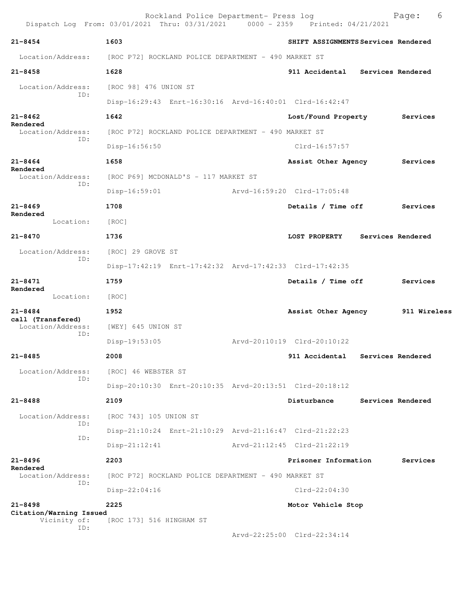|                                                | Rockland Police Department- Press log<br>Dispatch Log From: 03/01/2021 Thru: 03/31/2021 0000 - 2359 Printed: 04/21/2021 |                                     | Page:               | 6 |
|------------------------------------------------|-------------------------------------------------------------------------------------------------------------------------|-------------------------------------|---------------------|---|
| $21 - 8454$                                    | 1603                                                                                                                    | SHIFT ASSIGNMENTS Services Rendered |                     |   |
|                                                | Location/Address: [ROC P72] ROCKLAND POLICE DEPARTMENT - 490 MARKET ST                                                  |                                     |                     |   |
| $21 - 8458$                                    | 1628                                                                                                                    | 911 Accidental Services Rendered    |                     |   |
| Location/Address:<br>ID:                       | [ROC 98] 476 UNION ST<br>Disp-16:29:43 Enrt-16:30:16 Arvd-16:40:01 Clrd-16:42:47                                        |                                     |                     |   |
|                                                |                                                                                                                         |                                     |                     |   |
| $21 - 8462$<br>Rendered                        | 1642                                                                                                                    | Lost/Found Property                 | Services            |   |
| Location/Address:<br>ID:                       | [ROC P72] ROCKLAND POLICE DEPARTMENT - 490 MARKET ST                                                                    |                                     |                     |   |
|                                                | Disp-16:56:50                                                                                                           | Clrd-16:57:57                       |                     |   |
| $21 - 8464$<br>Rendered                        | 1658                                                                                                                    | Assist Other Agency                 | Services            |   |
| Location/Address:<br>ID:                       | [ROC P69] MCDONALD'S - 117 MARKET ST                                                                                    |                                     |                     |   |
|                                                | $Disp-16:59:01$                                                                                                         | Arvd-16:59:20 Clrd-17:05:48         |                     |   |
| $21 - 8469$<br>Rendered                        | 1708                                                                                                                    | Details / Time off                  | Services            |   |
| Location:                                      | [ROC]                                                                                                                   |                                     |                     |   |
| $21 - 8470$                                    | 1736                                                                                                                    | LOST PROPERTY                       | Services Rendered   |   |
| Location/Address:                              | [ROC] 29 GROVE ST                                                                                                       |                                     |                     |   |
| ID:                                            | Disp-17:42:19 Enrt-17:42:32 Arvd-17:42:33 Clrd-17:42:35                                                                 |                                     |                     |   |
| $21 - 8471$                                    | 1759                                                                                                                    | Details / Time off                  | Services            |   |
| Rendered<br>Location:                          | [ROC]                                                                                                                   |                                     |                     |   |
| $21 - 8484$                                    | 1952                                                                                                                    | Assist Other Agency                 | <b>911 Wireless</b> |   |
| call (Transfered)<br>Location/Address:         | [WEY] 645 UNION ST                                                                                                      |                                     |                     |   |
| ID:                                            | $Disp-19:53:05$                                                                                                         | Arvd-20:10:19 Clrd-20:10:22         |                     |   |
| $21 - 8485$                                    | 2008                                                                                                                    | 911 Accidental Services Rendered    |                     |   |
| Location/Address:                              | [ROC] 46 WEBSTER ST                                                                                                     |                                     |                     |   |
| ID:                                            |                                                                                                                         |                                     |                     |   |
|                                                | Disp-20:10:30 Enrt-20:10:35 Arvd-20:13:51 Clrd-20:18:12                                                                 |                                     |                     |   |
| $21 - 8488$                                    | 2109                                                                                                                    | Disturbance                         | Services Rendered   |   |
| Location/Address:<br>ID:                       | [ROC 743] 105 UNION ST                                                                                                  |                                     |                     |   |
| ID:                                            | Disp-21:10:24 Enrt-21:10:29 Arvd-21:16:47 Clrd-21:22:23                                                                 |                                     |                     |   |
|                                                | $Disp-21:12:41$                                                                                                         | Arvd-21:12:45 Clrd-21:22:19         |                     |   |
| $21 - 8496$<br>Rendered                        | 2203                                                                                                                    | Prisoner Information                | Services            |   |
| Location/Address:<br>ID:                       | [ROC P72] ROCKLAND POLICE DEPARTMENT - 490 MARKET ST                                                                    |                                     |                     |   |
|                                                | Disp-22:04:16                                                                                                           | Clrd-22:04:30                       |                     |   |
| $21 - 8498$                                    | 2225                                                                                                                    | Motor Vehicle Stop                  |                     |   |
| Citation/Warning Issued<br>Vicinity of:<br>ID: | [ROC 173] 516 HINGHAM ST                                                                                                |                                     |                     |   |
|                                                |                                                                                                                         | Arvd-22:25:00 Clrd-22:34:14         |                     |   |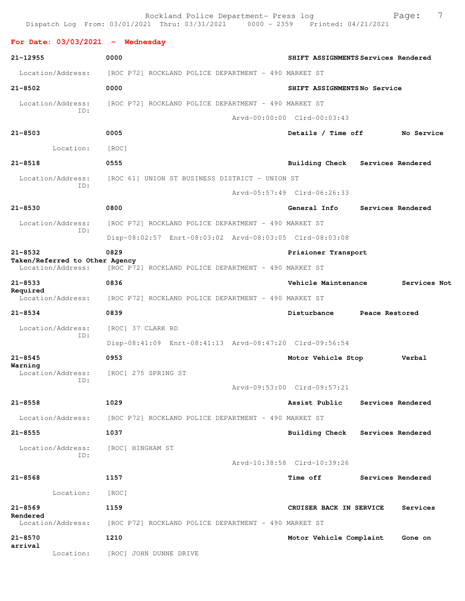Rockland Police Department- Press log Page: 7<br>21 Thru: 03/31/2021 0000 - 2359 Printed: 04/21/2021 Dispatch Log From: 03/01/2021 Thru: 03/31/2021 **For Date: 03/03/2021 - Wednesday 21-12955 0000 SHIFT ASSIGNMENTS Services Rendered** Location/Address: [ROC P72] ROCKLAND POLICE DEPARTMENT - 490 MARKET ST **21-8502 0000 SHIFT ASSIGNMENTS No Service** Location/Address: [ROC P72] ROCKLAND POLICE DEPARTMENT - 490 MARKET ST ID: Arvd-00:00:00 Clrd-00:03:43 **21-8503 0005 Details / Time off No Service** Location: [ROC] **21-8518 0555 Building Check Services Rendered** Location/Address: [ROC 61] UNION ST BUSINESS DISTRICT - UNION ST ID: Arvd-05:57:49 Clrd-06:26:33 **21-8530 0800 General Info Services Rendered** Location/Address: [ROC P72] ROCKLAND POLICE DEPARTMENT - 490 MARKET ST ID: Disp-08:02:57 Enrt-08:03:02 Arvd-08:03:05 Clrd-08:03:08 **21-8532 0829 Prisioner Transport Taken/Referred to Other Agency**  Location/Address: [ROC P72] ROCKLAND POLICE DEPARTMENT - 490 MARKET ST **21-8533 0836 Vehicle Maintenance Services Not Required**  Location/Address: [ROC P72] ROCKLAND POLICE DEPARTMENT - 490 MARKET ST **21-8534 0839 Disturbance Peace Restored** Location/Address: [ROC] 37 CLARK RD ID: Disp-08:41:09 Enrt-08:41:13 Arvd-08:47:20 Clrd-09:56:54 **21-8545 0953 Motor Vehicle Stop Verbal Warning**  Location/Address: [ROC] 275 SPRING ST ID: Arvd-09:53:00 Clrd-09:57:21 **21-8558 1029 Assist Public Services Rendered** Location/Address: [ROC P72] ROCKLAND POLICE DEPARTMENT - 490 MARKET ST **21-8555 1037 Building Check Services Rendered** Location/Address: [ROC] HINGHAM ST ID: Arvd-10:38:58 Clrd-10:39:26 **21-8568 1157 Time off Services Rendered** Location: [ROC] **21-8569 1159 CRUISER BACK IN SERVICE Services Rendered**  Location/Address: [ROC P72] ROCKLAND POLICE DEPARTMENT - 490 MARKET ST **21-8570 1210 Motor Vehicle Complaint Gone on arrival**  Location: [ROC] JOHN DUNNE DRIVE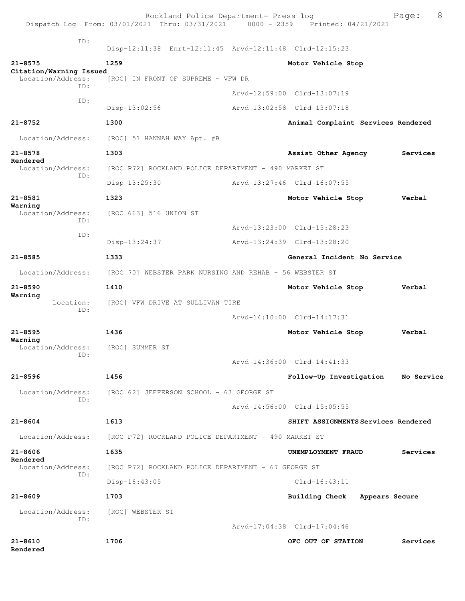|                                        | Rockland Police Department- Press log<br>Dispatch Log From: 03/01/2021 Thru: 03/31/2021 0000 - 2359 Printed: 04/21/2021 |                                     | 8<br>Page: |
|----------------------------------------|-------------------------------------------------------------------------------------------------------------------------|-------------------------------------|------------|
| ID:                                    |                                                                                                                         |                                     |            |
|                                        | Disp-12:11:38 Enrt-12:11:45 Arvd-12:11:48 Clrd-12:15:23                                                                 |                                     |            |
| $21 - 8575$<br>Citation/Warning Issued | 1259                                                                                                                    | Motor Vehicle Stop                  |            |
| Location/Address:<br>TD:               | [ROC] IN FRONT OF SUPREME - VFW DR                                                                                      |                                     |            |
| ID:                                    |                                                                                                                         | Arvd-12:59:00 Clrd-13:07:19         |            |
|                                        | Disp-13:02:56                                                                                                           | Arvd-13:02:58 Clrd-13:07:18         |            |
| $21 - 8752$                            | 1300                                                                                                                    | Animal Complaint Services Rendered  |            |
| Location/Address:                      | [ROC] 51 HANNAH WAY Apt. #B                                                                                             |                                     |            |
| $21 - 8578$                            | 1303                                                                                                                    | Assist Other Agency                 | Services   |
| Rendered<br>Location/Address:          | [ROC P72] ROCKLAND POLICE DEPARTMENT - 490 MARKET ST                                                                    |                                     |            |
| ID:                                    | $Disp-13:25:30$                                                                                                         | Arvd-13:27:46 Clrd-16:07:55         |            |
| $21 - 8581$                            | 1323                                                                                                                    | Motor Vehicle Stop                  | Verbal     |
| Warning<br>Location/Address:           | [ROC 663] 516 UNION ST                                                                                                  |                                     |            |
| ID:                                    |                                                                                                                         | Arvd-13:23:00 Clrd-13:28:23         |            |
| ID:                                    | $Disp-13:24:37$                                                                                                         | Arvd-13:24:39 Clrd-13:28:20         |            |
| $21 - 8585$                            | 1333                                                                                                                    | General Incident No Service         |            |
| Location/Address:                      | [ROC 70] WEBSTER PARK NURSING AND REHAB - 56 WEBSTER ST                                                                 |                                     |            |
| $21 - 8590$                            | 1410                                                                                                                    | Motor Vehicle Stop                  | Verbal     |
| Warning<br>Location:                   | [ROC] VFW DRIVE AT SULLIVAN TIRE                                                                                        |                                     |            |
| ID:                                    |                                                                                                                         | Arvd-14:10:00 Clrd-14:17:31         |            |
| $21 - 8595$                            | 1436                                                                                                                    | Motor Vehicle Stop                  | Verbal     |
| Warning<br>Location/Address:           | [ROC] SUMMER ST                                                                                                         |                                     |            |
| ID:                                    |                                                                                                                         | Arvd-14:36:00 Clrd-14:41:33         |            |
| $21 - 8596$                            | 1456                                                                                                                    | Follow-Up Investigation             | No Service |
| Location/Address:                      | [ROC 62] JEFFERSON SCHOOL - 63 GEORGE ST                                                                                |                                     |            |
| TD:                                    |                                                                                                                         | Arvd-14:56:00 Clrd-15:05:55         |            |
| $21 - 8604$                            | 1613                                                                                                                    | SHIFT ASSIGNMENTS Services Rendered |            |
| Location/Address:                      | [ROC P72] ROCKLAND POLICE DEPARTMENT - 490 MARKET ST                                                                    |                                     |            |
| $21 - 8606$                            | 1635                                                                                                                    | UNEMPLOYMENT FRAUD                  | Services   |
| Rendered<br>Location/Address:          | [ROC P72] ROCKLAND POLICE DEPARTMENT - 67 GEORGE ST                                                                     |                                     |            |
| TD:                                    | $Disp-16:43:05$                                                                                                         | $Clrd-16:43:11$                     |            |
| $21 - 8609$                            | 1703                                                                                                                    | Building Check Appears Secure       |            |
| Location/Address:                      | [ROC] WEBSTER ST                                                                                                        |                                     |            |
| TD:                                    |                                                                                                                         | Arvd-17:04:38 Clrd-17:04:46         |            |
| $21 - 8610$<br>Rendered                | 1706                                                                                                                    | OFC OUT OF STATION                  | Services   |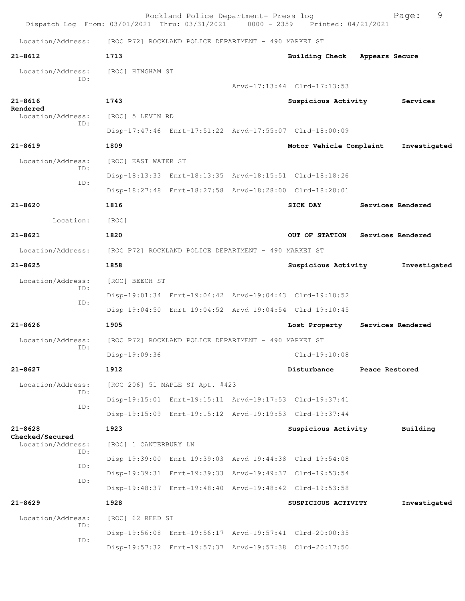| Dispatch Log From: 03/01/2021 Thru: 03/31/2021 0000 - 2359 Printed: 04/21/2021 |                                                      | Rockland Police Department- Press log                |                                                         |                | Page:             | 9 |
|--------------------------------------------------------------------------------|------------------------------------------------------|------------------------------------------------------|---------------------------------------------------------|----------------|-------------------|---|
| Location/Address:                                                              | [ROC P72] ROCKLAND POLICE DEPARTMENT - 490 MARKET ST |                                                      |                                                         |                |                   |   |
| $21 - 8612$                                                                    | 1713                                                 |                                                      | Building Check Appears Secure                           |                |                   |   |
| Location/Address:                                                              | [ROC] HINGHAM ST                                     |                                                      |                                                         |                |                   |   |
| TD:                                                                            |                                                      |                                                      | Arvd-17:13:44 Clrd-17:13:53                             |                |                   |   |
| $21 - 8616$                                                                    | 1743                                                 |                                                      | Suspicious Activity                                     |                | Services          |   |
| Rendered<br>Location/Address:                                                  | [ROC] 5 LEVIN RD                                     |                                                      |                                                         |                |                   |   |
| ID:                                                                            |                                                      |                                                      | Disp-17:47:46 Enrt-17:51:22 Arvd-17:55:07 Clrd-18:00:09 |                |                   |   |
| $21 - 8619$                                                                    | 1809                                                 |                                                      | Motor Vehicle Complaint                                 |                | Investigated      |   |
| Location/Address:                                                              | [ROC] EAST WATER ST                                  |                                                      |                                                         |                |                   |   |
| ID:<br>ID:                                                                     |                                                      |                                                      | Disp-18:13:33 Enrt-18:13:35 Arvd-18:15:51 Clrd-18:18:26 |                |                   |   |
|                                                                                |                                                      |                                                      | Disp-18:27:48 Enrt-18:27:58 Arvd-18:28:00 Clrd-18:28:01 |                |                   |   |
| $21 - 8620$                                                                    | 1816                                                 |                                                      | SICK DAY                                                |                | Services Rendered |   |
| Location:                                                                      | [ROC]                                                |                                                      |                                                         |                |                   |   |
| $21 - 8621$                                                                    | 1820                                                 |                                                      | OUT OF STATION                                          |                | Services Rendered |   |
| Location/Address:                                                              |                                                      | [ROC P72] ROCKLAND POLICE DEPARTMENT - 490 MARKET ST |                                                         |                |                   |   |
| $21 - 8625$                                                                    | 1858                                                 |                                                      | Suspicious Activity                                     |                | Investigated      |   |
| Location/Address:                                                              | [ROC] BEECH ST                                       |                                                      |                                                         |                |                   |   |
| ID:                                                                            |                                                      |                                                      | Disp-19:01:34 Enrt-19:04:42 Arvd-19:04:43 Clrd-19:10:52 |                |                   |   |
| ID:                                                                            |                                                      |                                                      | Disp-19:04:50 Enrt-19:04:52 Arvd-19:04:54 Clrd-19:10:45 |                |                   |   |
| $21 - 8626$                                                                    | 1905                                                 |                                                      | Lost Property                                           |                | Services Rendered |   |
| Location/Address:                                                              |                                                      | [ROC P72] ROCKLAND POLICE DEPARTMENT - 490 MARKET ST |                                                         |                |                   |   |
| ID:                                                                            | Disp-19:09:36                                        |                                                      | Clrd-19:10:08                                           |                |                   |   |
| $21 - 8627$                                                                    | 1912                                                 |                                                      | Disturbance                                             | Peace Restored |                   |   |
| Location/Address:                                                              |                                                      | [ROC 206] 51 MAPLE ST Apt. #423                      |                                                         |                |                   |   |
| ID:<br>ID:                                                                     |                                                      |                                                      | Disp-19:15:01 Enrt-19:15:11 Arvd-19:17:53 Clrd-19:37:41 |                |                   |   |
|                                                                                |                                                      |                                                      | Disp-19:15:09 Enrt-19:15:12 Arvd-19:19:53 Clrd-19:37:44 |                |                   |   |
| $21 - 8628$<br>Checked/Secured                                                 | 1923                                                 |                                                      | Suspicious Activity                                     |                | Building          |   |
| Location/Address:<br>ID:                                                       | [ROC] 1 CANTERBURY LN                                |                                                      |                                                         |                |                   |   |
| ID:                                                                            |                                                      |                                                      | Disp-19:39:00 Enrt-19:39:03 Arvd-19:44:38 Clrd-19:54:08 |                |                   |   |
| ID:                                                                            |                                                      |                                                      | Disp-19:39:31 Enrt-19:39:33 Arvd-19:49:37 Clrd-19:53:54 |                |                   |   |
|                                                                                |                                                      |                                                      | Disp-19:48:37 Enrt-19:48:40 Arvd-19:48:42 Clrd-19:53:58 |                |                   |   |
| $21 - 8629$                                                                    | 1928                                                 |                                                      | SUSPICIOUS ACTIVITY                                     |                | Investigated      |   |
| Location/Address:<br>ID:                                                       | [ROC] 62 REED ST                                     |                                                      |                                                         |                |                   |   |
| ID:                                                                            |                                                      |                                                      | Disp-19:56:08 Enrt-19:56:17 Arvd-19:57:41 Clrd-20:00:35 |                |                   |   |
|                                                                                |                                                      |                                                      | Disp-19:57:32 Enrt-19:57:37 Arvd-19:57:38 Clrd-20:17:50 |                |                   |   |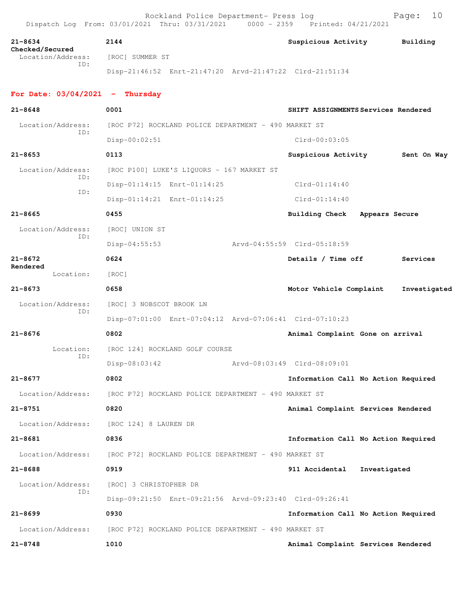| $21 - 8634$                          | 2144                                                    | Suspicious Activity                 | Building     |  |  |  |
|--------------------------------------|---------------------------------------------------------|-------------------------------------|--------------|--|--|--|
| Checked/Secured<br>Location/Address: | [ROC] SUMMER ST                                         |                                     |              |  |  |  |
| TD:                                  | Disp-21:46:52 Enrt-21:47:20 Arvd-21:47:22 Clrd-21:51:34 |                                     |              |  |  |  |
| For Date: $03/04/2021$ - Thursday    |                                                         |                                     |              |  |  |  |
| $21 - 8648$                          | 0001                                                    | SHIFT ASSIGNMENTS Services Rendered |              |  |  |  |
| Location/Address:                    | [ROC P72] ROCKLAND POLICE DEPARTMENT - 490 MARKET ST    |                                     |              |  |  |  |
| TD:                                  | $Disp-00:02:51$                                         | $Clrd-00:03:05$                     |              |  |  |  |
| $21 - 8653$                          | 0113                                                    | Suspicious Activity                 | Sent On Way  |  |  |  |
| Location/Address:                    | [ROC P100] LUKE'S LIQUORS - 167 MARKET ST               |                                     |              |  |  |  |
| TD:                                  | Disp-01:14:15 Enrt-01:14:25                             | $Clrd-01:14:40$                     |              |  |  |  |
| ID:                                  | Disp-01:14:21 Enrt-01:14:25                             | $Clrd-01:14:40$                     |              |  |  |  |
| $21 - 8665$                          | 0455                                                    | Building Check Appears Secure       |              |  |  |  |
| Location/Address:                    | [ROC] UNION ST                                          |                                     |              |  |  |  |
| ID:                                  | $Disp-04:55:53$                                         | Arvd-04:55:59 Clrd-05:18:59         |              |  |  |  |
| $21 - 8672$                          | 0624                                                    | Details / Time off                  | Services     |  |  |  |
| Rendered<br>Location:                | [ROC]                                                   |                                     |              |  |  |  |
| $21 - 8673$                          | 0658                                                    | Motor Vehicle Complaint             | Investigated |  |  |  |
| Location/Address:                    | [ROC] 3 NOBSCOT BROOK LN                                |                                     |              |  |  |  |
| ID:                                  | Disp-07:01:00 Enrt-07:04:12 Arvd-07:06:41 Clrd-07:10:23 |                                     |              |  |  |  |
| $21 - 8676$                          | 0802                                                    | Animal Complaint Gone on arrival    |              |  |  |  |
| Location:                            | [ROC 124] ROCKLAND GOLF COURSE                          |                                     |              |  |  |  |
| ID:                                  | Disp-08:03:42                                           | Aryd-08:03:49 Clrd-08:09:01         |              |  |  |  |
| $21 - 8677$                          | 0802                                                    | Information Call No Action Required |              |  |  |  |
| Location/Address:                    | [ROC P72] ROCKLAND POLICE DEPARTMENT - 490 MARKET ST    |                                     |              |  |  |  |
| $21 - 8751$                          | 0820                                                    | Animal Complaint Services Rendered  |              |  |  |  |
| Location/Address:                    | [ROC 124] 8 LAUREN DR                                   |                                     |              |  |  |  |
| $21 - 8681$                          | 0836                                                    | Information Call No Action Required |              |  |  |  |
| Location/Address:                    | [ROC P72] ROCKLAND POLICE DEPARTMENT - 490 MARKET ST    |                                     |              |  |  |  |
| $21 - 8688$                          | 0919                                                    | 911 Accidental<br>Investigated      |              |  |  |  |
| Location/Address:                    | [ROC] 3 CHRISTOPHER DR                                  |                                     |              |  |  |  |
| ID:                                  | Disp-09:21:50 Enrt-09:21:56 Arvd-09:23:40 Clrd-09:26:41 |                                     |              |  |  |  |
| $21 - 8699$                          | 0930                                                    | Information Call No Action Required |              |  |  |  |
| Location/Address:                    | [ROC P72] ROCKLAND POLICE DEPARTMENT - 490 MARKET ST    |                                     |              |  |  |  |
| $21 - 8748$                          | 1010                                                    | Animal Complaint Services Rendered  |              |  |  |  |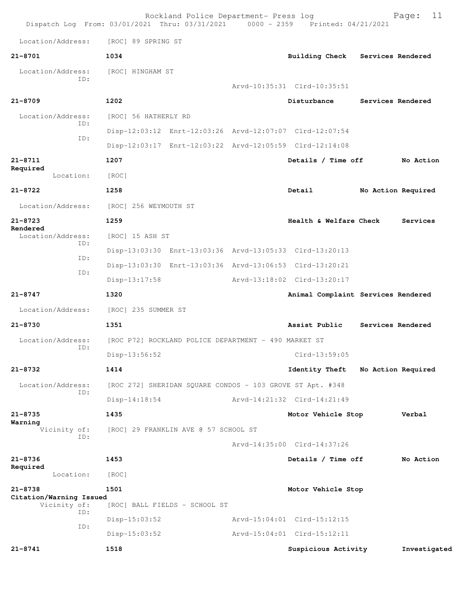| Dispatch Log From: 03/01/2021 Thru: 03/31/2021 0000 - 2359 Printed: 04/21/2021 |                       | Rockland Police Department- Press log                     |                                                         |                    | 11<br>Page:  |
|--------------------------------------------------------------------------------|-----------------------|-----------------------------------------------------------|---------------------------------------------------------|--------------------|--------------|
| Location/Address:                                                              | [ROC] 89 SPRING ST    |                                                           |                                                         |                    |              |
| $21 - 8701$                                                                    | 1034                  |                                                           | <b>Building Check</b>                                   | Services Rendered  |              |
| Location/Address:                                                              | [ROC] HINGHAM ST      |                                                           |                                                         |                    |              |
| ID:                                                                            |                       |                                                           | Arvd-10:35:31 Clrd-10:35:51                             |                    |              |
| $21 - 8709$                                                                    | 1202                  |                                                           | Disturbance                                             | Services Rendered  |              |
| Location/Address:                                                              | [ROC] 56 HATHERLY RD  |                                                           |                                                         |                    |              |
| ID:                                                                            |                       |                                                           | Disp-12:03:12 Enrt-12:03:26 Arvd-12:07:07 Clrd-12:07:54 |                    |              |
| ID:                                                                            |                       |                                                           | Disp-12:03:17 Enrt-12:03:22 Arvd-12:05:59 Clrd-12:14:08 |                    |              |
| $21 - 8711$                                                                    | 1207                  |                                                           | Details / Time off                                      |                    | No Action    |
| Required<br>Location:                                                          | [ROC]                 |                                                           |                                                         |                    |              |
| $21 - 8722$                                                                    | 1258                  |                                                           | Detail                                                  | No Action Required |              |
| Location/Address:                                                              | [ROC] 256 WEYMOUTH ST |                                                           |                                                         |                    |              |
| $21 - 8723$                                                                    | 1259                  |                                                           | Health & Welfare Check                                  |                    | Services     |
| Rendered<br>Location/Address:                                                  | [ROC] 15 ASH ST       |                                                           |                                                         |                    |              |
| ID:                                                                            |                       |                                                           | Disp-13:03:30 Enrt-13:03:36 Arvd-13:05:33 Clrd-13:20:13 |                    |              |
| ID:                                                                            |                       |                                                           | Disp-13:03:30 Enrt-13:03:36 Arvd-13:06:53 Clrd-13:20:21 |                    |              |
| ID:                                                                            | $Disp-13:17:58$       |                                                           | Arvd-13:18:02 Clrd-13:20:17                             |                    |              |
| $21 - 8747$                                                                    | 1320                  |                                                           | Animal Complaint Services Rendered                      |                    |              |
| Location/Address:                                                              | [ROC] 235 SUMMER ST   |                                                           |                                                         |                    |              |
| $21 - 8730$                                                                    | 1351                  |                                                           | Assist Public                                           | Services Rendered  |              |
| Location/Address:<br>ID:                                                       |                       | [ROC P72] ROCKLAND POLICE DEPARTMENT - 490 MARKET ST      |                                                         |                    |              |
|                                                                                | Disp-13:56:52         |                                                           | Clrd-13:59:05                                           |                    |              |
| 21-8732                                                                        | 1414                  |                                                           | <b>Identity Theft</b>                                   | No Action Required |              |
| Location/Address:<br>ID:                                                       |                       | [ROC 272] SHERIDAN SQUARE CONDOS - 103 GROVE ST Apt. #348 |                                                         |                    |              |
|                                                                                | $Disp-14:18:54$       |                                                           | Arvd-14:21:32 Clrd-14:21:49                             |                    |              |
| $21 - 8735$<br>Warning                                                         | 1435                  |                                                           | Motor Vehicle Stop                                      |                    | Verbal       |
| Vicinity of:<br>ID:                                                            |                       | [ROC] 29 FRANKLIN AVE @ 57 SCHOOL ST                      |                                                         |                    |              |
|                                                                                |                       |                                                           | Arvd-14:35:00 Clrd-14:37:26                             |                    |              |
| $21 - 8736$<br>Required                                                        | 1453                  |                                                           | Details / Time off                                      |                    | No Action    |
| Location:                                                                      | [ROC]                 |                                                           |                                                         |                    |              |
| $21 - 8738$<br>Citation/Warning Issued                                         | 1501                  |                                                           | Motor Vehicle Stop                                      |                    |              |
| Vicinity of:<br>ID:                                                            |                       | [ROC] BALL FIELDS - SCHOOL ST                             |                                                         |                    |              |
| ID:                                                                            | $Disp-15:03:52$       |                                                           | Arvd-15:04:01 Clrd-15:12:15                             |                    |              |
|                                                                                | $Disp-15:03:52$       |                                                           | Arvd-15:04:01 Clrd-15:12:11                             |                    |              |
| $21 - 8741$                                                                    | 1518                  |                                                           | Suspicious Activity                                     |                    | Investigated |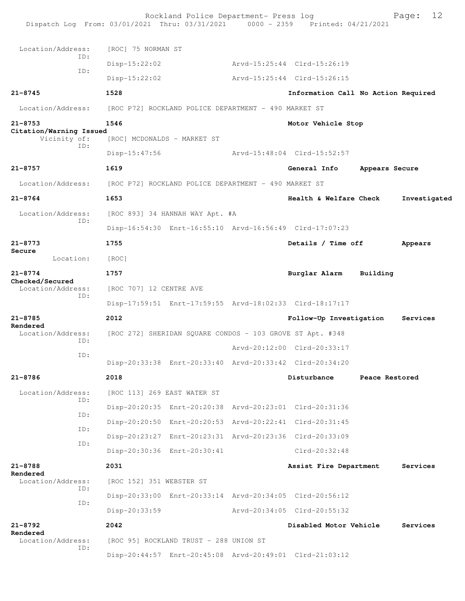| Dispatch Log From: 03/01/2021 Thru: 03/31/2021 0000 - 2359 Printed: 04/21/2021 |                             | Rockland Police Department- Press log                     |                                                         |          | 12<br>Page:    |
|--------------------------------------------------------------------------------|-----------------------------|-----------------------------------------------------------|---------------------------------------------------------|----------|----------------|
| Location/Address:                                                              | [ROC] 75 NORMAN ST          |                                                           |                                                         |          |                |
| ID:                                                                            | $Disp-15:22:02$             |                                                           | Arvd-15:25:44 Clrd-15:26:19                             |          |                |
| ID:                                                                            | $Disp-15:22:02$             |                                                           | Arvd-15:25:44 Clrd-15:26:15                             |          |                |
| $21 - 8745$                                                                    | 1528                        |                                                           | Information Call No Action Required                     |          |                |
| Location/Address:                                                              |                             | [ROC P72] ROCKLAND POLICE DEPARTMENT - 490 MARKET ST      |                                                         |          |                |
| $21 - 8753$                                                                    | 1546                        |                                                           | Motor Vehicle Stop                                      |          |                |
| Citation/Warning Issued<br>Vicinity of:                                        | [ROC] MCDONALDS - MARKET ST |                                                           |                                                         |          |                |
| ID:                                                                            | $Disp-15:47:56$             |                                                           | Arvd-15:48:04 Clrd-15:52:57                             |          |                |
| $21 - 8757$                                                                    | 1619                        |                                                           | General Info                                            |          | Appears Secure |
| Location/Address:                                                              |                             | [ROC P72] ROCKLAND POLICE DEPARTMENT - 490 MARKET ST      |                                                         |          |                |
| $21 - 8764$                                                                    | 1653                        |                                                           | Health & Welfare Check                                  |          | Investigated   |
| Location/Address:                                                              |                             | [ROC 893] 34 HANNAH WAY Apt. #A                           |                                                         |          |                |
| ID:                                                                            |                             | Disp-16:54:30 Enrt-16:55:10 Arvd-16:56:49 Clrd-17:07:23   |                                                         |          |                |
| $21 - 8773$                                                                    | 1755                        |                                                           | Details / Time off                                      |          | Appears        |
| Secure<br>Location:                                                            | [ROC]                       |                                                           |                                                         |          |                |
| $21 - 8774$                                                                    | 1757                        |                                                           | Burglar Alarm                                           | Building |                |
| Checked/Secured<br>Location/Address:                                           | [ROC 707] 12 CENTRE AVE     |                                                           |                                                         |          |                |
| ID:                                                                            |                             | Disp-17:59:51 Enrt-17:59:55 Arvd-18:02:33 Clrd-18:17:17   |                                                         |          |                |
| $21 - 8785$                                                                    | 2012                        |                                                           | Follow-Up Investigation                                 |          | Services       |
| Rendered<br>Location/Address:                                                  |                             | [ROC 272] SHERIDAN SQUARE CONDOS - 103 GROVE ST Apt. #348 |                                                         |          |                |
| ID:                                                                            |                             |                                                           | Arvd-20:12:00 Clrd-20:33:17                             |          |                |
| ID:                                                                            |                             | Disp-20:33:38 Enrt-20:33:40 Arvd-20:33:42 Clrd-20:34:20   |                                                         |          |                |
| 21-8786                                                                        | 2018                        |                                                           | Disturbance                                             |          | Peace Restored |
| Location/Address:                                                              | [ROC 113] 269 EAST WATER ST |                                                           |                                                         |          |                |
| ID:                                                                            |                             | Disp-20:20:35 Enrt-20:20:38 Arvd-20:23:01 Clrd-20:31:36   |                                                         |          |                |
| ID:                                                                            |                             | Disp-20:20:50 Enrt-20:20:53 Arvd-20:22:41 Clrd-20:31:45   |                                                         |          |                |
| ID:                                                                            |                             | Disp-20:23:27 Enrt-20:23:31 Arvd-20:23:36 Clrd-20:33:09   |                                                         |          |                |
| ID:                                                                            |                             | Disp-20:30:36 Enrt-20:30:41                               | Clrd-20:32:48                                           |          |                |
| $21 - 8788$<br>Rendered                                                        | 2031                        |                                                           | Assist Fire Department                                  |          | Services       |
| Location/Address:<br>ID:                                                       | [ROC 152] 351 WEBSTER ST    |                                                           |                                                         |          |                |
| ID:                                                                            |                             | Disp-20:33:00 Enrt-20:33:14 Arvd-20:34:05 Clrd-20:56:12   |                                                         |          |                |
|                                                                                | Disp-20:33:59               |                                                           | Arvd-20:34:05 Clrd-20:55:32                             |          |                |
| $21 - 8792$<br>Rendered                                                        | 2042                        |                                                           | Disabled Motor Vehicle                                  |          | Services       |
| Location/Address:<br>ID:                                                       |                             | [ROC 95] ROCKLAND TRUST - 288 UNION ST                    |                                                         |          |                |
|                                                                                |                             |                                                           | Disp-20:44:57 Enrt-20:45:08 Arvd-20:49:01 Clrd-21:03:12 |          |                |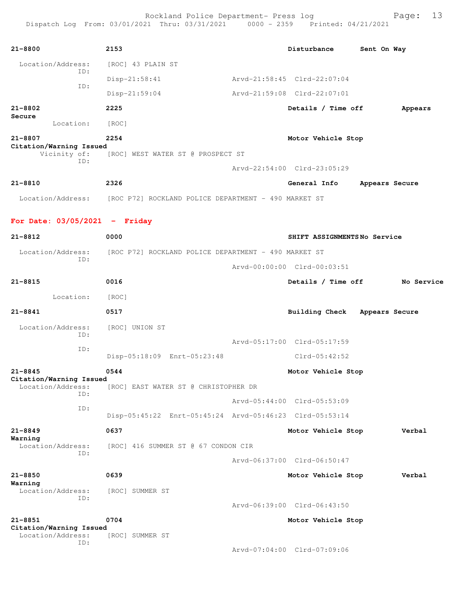| $21 - 8800$                                    | 2153                                                                   | Disturbance                 | Sent On Way    |
|------------------------------------------------|------------------------------------------------------------------------|-----------------------------|----------------|
| Location/Address:                              | [ROC] 43 PLAIN ST                                                      |                             |                |
| ID:                                            | $Disp-21:58:41$                                                        | Arvd-21:58:45 Clrd-22:07:04 |                |
| ID:                                            | $Disp-21:59:04$                                                        | Arvd-21:59:08 Clrd-22:07:01 |                |
| $21 - 8802$<br>Secure                          | 2225                                                                   | Details / Time off          | Appears        |
| Location:                                      | [ROC]                                                                  |                             |                |
| $21 - 8807$                                    | 2254                                                                   | Motor Vehicle Stop          |                |
| Citation/Warning Issued<br>Vicinity of:<br>ID: | [ROC] WEST WATER ST @ PROSPECT ST                                      |                             |                |
|                                                |                                                                        | Arvd-22:54:00 Clrd-23:05:29 |                |
| $21 - 8810$                                    | 2326                                                                   | General Info                | Appears Secure |
|                                                | Location/Address: [ROC P72] ROCKLAND POLICE DEPARTMENT - 490 MARKET ST |                             |                |
| For Date: $03/05/2021$ - Friday                |                                                                        |                             |                |
| $21 - 8812$                                    | 0000                                                                   | SHIFT ASSIGNMENTSNo Service |                |
| Location/Address:                              | [ROC P72] ROCKLAND POLICE DEPARTMENT - 490 MARKET ST                   |                             |                |
| ID:                                            |                                                                        | Arvd-00:00:00 Clrd-00:03:51 |                |
| $21 - 8815$                                    | 0016                                                                   | Details / Time off          | No Service     |
| Location:                                      | [ROC]                                                                  |                             |                |
| $21 - 8841$                                    | 0517                                                                   | <b>Building Check</b>       | Appears Secure |
| Location/Address:<br>ID:                       | [ROC] UNION ST                                                         |                             |                |
| ID:                                            |                                                                        | Arvd-05:17:00 Clrd-05:17:59 |                |
|                                                | Disp-05:18:09 Enrt-05:23:48                                            | $Clrd-05:42:52$             |                |
| $21 - 8845$<br>Citation/Warning Issued         | 0544                                                                   | Motor Vehicle Stop          |                |
| Location/Address:<br>ID:                       | [ROC] EAST WATER ST @ CHRISTOPHER DR                                   |                             |                |
| ID:                                            |                                                                        | Arvd-05:44:00 Clrd-05:53:09 |                |
|                                                | Disp-05:45:22 Enrt-05:45:24 Arvd-05:46:23 Clrd-05:53:14                |                             |                |
| $21 - 8849$                                    | 0637                                                                   | Motor Vehicle Stop          | Verbal         |
| Warning<br>Location/Address:                   | [ROC] 416 SUMMER ST @ 67 CONDON CIR                                    |                             |                |
| ID:                                            |                                                                        | Aryd-06:37:00 Clrd-06:50:47 |                |
| $21 - 8850$                                    | 0639                                                                   | Motor Vehicle Stop          | Verbal         |
| Warning<br>Location/Address:                   | [ROC] SUMMER ST                                                        |                             |                |
| ID:                                            |                                                                        | Arvd-06:39:00 Clrd-06:43:50 |                |
| $21 - 8851$                                    | 0704                                                                   | Motor Vehicle Stop          |                |
| Citation/Warning Issued<br>Location/Address:   | [ROC] SUMMER ST                                                        |                             |                |
| ID:                                            |                                                                        | Arvd-07:04:00 Clrd-07:09:06 |                |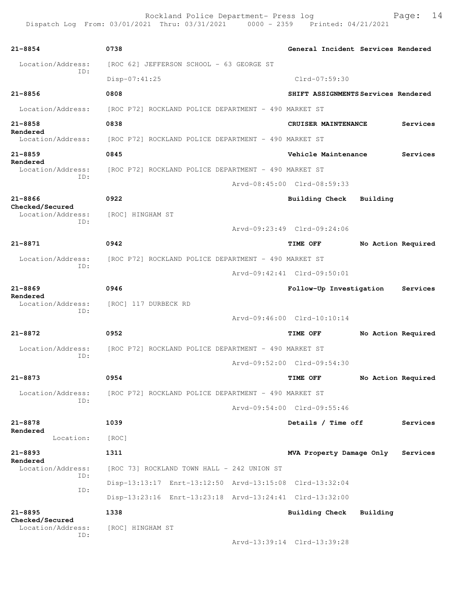| $21 - 8854$                          | 0738                                                                   | General Incident Services Rendered  |                    |          |
|--------------------------------------|------------------------------------------------------------------------|-------------------------------------|--------------------|----------|
| Location/Address:<br>ID:             | [ROC 62] JEFFERSON SCHOOL - 63 GEORGE ST                               |                                     |                    |          |
|                                      | $Disp-07:41:25$                                                        | Clrd-07:59:30                       |                    |          |
| $21 - 8856$                          | 0808                                                                   | SHIFT ASSIGNMENTS Services Rendered |                    |          |
| Location/Address:                    | [ROC P72] ROCKLAND POLICE DEPARTMENT - 490 MARKET ST                   |                                     |                    |          |
| $21 - 8858$<br>Rendered              | 0838                                                                   | CRUISER MAINTENANCE                 |                    | Services |
| Location/Address:                    | [ROC P72] ROCKLAND POLICE DEPARTMENT - 490 MARKET ST                   |                                     |                    |          |
| $21 - 8859$                          | 0845                                                                   | Vehicle Maintenance                 |                    | Services |
| Rendered<br>Location/Address:        | [ROC P72] ROCKLAND POLICE DEPARTMENT - 490 MARKET ST                   |                                     |                    |          |
| ID:                                  |                                                                        | Arvd-08:45:00 Clrd-08:59:33         |                    |          |
| $21 - 8866$                          | 0922                                                                   | <b>Building Check</b>               | Building           |          |
| Checked/Secured<br>Location/Address: | [ROC] HINGHAM ST                                                       |                                     |                    |          |
| TD:                                  |                                                                        | Arvd-09:23:49 Clrd-09:24:06         |                    |          |
| $21 - 8871$                          | 0942                                                                   | TIME OFF                            | No Action Required |          |
| Location/Address:                    | [ROC P72] ROCKLAND POLICE DEPARTMENT - 490 MARKET ST                   |                                     |                    |          |
| ID:                                  |                                                                        | Arvd-09:42:41 Clrd-09:50:01         |                    |          |
| $21 - 8869$                          | 0946                                                                   | Follow-Up Investigation             |                    | Services |
| Rendered<br>Location/Address:        | [ROC] 117 DURBECK RD                                                   |                                     |                    |          |
| ID:                                  |                                                                        | Arvd-09:46:00 Clrd-10:10:14         |                    |          |
| 21-8872                              | 0952                                                                   | TIME OFF                            | No Action Required |          |
|                                      | Location/Address: [ROC P72] ROCKLAND POLICE DEPARTMENT - 490 MARKET ST |                                     |                    |          |
| ID:                                  |                                                                        | Arvd-09:52:00 Clrd-09:54:30         |                    |          |
|                                      |                                                                        |                                     |                    |          |
| $21 - 8873$                          | 0954                                                                   | TIME OFF                            | No Action Required |          |
| Location/Address:<br>ID:             | [ROC P72] ROCKLAND POLICE DEPARTMENT - 490 MARKET ST                   |                                     |                    |          |
|                                      |                                                                        | Arvd-09:54:00 Clrd-09:55:46         |                    |          |
| $21 - 8878$<br>Rendered              | 1039                                                                   | Details / Time off                  |                    | Services |
| Location:                            | [ROC]                                                                  |                                     |                    |          |
| $21 - 8893$<br>Rendered              | 1311                                                                   | MVA Property Damage Only            |                    | Services |
| Location/Address:<br>ID:             | [ROC 73] ROCKLAND TOWN HALL - 242 UNION ST                             |                                     |                    |          |
| ID:                                  | Disp-13:13:17 Enrt-13:12:50 Arvd-13:15:08 Clrd-13:32:04                |                                     |                    |          |
|                                      | Disp-13:23:16 Enrt-13:23:18 Arvd-13:24:41 Clrd-13:32:00                |                                     |                    |          |
| $21 - 8895$                          | 1338                                                                   | <b>Building Check</b>               | Building           |          |
| Checked/Secured<br>Location/Address: | [ROC] HINGHAM ST                                                       |                                     |                    |          |
| ID:                                  |                                                                        | Arvd-13:39:14 Clrd-13:39:28         |                    |          |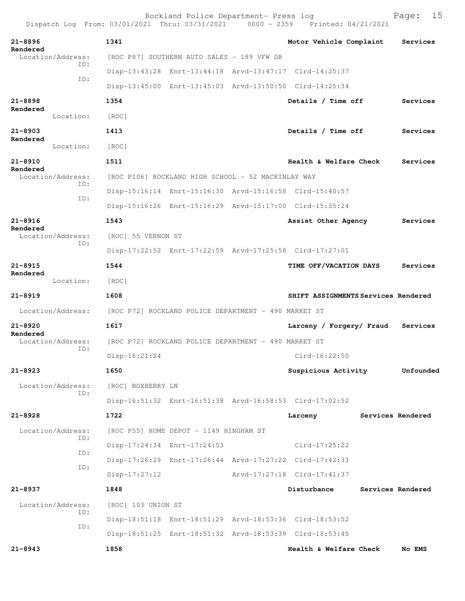| Dispatch Log From: 03/01/2021 Thru: 03/31/2021 0000 - 2359 Printed: 04/21/2021 |                                                    | Rockland Police Department- Press log                |                                                         |  | 15<br>Page:       |
|--------------------------------------------------------------------------------|----------------------------------------------------|------------------------------------------------------|---------------------------------------------------------|--|-------------------|
| $21 - 8896$                                                                    | 1341                                               |                                                      | Motor Vehicle Complaint                                 |  | Services          |
| Rendered<br>Location/Address:                                                  |                                                    | [ROC P87] SOUTHERN AUTO SALES - 189 VFW DR           |                                                         |  |                   |
| ID:                                                                            |                                                    |                                                      | Disp-13:43:28 Enrt-13:44:18 Arvd-13:47:17 Clrd-14:25:37 |  |                   |
| ID:                                                                            |                                                    |                                                      | Disp-13:45:00 Enrt-13:45:03 Arvd-13:50:50 Clrd-14:25:34 |  |                   |
| $21 - 8898$                                                                    | 1354                                               |                                                      | Details / Time off                                      |  | Services          |
| Rendered<br>Location:                                                          | [ROC]                                              |                                                      |                                                         |  |                   |
| $21 - 8903$                                                                    | 1413                                               |                                                      | Details / Time off                                      |  | Services          |
| Rendered<br>Location:                                                          | [ROC]                                              |                                                      |                                                         |  |                   |
| 21-8910                                                                        | 1511                                               |                                                      | Health & Welfare Check                                  |  | Services          |
| Rendered<br>Location/Address:                                                  | [ROC P106] ROCKLAND HIGH SCHOOL - 52 MACKINLAY WAY |                                                      |                                                         |  |                   |
| ID:<br>ID:                                                                     |                                                    |                                                      | Disp-15:16:14 Enrt-15:16:30 Arvd-15:16:58 Clrd-15:40:57 |  |                   |
|                                                                                |                                                    |                                                      | Disp-15:16:26 Enrt-15:16:29 Arvd-15:17:00 Clrd-15:35:24 |  |                   |
| $21 - 8916$                                                                    | 1543                                               |                                                      | Assist Other Agency                                     |  | Services          |
| Rendered<br>Location/Address:                                                  | [ROC] 55 VERNON ST                                 |                                                      |                                                         |  |                   |
| ID:                                                                            |                                                    |                                                      | Disp-17:22:52 Enrt-17:22:59 Arvd-17:25:58 Clrd-17:27:01 |  |                   |
| $21 - 8915$                                                                    | 1544                                               |                                                      | TIME OFF/VACATION DAYS                                  |  | Services          |
| Rendered<br>Location:                                                          | [ROC]                                              |                                                      |                                                         |  |                   |
| $21 - 8919$                                                                    | 1608                                               |                                                      | SHIFT ASSIGNMENTS Services Rendered                     |  |                   |
| Location/Address: [ROC P72] ROCKLAND POLICE DEPARTMENT - 490 MARKET ST         |                                                    |                                                      |                                                         |  |                   |
| $21 - 8920$<br>Rendered                                                        | 1617                                               |                                                      | Larceny / Forgery/ Fraud                                |  | Services          |
| Location/Address:<br>ID:                                                       |                                                    | [ROC P72] ROCKLAND POLICE DEPARTMENT - 490 MARKET ST |                                                         |  |                   |
|                                                                                | $Disp-16:21:24$                                    |                                                      | Clrd-16:22:50                                           |  |                   |
| $21 - 8923$                                                                    | 1650                                               |                                                      | Suspicious Activity                                     |  | Unfounded         |
| Location/Address:<br>TD:                                                       | [ROC] BOXBERRY LN                                  |                                                      |                                                         |  |                   |
|                                                                                |                                                    |                                                      | Disp-16:51:32 Enrt-16:51:38 Arvd-16:58:53 Clrd-17:02:52 |  |                   |
| $21 - 8928$                                                                    | 1722                                               |                                                      | Larceny                                                 |  | Services Rendered |
| Location/Address:<br>ID:                                                       |                                                    | [ROC P55] HOME DEPOT - 1149 HINGHAM ST               |                                                         |  |                   |
| ID:                                                                            |                                                    | Disp-17:24:34 Enrt-17:24:53                          | $Clrd-17:25:22$                                         |  |                   |
| ID:                                                                            |                                                    |                                                      | Disp-17:26:29 Enrt-17:26:44 Arvd-17:27:22 Clrd-17:42:33 |  |                   |
|                                                                                | $Disp-17:27:12$                                    |                                                      | Arvd-17:27:18 Clrd-17:41:37                             |  |                   |
| $21 - 8937$                                                                    | 1848                                               |                                                      | Disturbance                                             |  | Services Rendered |
| Location/Address:<br>ID:                                                       | [ROC] 103 UNION ST                                 |                                                      |                                                         |  |                   |
| ID:                                                                            |                                                    |                                                      | Disp-18:51:18 Enrt-18:51:29 Arvd-18:53:36 Clrd-18:53:52 |  |                   |
|                                                                                |                                                    |                                                      | Disp-18:51:25 Enrt-18:51:32 Arvd-18:53:39 Clrd-18:53:45 |  |                   |
| $21 - 8943$                                                                    | 1858                                               |                                                      | Health & Welfare Check                                  |  | No EMS            |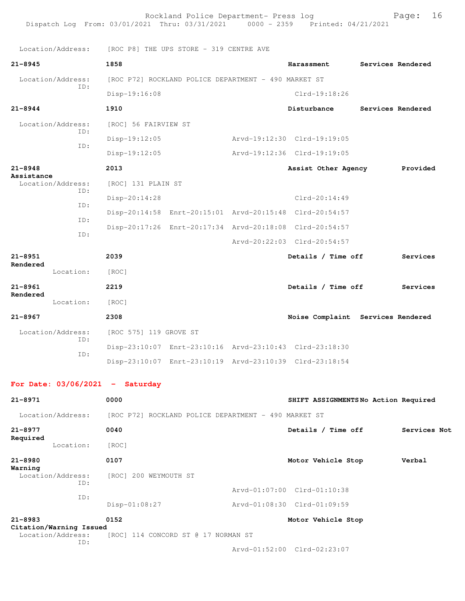Rockland Police Department- Press log Fage: 16 Dispatch Log From: 03/01/2021 Thru: 03/31/2021 0000 - 2359 Printed: 04/21/2021 Location/Address: [ROC P8] THE UPS STORE - 319 CENTRE AVE **21-8945 1858 Harassment Services Rendered** Location/Address: [ROC P72] ROCKLAND POLICE DEPARTMENT - 490 MARKET ST ID: Disp-19:16:08 Clrd-19:18:26 **21-8944 1910 Disturbance Services Rendered** Location/Address: [ROC] 56 FAIRVIEW ST ID: Disp-19:12:05 Arvd-19:12:30 Clrd-19:19:05 ID: Disp-19:12:05 Arvd-19:12:36 Clrd-19:19:05 **21-8948 2013 Assist Other Agency Provided Assistance**  Location/Address: [ROC] 131 PLAIN ST ID: Disp-20:14:28 Clrd-20:14:49 ID: Disp-20:14:58 Enrt-20:15:01 Arvd-20:15:48 Clrd-20:54:57 ID: Disp-20:17:26 Enrt-20:17:34 Arvd-20:18:08 Clrd-20:54:57 ID: Arvd-20:22:03 Clrd-20:54:57 **21-8951 2039 Details / Time off Services Rendered**  Location: [ROC] **21-8961 2219 Details / Time off Services Rendered**  Location: [ROC] **21-8967 2308 Noise Complaint Services Rendered** Location/Address: [ROC 575] 119 GROVE ST ID: Disp-23:10:07 Enrt-23:10:16 Arvd-23:10:43 Clrd-23:18:30 ID: Disp-23:10:07 Enrt-23:10:19 Arvd-23:10:39 Clrd-23:18:54 **For Date: 03/06/2021 - Saturday 21-8971 0000 SHIFT ASSIGNMENTS No Action Required** Location/Address: [ROC P72] ROCKLAND POLICE DEPARTMENT - 490 MARKET ST **21-8977 0040 Details / Time off Services Not Required**  Location: [ROC] **21-8980 0107 Motor Vehicle Stop Verbal Warning**  [ROC] 200 WEYMOUTH ST ID: Arvd-01:07:00 Clrd-01:10:38 ID: Disp-01:08:27 Arvd-01:08:30 Clrd-01:09:59 **21-8983 0152 Motor Vehicle Stop Citation/Warning Issued**  Location/Address: [ROC] 114 CONCORD ST @ 17 NORMAN ST ID: Arvd-01:52:00 Clrd-02:23:07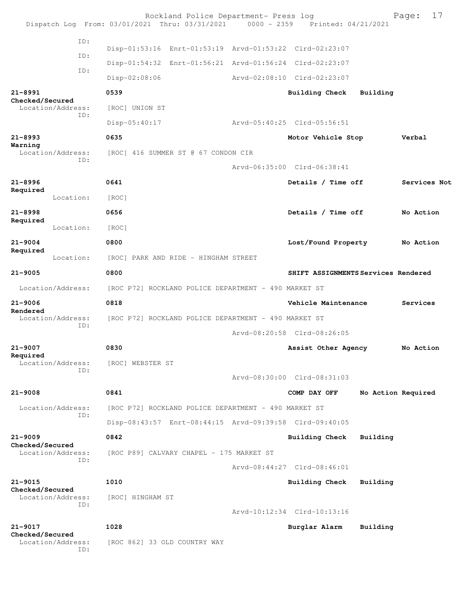|                                |                          | Rockland Police Department- Press log<br>Dispatch Log From: 03/01/2021 Thru: 03/31/2021 0000 - 2359 Printed: 04/21/2021 |                                     |                    | 17<br>Page:  |
|--------------------------------|--------------------------|-------------------------------------------------------------------------------------------------------------------------|-------------------------------------|--------------------|--------------|
|                                | ID:                      | Disp-01:53:16 Enrt-01:53:19 Arvd-01:53:22 Clrd-02:23:07                                                                 |                                     |                    |              |
|                                | ID:                      | Disp-01:54:32 Enrt-01:56:21 Arvd-01:56:24 Clrd-02:23:07                                                                 |                                     |                    |              |
|                                | ID:                      | Disp-02:08:06                                                                                                           | Arvd-02:08:10 Clrd-02:23:07         |                    |              |
| $21 - 8991$                    |                          | 0539                                                                                                                    | <b>Building Check</b>               | Building           |              |
| Checked/Secured                | Location/Address:        | [ROC] UNION ST                                                                                                          |                                     |                    |              |
|                                | ID:                      | $Disp-05:40:17$                                                                                                         | Arvd-05:40:25 Clrd-05:56:51         |                    |              |
| $21 - 8993$                    |                          | 0635                                                                                                                    | Motor Vehicle Stop                  |                    | Verbal       |
| Warning                        | Location/Address:        | [ROC] 416 SUMMER ST @ 67 CONDON CIR                                                                                     |                                     |                    |              |
|                                | ID:                      |                                                                                                                         | Arvd-06:35:00 Clrd-06:38:41         |                    |              |
| $21 - 8996$                    |                          | 0641                                                                                                                    | Details / Time off                  |                    | Services Not |
| Required                       | Location:                | [ROC]                                                                                                                   |                                     |                    |              |
| $21 - 8998$                    |                          | 0656                                                                                                                    | Details / Time off                  |                    | No Action    |
| Required                       | Location:                | [ROC]                                                                                                                   |                                     |                    |              |
| $21 - 9004$                    |                          | 0800                                                                                                                    | Lost/Found Property                 |                    | No Action    |
| Required                       | Location:                | [ROC] PARK AND RIDE - HINGHAM STREET                                                                                    |                                     |                    |              |
| $21 - 9005$                    |                          | 0800                                                                                                                    | SHIFT ASSIGNMENTS Services Rendered |                    |              |
|                                | Location/Address:        | [ROC P72] ROCKLAND POLICE DEPARTMENT - 490 MARKET ST                                                                    |                                     |                    |              |
| $21 - 9006$                    |                          | 0818                                                                                                                    | Vehicle Maintenance                 |                    | Services     |
| Rendered                       | Location/Address:        | [ROC P72] ROCKLAND POLICE DEPARTMENT - 490 MARKET ST                                                                    |                                     |                    |              |
|                                | ID:                      |                                                                                                                         | Arvd-08:20:58 Clrd-08:26:05         |                    |              |
| $21 - 9007$                    |                          | 0830                                                                                                                    | Assist Other Agency                 |                    | No Action    |
| Required                       | Location/Address:<br>ID: | [ROC] WEBSTER ST                                                                                                        |                                     |                    |              |
|                                |                          |                                                                                                                         | Arvd-08:30:00 Clrd-08:31:03         |                    |              |
| $21 - 9008$                    |                          | 0841                                                                                                                    | COMP DAY OFF                        | No Action Required |              |
|                                | Location/Address:<br>ID: | [ROC P72] ROCKLAND POLICE DEPARTMENT - 490 MARKET ST                                                                    |                                     |                    |              |
|                                |                          | Disp-08:43:57 Enrt-08:44:15 Arvd-09:39:58 Clrd-09:40:05                                                                 |                                     |                    |              |
| $21 - 9009$<br>Checked/Secured |                          | 0842                                                                                                                    | Building Check                      | Building           |              |
|                                | Location/Address:<br>ID: | [ROC P89] CALVARY CHAPEL - 175 MARKET ST                                                                                |                                     |                    |              |
|                                |                          |                                                                                                                         | Arvd-08:44:27 Clrd-08:46:01         |                    |              |
| $21 - 9015$<br>Checked/Secured |                          | 1010                                                                                                                    | Building Check                      | Building           |              |
|                                | Location/Address:<br>ID: | [ROC] HINGHAM ST                                                                                                        |                                     |                    |              |
|                                |                          |                                                                                                                         | Arvd-10:12:34 Clrd-10:13:16         |                    |              |
| $21 - 9017$<br>Checked/Secured |                          | 1028                                                                                                                    | Burglar Alarm                       | Building           |              |
|                                | Location/Address:<br>ID: | [ROC 862] 33 OLD COUNTRY WAY                                                                                            |                                     |                    |              |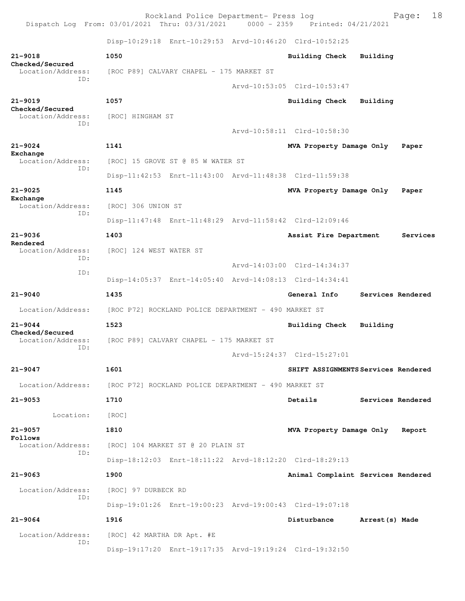Rockland Police Department- Press log Page: 18 Dispatch Log From: 03/01/2021 Thru: 03/31/2021 Disp-10:29:18 Enrt-10:29:53 Arvd-10:46:20 Clrd-10:52:25 **21-9018 1050 Building Check Building Checked/Secured**  Location/Address: [ROC P89] CALVARY CHAPEL - 175 MARKET ST ID: Arvd-10:53:05 Clrd-10:53:47 **21-9019 1057 Building Check Building Checked/Secured**  Location/Address: [ROC] HINGHAM ST ID: Arvd-10:58:11 Clrd-10:58:30 **21-9024 1141 MVA Property Damage Only Paper Exchange**  Location/Address: [ROC] 15 GROVE ST @ 85 W WATER ST ID: Disp-11:42:53 Enrt-11:43:00 Arvd-11:48:38 Clrd-11:59:38 **21-9025 1145 MVA Property Damage Only Paper Exchange**  Location/Address: [ROC] 306 UNION ST ID: Disp-11:47:48 Enrt-11:48:29 Arvd-11:58:42 Clrd-12:09:46 **21-9036 1403 Assist Fire Department Services Rendered**  Location/Address: [ROC] 124 WEST WATER ST ID: Arvd-14:03:00 Clrd-14:34:37 ID: Disp-14:05:37 Enrt-14:05:40 Arvd-14:08:13 Clrd-14:34:41 **21-9040 1435 General Info Services Rendered** Location/Address: [ROC P72] ROCKLAND POLICE DEPARTMENT - 490 MARKET ST **21-9044 1523 Building Check Building Checked/Secured**  Location/Address: [ROC P89] CALVARY CHAPEL - 175 MARKET ST ID: Arvd-15:24:37 Clrd-15:27:01 **21-9047 1601 SHIFT ASSIGNMENTS Services Rendered** Location/Address: [ROC P72] ROCKLAND POLICE DEPARTMENT - 490 MARKET ST **21-9053 1710 Details Services Rendered** Location: [ROC] **21-9057 1810 MVA Property Damage Only Report Follows**  Location/Address: [ROC] 104 MARKET ST @ 20 PLAIN ST ID: Disp-18:12:03 Enrt-18:11:22 Arvd-18:12:20 Clrd-18:29:13 **21-9063 1900 Animal Complaint Services Rendered** Location/Address: [ROC] 97 DURBECK RD ID: Disp-19:01:26 Enrt-19:00:23 Arvd-19:00:43 Clrd-19:07:18 **21-9064 1916 Disturbance Arrest(s) Made** Location/Address: [ROC] 42 MARTHA DR Apt. #E ID: Disp-19:17:20 Enrt-19:17:35 Arvd-19:19:24 Clrd-19:32:50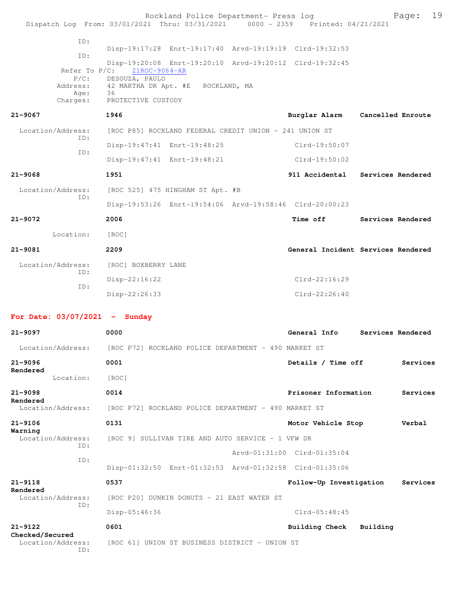|                                             | Rockland Police Department- Press log<br>Dispatch Log From: 03/01/2021 Thru: 03/31/2021 0000 - 2359 Printed: 04/21/2021 |                             | 19<br>Page:                        |
|---------------------------------------------|-------------------------------------------------------------------------------------------------------------------------|-----------------------------|------------------------------------|
| ID:                                         |                                                                                                                         |                             |                                    |
| ID:                                         | Disp-19:17:28 Enrt-19:17:40 Arvd-19:19:19 Clrd-19:32:53                                                                 |                             |                                    |
| Refer To $P/C$ :                            | Disp-19:20:08 Enrt-19:20:10 Arvd-19:20:12 Clrd-19:32:45<br>21ROC-9064-AR                                                |                             |                                    |
| $P/C$ :<br>Address:                         | DESOUZA, PAULO<br>42 MARTHA DR Apt. #E ROCKLAND, MA                                                                     |                             |                                    |
| Age:<br>Charges:                            | 36<br>PROTECTIVE CUSTODY                                                                                                |                             |                                    |
| $21 - 9067$                                 | 1946                                                                                                                    |                             | Burglar Alarm Cancelled Enroute    |
| Location/Address:                           | [ROC P85] ROCKLAND FEDERAL CREDIT UNION - 241 UNION ST                                                                  |                             |                                    |
| ID:                                         | Disp-19:47:41 Enrt-19:48:25                                                                                             | Clrd-19:50:07               |                                    |
| ID:                                         | Disp-19:47:41 Enrt-19:48:21                                                                                             | Clrd-19:50:02               |                                    |
| $21 - 9068$                                 | 1951                                                                                                                    |                             | 911 Accidental Services Rendered   |
| Location/Address:                           | [ROC 525] 475 HINGHAM ST Apt. #B                                                                                        |                             |                                    |
| ID:                                         | Disp-19:53:26 Enrt-19:54:06 Arvd-19:58:46 Clrd-20:00:23                                                                 |                             |                                    |
| 21-9072                                     | 2006                                                                                                                    |                             | Time off Services Rendered         |
| Location:                                   | [ROC]                                                                                                                   |                             |                                    |
| $21 - 9081$                                 | 2209                                                                                                                    |                             | General Incident Services Rendered |
| Location/Address:                           | [ROC] BOXBERRY LANE                                                                                                     |                             |                                    |
| ID:                                         | $Disp-22:16:22$                                                                                                         | $Clrd-22:16:29$             |                                    |
| ID:                                         | $Disp-22:26:33$                                                                                                         | $Clrd-22:26:40$             |                                    |
| For Date: $03/07/2021$ - Sunday             |                                                                                                                         |                             |                                    |
| $21 - 9097$                                 | 0000                                                                                                                    | General Info                | Services Rendered                  |
| Location/Address:                           | [ROC P72] ROCKLAND POLICE DEPARTMENT - 490 MARKET ST                                                                    |                             |                                    |
| $21 - 9096$                                 | 0001                                                                                                                    | Details / Time off          | Services                           |
| Rendered<br>Location:                       | [ROC]                                                                                                                   |                             |                                    |
| $21 - 9098$                                 | 0014                                                                                                                    | Prisoner Information        | Services                           |
| Rendered<br>Location/Address:               | [ROC P72] ROCKLAND POLICE DEPARTMENT - 490 MARKET ST                                                                    |                             |                                    |
| $21 - 9106$                                 | 0131                                                                                                                    | Motor Vehicle Stop          | Verbal                             |
| Warning<br>Location/Address:                | [ROC 9] SULLIVAN TIRE AND AUTO SERVICE - 1 VFW DR                                                                       |                             |                                    |
| ID:                                         |                                                                                                                         | Arvd-01:31:00 Clrd-01:35:04 |                                    |
| ID:                                         | Disp-01:32:50 Enrt-01:32:53 Arvd-01:32:58 Clrd-01:35:06                                                                 |                             |                                    |
| $21 - 9118$                                 | 0537                                                                                                                    | Follow-Up Investigation     | Services                           |
| Rendered<br>Location/Address:               | [ROC P20] DUNKIN DONUTS - 21 EAST WATER ST                                                                              |                             |                                    |
| ID:                                         | Disp-05:46:36                                                                                                           | $Clrd-05:48:45$             |                                    |
| $21 - 9122$                                 | 0601                                                                                                                    | <b>Building Check</b>       | Building                           |
| Checked/Secured<br>Location/Address:<br>ID: | [ROC 61] UNION ST BUSINESS DISTRICT - UNION ST                                                                          |                             |                                    |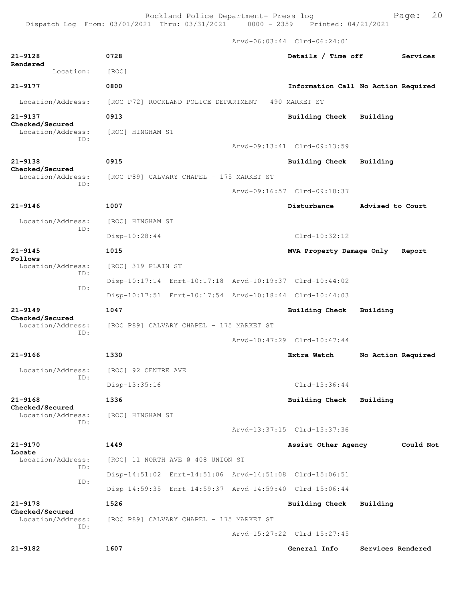Arvd-06:03:44 Clrd-06:24:01 **21-9128 0728 Details / Time off Services Rendered**  Location: [ROC] **21-9177 0800 Information Call No Action Required** Location/Address: [ROC P72] ROCKLAND POLICE DEPARTMENT - 490 MARKET ST **21-9137 0913 Building Check Building Checked/Secured**  Location/Address: [ROC] HINGHAM ST ID: Arvd-09:13:41 Clrd-09:13:59 **21-9138 0915 Building Check Building Checked/Secured**  Location/Address: [ROC P89] CALVARY CHAPEL - 175 MARKET ST ID: Arvd-09:16:57 Clrd-09:18:37 **21-9146 1007 Disturbance Advised to Court** Location/Address: [ROC] HINGHAM ST ID: Disp-10:28:44 Clrd-10:32:12 **21-9145 1015 MVA Property Damage Only Report Follows**  Location/Address: [ROC] 319 PLAIN ST ID: Disp-10:17:14 Enrt-10:17:18 Arvd-10:19:37 Clrd-10:44:02 ID: Disp-10:17:51 Enrt-10:17:54 Arvd-10:18:44 Clrd-10:44:03 **21-9149 1047 Building Check Building Checked/Secured**  Location/Address: [ROC P89] CALVARY CHAPEL - 175 MARKET ST ID: Arvd-10:47:29 Clrd-10:47:44 **21-9166 1330 Extra Watch No Action Required** Location/Address: [ROC] 92 CENTRE AVE ID: Disp-13:35:16 Clrd-13:36:44 **21-9168 1336 Building Check Building Checked/Secured**  Location/Address: [ROC] HINGHAM ST ID: Arvd-13:37:15 Clrd-13:37:36 **21-9170 1449 Assist Other Agency Could Not Locate**  [ROC] 11 NORTH AVE @ 408 UNION ST  $ID.$  Disp-14:51:02 Enrt-14:51:06 Arvd-14:51:08 Clrd-15:06:51 ID: Disp-14:59:35 Enrt-14:59:37 Arvd-14:59:40 Clrd-15:06:44 **21-9178 1526 Building Check Building Checked/Secured**  Location/Address: [ROC P89] CALVARY CHAPEL - 175 MARKET ST ID: Arvd-15:27:22 Clrd-15:27:45 **21-9182 1607 General Info Services Rendered**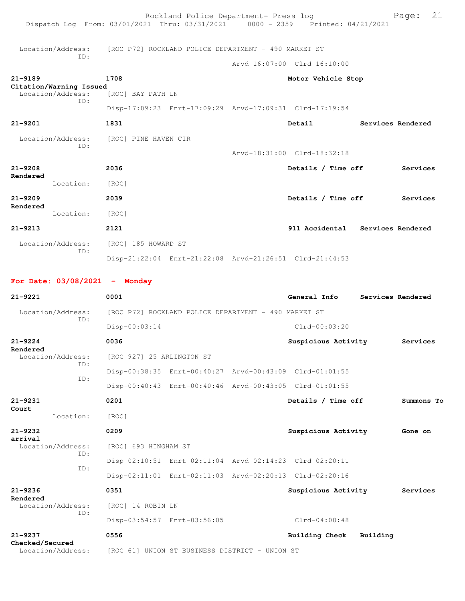| Dispatch Log From: 03/01/2021 Thru: 03/31/2021 0000 - 2359 Printed: 04/21/2021 |                           | Rockland Police Department- Press log                |                                                         |          | 21<br>Page:       |
|--------------------------------------------------------------------------------|---------------------------|------------------------------------------------------|---------------------------------------------------------|----------|-------------------|
| Location/Address:                                                              |                           | [ROC P72] ROCKLAND POLICE DEPARTMENT - 490 MARKET ST |                                                         |          |                   |
| ID:                                                                            |                           |                                                      | Arvd-16:07:00 Clrd-16:10:00                             |          |                   |
| $21 - 9189$                                                                    | 1708                      |                                                      | Motor Vehicle Stop                                      |          |                   |
| Citation/Warning Issued<br>Location/Address:                                   | [ROC] BAY PATH LN         |                                                      |                                                         |          |                   |
| ID:                                                                            |                           |                                                      | Disp-17:09:23 Enrt-17:09:29 Arvd-17:09:31 Clrd-17:19:54 |          |                   |
| $21 - 9201$                                                                    | 1831                      |                                                      | Detail                                                  |          | Services Rendered |
| Location/Address:<br>ID:                                                       | [ROC] PINE HAVEN CIR      |                                                      | Arvd-18:31:00 Clrd-18:32:18                             |          |                   |
| $21 - 9208$                                                                    | 2036                      |                                                      |                                                         |          |                   |
| Rendered                                                                       |                           |                                                      | Details / Time off                                      |          | Services          |
| Location:                                                                      | [ROC]                     |                                                      |                                                         |          |                   |
| $21 - 9209$<br>Rendered                                                        | 2039                      |                                                      | Details / Time off                                      |          | Services          |
| Location:                                                                      | [ROC]                     |                                                      |                                                         |          |                   |
| $21 - 9213$                                                                    | 2121                      |                                                      | 911 Accidental Services Rendered                        |          |                   |
| Location/Address:<br>ID:                                                       | [ROC] 185 HOWARD ST       |                                                      |                                                         |          |                   |
|                                                                                |                           |                                                      | Disp-21:22:04 Enrt-21:22:08 Arvd-21:26:51 Clrd-21:44:53 |          |                   |
| For Date: $03/08/2021$ - Monday                                                |                           |                                                      |                                                         |          |                   |
| $21 - 9221$                                                                    | 0001                      |                                                      | General Info                                            |          | Services Rendered |
| Location/Address:<br>ID:                                                       |                           | [ROC P72] ROCKLAND POLICE DEPARTMENT - 490 MARKET ST |                                                         |          |                   |
|                                                                                | Disp-00:03:14             |                                                      | $Clrd-00:03:20$                                         |          |                   |
| $21 - 9224$                                                                    | 0036                      |                                                      | Suspicious Activity                                     |          | Services          |
| Rendered<br>Location/Address:                                                  | [ROC 927] 25 ARLINGTON ST |                                                      |                                                         |          |                   |
| ID:                                                                            |                           |                                                      | Disp-00:38:35 Enrt-00:40:27 Arvd-00:43:09 Clrd-01:01:55 |          |                   |
| ID:                                                                            |                           |                                                      | Disp-00:40:43 Enrt-00:40:46 Arvd-00:43:05 Clrd-01:01:55 |          |                   |
| $21 - 9231$                                                                    | 0201                      |                                                      | Details / Time off                                      |          | Summons To        |
| Court<br>Location:                                                             | [ROC]                     |                                                      |                                                         |          |                   |
| 21-9232                                                                        | 0209                      |                                                      | Suspicious Activity                                     |          | Gone on           |
| arrival<br>Location/Address:                                                   | [ROC] 693 HINGHAM ST      |                                                      |                                                         |          |                   |
| ID:                                                                            |                           |                                                      | Disp-02:10:51 Enrt-02:11:04 Arvd-02:14:23 Clrd-02:20:11 |          |                   |
| ID:                                                                            |                           |                                                      | Disp-02:11:01 Enrt-02:11:03 Arvd-02:20:13 Clrd-02:20:16 |          |                   |
| $21 - 9236$                                                                    | 0351                      |                                                      | Suspicious Activity                                     |          | Services          |
| Rendered<br>Location/Address:                                                  | [ROC] 14 ROBIN LN         |                                                      |                                                         |          |                   |
| ID:                                                                            |                           | Disp-03:54:57 Enrt-03:56:05                          | $Clrd-04:00:48$                                         |          |                   |
| $21 - 9237$                                                                    | 0556                      |                                                      | Building Check                                          | Building |                   |
| Checked/Secured<br>Location/Address:                                           |                           | [ROC 61] UNION ST BUSINESS DISTRICT - UNION ST       |                                                         |          |                   |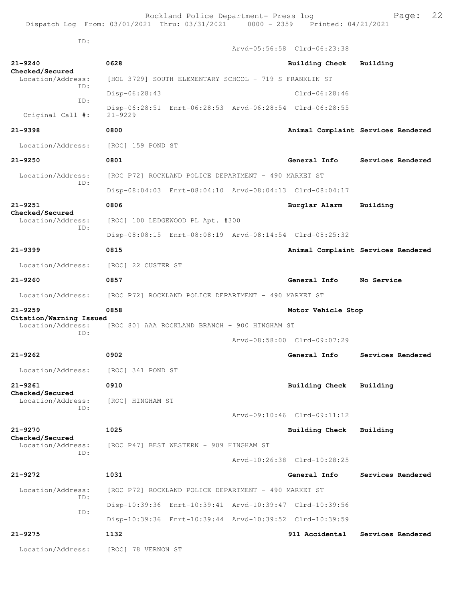Arvd-05:56:58 Clrd-06:23:38

ID:

| $21 - 9240$<br>Checked/Secured               | 0628                                                                   | Building Check              | Building                           |  |  |
|----------------------------------------------|------------------------------------------------------------------------|-----------------------------|------------------------------------|--|--|
| Location/Address:<br>ID:                     | [HOL 3729] SOUTH ELEMENTARY SCHOOL - 719 S FRANKLIN ST                 |                             |                                    |  |  |
| ID:                                          | Disp-06:28:43                                                          | $Clrd-06:28:46$             |                                    |  |  |
| Original Call #:                             | Disp-06:28:51 Enrt-06:28:53 Arvd-06:28:54 Clrd-06:28:55<br>$21 - 9229$ |                             |                                    |  |  |
| $21 - 9398$                                  | 0800                                                                   |                             | Animal Complaint Services Rendered |  |  |
| Location/Address:                            | [ROC] 159 POND ST                                                      |                             |                                    |  |  |
| $21 - 9250$                                  | 0801                                                                   | General Info                | Services Rendered                  |  |  |
| Location/Address:                            | [ROC P72] ROCKLAND POLICE DEPARTMENT - 490 MARKET ST                   |                             |                                    |  |  |
| ID:                                          | Disp-08:04:03 Enrt-08:04:10 Arvd-08:04:13 Clrd-08:04:17                |                             |                                    |  |  |
| $21 - 9251$                                  | 0806                                                                   | Burglar Alarm               | Building                           |  |  |
| Checked/Secured<br>Location/Address:         | [ROC] 100 LEDGEWOOD PL Apt. #300                                       |                             |                                    |  |  |
| ID:                                          | Disp-08:08:15 Enrt-08:08:19 Arvd-08:14:54 Clrd-08:25:32                |                             |                                    |  |  |
| $21 - 9399$                                  | 0815                                                                   |                             | Animal Complaint Services Rendered |  |  |
| Location/Address:                            | [ROC] 22 CUSTER ST                                                     |                             |                                    |  |  |
| $21 - 9260$                                  | 0857                                                                   | General Info                | No Service                         |  |  |
| Location/Address:                            | [ROC P72] ROCKLAND POLICE DEPARTMENT - 490 MARKET ST                   |                             |                                    |  |  |
|                                              |                                                                        |                             |                                    |  |  |
| $21 - 9259$                                  | 0858                                                                   | Motor Vehicle Stop          |                                    |  |  |
| Citation/Warning Issued<br>Location/Address: | [ROC 80] AAA ROCKLAND BRANCH - 900 HINGHAM ST                          |                             |                                    |  |  |
| ID:                                          |                                                                        | Arvd-08:58:00 Clrd-09:07:29 |                                    |  |  |
| $21 - 9262$                                  | 0902                                                                   | General Info                | Services Rendered                  |  |  |
| Location/Address:                            | [ROC] 341 POND ST                                                      |                             |                                    |  |  |
| $21 - 9261$                                  | 0910                                                                   | Building Check              | Building                           |  |  |
| Checked/Secured<br>Location/Address:         | [ROC] HINGHAM ST                                                       |                             |                                    |  |  |
| TD:                                          |                                                                        | Arvd-09:10:46 Clrd-09:11:12 |                                    |  |  |
| $21 - 9270$                                  | 1025                                                                   | <b>Building Check</b>       | Building                           |  |  |
| Checked/Secured<br>Location/Address:         | [ROC P47] BEST WESTERN - 909 HINGHAM ST                                |                             |                                    |  |  |
| ID:                                          |                                                                        | Arvd-10:26:38 Clrd-10:28:25 |                                    |  |  |
| $21 - 9272$                                  | 1031                                                                   | General Info                | Services Rendered                  |  |  |
| Location/Address:                            | [ROC P72] ROCKLAND POLICE DEPARTMENT - 490 MARKET ST                   |                             |                                    |  |  |
| ID:                                          | Disp-10:39:36 Enrt-10:39:41 Arvd-10:39:47 Clrd-10:39:56                |                             |                                    |  |  |
| ID:                                          | Disp-10:39:36 Enrt-10:39:44 Arvd-10:39:52 Clrd-10:39:59                |                             |                                    |  |  |
| $21 - 9275$                                  | 1132                                                                   | 911 Accidental              | Services Rendered                  |  |  |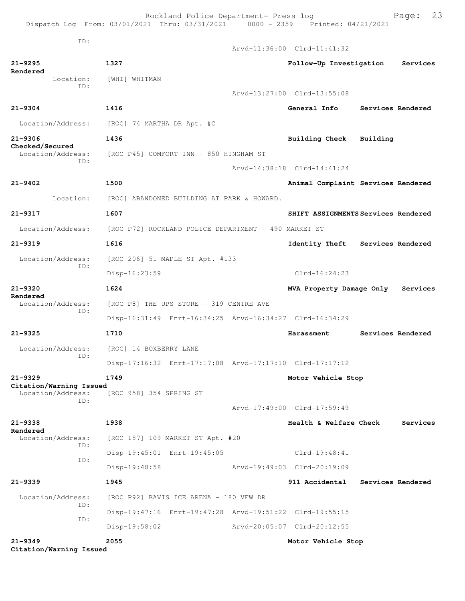Rockland Police Department- Press log Fage: 23 Dispatch Log From: 03/01/2021 Thru: 03/31/2021 0000 - 2359 Printed: 04/21/2021 ID: Arvd-11:36:00 Clrd-11:41:32 **21-9295 1327 Follow-Up Investigation Services Rendered**  Location: [WHI] WHITMAN ID: Arvd-13:27:00 Clrd-13:55:08 **21-9304 1416 General Info Services Rendered** Location/Address: [ROC] 74 MARTHA DR Apt. #C **21-9306 1436 Building Check Building Checked/Secured**  Location/Address: [ROC P45] COMFORT INN - 850 HINGHAM ST ID: Arvd-14:38:18 Clrd-14:41:24 **21-9402 1500 Animal Complaint Services Rendered** Location: [ROC] ABANDONED BUILDING AT PARK & HOWARD. **21-9317 1607 SHIFT ASSIGNMENTS Services Rendered** Location/Address: [ROC P72] ROCKLAND POLICE DEPARTMENT - 490 MARKET ST **21-9319 1616 Identity Theft Services Rendered** Location/Address: [ROC 206] 51 MAPLE ST Apt. #133 ID: Disp-16:23:59 Clrd-16:24:23 **21-9320 1624 MVA Property Damage Only Services Rendered**  [ROC P8] THE UPS STORE - 319 CENTRE AVE ID: Disp-16:31:49 Enrt-16:34:25 Arvd-16:34:27 Clrd-16:34:29 **21-9325 1710 Harassment Services Rendered** Location/Address: [ROC] 14 BOXBERRY LANE ID: Disp-17:16:32 Enrt-17:17:08 Arvd-17:17:10 Clrd-17:17:12 **21-9329 1749 Motor Vehicle Stop Citation/Warning Issued**  Location/Address: [ROC 958] 354 SPRING ST ID: Arvd-17:49:00 Clrd-17:59:49 **21-9338 1938 Health & Welfare Check Services Rendered**  [ROC 187] 109 MARKET ST Apt. #20 ID: Disp-19:45:01 Enrt-19:45:05 Clrd-19:48:41 ID: Disp-19:48:58 Arvd-19:49:03 Clrd-20:19:09 **21-9339 1945 911 Accidental Services Rendered** Location/Address: [ROC P92] BAVIS ICE ARENA - 180 VFW DR ID: Disp-19:47:16 Enrt-19:47:28 Arvd-19:51:22 Clrd-19:55:15 ID: Disp-19:58:02 Arvd-20:05:07 Clrd-20:12:55 **21-9349 2055 Motor Vehicle Stop**

**Citation/Warning Issued**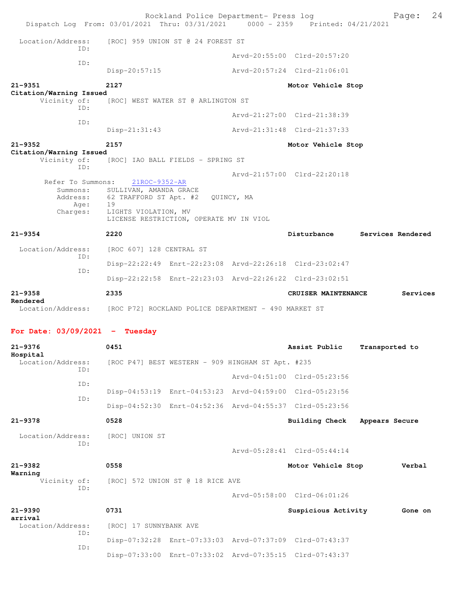| Dispatch Log From: 03/01/2021 Thru: 03/31/2021 0000 - 2359 Printed: 04/21/2021     |                                                                                                          | Rockland Police Department- Press log             |            |                                                         | 24<br>Page:       |
|------------------------------------------------------------------------------------|----------------------------------------------------------------------------------------------------------|---------------------------------------------------|------------|---------------------------------------------------------|-------------------|
| Location/Address:                                                                  |                                                                                                          | [ROC] 959 UNION ST @ 24 FOREST ST                 |            |                                                         |                   |
| ID:                                                                                |                                                                                                          |                                                   |            | Arvd-20:55:00 Clrd-20:57:20                             |                   |
| ID:                                                                                | $Disp-20:57:15$                                                                                          |                                                   |            | Arvd-20:57:24 Clrd-21:06:01                             |                   |
| $21 - 9351$<br>Citation/Warning Issued                                             | 2127                                                                                                     |                                                   |            | Motor Vehicle Stop                                      |                   |
| Vicinity of:<br>ID:                                                                |                                                                                                          | [ROC] WEST WATER ST @ ARLINGTON ST                |            |                                                         |                   |
| ID:                                                                                |                                                                                                          |                                                   |            | Arvd-21:27:00 Clrd-21:38:39                             |                   |
|                                                                                    | $Disp-21:31:43$                                                                                          |                                                   |            | Arvd-21:31:48 Clrd-21:37:33                             |                   |
| $21 - 9352$<br>Citation/Warning Issued                                             | 2157                                                                                                     |                                                   |            | Motor Vehicle Stop                                      |                   |
| Vicinity of:<br>ID:                                                                | [ROC] IAO BALL FIELDS - SPRING ST                                                                        |                                                   |            |                                                         |                   |
| Refer To Summons:<br>Summons:<br>Age:<br>Charges:                                  | 21ROC-9352-AR<br>SULLIVAN, AMANDA GRACE<br>Address: 62 TRAFFORD ST Apt. #2<br>19<br>LIGHTS VIOLATION, MV | LICENSE RESTRICTION, OPERATE MV IN VIOL           | QUINCY, MA | Arvd-21:57:00 Clrd-22:20:18                             |                   |
| $21 - 9354$                                                                        | 2220                                                                                                     |                                                   |            | Disturbance                                             | Services Rendered |
| Location/Address:<br>ID:                                                           | [ROC 607] 128 CENTRAL ST                                                                                 |                                                   |            |                                                         |                   |
| ID:                                                                                |                                                                                                          |                                                   |            | Disp-22:22:49 Enrt-22:23:08 Arvd-22:26:18 Clrd-23:02:47 |                   |
|                                                                                    |                                                                                                          |                                                   |            | Disp-22:22:58 Enrt-22:23:03 Arvd-22:26:22 Clrd-23:02:51 |                   |
| $21 - 9358$                                                                        | 2335                                                                                                     |                                                   |            | CRUISER MAINTENANCE                                     | Services          |
| Rendered<br>Location/Address: [ROC P72] ROCKLAND POLICE DEPARTMENT - 490 MARKET ST |                                                                                                          |                                                   |            |                                                         |                   |
| For Date: $03/09/2021$ - Tuesday                                                   |                                                                                                          |                                                   |            |                                                         |                   |
| 21-9376                                                                            | 0451                                                                                                     |                                                   |            | Assist Public                                           | Transported to    |
| Hospital<br>Location/Address:                                                      |                                                                                                          | [ROC P47] BEST WESTERN - 909 HINGHAM ST Apt. #235 |            |                                                         |                   |
| ID:                                                                                |                                                                                                          |                                                   |            | Arvd-04:51:00 Clrd-05:23:56                             |                   |
| ID:                                                                                |                                                                                                          |                                                   |            | Disp-04:53:19 Enrt-04:53:23 Arvd-04:59:00 Clrd-05:23:56 |                   |
| ID:                                                                                |                                                                                                          |                                                   |            | Disp-04:52:30 Enrt-04:52:36 Arvd-04:55:37 Clrd-05:23:56 |                   |
| $21 - 9378$                                                                        | 0528                                                                                                     |                                                   |            | <b>Building Check</b>                                   | Appears Secure    |
| Location/Address:<br>ID:                                                           | [ROC] UNION ST                                                                                           |                                                   |            | Arvd-05:28:41 Clrd-05:44:14                             |                   |
|                                                                                    |                                                                                                          |                                                   |            |                                                         |                   |
|                                                                                    |                                                                                                          |                                                   |            |                                                         |                   |
| $21 - 9382$<br>Warning<br>Vicinity of:<br>ID:                                      | 0558                                                                                                     | [ROC] 572 UNION ST @ 18 RICE AVE                  |            | Motor Vehicle Stop                                      | Verbal            |
|                                                                                    |                                                                                                          |                                                   |            | Arvd-05:58:00 Clrd-06:01:26                             |                   |
| 21-9390                                                                            | 0731                                                                                                     |                                                   |            | Suspicious Activity                                     | Gone on           |
| arrival<br>Location/Address:                                                       | [ROC] 17 SUNNYBANK AVE                                                                                   |                                                   |            |                                                         |                   |
| ID:<br>ID:                                                                         |                                                                                                          |                                                   |            | Disp-07:32:28 Enrt-07:33:03 Arvd-07:37:09 Clrd-07:43:37 |                   |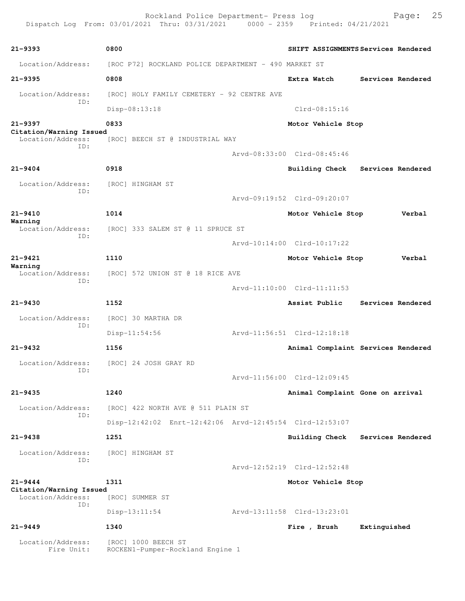Rockland Police Department- Press log Fage: 25 Dispatch Log From: 03/01/2021 Thru: 03/31/2021 0000 - 2359 Printed: 04/21/2021 **21-9393 0800 SHIFT ASSIGNMENTS Services Rendered** Location/Address: [ROC P72] ROCKLAND POLICE DEPARTMENT - 490 MARKET ST **21-9395 0808 Extra Watch Services Rendered** Location/Address: [ROC] HOLY FAMILY CEMETERY - 92 CENTRE AVE ID: Disp-08:13:18 Clrd-08:15:16 **21-9397 0833 Motor Vehicle Stop Citation/Warning Issued**  Location/Address: [ROC] BEECH ST @ INDUSTRIAL WAY ID: Arvd-08:33:00 Clrd-08:45:46 **21-9404 0918 Building Check Services Rendered** Location/Address: [ROC] HINGHAM ST ID: Arvd-09:19:52 Clrd-09:20:07 **21-9410 1014 Motor Vehicle Stop Verbal Warning**  Location/Address: [ROC] 333 SALEM ST @ 11 SPRUCE ST ID: Arvd-10:14:00 Clrd-10:17:22 **21-9421 1110 Motor Vehicle Stop Verbal Warning**  Location/Address: [ROC] 572 UNION ST @ 18 RICE AVE ID: Arvd-11:10:00 Clrd-11:11:53 **21-9430 1152 Assist Public Services Rendered** Location/Address: [ROC] 30 MARTHA DR ID: Disp-11:54:56 Arvd-11:56:51 Clrd-12:18:18 **21-9432 1156 Animal Complaint Services Rendered** Location/Address: [ROC] 24 JOSH GRAY RD ID: Arvd-11:56:00 Clrd-12:09:45 **21-9435 1240 Animal Complaint Gone on arrival** Location/Address: [ROC] 422 NORTH AVE @ 511 PLAIN ST ID: Disp-12:42:02 Enrt-12:42:06 Arvd-12:45:54 Clrd-12:53:07 **21-9438 1251 Building Check Services Rendered** Location/Address: [ROC] HINGHAM ST ID: Arvd-12:52:19 Clrd-12:52:48 **21-9444 1311 Motor Vehicle Stop Citation/Warning Issued**  Location/Address: [ROC] SUMMER ST ID: Disp-13:11:54 Arvd-13:11:58 Clrd-13:23:01 **21-9449 1340 Fire , Brush Extinguished** Location/Address: [ROC] 1000 BEECH ST Fire Unit: ROCKEN1-Pumper-Rockland Engine 1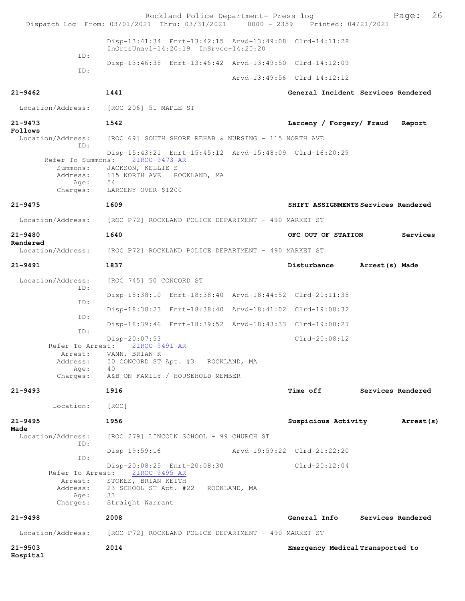|                              | Rockland Police Department- Press log<br>Dispatch Log From: 03/01/2021 Thru: 03/31/2021 0000 - 2359 Printed: 04/21/2021 |                                  | 26<br>Page:                         |
|------------------------------|-------------------------------------------------------------------------------------------------------------------------|----------------------------------|-------------------------------------|
|                              | Disp-13:41:34 Enrt-13:42:15 Arvd-13:49:08 Clrd-14:11:28<br>InQrtsUnavl-14:20:19 InSrvce-14:20:20                        |                                  |                                     |
| ID:                          | Disp-13:46:38 Enrt-13:46:42 Arvd-13:49:50 Clrd-14:12:09                                                                 |                                  |                                     |
| ID:                          |                                                                                                                         | Arvd-13:49:56 Clrd-14:12:12      |                                     |
| $21 - 9462$                  | 1441                                                                                                                    |                                  | General Incident Services Rendered  |
| Location/Address:            | [ROC 206] 51 MAPLE ST                                                                                                   |                                  |                                     |
| $21 - 9473$<br>Follows       | 1542                                                                                                                    | Larceny / Forgery/ Fraud         | Report                              |
| Location/Address:<br>ID:     | [ROC 69] SOUTH SHORE REHAB & NURSING - 115 NORTH AVE                                                                    |                                  |                                     |
| Refer To Summons:            | Disp-15:43:21 Enrt-15:45:12 Arvd-15:48:09 Clrd-16:20:29<br>21ROC-9473-AR                                                |                                  |                                     |
| Summons:<br>Address:<br>Age: | JACKSON, KELLIE S<br>115 NORTH AVE ROCKLAND, MA<br>- 54                                                                 |                                  |                                     |
| Charges:                     | LARCENY OVER \$1200                                                                                                     |                                  |                                     |
| $21 - 9475$                  | 1609                                                                                                                    |                                  | SHIFT ASSIGNMENTS Services Rendered |
|                              | Location/Address: [ROC P72] ROCKLAND POLICE DEPARTMENT - 490 MARKET ST                                                  |                                  |                                     |
| $21 - 9480$<br>Rendered      | 1640                                                                                                                    | OFC OUT OF STATION               | Services                            |
| Location/Address:            | [ROC P72] ROCKLAND POLICE DEPARTMENT - 490 MARKET ST                                                                    |                                  |                                     |
| $21 - 9491$                  | 1837                                                                                                                    | Disturbance                      | Arrest (s) Made                     |
| Location/Address:<br>ID:     | [ROC 745] 50 CONCORD ST                                                                                                 |                                  |                                     |
| ID:                          | Disp-18:38:10 Enrt-18:38:40 Arvd-18:44:52 Clrd-20:11:38                                                                 |                                  |                                     |
| ID:                          | Disp-18:38:23 Enrt-18:38:40 Arvd-18:41:02 Clrd-19:08:32                                                                 |                                  |                                     |
| ID:                          | Disp-18:39:46 Enrt-18:39:52 Arvd-18:43:33 Clrd-19:08:27                                                                 |                                  |                                     |
| Refer To Arrest:             | $Disp-20:07:53$<br>21ROC-9491-AR                                                                                        | $Clrd-20:08:12$                  |                                     |
| Arrest:<br>Address:<br>Age:  | VANN, BRIAN K<br>50 CONCORD ST Apt. #3 ROCKLAND, MA<br>40                                                               |                                  |                                     |
| Charges:                     | A&B ON FAMILY / HOUSEHOLD MEMBER                                                                                        |                                  |                                     |
| $21 - 9493$                  | 1916                                                                                                                    | <b>Time off</b>                  | Services Rendered                   |
| Location:                    | [ROC]                                                                                                                   |                                  |                                     |
| $21 - 9495$<br>Made          | 1956                                                                                                                    | Suspicious Activity              | Arrest (s)                          |
| Location/Address:<br>ID:     | [ROC 279] LINCOLN SCHOOL - 99 CHURCH ST                                                                                 |                                  |                                     |
| ID:                          | $Disp-19:59:16$                                                                                                         | Arvd-19:59:22 Clrd-21:22:20      |                                     |
| Refer To Arrest:             | Disp-20:08:25 Enrt-20:08:30<br>21ROC-9495-AR                                                                            | $Clrd-20:12:04$                  |                                     |
| Arrest:<br>Address:<br>Aqe:  | STOKES, BRIAN KEITH<br>23 SCHOOL ST Apt. #22 ROCKLAND, MA<br>33                                                         |                                  |                                     |
| Charges:<br>$21 - 9498$      | Straight Warrant<br>2008                                                                                                |                                  | General Info Services Rendered      |
| Location/Address:            |                                                                                                                         |                                  |                                     |
| $21 - 9503$<br>Hospital      | [ROC P72] ROCKLAND POLICE DEPARTMENT – 490 MARKET ST<br>2014                                                            | Emergency Medical Transported to |                                     |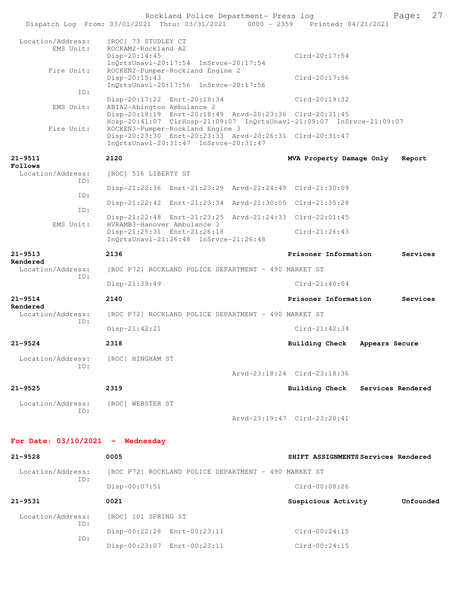|                                    | Rockland Police Department- Press log                                                                                                                         |                                     | 27<br>Page:       |
|------------------------------------|---------------------------------------------------------------------------------------------------------------------------------------------------------------|-------------------------------------|-------------------|
|                                    | Dispatch Log From: 03/01/2021 Thru: 03/31/2021 0000 - 2359 Printed: 04/21/2021                                                                                |                                     |                   |
| Location/Address:<br>EMS Unit:     | [ROC] 73 STUDLEY CT<br>ROCKAM2-Rockland A2<br>Disp-20:14:45                                                                                                   | $Clrd-20:17:54$                     |                   |
| Fire Unit:                         | InQrtsUnavl-20:17:54 InSrvce-20:17:54<br>ROCKEN2-Pumper-Rockland Engine 2<br>Disp-20:15:43                                                                    | $Clrd-20:17:56$                     |                   |
| ID:                                | InQrtsUnavl-20:17:56 InSrvce-20:17:56                                                                                                                         |                                     |                   |
|                                    | Disp-20:17:22 Enrt-20:18:34                                                                                                                                   | Clrd-20:19:32                       |                   |
| EMS Unit:                          | ABIA2-Abington Ambulance 2<br>Disp-20:18:19 Enrt-20:18:49 Arvd-20:23:36 Clrd-20:31:45<br>Hosp-20:41:07 ClrHosp-21:09:07 InQrtsUnavl-21:09:07 InSrvce-21:09:07 |                                     |                   |
| Fire Unit:                         | ROCKEN3-Pumper-Rockland Engine 3<br>Disp-20:23:30 Enrt-20:23:33 Arvd-20:26:31 Clrd-20:31:47<br>InQrtsUnavl-20:31:47 InSrvce-20:31:47                          |                                     |                   |
| $21 - 9511$<br>Follows             | 2120                                                                                                                                                          | MVA Property Damage Only            | Report            |
| Location/Address:<br>ID:           | [ROC] 516 LIBERTY ST                                                                                                                                          |                                     |                   |
|                                    | Disp-21:22:36 Enrt-21:23:29 Arvd-21:24:49 Clrd-21:30:09                                                                                                       |                                     |                   |
| ID:                                | Disp-21:22:42 Enrt-21:23:34 Arvd-21:30:05 Clrd-21:35:28                                                                                                       |                                     |                   |
| ID:                                | Disp-21:22:48 Enrt-21:23:25 Arvd-21:24:33 Clrd-22:01:45                                                                                                       |                                     |                   |
| EMS Unit:                          | HVRAMB3-Hanover Ambulance 3<br>Disp-21:25:31 Enrt-21:26:18<br>InQrtsUnavl-21:26:48 InSrvce-21:26:48                                                           | $Clrd-21:26:43$                     |                   |
| $21 - 9513$                        | 2136                                                                                                                                                          | Prisoner Information                | Services          |
| Rendered<br>Location/Address:      | [ROC P72] ROCKLAND POLICE DEPARTMENT - 490 MARKET ST                                                                                                          |                                     |                   |
| ID:                                | Disp-21:39:49                                                                                                                                                 | $Clrd-21:40:04$                     |                   |
| $21 - 9514$<br>Rendered            | 2140                                                                                                                                                          | Prisoner Information                | Services          |
| Location/Address:<br>ID:           | [ROC P72] ROCKLAND POLICE DEPARTMENT - 490 MARKET ST                                                                                                          |                                     |                   |
|                                    | $Disp-21:42:21$                                                                                                                                               | $Clrd-21:42:34$                     |                   |
| $21 - 9524$                        | 2318                                                                                                                                                          | <b>Building Check</b>               | Appears Secure    |
| Location/Address:<br>ID:           | [ROC] HINGHAM ST                                                                                                                                              |                                     |                   |
|                                    |                                                                                                                                                               | Arvd-23:18:24 Clrd-23:18:36         |                   |
| $21 - 9525$                        | 2319                                                                                                                                                          | Building Check                      | Services Rendered |
| Location/Address:<br>ID:           | [ROC] WEBSTER ST                                                                                                                                              |                                     |                   |
|                                    |                                                                                                                                                               | Arvd-23:19:47 Clrd-23:20:41         |                   |
| For Date: $03/10/2021$ - Wednesday |                                                                                                                                                               |                                     |                   |
| 21-9528                            | 0005                                                                                                                                                          | SHIFT ASSIGNMENTS Services Rendered |                   |
| Location/Address:                  | [ROC P72] ROCKLAND POLICE DEPARTMENT - 490 MARKET ST                                                                                                          |                                     |                   |
| ID:                                | Disp-00:07:51                                                                                                                                                 | $Clrd-00:08:26$                     |                   |
| $21 - 9531$                        | 0021                                                                                                                                                          | Suspicious Activity                 | Unfounded         |
| Location/Address:                  | [ROC] 101 SPRING ST                                                                                                                                           |                                     |                   |
| ID:                                | Disp-00:22:28 Enrt-00:23:11                                                                                                                                   | $Clrd-00:24:15$                     |                   |
| ID:                                | Disp-00:23:07 Enrt-00:23:11                                                                                                                                   | Clrd-00:24:15                       |                   |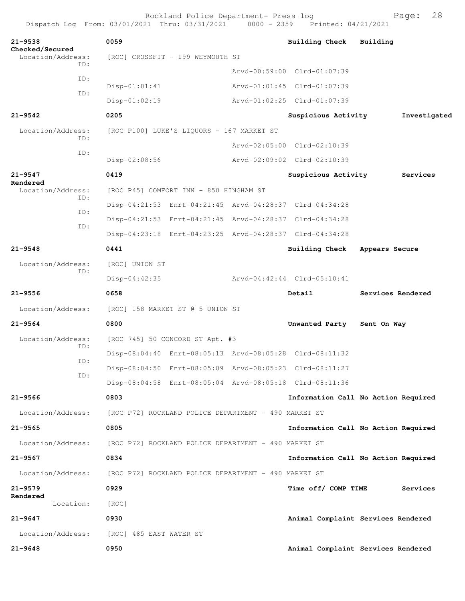|                                                     | Rockland Police Department- Press log<br>Dispatch Log From: 03/01/2021 Thru: 03/31/2021                                                                                                                                 | $0000 - 2359$ | Printed: 04/21/2021                                                                       | 28<br>Page:                         |
|-----------------------------------------------------|-------------------------------------------------------------------------------------------------------------------------------------------------------------------------------------------------------------------------|---------------|-------------------------------------------------------------------------------------------|-------------------------------------|
| $21 - 9538$<br>Checked/Secured<br>Location/Address: | 0059<br>[ROC] CROSSFIT - 199 WEYMOUTH ST                                                                                                                                                                                |               | <b>Building Check</b>                                                                     | Building                            |
| ID:<br>ID:<br>ID:                                   | $Disp-01:01:41$<br>Disp-01:02:19                                                                                                                                                                                        |               | Arvd-00:59:00 Clrd-01:07:39<br>Arvd-01:01:45 Clrd-01:07:39<br>Arvd-01:02:25 Clrd-01:07:39 |                                     |
| $21 - 9542$                                         | 0205                                                                                                                                                                                                                    |               | Suspicious Activity                                                                       | Investigated                        |
| Location/Address:<br>ID:                            | [ROC P100] LUKE'S LIQUORS - 167 MARKET ST                                                                                                                                                                               |               | Arvd-02:05:00 Clrd-02:10:39                                                               |                                     |
| ID:                                                 | Disp-02:08:56                                                                                                                                                                                                           |               | Arvd-02:09:02 Clrd-02:10:39                                                               |                                     |
| $21 - 9547$<br>Rendered                             | 0419                                                                                                                                                                                                                    |               | Suspicious Activity                                                                       | Services                            |
| Location/Address:<br>ID:<br>ID:<br>ID:              | [ROC P45] COMFORT INN - 850 HINGHAM ST<br>Disp-04:21:53 Enrt-04:21:45 Arvd-04:28:37 Clrd-04:34:28<br>Disp-04:21:53 Enrt-04:21:45 Arvd-04:28:37 Clrd-04:34:28<br>Disp-04:23:18 Enrt-04:23:25 Arvd-04:28:37 Clrd-04:34:28 |               |                                                                                           |                                     |
| $21 - 9548$                                         | 0441                                                                                                                                                                                                                    |               | <b>Building Check</b>                                                                     | Appears Secure                      |
| Location/Address:<br>ID:                            | [ROC] UNION ST<br>$Disp-04:42:35$                                                                                                                                                                                       |               | Arvd-04:42:44 Clrd-05:10:41                                                               |                                     |
| $21 - 9556$                                         | 0658                                                                                                                                                                                                                    |               | Detail                                                                                    | Services Rendered                   |
| Location/Address:                                   | [ROC] 158 MARKET ST @ 5 UNION ST                                                                                                                                                                                        |               |                                                                                           |                                     |
| $21 - 9564$                                         | 0800                                                                                                                                                                                                                    |               | Unwanted Party                                                                            | Sent On Way                         |
| Location/Address:<br>ID:<br>ID:<br>ID:              | [ROC 745] 50 CONCORD ST Apt. #3<br>Disp-08:04:40 Enrt-08:05:13 Arvd-08:05:28 Clrd-08:11:32<br>Disp-08:04:50 Enrt-08:05:09 Arvd-08:05:23 Clrd-08:11:27<br>Disp-08:04:58 Enrt-08:05:04 Arvd-08:05:18 Clrd-08:11:36        |               |                                                                                           |                                     |
| $21 - 9566$                                         | 0803                                                                                                                                                                                                                    |               |                                                                                           | Information Call No Action Required |
| Location/Address:                                   | [ROC P72] ROCKLAND POLICE DEPARTMENT - 490 MARKET ST                                                                                                                                                                    |               |                                                                                           |                                     |
| $21 - 9565$                                         | 0805                                                                                                                                                                                                                    |               |                                                                                           | Information Call No Action Required |
| Location/Address:                                   | [ROC P72] ROCKLAND POLICE DEPARTMENT - 490 MARKET ST                                                                                                                                                                    |               |                                                                                           |                                     |
| $21 - 9567$                                         | 0834                                                                                                                                                                                                                    |               |                                                                                           | Information Call No Action Required |
| Location/Address:                                   | [ROC P72] ROCKLAND POLICE DEPARTMENT - 490 MARKET ST                                                                                                                                                                    |               |                                                                                           |                                     |
| $21 - 9579$<br>Rendered                             | 0929                                                                                                                                                                                                                    |               | Time off/ COMP TIME                                                                       | Services                            |
| Location:                                           | [ROC]                                                                                                                                                                                                                   |               |                                                                                           |                                     |
| $21 - 9647$                                         | 0930                                                                                                                                                                                                                    |               |                                                                                           | Animal Complaint Services Rendered  |
| Location/Address:                                   | [ROC] 485 EAST WATER ST                                                                                                                                                                                                 |               |                                                                                           |                                     |
| $21 - 9648$                                         | 0950                                                                                                                                                                                                                    |               |                                                                                           | Animal Complaint Services Rendered  |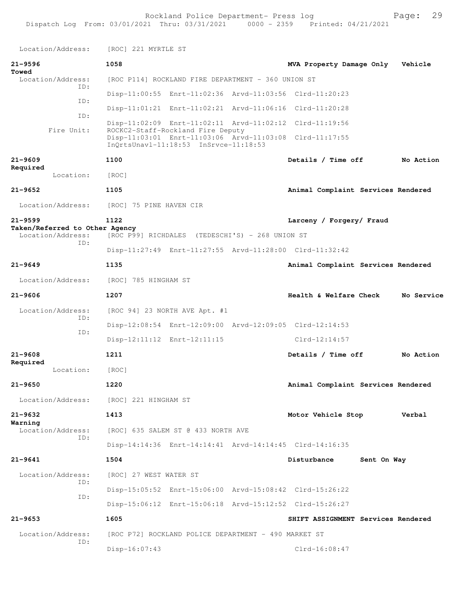| Location/Address:                                   | [ROC] 221 MYRTLE ST                             |                                                                            |  |                                                                  |             |            |
|-----------------------------------------------------|-------------------------------------------------|----------------------------------------------------------------------------|--|------------------------------------------------------------------|-------------|------------|
| $21 - 9596$<br>Towed                                | 1058                                            |                                                                            |  | MVA Property Damage Only                                         |             | Vehicle    |
| Location/Address:                                   |                                                 | [ROC P114] ROCKLAND FIRE DEPARTMENT - 360 UNION ST                         |  |                                                                  |             |            |
| ID:                                                 |                                                 |                                                                            |  | Disp-11:00:55 Enrt-11:02:36 Arvd-11:03:56 Clrd-11:20:23          |             |            |
| ID:                                                 |                                                 |                                                                            |  | Disp-11:01:21    Enrt-11:02:21    Arvd-11:06:16    Clrd-11:20:28 |             |            |
| TD:                                                 |                                                 |                                                                            |  | Disp-11:02:09 Enrt-11:02:11 Arvd-11:02:12 Clrd-11:19:56          |             |            |
| Fire Unit:                                          |                                                 | ROCKC2-Staff-Rockland Fire Deputy<br>InOrtsUnavl-11:18:53 InSrvce-11:18:53 |  | Disp-11:03:01 Enrt-11:03:06 Arvd-11:03:08 Clrd-11:17:55          |             |            |
| $21 - 9609$                                         | 1100                                            |                                                                            |  | Details / Time off                                               |             | No Action  |
| Required<br>Location:                               | [ROC]                                           |                                                                            |  |                                                                  |             |            |
| $21 - 9652$                                         | 1105                                            |                                                                            |  | Animal Complaint Services Rendered                               |             |            |
| Location/Address:                                   | [ROC] 75 PINE HAVEN CIR                         |                                                                            |  |                                                                  |             |            |
| $21 - 9599$                                         | 1122                                            |                                                                            |  | Larceny / Forgery/ Fraud                                         |             |            |
| Taken/Referred to Other Agency<br>Location/Address: | [ROC P99] RICHDALES (TEDESCHI'S) - 268 UNION ST |                                                                            |  |                                                                  |             |            |
| ID:                                                 |                                                 |                                                                            |  | Disp-11:27:49 Enrt-11:27:55 Arvd-11:28:00 Clrd-11:32:42          |             |            |
| $21 - 9649$                                         | 1135                                            |                                                                            |  | Animal Complaint Services Rendered                               |             |            |
| Location/Address:                                   | [ROC] 785 HINGHAM ST                            |                                                                            |  |                                                                  |             |            |
| $21 - 9606$                                         | 1207                                            |                                                                            |  | Health & Welfare Check                                           |             | No Service |
| Location/Address:<br>ID:                            |                                                 | [ROC 94] 23 NORTH AVE Apt. #1                                              |  |                                                                  |             |            |
| ID:                                                 |                                                 |                                                                            |  | Disp-12:08:54 Enrt-12:09:00 Arvd-12:09:05 Clrd-12:14:53          |             |            |
|                                                     |                                                 | Disp-12:11:12 Enrt-12:11:15                                                |  | $Clrd-12:14:57$                                                  |             |            |
| $21 - 9608$                                         | 1211                                            |                                                                            |  | Details / Time off                                               |             | No Action  |
| Required<br>Location:                               | [ROC]                                           |                                                                            |  |                                                                  |             |            |
| $21 - 9650$                                         | 1220                                            |                                                                            |  | Animal Complaint Services Rendered                               |             |            |
| Location/Address:                                   | [ROC] 221 HINGHAM ST                            |                                                                            |  |                                                                  |             |            |
| $21 - 9632$                                         | 1413                                            |                                                                            |  | Motor Vehicle Stop                                               |             | Verbal     |
| Warning<br>Location/Address:                        |                                                 | [ROC] 635 SALEM ST @ 433 NORTH AVE                                         |  |                                                                  |             |            |
| ID:                                                 |                                                 |                                                                            |  | Disp-14:14:36 Enrt-14:14:41 Arvd-14:14:45 Clrd-14:16:35          |             |            |
| $21 - 9641$                                         | 1504                                            |                                                                            |  | Disturbance                                                      | Sent On Way |            |
| Location/Address:                                   | [ROC] 27 WEST WATER ST                          |                                                                            |  |                                                                  |             |            |
| ID:                                                 |                                                 |                                                                            |  | Disp-15:05:52 Enrt-15:06:00 Arvd-15:08:42 Clrd-15:26:22          |             |            |
| ID:                                                 |                                                 |                                                                            |  | Disp-15:06:12 Enrt-15:06:18 Arvd-15:12:52 Clrd-15:26:27          |             |            |
| $21 - 9653$                                         | 1605                                            |                                                                            |  | SHIFT ASSIGNMENT Services Rendered                               |             |            |
| Location/Address:                                   |                                                 | [ROC P72] ROCKLAND POLICE DEPARTMENT - 490 MARKET ST                       |  |                                                                  |             |            |
| ID:                                                 | Disp-16:07:43                                   |                                                                            |  | $Clrd-16:08:47$                                                  |             |            |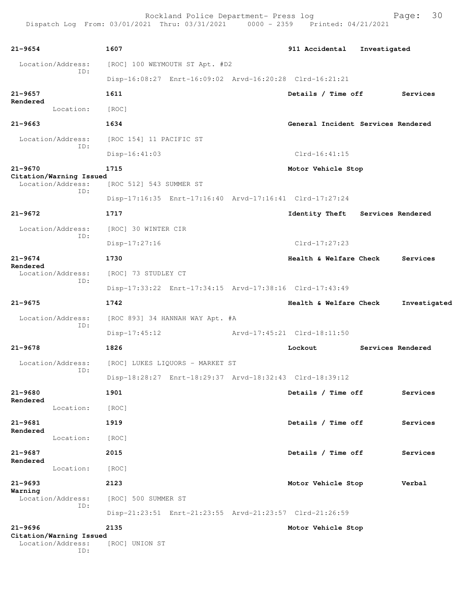| 21-9654                                             | 1607                    |                                 | 911 Accidental                                          | Investigated |                   |
|-----------------------------------------------------|-------------------------|---------------------------------|---------------------------------------------------------|--------------|-------------------|
| Location/Address:                                   |                         | [ROC] 100 WEYMOUTH ST Apt. #D2  |                                                         |              |                   |
| ID:                                                 |                         |                                 | Disp-16:08:27 Enrt-16:09:02 Arvd-16:20:28 Clrd-16:21:21 |              |                   |
| 21-9657                                             | 1611                    |                                 | Details / Time off                                      |              | Services          |
| Rendered<br>Location:                               | [ROC]                   |                                 |                                                         |              |                   |
| 21-9663                                             | 1634                    |                                 | General Incident Services Rendered                      |              |                   |
| Location/Address:                                   | [ROC 154] 11 PACIFIC ST |                                 |                                                         |              |                   |
| ID:                                                 | $Disp-16:41:03$         |                                 | $Clrd-16:41:15$                                         |              |                   |
| 21-9670                                             | 1715                    |                                 | Motor Vehicle Stop                                      |              |                   |
| Citation/Warning Issued<br>Location/Address:        | [ROC 512] 543 SUMMER ST |                                 |                                                         |              |                   |
| ID:                                                 |                         |                                 | Disp-17:16:35 Enrt-17:16:40 Arvd-17:16:41 Clrd-17:27:24 |              |                   |
| 21-9672                                             | 1717                    |                                 | Identity Theft Services Rendered                        |              |                   |
| Location/Address:                                   | [ROC] 30 WINTER CIR     |                                 |                                                         |              |                   |
| ID:                                                 | $Disp-17:27:16$         |                                 | Clrd-17:27:23                                           |              |                   |
| 21-9674                                             | 1730                    |                                 | Health & Welfare Check                                  |              | Services          |
| Rendered<br>Location/Address:                       | [ROC] 73 STUDLEY CT     |                                 |                                                         |              |                   |
| ID:                                                 |                         |                                 | Disp-17:33:22 Enrt-17:34:15 Arvd-17:38:16 Clrd-17:43:49 |              |                   |
| 21-9675                                             | 1742                    |                                 | Health & Welfare Check                                  |              | Investigated      |
| Location/Address:                                   |                         | [ROC 893] 34 HANNAH WAY Apt. #A |                                                         |              |                   |
| ID:                                                 | $Disp-17:45:12$         |                                 | Arvd-17:45:21 Clrd-18:11:50                             |              |                   |
| 21-9678                                             | 1826                    |                                 | Lockout                                                 |              | Services Rendered |
| Location/Address:                                   |                         | [ROC] LUKES LIQUORS - MARKET ST |                                                         |              |                   |
| ID:                                                 |                         |                                 | Disp-18:28:27 Enrt-18:29:37 Arvd-18:32:43 Clrd-18:39:12 |              |                   |
| 21-9680                                             | 1901                    |                                 | Details / Time off                                      |              | Services          |
| Rendered<br>Location:                               | [ROC]                   |                                 |                                                         |              |                   |
| 21-9681                                             | 1919                    |                                 | Details / Time off                                      |              | Services          |
| Rendered<br>Location:                               | [ROC]                   |                                 |                                                         |              |                   |
| 21-9687                                             | 2015                    |                                 | Details / Time off                                      |              | Services          |
| Rendered<br>Location:                               | [ROC]                   |                                 |                                                         |              |                   |
| 21-9693                                             | 2123                    |                                 | Motor Vehicle Stop                                      |              | Verbal            |
| Warning<br>Location/Address:                        | [ROC] 500 SUMMER ST     |                                 |                                                         |              |                   |
| ID:                                                 |                         |                                 | Disp-21:23:51 Enrt-21:23:55 Arvd-21:23:57 Clrd-21:26:59 |              |                   |
| 21-9696                                             | 2135                    |                                 | Motor Vehicle Stop                                      |              |                   |
| Citation/Warning Issued<br>Location/Address:<br>ID: | [ROC] UNION ST          |                                 |                                                         |              |                   |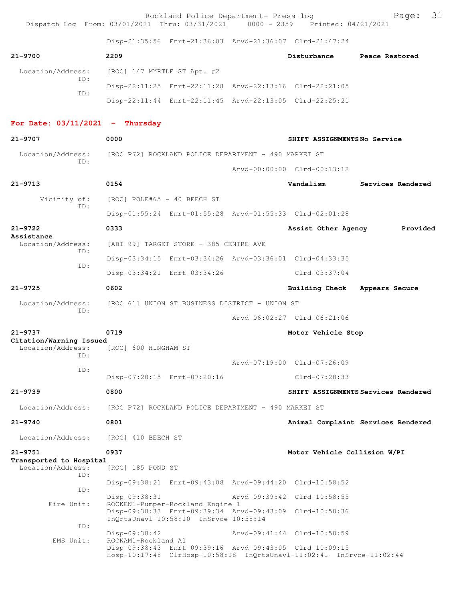Rockland Police Department- Press log  $\begin{array}{c} \text{Pockland Police Department} - 0.3000 - 2359 \text{ Prince: } 0.34 \text{残} \end{array}$ Dispatch Log From: 03/01/2021 Thru: 03/31/2021 Disp-21:35:56 Enrt-21:36:03 Arvd-21:36:07 Clrd-21:47:24 **21-9700 2209 Disturbance Peace Restored** Location/Address: [ROC] 147 MYRTLE ST Apt. #2 ID: Disp-22:11:25 Enrt-22:11:28 Arvd-22:13:16 Clrd-22:21:05 ID: Disp-22:11:44 Enrt-22:11:45 Arvd-22:13:05 Clrd-22:25:21 **For Date: 03/11/2021 - Thursday 21-9707 0000 SHIFT ASSIGNMENTS No Service** Location/Address: [ROC P72] ROCKLAND POLICE DEPARTMENT - 490 MARKET ST ID: Arvd-00:00:00 Clrd-00:13:12 **21-9713 0154 Vandalism Services Rendered** Vicinity of: [ROC] POLE#65 - 40 BEECH ST ID: Disp-01:55:24 Enrt-01:55:28 Arvd-01:55:33 Clrd-02:01:28 **21-9722 0333 Assist Other Agency Provided Assistance**  Location/Address: [ABI 99] TARGET STORE - 385 CENTRE AVE ID: Disp-03:34:15 Enrt-03:34:26 Arvd-03:36:01 Clrd-04:33:35 ID: Disp-03:34:21 Enrt-03:34:26 Clrd-03:37:04 **21-9725 0602 Building Check Appears Secure** Location/Address: [ROC 61] UNION ST BUSINESS DISTRICT - UNION ST ID: Arvd-06:02:27 Clrd-06:21:06 **21-9737 0719 Motor Vehicle Stop Citation/Warning Issued**  Location/Address: [ROC] 600 HINGHAM ST ID: Arvd-07:19:00 Clrd-07:26:09 ID: Disp-07:20:15 Enrt-07:20:16 Clrd-07:20:33 **21-9739 0800 SHIFT ASSIGNMENTS Services Rendered** Location/Address: [ROC P72] ROCKLAND POLICE DEPARTMENT - 490 MARKET ST **21-9740 0801 Animal Complaint Services Rendered** Location/Address: [ROC] 410 BEECH ST **21-9751 0937 Motor Vehicle Collision W/PI Transported to Hospital**  Location/Address: [ROC] 185 POND ST ID: Disp-09:38:21 Enrt-09:43:08 Arvd-09:44:20 Clrd-10:58:52 ID: Disp-09:38:31 Arvd-09:39:42 Clrd-10:58:55 Fire Unit: ROCKEN1-Pumper-Rockland Engine 1 Disp-09:38:33 Enrt-09:39:34 Arvd-09:43:09 Clrd-10:50:36 InQrtsUnavl-10:58:10 InSrvce-10:58:14 ID: Disp-09:38:42 Arvd-09:41:44 Clrd-10:50:59 EMS Unit: ROCKAM1-Rockland A1 Disp-09:38:43 Enrt-09:39:16 Arvd-09:43:05 Clrd-10:09:15 Hosp-10:17:48 ClrHosp-10:58:18 InQrtsUnavl-11:02:41 InSrvce-11:02:44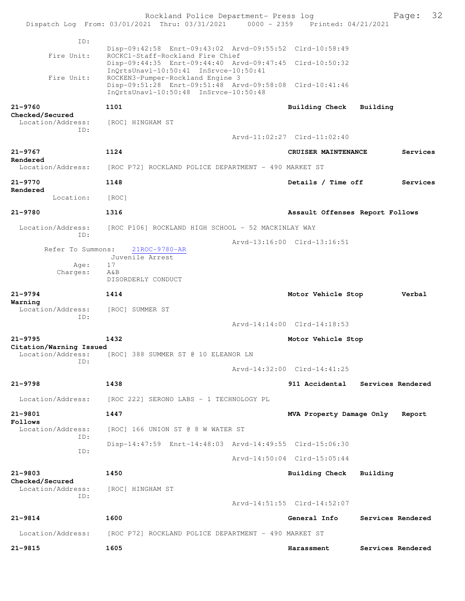|                                              | Rockland Police Department- Press log<br>Dispatch Log From: 03/01/2021 Thru: 03/31/2021 0000 - 2359 Printed: 04/21/2021              |                                 | 32<br>Page:                      |
|----------------------------------------------|--------------------------------------------------------------------------------------------------------------------------------------|---------------------------------|----------------------------------|
| ID:                                          |                                                                                                                                      |                                 |                                  |
| Fire Unit:                                   | Disp-09:42:58 Enrt-09:43:02 Arvd-09:55:52 Clrd-10:58:49<br>ROCKC1-Staff-Rockland Fire Chief                                          |                                 |                                  |
|                                              | Disp-09:44:35 Enrt-09:44:40 Arvd-09:47:45 Clrd-10:50:32<br>InQrtsUnavl-10:50:41 InSrvce-10:50:41                                     |                                 |                                  |
| Fire Unit:                                   | ROCKEN3-Pumper-Rockland Engine 3<br>Disp-09:51:28 Enrt-09:51:48 Arvd-09:58:08 Clrd-10:41:46<br>InQrtsUnavl-10:50:48 InSrvce-10:50:48 |                                 |                                  |
| $21 - 9760$                                  | 1101                                                                                                                                 | <b>Building Check</b>           | Building                         |
| Checked/Secured<br>Location/Address:<br>ID:  | [ROC] HINGHAM ST                                                                                                                     |                                 |                                  |
|                                              |                                                                                                                                      | Arvd-11:02:27 Clrd-11:02:40     |                                  |
| $21 - 9767$                                  | 1124                                                                                                                                 | CRUISER MAINTENANCE             | Services                         |
| Rendered<br>Location/Address:                | [ROC P72] ROCKLAND POLICE DEPARTMENT - 490 MARKET ST                                                                                 |                                 |                                  |
| 21-9770<br>Rendered                          | 1148                                                                                                                                 | Details / Time off              | Services                         |
| Location:                                    | [ROC]                                                                                                                                |                                 |                                  |
| $21 - 9780$                                  | 1316                                                                                                                                 | Assault Offenses Report Follows |                                  |
| Location/Address:                            | [ROC P106] ROCKLAND HIGH SCHOOL - 52 MACKINLAY WAY                                                                                   |                                 |                                  |
| ID:                                          |                                                                                                                                      | Arvd-13:16:00 Clrd-13:16:51     |                                  |
| Refer To Summons:                            | 21ROC-9780-AR<br>Juvenile Arrest                                                                                                     |                                 |                                  |
| Age:                                         | 17                                                                                                                                   |                                 |                                  |
| Charges:                                     | A&B<br>DISORDERLY CONDUCT                                                                                                            |                                 |                                  |
| $21 - 9794$                                  | 1414                                                                                                                                 | Motor Vehicle Stop              | Verbal                           |
| Warning<br>Location/Address:<br>ID:          | [ROC] SUMMER ST                                                                                                                      |                                 |                                  |
|                                              |                                                                                                                                      | Arvd-14:14:00 Clrd-14:18:53     |                                  |
| $21 - 9795$                                  | 1432                                                                                                                                 | Motor Vehicle Stop              |                                  |
| Citation/Warning Issued<br>Location/Address: | [ROC] 388 SUMMER ST @ 10 ELEANOR LN                                                                                                  |                                 |                                  |
| ID:                                          |                                                                                                                                      | Arvd-14:32:00 Clrd-14:41:25     |                                  |
| $21 - 9798$                                  | 1438                                                                                                                                 |                                 | 911 Accidental Services Rendered |
| Location/Address:                            | [ROC 222] SERONO LABS - 1 TECHNOLOGY PL                                                                                              |                                 |                                  |
| 21-9801                                      | 1447                                                                                                                                 | MVA Property Damage Only        | Report                           |
| Follows                                      |                                                                                                                                      |                                 |                                  |
| Location/Address:<br>ID:                     | [ROC] 166 UNION ST @ 8 W WATER ST                                                                                                    |                                 |                                  |
| ID:                                          | Disp-14:47:59 Enrt-14:48:03 Arvd-14:49:55 Clrd-15:06:30                                                                              |                                 |                                  |
|                                              |                                                                                                                                      | Arvd-14:50:04 Clrd-15:05:44     |                                  |
| $21 - 9803$<br>Checked/Secured               | 1450                                                                                                                                 | Building Check                  | Building                         |
| Location/Address:<br>ID:                     | [ROC] HINGHAM ST                                                                                                                     |                                 |                                  |
|                                              |                                                                                                                                      | Arvd-14:51:55 Clrd-14:52:07     |                                  |
| $21 - 9814$                                  | 1600                                                                                                                                 | General Info                    | Services Rendered                |
| Location/Address:                            | [ROC P72] ROCKLAND POLICE DEPARTMENT - 490 MARKET ST                                                                                 |                                 |                                  |
| $21 - 9815$                                  | 1605                                                                                                                                 | Harassment                      | Services Rendered                |
|                                              |                                                                                                                                      |                                 |                                  |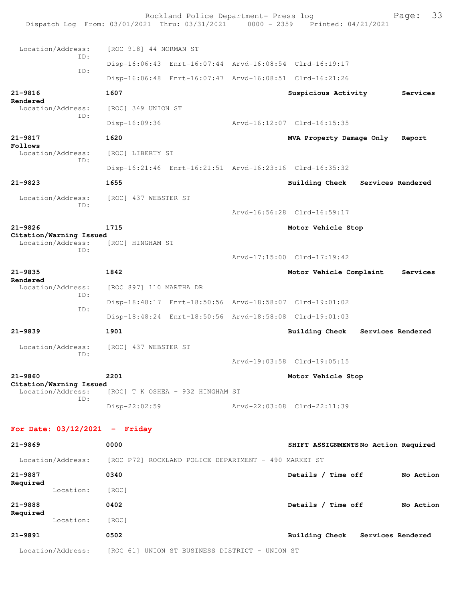|                                              | Rockland Police Department- Press log<br>Dispatch Log From: 03/01/2021 Thru: 03/31/2021 0000 - 2359 Printed: 04/21/2021 |  |                                     |  | 33<br>Page:       |  |
|----------------------------------------------|-------------------------------------------------------------------------------------------------------------------------|--|-------------------------------------|--|-------------------|--|
| Location/Address:                            | [ROC 918] 44 NORMAN ST                                                                                                  |  |                                     |  |                   |  |
| ID:<br>ID:                                   | Disp-16:06:43 Enrt-16:07:44 Arvd-16:08:54 Clrd-16:19:17                                                                 |  |                                     |  |                   |  |
|                                              | Disp-16:06:48 Enrt-16:07:47 Arvd-16:08:51 Clrd-16:21:26                                                                 |  |                                     |  |                   |  |
| $21 - 9816$                                  | 1607                                                                                                                    |  | Suspicious Activity                 |  | Services          |  |
| Rendered<br>Location/Address:<br>ID:         | [ROC] 349 UNION ST                                                                                                      |  |                                     |  |                   |  |
|                                              | $Disp-16:09:36$                                                                                                         |  | Arvd-16:12:07 Clrd-16:15:35         |  |                   |  |
| $21 - 9817$                                  | 1620                                                                                                                    |  | MVA Property Damage Only            |  | Report            |  |
| Follows<br>Location/Address:                 | [ROC] LIBERTY ST                                                                                                        |  |                                     |  |                   |  |
| TD:                                          | Disp-16:21:46 Enrt-16:21:51 Arvd-16:23:16 Clrd-16:35:32                                                                 |  |                                     |  |                   |  |
| $21 - 9823$                                  | 1655                                                                                                                    |  | Building Check                      |  | Services Rendered |  |
| Location/Address:                            | [ROC] 437 WEBSTER ST                                                                                                    |  |                                     |  |                   |  |
| TD:                                          |                                                                                                                         |  | Arvd-16:56:28 Clrd-16:59:17         |  |                   |  |
| $21 - 9826$                                  | 1715                                                                                                                    |  | Motor Vehicle Stop                  |  |                   |  |
| Citation/Warning Issued<br>Location/Address: | [ROC] HINGHAM ST                                                                                                        |  |                                     |  |                   |  |
| TD:                                          |                                                                                                                         |  | Arvd-17:15:00 Clrd-17:19:42         |  |                   |  |
| $21 - 9835$                                  | 1842                                                                                                                    |  | Motor Vehicle Complaint             |  | Services          |  |
| Rendered<br>Location/Address:                | [ROC 897] 110 MARTHA DR                                                                                                 |  |                                     |  |                   |  |
| TD:                                          | Disp-18:48:17 Enrt-18:50:56 Arvd-18:58:07 Clrd-19:01:02                                                                 |  |                                     |  |                   |  |
| ID:                                          | Disp-18:48:24 Enrt-18:50:56 Arvd-18:58:08 Clrd-19:01:03                                                                 |  |                                     |  |                   |  |
| $21 - 9839$                                  | 1901                                                                                                                    |  | Building Check                      |  | Services Rendered |  |
| Location/Address:                            | [ROC] 437 WEBSTER ST                                                                                                    |  |                                     |  |                   |  |
| ID:                                          |                                                                                                                         |  | Arvd-19:03:58 Clrd-19:05:15         |  |                   |  |
| $21 - 9860$                                  | 2201                                                                                                                    |  | Motor Vehicle Stop                  |  |                   |  |
| Citation/Warning Issued<br>Location/Address: | [ROC] T K OSHEA - 932 HINGHAM ST                                                                                        |  |                                     |  |                   |  |
| TD:                                          | Disp-22:02:59                                                                                                           |  | Arvd-22:03:08 Clrd-22:11:39         |  |                   |  |
| For Date: $03/12/2021$ - Friday              |                                                                                                                         |  |                                     |  |                   |  |
| $21 - 9869$                                  | 0000                                                                                                                    |  | SHIFT ASSIGNMENTSNo Action Required |  |                   |  |
| Location/Address:                            | [ROC P72] ROCKLAND POLICE DEPARTMENT - 490 MARKET ST                                                                    |  |                                     |  |                   |  |
| $21 - 9887$                                  | 0340                                                                                                                    |  | Details / Time off                  |  | No Action         |  |
| Required<br>Location:                        | [ROC]                                                                                                                   |  |                                     |  |                   |  |
| 21-9888                                      | 0402                                                                                                                    |  | Details / Time off                  |  | No Action         |  |
| Required<br>Location:                        | [ROC]                                                                                                                   |  |                                     |  |                   |  |
| $21 - 9891$                                  | 0502                                                                                                                    |  | Building Check Services Rendered    |  |                   |  |
| Location/Address:                            | [ROC 61] UNION ST BUSINESS DISTRICT - UNION ST                                                                          |  |                                     |  |                   |  |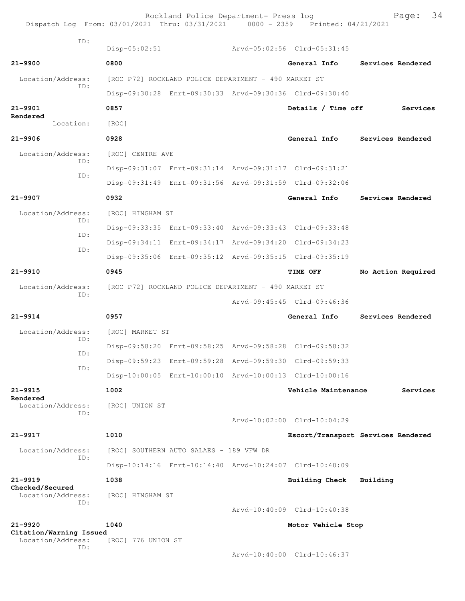| Dispatch Log From: 03/01/2021 Thru: 03/31/2021 0000 - 2359 Printed: 04/21/2021 |                                                      | Rockland Police Department- Press log   |  |                                                         | 34<br>Page:                        |  |
|--------------------------------------------------------------------------------|------------------------------------------------------|-----------------------------------------|--|---------------------------------------------------------|------------------------------------|--|
| TD:                                                                            | $Disp-05:02:51$                                      |                                         |  | Arvd-05:02:56 Clrd-05:31:45                             |                                    |  |
| $21 - 9900$                                                                    | 0800                                                 |                                         |  | General Info                                            | Services Rendered                  |  |
| Location/Address:                                                              | [ROC P72] ROCKLAND POLICE DEPARTMENT - 490 MARKET ST |                                         |  |                                                         |                                    |  |
| TD:                                                                            |                                                      |                                         |  | Disp-09:30:28 Enrt-09:30:33 Arvd-09:30:36 Clrd-09:30:40 |                                    |  |
| $21 - 9901$                                                                    | 0857                                                 |                                         |  | Details / Time off                                      | Services                           |  |
| Rendered<br>Location:                                                          | [ROC]                                                |                                         |  |                                                         |                                    |  |
| $21 - 9906$                                                                    | 0928                                                 |                                         |  | General Info                                            | Services Rendered                  |  |
| Location/Address:                                                              | [ROC] CENTRE AVE                                     |                                         |  |                                                         |                                    |  |
| ID:                                                                            |                                                      |                                         |  | Disp-09:31:07 Enrt-09:31:14 Arvd-09:31:17 Clrd-09:31:21 |                                    |  |
| TD:                                                                            |                                                      |                                         |  | Disp-09:31:49 Enrt-09:31:56 Arvd-09:31:59 Clrd-09:32:06 |                                    |  |
| 21-9907                                                                        | 0932                                                 |                                         |  | General Info                                            | Services Rendered                  |  |
| Location/Address:                                                              | [ROC] HINGHAM ST                                     |                                         |  |                                                         |                                    |  |
| ID:                                                                            |                                                      |                                         |  | Disp-09:33:35 Enrt-09:33:40 Arvd-09:33:43 Clrd-09:33:48 |                                    |  |
| ID:                                                                            |                                                      |                                         |  | Disp-09:34:11 Enrt-09:34:17 Arvd-09:34:20 Clrd-09:34:23 |                                    |  |
| ID:                                                                            |                                                      |                                         |  | Disp-09:35:06 Enrt-09:35:12 Arvd-09:35:15 Clrd-09:35:19 |                                    |  |
| $21 - 9910$                                                                    | 0945                                                 |                                         |  | TIME OFF                                                | No Action Required                 |  |
| Location/Address:                                                              | [ROC P72] ROCKLAND POLICE DEPARTMENT - 490 MARKET ST |                                         |  |                                                         |                                    |  |
| ID:                                                                            |                                                      |                                         |  | Arvd-09:45:45 Clrd-09:46:36                             |                                    |  |
| $21 - 9914$                                                                    | 0957                                                 |                                         |  | General Info                                            | Services Rendered                  |  |
| Location/Address:                                                              | [ROC] MARKET ST                                      |                                         |  |                                                         |                                    |  |
| ID:                                                                            |                                                      |                                         |  | Disp-09:58:20 Enrt-09:58:25 Arvd-09:58:28 Clrd-09:58:32 |                                    |  |
| ID:                                                                            |                                                      |                                         |  | Disp-09:59:23 Enrt-09:59:28 Arvd-09:59:30 Clrd-09:59:33 |                                    |  |
| ID:                                                                            |                                                      |                                         |  | Disp-10:00:05 Enrt-10:00:10 Arvd-10:00:13 Clrd-10:00:16 |                                    |  |
| $21 - 9915$                                                                    | 1002                                                 |                                         |  | Vehicle Maintenance                                     | Services                           |  |
| Rendered<br>Location/Address:                                                  | [ROC] UNION ST                                       |                                         |  |                                                         |                                    |  |
| ID:                                                                            |                                                      |                                         |  | Arvd-10:02:00 Clrd-10:04:29                             |                                    |  |
| $21 - 9917$                                                                    | 1010                                                 |                                         |  |                                                         | Escort/Transport Services Rendered |  |
| Location/Address:                                                              |                                                      | [ROC] SOUTHERN AUTO SALAES - 189 VFW DR |  |                                                         |                                    |  |
| ID:                                                                            |                                                      |                                         |  | Disp-10:14:16 Enrt-10:14:40 Arvd-10:24:07 Clrd-10:40:09 |                                    |  |
| $21 - 9919$                                                                    | 1038                                                 |                                         |  | Building Check                                          | Building                           |  |
| Checked/Secured<br>Location/Address:                                           | [ROC] HINGHAM ST                                     |                                         |  |                                                         |                                    |  |
| ID:                                                                            |                                                      |                                         |  | Arvd-10:40:09 Clrd-10:40:38                             |                                    |  |
| $21 - 9920$                                                                    | 1040                                                 |                                         |  | Motor Vehicle Stop                                      |                                    |  |
| Citation/Warning Issued<br>Location/Address:                                   | [ROC] 776 UNION ST                                   |                                         |  |                                                         |                                    |  |
| ID:                                                                            |                                                      |                                         |  | Arvd-10:40:00 Clrd-10:46:37                             |                                    |  |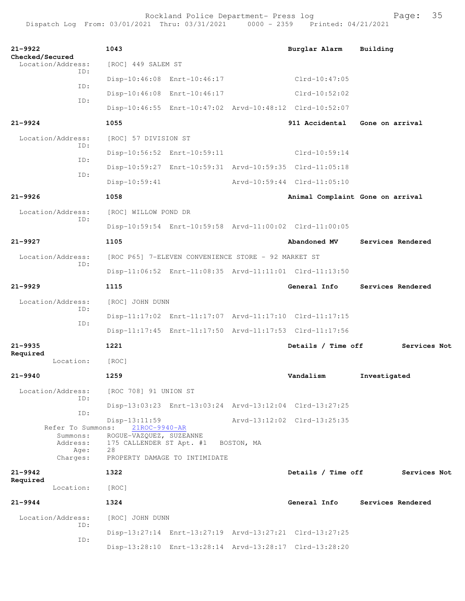| $21 - 9922$                                       | 1043                                           |                                                     | Burglar Alarm                                           | Building                         |
|---------------------------------------------------|------------------------------------------------|-----------------------------------------------------|---------------------------------------------------------|----------------------------------|
| Checked/Secured<br>Location/Address:              | [ROC] 449 SALEM ST                             |                                                     |                                                         |                                  |
| ID:<br>ID:                                        |                                                | Disp-10:46:08 Enrt-10:46:17                         | $Clrd-10:47:05$                                         |                                  |
|                                                   |                                                | Disp-10:46:08 Enrt-10:46:17                         | $Clrd-10:52:02$                                         |                                  |
| ID:                                               |                                                |                                                     | Disp-10:46:55 Enrt-10:47:02 Arvd-10:48:12 Clrd-10:52:07 |                                  |
| $21 - 9924$                                       | 1055                                           |                                                     | 911 Accidental                                          | Gone on arrival                  |
| Location/Address:                                 | [ROC] 57 DIVISION ST                           |                                                     |                                                         |                                  |
| ID:                                               |                                                | Disp-10:56:52 Enrt-10:59:11                         | $Clrd-10:59:14$                                         |                                  |
| ID:                                               |                                                |                                                     | Disp-10:59:27 Enrt-10:59:31 Arvd-10:59:35 Clrd-11:05:18 |                                  |
| ID:                                               | $Disp-10:59:41$                                |                                                     | Arvd-10:59:44 Clrd-11:05:10                             |                                  |
| $21 - 9926$                                       | 1058                                           |                                                     |                                                         | Animal Complaint Gone on arrival |
| Location/Address:                                 | [ROC] WILLOW POND DR                           |                                                     |                                                         |                                  |
| ID:                                               |                                                |                                                     | Disp-10:59:54 Enrt-10:59:58 Arvd-11:00:02 Clrd-11:00:05 |                                  |
| $21 - 9927$                                       | 1105                                           |                                                     | Abandoned MV                                            | Services Rendered                |
| Location/Address:                                 |                                                | [ROC P65] 7-ELEVEN CONVENIENCE STORE - 92 MARKET ST |                                                         |                                  |
| ID:                                               |                                                |                                                     | Disp-11:06:52 Enrt-11:08:35 Arvd-11:11:01 Clrd-11:13:50 |                                  |
| $21 - 9929$                                       | 1115                                           |                                                     | General Info                                            | Services Rendered                |
| Location/Address:                                 | [ROC] JOHN DUNN                                |                                                     |                                                         |                                  |
| ID:                                               |                                                |                                                     | Disp-11:17:02 Enrt-11:17:07 Arvd-11:17:10 Clrd-11:17:15 |                                  |
| ID:                                               |                                                |                                                     | Disp-11:17:45 Enrt-11:17:50 Arvd-11:17:53 Clrd-11:17:56 |                                  |
| $21 - 9935$                                       | 1221                                           |                                                     | Details / Time off                                      | Services Not                     |
| Required<br>Location:                             | [ROC]                                          |                                                     |                                                         |                                  |
| $21 - 9940$                                       | 1259                                           |                                                     | Vandalism                                               | Investigated                     |
| Location/Address:                                 | [ROC 708] 91 UNION ST                          |                                                     |                                                         |                                  |
| ID:                                               |                                                |                                                     | Disp-13:03:23 Enrt-13:03:24 Arvd-13:12:04 Clrd-13:27:25 |                                  |
| ID:                                               | $Disp-13:11:59$                                |                                                     | Arvd-13:12:02 Clrd-13:25:35                             |                                  |
| Refer To Summons:<br>Summons:<br>Address:<br>Age: | 21ROC-9940-AR<br>ROGUE-VAZQUEZ, SUZEANNE<br>28 | 175 CALLENDER ST Apt. #1 BOSTON, MA                 |                                                         |                                  |
| Charges:                                          |                                                | PROPERTY DAMAGE TO INTIMIDATE                       |                                                         |                                  |
| $21 - 9942$<br>Required                           | 1322                                           |                                                     | Details / Time off                                      | Services Not                     |
| Location:                                         | [ROC]                                          |                                                     |                                                         |                                  |
| $21 - 9944$                                       | 1324                                           |                                                     | General Info                                            | Services Rendered                |
| Location/Address:                                 | [ROC] JOHN DUNN                                |                                                     |                                                         |                                  |
| ID:<br>ID:                                        |                                                |                                                     | Disp-13:27:14 Enrt-13:27:19 Arvd-13:27:21 Clrd-13:27:25 |                                  |
|                                                   |                                                |                                                     | Disp-13:28:10 Enrt-13:28:14 Arvd-13:28:17 Clrd-13:28:20 |                                  |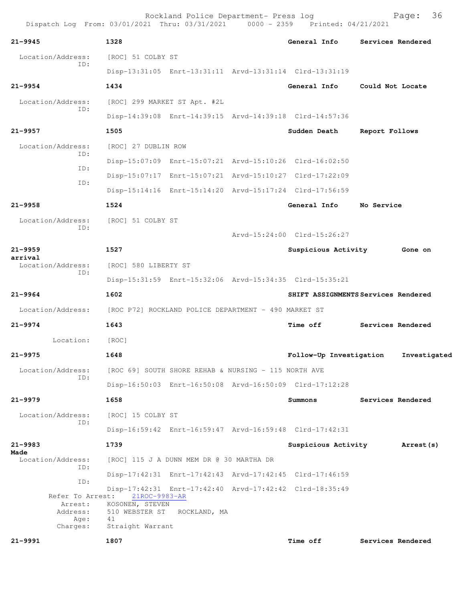| $21 - 9945$                                                            | 1328                                   |                                          | General Info                                            | Services Rendered                   |
|------------------------------------------------------------------------|----------------------------------------|------------------------------------------|---------------------------------------------------------|-------------------------------------|
| Location/Address:<br>ID:                                               | [ROC] 51 COLBY ST                      |                                          |                                                         |                                     |
|                                                                        |                                        |                                          | Disp-13:31:05 Enrt-13:31:11 Arvd-13:31:14 Clrd-13:31:19 |                                     |
| $21 - 9954$                                                            | 1434                                   |                                          | General Info                                            | Could Not Locate                    |
| Location/Address:<br>ID:                                               |                                        | [ROC] 299 MARKET ST Apt. #2L             |                                                         |                                     |
|                                                                        |                                        |                                          | Disp-14:39:08 Enrt-14:39:15 Arvd-14:39:18 Clrd-14:57:36 |                                     |
| 21-9957                                                                | 1505                                   |                                          | Sudden Death                                            | Report Follows                      |
| Location/Address:                                                      | [ROC] 27 DUBLIN ROW                    |                                          |                                                         |                                     |
| ID:                                                                    |                                        |                                          | Disp-15:07:09 Enrt-15:07:21 Arvd-15:10:26 Clrd-16:02:50 |                                     |
| ID:                                                                    |                                        |                                          | Disp-15:07:17 Enrt-15:07:21 Arvd-15:10:27 Clrd-17:22:09 |                                     |
| ID:                                                                    |                                        |                                          | Disp-15:14:16 Enrt-15:14:20 Arvd-15:17:24 Clrd-17:56:59 |                                     |
| $21 - 9958$                                                            | 1524                                   |                                          | General Info No Service                                 |                                     |
| Location/Address:                                                      | [ROC] 51 COLBY ST                      |                                          |                                                         |                                     |
| ID:                                                                    |                                        |                                          | Arvd-15:24:00 Clrd-15:26:27                             |                                     |
| 21-9959                                                                | 1527                                   |                                          | Suspicious Activity                                     | Gone on                             |
| arrival<br>Location/Address:                                           | [ROC] 580 LIBERTY ST                   |                                          |                                                         |                                     |
| ID:                                                                    |                                        |                                          | Disp-15:31:59 Enrt-15:32:06 Arvd-15:34:35 Clrd-15:35:21 |                                     |
| $21 - 9964$                                                            | 1602                                   |                                          |                                                         | SHIFT ASSIGNMENTS Services Rendered |
| Location/Address: [ROC P72] ROCKLAND POLICE DEPARTMENT - 490 MARKET ST |                                        |                                          |                                                         |                                     |
| 21-9974                                                                | 1643                                   |                                          | <b>Time off</b>                                         | Services Rendered                   |
| Location:                                                              | [ROC]                                  |                                          |                                                         |                                     |
| $21 - 9975$                                                            | 1648                                   |                                          | Follow-Up Investigation                                 | Investigated                        |
| Location/Address: [ROC 69] SOUTH SHORE REHAB & NURSING - 115 NORTH AVE |                                        |                                          |                                                         |                                     |
| ID:                                                                    |                                        |                                          | Disp-16:50:03 Enrt-16:50:08 Arvd-16:50:09 Clrd-17:12:28 |                                     |
| 21-9979                                                                | 1658                                   |                                          | Summons                                                 | Services Rendered                   |
| Location/Address:                                                      | [ROC] 15 COLBY ST                      |                                          |                                                         |                                     |
| ID:                                                                    |                                        |                                          | Disp-16:59:42 Enrt-16:59:47 Arvd-16:59:48 Clrd-17:42:31 |                                     |
| 21-9983                                                                | 1739                                   |                                          | Suspicious Activity                                     | <b>Arrest (s)</b>                   |
| Made<br>Location/Address:<br>ID:                                       |                                        | [ROC] 115 J A DUNN MEM DR @ 30 MARTHA DR |                                                         |                                     |
|                                                                        |                                        |                                          | Disp-17:42:31 Enrt-17:42:43 Arvd-17:42:45 Clrd-17:46:59 |                                     |
| ID:                                                                    |                                        |                                          | Disp-17:42:31 Enrt-17:42:40 Arvd-17:42:42 Clrd-18:35:49 |                                     |
| Refer To Arrest:<br>Arrest:<br>Address:<br>Age:                        | 21ROC-9983-AR<br>KOSONEN, STEVEN<br>41 | 510 WEBSTER ST ROCKLAND, MA              |                                                         |                                     |
| Charges:                                                               | Straight Warrant                       |                                          |                                                         |                                     |
| 21-9991                                                                | 1807                                   |                                          | Time off                                                | Services Rendered                   |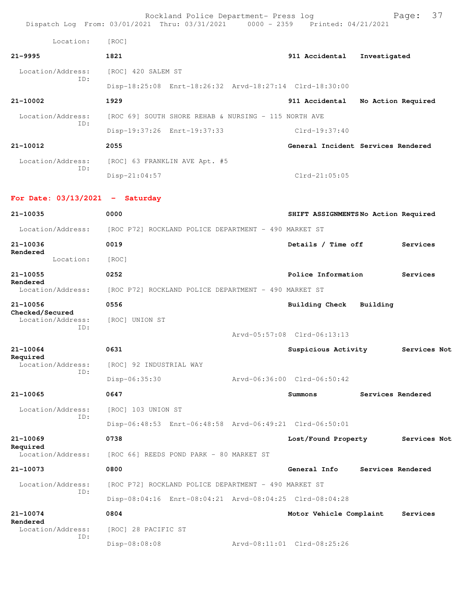|                                      | Rockland Police Department- Press log<br>Dispatch Log From: 03/01/2021 Thru: 03/31/2021 0000 - 2359 Printed: 04/21/2021 |                             | 37<br>Page:                         |
|--------------------------------------|-------------------------------------------------------------------------------------------------------------------------|-----------------------------|-------------------------------------|
| Location:                            | [ROC]                                                                                                                   |                             |                                     |
| $21 - 9995$                          | 1821                                                                                                                    | 911 Accidental              | Investigated                        |
| Location/Address:                    | [ROC] 420 SALEM ST                                                                                                      |                             |                                     |
| ID:                                  | Disp-18:25:08 Enrt-18:26:32 Arvd-18:27:14 Clrd-18:30:00                                                                 |                             |                                     |
| 21-10002                             | 1929                                                                                                                    |                             | 911 Accidental No Action Required   |
| Location/Address:                    | [ROC 69] SOUTH SHORE REHAB & NURSING - 115 NORTH AVE                                                                    |                             |                                     |
| ID:                                  | Disp-19:37:26 Enrt-19:37:33                                                                                             | Clrd-19:37:40               |                                     |
| 21-10012                             | 2055                                                                                                                    |                             | General Incident Services Rendered  |
| Location/Address:                    | [ROC] 63 FRANKLIN AVE Apt. #5                                                                                           |                             |                                     |
| ID:                                  | $Disp-21:04:57$                                                                                                         | $Clrd-21:05:05$             |                                     |
| For Date: $03/13/2021$ - Saturday    |                                                                                                                         |                             |                                     |
| 21-10035                             | 0000                                                                                                                    |                             | SHIFT ASSIGNMENTSNo Action Required |
|                                      | Location/Address: [ROC P72] ROCKLAND POLICE DEPARTMENT - 490 MARKET ST                                                  |                             |                                     |
| 21-10036                             | 0019                                                                                                                    | Details / Time off          | Services                            |
| Rendered<br>Location:                | [ROC]                                                                                                                   |                             |                                     |
| 21-10055                             | 0252                                                                                                                    | Police Information          | Services                            |
| Rendered<br>Location/Address:        | [ROC P72] ROCKLAND POLICE DEPARTMENT - 490 MARKET ST                                                                    |                             |                                     |
| 21-10056                             | 0556                                                                                                                    | Building Check              | Building                            |
| Checked/Secured<br>Location/Address: | [ROC] UNION ST                                                                                                          |                             |                                     |
| ID:                                  |                                                                                                                         | Arvd-05:57:08 Clrd-06:13:13 |                                     |
| 21-10064                             | 0631                                                                                                                    | Suspicious Activity         | Services Not                        |
| Required<br>Location/Address:        | [ROC] 92 INDUSTRIAL WAY                                                                                                 |                             |                                     |
| ID:                                  | Disp-06:35:30                                                                                                           | Arvd-06:36:00 Clrd-06:50:42 |                                     |
| 21-10065                             | 0647                                                                                                                    | Summons                     | Services Rendered                   |
| Location/Address:                    | [ROC] 103 UNION ST                                                                                                      |                             |                                     |
| ID:                                  | Disp-06:48:53 Enrt-06:48:58 Arvd-06:49:21 Clrd-06:50:01                                                                 |                             |                                     |
| 21-10069                             | 0738                                                                                                                    | Lost/Found Property         | Services Not                        |
| Required<br>Location/Address:        | [ROC 66] REEDS POND PARK - 80 MARKET ST                                                                                 |                             |                                     |
| 21-10073                             | 0800                                                                                                                    | General Info                | Services Rendered                   |
| Location/Address:                    | [ROC P72] ROCKLAND POLICE DEPARTMENT - 490 MARKET ST                                                                    |                             |                                     |
| ID:                                  | Disp-08:04:16 Enrt-08:04:21 Arvd-08:04:25 Clrd-08:04:28                                                                 |                             |                                     |
| 21-10074                             | 0804                                                                                                                    | Motor Vehicle Complaint     | Services                            |
| Rendered<br>Location/Address:        | [ROC] 28 PACIFIC ST                                                                                                     |                             |                                     |
| ID:                                  | Disp-08:08:08                                                                                                           | Arvd-08:11:01 Clrd-08:25:26 |                                     |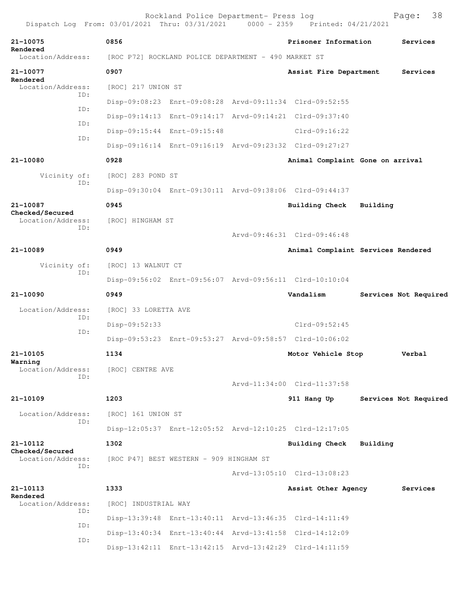|                                      |                                                         | Printed: 04/21/2021         |                                    |
|--------------------------------------|---------------------------------------------------------|-----------------------------|------------------------------------|
| 21-10075<br>Rendered                 | 0856                                                    | Prisoner Information        | Services                           |
| Location/Address:                    | [ROC P72] ROCKLAND POLICE DEPARTMENT - 490 MARKET ST    |                             |                                    |
| 21-10077                             | 0907                                                    | Assist Fire Department      | Services                           |
| Rendered<br>Location/Address:        | [ROC] 217 UNION ST                                      |                             |                                    |
| ID:                                  | Disp-09:08:23 Enrt-09:08:28 Arvd-09:11:34 Clrd-09:52:55 |                             |                                    |
| ID:                                  | Disp-09:14:13 Enrt-09:14:17 Arvd-09:14:21 Clrd-09:37:40 |                             |                                    |
| ID:                                  | Disp-09:15:44 Enrt-09:15:48                             | $Clrd-09:16:22$             |                                    |
| ID:                                  | Disp-09:16:14 Enrt-09:16:19 Arvd-09:23:32 Clrd-09:27:27 |                             |                                    |
| 21-10080                             | 0928                                                    |                             | Animal Complaint Gone on arrival   |
| Vicinity of:                         | [ROC] 283 POND ST                                       |                             |                                    |
| ID:                                  | Disp-09:30:04 Enrt-09:30:11 Arvd-09:38:06 Clrd-09:44:37 |                             |                                    |
| 21-10087                             | 0945                                                    | <b>Building Check</b>       | Building                           |
| Checked/Secured<br>Location/Address: | [ROC] HINGHAM ST                                        |                             |                                    |
| ID:                                  |                                                         | Aryd-09:46:31 Clrd-09:46:48 |                                    |
| 21-10089                             | 0949                                                    |                             | Animal Complaint Services Rendered |
| Vicinity of:                         | [ROC] 13 WALNUT CT                                      |                             |                                    |
| ID:                                  | Disp-09:56:02 Enrt-09:56:07 Arvd-09:56:11 Clrd-10:10:04 |                             |                                    |
| 21-10090                             | 0949                                                    | Vandalism                   | Services Not Required              |
| Location/Address:                    | [ROC] 33 LORETTA AVE                                    |                             |                                    |
| TD:                                  | Disp-09:52:33                                           | $Clrd-09:52:45$             |                                    |
| ID:                                  | Disp-09:53:23 Enrt-09:53:27 Arvd-09:58:57 Clrd-10:06:02 |                             |                                    |
| 21-10105                             | 1134                                                    | Motor Vehicle Stop          | Verbal                             |
| Warning<br>Location/Address:         | [ROC] CENTRE AVE                                        |                             |                                    |
| ID:                                  |                                                         | Arvd-11:34:00 Clrd-11:37:58 |                                    |
| 21-10109                             | 1203                                                    | 911 Hang Up                 | Services Not Required              |
| Location/Address:                    | [ROC] 161 UNION ST                                      |                             |                                    |
| ID:                                  | Disp-12:05:37 Enrt-12:05:52 Arvd-12:10:25 Clrd-12:17:05 |                             |                                    |
| 21-10112                             | 1302                                                    | Building Check              | Building                           |
| Checked/Secured<br>Location/Address: | [ROC P47] BEST WESTERN - 909 HINGHAM ST                 |                             |                                    |
| ID:                                  |                                                         | Arvd-13:05:10 Clrd-13:08:23 |                                    |
| 21-10113                             | 1333                                                    | Assist Other Agency         | Services                           |
| Rendered<br>Location/Address:        | [ROC] INDUSTRIAL WAY                                    |                             |                                    |
| ID:                                  | Disp-13:39:48 Enrt-13:40:11 Arvd-13:46:35 Clrd-14:11:49 |                             |                                    |
| ID:                                  | Disp-13:40:34 Enrt-13:40:44 Arvd-13:41:58 Clrd-14:12:09 |                             |                                    |
| ID:                                  |                                                         |                             |                                    |

Disp-13:42:11 Enrt-13:42:15 Arvd-13:42:29 Clrd-14:11:59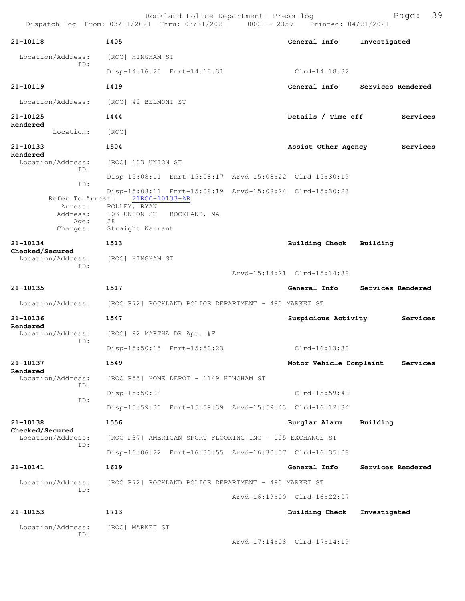| 21-10118                                                               | 1405                                                    |                                                         | General Info                     | Investigated |                   |
|------------------------------------------------------------------------|---------------------------------------------------------|---------------------------------------------------------|----------------------------------|--------------|-------------------|
| Location/Address:                                                      | [ROC] HINGHAM ST                                        |                                                         |                                  |              |                   |
| ID:                                                                    |                                                         | Disp-14:16:26 Enrt-14:16:31                             | Clrd-14:18:32                    |              |                   |
| 21-10119                                                               | 1419                                                    |                                                         | General Info                     |              | Services Rendered |
| Location/Address: [ROC] 42 BELMONT ST                                  |                                                         |                                                         |                                  |              |                   |
| 21-10125                                                               | 1444                                                    |                                                         | Details / Time off               |              | Services          |
| Rendered<br>Location:                                                  | [ROC]                                                   |                                                         |                                  |              |                   |
| 21-10133                                                               | 1504                                                    |                                                         | Assist Other Agency              |              | Services          |
| Rendered<br>Location/Address:                                          | [ROC] 103 UNION ST                                      |                                                         |                                  |              |                   |
| ID:                                                                    |                                                         | Disp-15:08:11 Enrt-15:08:17 Arvd-15:08:22 Clrd-15:30:19 |                                  |              |                   |
| ID:                                                                    |                                                         | Disp-15:08:11 Enrt-15:08:19 Arvd-15:08:24 Clrd-15:30:23 |                                  |              |                   |
|                                                                        | Refer To Arrest: 21ROC-10133-AR<br>Arrest: POLLEY, RYAN |                                                         |                                  |              |                   |
| Age:                                                                   | Address: 103 UNION ST ROCKLAND, MA<br>28                |                                                         |                                  |              |                   |
|                                                                        | Charges: Straight Warrant                               |                                                         |                                  |              |                   |
| 21-10134<br>Checked/Secured                                            | 1513                                                    |                                                         | Building Check Building          |              |                   |
| Location/Address:<br>ID:                                               | [ROC] HINGHAM ST                                        |                                                         |                                  |              |                   |
|                                                                        |                                                         |                                                         | Arvd-15:14:21 Clrd-15:14:38      |              |                   |
| 21-10135                                                               | 1517                                                    |                                                         | General Info                     |              | Services Rendered |
| Location/Address: [ROC P72] ROCKLAND POLICE DEPARTMENT - 490 MARKET ST |                                                         |                                                         |                                  |              |                   |
| 21-10136<br>Rendered                                                   | 1547                                                    |                                                         | Suspicious Activity              |              | Services          |
| Location/Address:<br>ID:                                               | [ROC] 92 MARTHA DR Apt. #F                              |                                                         |                                  |              |                   |
|                                                                        |                                                         | Disp-15:50:15 Enrt-15:50:23                             | Clrd-16:13:30                    |              |                   |
| 21-10137<br>Rendered                                                   | 1549                                                    |                                                         | Motor Vehicle Complaint Services |              |                   |
| Location/Address:<br>ID:                                               |                                                         | [ROC P55] HOME DEPOT - 1149 HINGHAM ST                  |                                  |              |                   |
| ID:                                                                    | Disp-15:50:08                                           |                                                         | $Clrd-15:59:48$                  |              |                   |
|                                                                        |                                                         | Disp-15:59:30 Enrt-15:59:39 Arvd-15:59:43 Clrd-16:12:34 |                                  |              |                   |
| 21-10138<br><b>Checked/Secured</b>                                     | 1556                                                    |                                                         | Burglar Alarm                    | Building     |                   |
| Location/Address:<br>ID:                                               |                                                         | [ROC P37] AMERICAN SPORT FLOORING INC - 105 EXCHANGE ST |                                  |              |                   |
|                                                                        |                                                         | Disp-16:06:22 Enrt-16:30:55 Arvd-16:30:57 Clrd-16:35:08 |                                  |              |                   |
| 21-10141                                                               | 1619                                                    |                                                         | General Info                     |              | Services Rendered |
| Location/Address:                                                      |                                                         | [ROC P72] ROCKLAND POLICE DEPARTMENT - 490 MARKET ST    |                                  |              |                   |
| ID:                                                                    |                                                         |                                                         | Arvd-16:19:00 Clrd-16:22:07      |              |                   |
| 21-10153                                                               | 1713                                                    |                                                         | <b>Building Check</b>            | Investigated |                   |
| Location/Address:                                                      | [ROC] MARKET ST                                         |                                                         |                                  |              |                   |
| ID:                                                                    |                                                         |                                                         | Arvd-17:14:08 Clrd-17:14:19      |              |                   |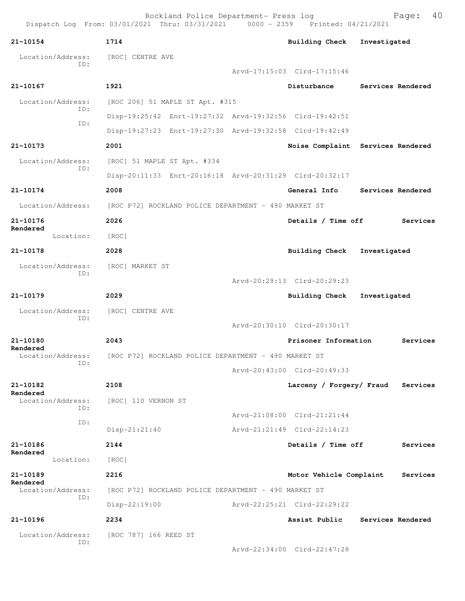| 21-10154                      | 1714                                                    | <b>Building Check</b>       | Investigated                      |
|-------------------------------|---------------------------------------------------------|-----------------------------|-----------------------------------|
| Location/Address:             | [ROC] CENTRE AVE                                        |                             |                                   |
| ID:                           |                                                         | Arvd-17:15:03 Clrd-17:15:46 |                                   |
| $21 - 10167$                  | 1921                                                    | Disturbance                 | Services Rendered                 |
| Location/Address:             | [ROC 206] 51 MAPLE ST Apt. #315                         |                             |                                   |
| TD:                           | Disp-19:25:42 Enrt-19:27:32 Arvd-19:32:56 Clrd-19:42:51 |                             |                                   |
| ID:                           | Disp-19:27:23 Enrt-19:27:30 Arvd-19:32:58 Clrd-19:42:49 |                             |                                   |
| 21-10173                      | 2001                                                    |                             | Noise Complaint Services Rendered |
| Location/Address:             | [ROC] 51 MAPLE ST Apt. #334                             |                             |                                   |
| ID:                           | Disp-20:11:33 Enrt-20:16:18 Arvd-20:31:29 Clrd-20:32:17 |                             |                                   |
| 21-10174                      | 2008                                                    | General Info                | Services Rendered                 |
| Location/Address:             | [ROC P72] ROCKLAND POLICE DEPARTMENT - 490 MARKET ST    |                             |                                   |
| 21-10176                      | 2026                                                    | Details / Time off          | Services                          |
| Rendered<br>Location:         | [ROC]                                                   |                             |                                   |
| 21-10178                      | 2028                                                    | <b>Building Check</b>       | Investigated                      |
| Location/Address:             | [ROC] MARKET ST                                         |                             |                                   |
| ID:                           |                                                         | Arvd-20:29:13 Clrd-20:29:23 |                                   |
| 21-10179                      | 2029                                                    | Building Check              | Investigated                      |
| Location/Address:             | [ROC] CENTRE AVE                                        |                             |                                   |
| ID:                           |                                                         | Arvd-20:30:10 Clrd-20:30:17 |                                   |
| 21-10180                      | 2043                                                    | Prisoner Information        | Services                          |
| Rendered<br>Location/Address: | [ROC P72] ROCKLAND POLICE DEPARTMENT - 490 MARKET ST    |                             |                                   |
| ID:                           |                                                         | Arvd-20:43:00 Clrd-20:49:33 |                                   |
| 21-10182                      | 2108                                                    |                             | Larceny / Forgery/ Fraud Services |
| Rendered<br>Location/Address: | [ROC] 110 VERNON ST                                     |                             |                                   |
| ID:                           |                                                         | Arvd-21:08:00 Clrd-21:21:44 |                                   |
| ID:                           | $Disp-21:21:40$                                         | Arvd-21:21:49 Clrd-22:14:23 |                                   |
| 21-10186                      | 2144                                                    | Details / Time off          | Services                          |
| Rendered<br>Location:         | [ROC]                                                   |                             |                                   |
| 21-10189                      | 2216                                                    | Motor Vehicle Complaint     | Services                          |
| Rendered<br>Location/Address: | [ROC P72] ROCKLAND POLICE DEPARTMENT - 490 MARKET ST    |                             |                                   |
| ID:                           | Disp-22:19:00                                           | Arvd-22:25:21 Clrd-22:29:22 |                                   |
| 21-10196                      | 2234                                                    | Assist Public               | Services Rendered                 |
| Location/Address:             | [ROC 787] 166 REED ST                                   |                             |                                   |
| ID:                           |                                                         | Arvd-22:34:00 Clrd-22:47:28 |                                   |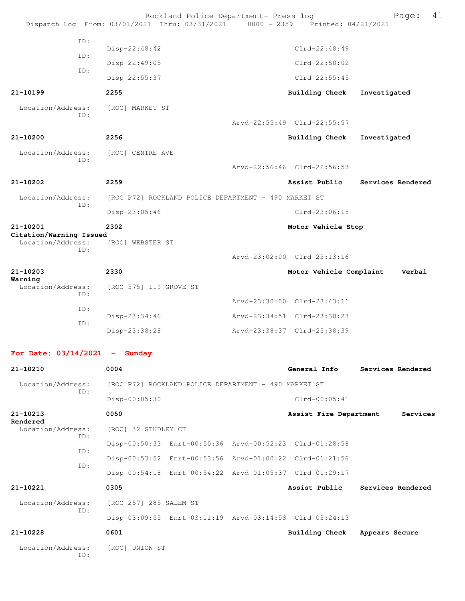|                                                     | Dispatch Log From: 03/01/2021 Thru: 03/31/2021 | Rockland Police Department- Press log                   | 0000 - 2359 Printed: 04/21/2021                            | 41<br>Page:       |
|-----------------------------------------------------|------------------------------------------------|---------------------------------------------------------|------------------------------------------------------------|-------------------|
| ID:                                                 | Disp-22:48:42                                  |                                                         | $C1rd-22:48:49$                                            |                   |
| ID:                                                 | Disp-22:49:05                                  |                                                         | $Clrd-22:50:02$                                            |                   |
| TD:                                                 | Disp-22:55:37                                  |                                                         | $Clrd-22:55:45$                                            |                   |
| 21-10199                                            | 2255                                           |                                                         | <b>Building Check</b>                                      | Investigated      |
| Location/Address:                                   | [ROC] MARKET ST                                |                                                         |                                                            |                   |
| ID:                                                 |                                                |                                                         | Arvd-22:55:49 Clrd-22:55:57                                |                   |
| 21-10200                                            | 2256                                           |                                                         | Building Check                                             | Investigated      |
| Location/Address:                                   | [ROC] CENTRE AVE                               |                                                         |                                                            |                   |
| TD:                                                 |                                                |                                                         | Arvd-22:56:46 Clrd-22:56:53                                |                   |
| 21-10202                                            | 2259                                           |                                                         | Assist Public                                              | Services Rendered |
| Location/Address:                                   |                                                | [ROC P72] ROCKLAND POLICE DEPARTMENT - 490 MARKET ST    |                                                            |                   |
| ID:                                                 | Disp-23:05:46                                  |                                                         | $Clrd-23:06:15$                                            |                   |
| 21-10201                                            | 2302                                           |                                                         | Motor Vehicle Stop                                         |                   |
| Citation/Warning Issued<br>Location/Address:<br>ID: | [ROC] WEBSTER ST                               |                                                         | Arvd-23:02:00 Clrd-23:13:16                                |                   |
|                                                     |                                                |                                                         |                                                            |                   |
|                                                     |                                                |                                                         |                                                            |                   |
| 21-10203<br>Warning                                 | 2330                                           |                                                         | Motor Vehicle Complaint                                    | Verbal            |
| Location/Address:<br>ID:                            | [ROC 575] 119 GROVE ST                         |                                                         |                                                            |                   |
| ID:                                                 |                                                |                                                         | Arvd-23:30:00 Clrd-23:43:11<br>Arvd-23:34:51 Clrd-23:38:23 |                   |
| ID:                                                 | Disp-23:34:46<br>Disp-23:38:28                 |                                                         | Arvd-23:38:37 Clrd-23:38:39                                |                   |
| For Date: $03/14/2021$ - Sunday                     |                                                |                                                         |                                                            |                   |
| 21-10210                                            | 0004                                           |                                                         | General Info                                               | Services Rendered |
| Location/Address:                                   |                                                | [ROC P72] ROCKLAND POLICE DEPARTMENT - 490 MARKET ST    |                                                            |                   |
| ID:                                                 | Disp-00:05:30                                  |                                                         | $Clrd-00:05:41$                                            |                   |
| 21-10213                                            | 0050                                           |                                                         | Assist Fire Department                                     | Services          |
| Rendered<br>Location/Address:                       | [ROC] 32 STUDLEY CT                            |                                                         |                                                            |                   |
| ID:                                                 |                                                | Disp-00:50:33 Enrt-00:50:36 Arvd-00:52:23 Clrd-01:28:58 |                                                            |                   |
| ID:<br>ID:                                          |                                                | Disp-00:53:52 Enrt-00:53:56 Arvd-01:00:22 Clrd-01:21:56 |                                                            |                   |
|                                                     |                                                | Disp-00:54:18 Enrt-00:54:22 Arvd-01:05:37 Clrd-01:29:17 |                                                            |                   |
| 21-10221                                            | 0305                                           |                                                         | Assist Public                                              | Services Rendered |
| Location/Address:<br>ID:                            | [ROC 257] 285 SALEM ST                         |                                                         |                                                            |                   |

**21-10228 0601 Building Check Appears Secure**

 Location/Address: [ROC] UNION ST ID: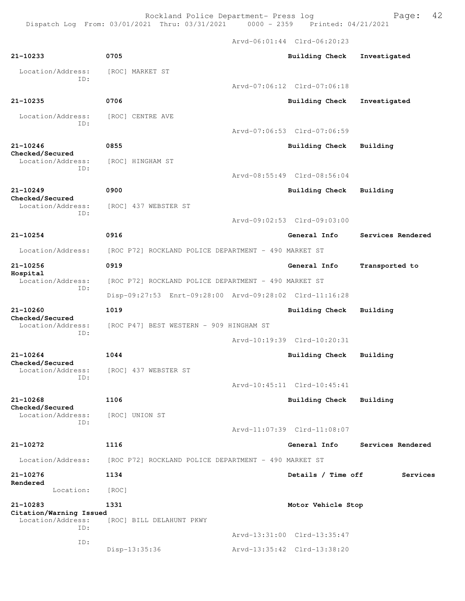Rockland Police Department- Press log Fage: 42

Dispatch Log From: 03/01/2021 Thru: 03/31/2021 0000 - 2359 Printed: 04/21/2021

 Arvd-06:01:44 Clrd-06:20:23 **21-10233 0705 Building Check Investigated** Location/Address: [ROC] MARKET ST ID: Arvd-07:06:12 Clrd-07:06:18 **21-10235 0706 Building Check Investigated** Location/Address: [ROC] CENTRE AVE ID: Arvd-07:06:53 Clrd-07:06:59 **21-10246 0855 Building Check Building Checked/Secured**  Location/Address: [ROC] HINGHAM ST ID: Arvd-08:55:49 Clrd-08:56:04 **21-10249 0900 Building Check Building Checked/Secured**  Location/Address: [ROC] 437 WEBSTER ST ID: Arvd-09:02:53 Clrd-09:03:00 **21-10254 0916 General Info Services Rendered** Location/Address: [ROC P72] ROCKLAND POLICE DEPARTMENT - 490 MARKET ST **21-10256 0919 General Info Transported to Hospital**  Location/Address: [ROC P72] ROCKLAND POLICE DEPARTMENT - 490 MARKET ST ID: Disp-09:27:53 Enrt-09:28:00 Arvd-09:28:02 Clrd-11:16:28 **21-10260 1019 Building Check Building Checked/Secured**  Location/Address: [ROC P47] BEST WESTERN - 909 HINGHAM ST ID: Arvd-10:19:39 Clrd-10:20:31 **21-10264 1044 Building Check Building Checked/Secured**  Location/Address: [ROC] 437 WEBSTER ST ID: Arvd-10:45:11 Clrd-10:45:41 **21-10268 1106 Building Check Building Checked/Secured**  Location/Address: [ROC] UNION ST ID: Arvd-11:07:39 Clrd-11:08:07 **21-10272 1116 General Info Services Rendered** Location/Address: [ROC P72] ROCKLAND POLICE DEPARTMENT - 490 MARKET ST **21-10276 1134 Details / Time off Services Rendered**  Location: [ROC] **21-10283 1331 Motor Vehicle Stop Citation/Warning Issued**  Location/Address: [ROC] BILL DELAHUNT PKWY ID: Arvd-13:31:00 Clrd-13:35:47

Disp-13:35:36 Arvd-13:35:42 Clrd-13:38:20

ID: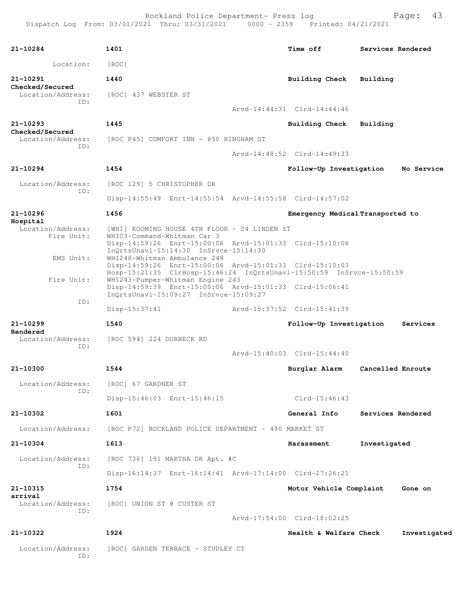| 21-10284                           | 1401                                                                                                                                                            | Time off                         | Services Rendered |              |
|------------------------------------|-----------------------------------------------------------------------------------------------------------------------------------------------------------------|----------------------------------|-------------------|--------------|
| Location:                          | [ROC]                                                                                                                                                           |                                  |                   |              |
| 21-10291<br><b>Checked/Secured</b> | 1440                                                                                                                                                            | Building Check Building          |                   |              |
| Location/Address:                  | [ROC] 437 WEBSTER ST                                                                                                                                            |                                  |                   |              |
| ID:                                |                                                                                                                                                                 | Arvd-14:44:31 Clrd-14:44:46      |                   |              |
| 21-10293<br><b>Checked/Secured</b> | 1445                                                                                                                                                            | Building Check Building          |                   |              |
| Location/Address:<br>TD:           | [ROC P45] COMFORT INN - 850 HINGHAM ST                                                                                                                          |                                  |                   |              |
|                                    |                                                                                                                                                                 | Arvd-14:48:52 Clrd-14:49:33      |                   |              |
| 21-10294                           | 1454                                                                                                                                                            | Follow-Up Investigation          |                   | No Service   |
| Location/Address:<br>ID:           | [ROC 129] 5 CHRISTOPHER DR                                                                                                                                      |                                  |                   |              |
|                                    | Disp-14:55:49 Enrt-14:55:54 Arvd-14:55:58 Clrd-14:57:02                                                                                                         |                                  |                   |              |
| 21-10296                           | 1456                                                                                                                                                            | Emergency Medical Transported to |                   |              |
| Hospital<br>Location/Address:      | [WHI] ROOMING HOUSE 4TH FLOOR - 24 LINDEN ST                                                                                                                    |                                  |                   |              |
| Fire Unit:                         | WHIC3-Command-Whitman Car 3<br>Disp-14:59:26 Enrt-15:00:06 Arvd-15:01:33 Clrd-15:10:06<br>InOrtsUnav1-15:14:30 InSrvce-15:14:30                                 |                                  |                   |              |
| EMS Unit:                          | WHI248-Whitman Ambulance 248<br>Disp-14:59:26 Enrt-15:00:06 Arvd-15:01:33 Clrd-15:10:03<br>Hosp-15:21:35 ClrHosp-15:46:24 InQrtsUnavl-15:50:59 InSrvce-15:50:59 |                                  |                   |              |
| Fire Unit:                         | WHI243-Pumper-Whitman Engine 243<br>Disp-14:59:39 Enrt-15:00:06 Arvd-15:01:33 Clrd-15:06:41<br>InOrtsUnav1-15:09:27 InSrvce-15:09:27                            |                                  |                   |              |
| ID:                                | $Disp-15:37:41$                                                                                                                                                 | Arvd-15:37:52 Clrd-15:41:39      |                   |              |
| 21-10299                           | 1540                                                                                                                                                            | Follow-Up Investigation          |                   | Services     |
| Rendered<br>Location/Address:      | [ROC 594] 224 DURBECK RD                                                                                                                                        |                                  |                   |              |
| ID:                                |                                                                                                                                                                 | Arvd-15:40:03 Clrd-15:44:40      |                   |              |
| 21-10300                           | 1544                                                                                                                                                            | Burglar Alarm                    | Cancelled Enroute |              |
|                                    | Location/Address: [ROC] 67 GARDNER ST                                                                                                                           |                                  |                   |              |
| ID:                                | Disp-15:46:03 Enrt-15:46:15                                                                                                                                     | $Clrd-15:46:43$                  |                   |              |
| 21-10302                           | 1601                                                                                                                                                            | General Info                     | Services Rendered |              |
| Location/Address:                  | [ROC P72] ROCKLAND POLICE DEPARTMENT - 490 MARKET ST                                                                                                            |                                  |                   |              |
| 21-10304                           | 1613                                                                                                                                                            | Harassment                       | Investigated      |              |
| Location/Address:                  | [ROC 736] 191 MARTHA DR Apt. #C                                                                                                                                 |                                  |                   |              |
| ID:                                | Disp-16:14:37 Enrt-16:14:41 Arvd-17:14:00 Clrd-17:26:21                                                                                                         |                                  |                   |              |
|                                    |                                                                                                                                                                 |                                  |                   |              |
| 21-10315<br>arrival                | 1754                                                                                                                                                            | Motor Vehicle Complaint          |                   | Gone on      |
| Location/Address:<br>ID:           | [ROC] UNION ST @ CUSTER ST                                                                                                                                      | Arvd-17:54:00 Clrd-18:02:25      |                   |              |
| 21-10322                           | 1924                                                                                                                                                            | Health & Welfare Check           |                   | Investigated |
| Location/Address:<br>ID:           | [ROC] GARDEN TERRACE - STUDLEY CT                                                                                                                               |                                  |                   |              |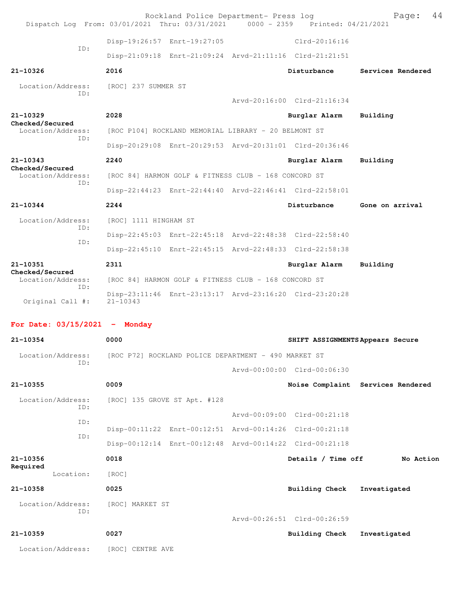|                                      | Dispatch Log From: 03/01/2021 Thru: 03/31/2021 0000 - 2359 Printed: 04/21/2021 | Rockland Police Department- Press log |                                  | 44<br>Page:                       |
|--------------------------------------|--------------------------------------------------------------------------------|---------------------------------------|----------------------------------|-----------------------------------|
|                                      | Disp-19:26:57 Enrt-19:27:05                                                    |                                       | $Clrd-20:16:16$                  |                                   |
| TD:                                  | Disp-21:09:18 Enrt-21:09:24 Arvd-21:11:16 Clrd-21:21:51                        |                                       |                                  |                                   |
| 21-10326                             | 2016                                                                           |                                       | Disturbance                      | Services Rendered                 |
| Location/Address:                    | [ROC] 237 SUMMER ST                                                            |                                       |                                  |                                   |
| TD:                                  |                                                                                |                                       | Arvd-20:16:00 Clrd-21:16:34      |                                   |
| $21 - 10329$                         | 2028                                                                           |                                       | Burglar Alarm                    | Building                          |
| Checked/Secured<br>Location/Address: | [ROC P104] ROCKLAND MEMORIAL LIBRARY - 20 BELMONT ST                           |                                       |                                  |                                   |
| TD:                                  | Disp-20:29:08 Enrt-20:29:53 Arvd-20:31:01 Clrd-20:36:46                        |                                       |                                  |                                   |
| 21-10343                             | 2240                                                                           |                                       | Burglar Alarm                    | Building                          |
| Checked/Secured<br>Location/Address: | [ROC 84] HARMON GOLF & FITNESS CLUB - 168 CONCORD ST                           |                                       |                                  |                                   |
| TD:                                  | Disp-22:44:23 Enrt-22:44:40 Arvd-22:46:41 Clrd-22:58:01                        |                                       |                                  |                                   |
| 21-10344                             | 2244                                                                           |                                       | Disturbance                      | Gone on arrival                   |
| Location/Address:                    | [ROC] 1111 HINGHAM ST                                                          |                                       |                                  |                                   |
| TD:                                  |                                                                                |                                       |                                  |                                   |
| ID:                                  | Disp-22:45:03 Enrt-22:45:18 Arvd-22:48:38 Clrd-22:58:40                        |                                       |                                  |                                   |
|                                      | Disp-22:45:10 Enrt-22:45:15 Arvd-22:48:33 Clrd-22:58:38                        |                                       |                                  |                                   |
| 21-10351<br>Checked/Secured          | 2311                                                                           |                                       | Burglar Alarm                    | Building                          |
| Location/Address:<br>ID:             | [ROC 84] HARMON GOLF & FITNESS CLUB - 168 CONCORD ST                           |                                       |                                  |                                   |
| Original Call #:                     | Disp-23:11:46 Enrt-23:13:17 Arvd-23:16:20 Clrd-23:20:28<br>$21 - 10343$        |                                       |                                  |                                   |
|                                      |                                                                                |                                       |                                  |                                   |
| For Date: $03/15/2021$ - Monday      |                                                                                |                                       |                                  |                                   |
| 21-10354                             | 0000                                                                           |                                       | SHIFT ASSIGNMENTS Appears Secure |                                   |
| Location/Address:<br>TD:             | [ROC P72] ROCKLAND POLICE DEPARTMENT - 490 MARKET ST                           |                                       |                                  |                                   |
|                                      |                                                                                |                                       | Arvd-00:00:00 Clrd-00:06:30      |                                   |
| 21-10355                             | 0009                                                                           |                                       |                                  | Noise Complaint Services Rendered |
| Location/Address:<br>TD:             | [ROC] 135 GROVE ST Apt. #128                                                   |                                       |                                  |                                   |
| ID:                                  |                                                                                |                                       | Arvd-00:09:00 Clrd-00:21:18      |                                   |
| ID:                                  | Disp-00:11:22 Enrt-00:12:51 Arvd-00:14:26 Clrd-00:21:18                        |                                       |                                  |                                   |
|                                      | Disp-00:12:14 Enrt-00:12:48 Arvd-00:14:22 Clrd-00:21:18                        |                                       |                                  |                                   |
| 21-10356<br>Required                 | 0018                                                                           |                                       | Details / Time off               | No Action                         |
| Location:                            | [ROC]                                                                          |                                       |                                  |                                   |
| 21-10358                             | 0025                                                                           |                                       | Building Check                   | Investigated                      |
| Location/Address:                    | [ROC] MARKET ST                                                                |                                       |                                  |                                   |
| ID:                                  |                                                                                |                                       | Arvd-00:26:51 Clrd-00:26:59      |                                   |
| 21-10359                             | 0027                                                                           |                                       | Building Check                   | Investigated                      |
| Location/Address:                    | [ROC] CENTRE AVE                                                               |                                       |                                  |                                   |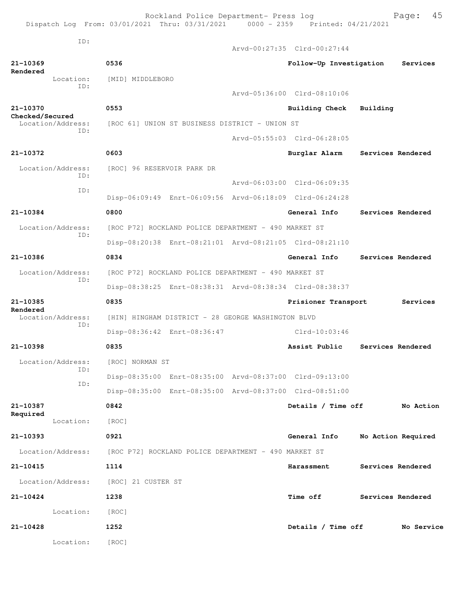Rockland Police Department- Press log Fage: 45 Dispatch Log From: 03/01/2021 Thru: 03/31/2021 0000 - 2359 Printed: 04/21/2021 ID: Arvd-00:27:35 Clrd-00:27:44 **21-10369 0536 Follow-Up Investigation Services Rendered**  Location: [MID] MIDDLEBORO ID: Arvd-05:36:00 Clrd-08:10:06 **21-10370 0553 Building Check Building Checked/Secured**  Location/Address: [ROC 61] UNION ST BUSINESS DISTRICT - UNION ST ID: Arvd-05:55:03 Clrd-06:28:05 **21-10372 0603 Burglar Alarm Services Rendered** Location/Address: [ROC] 96 RESERVOIR PARK DR ID: Arvd-06:03:00 Clrd-06:09:35 ID: Disp-06:09:49 Enrt-06:09:56 Arvd-06:18:09 Clrd-06:24:28 **21-10384 0800 General Info Services Rendered** Location/Address: [ROC P72] ROCKLAND POLICE DEPARTMENT - 490 MARKET ST ID: Disp-08:20:38 Enrt-08:21:01 Arvd-08:21:05 Clrd-08:21:10 **21-10386 0834 General Info Services Rendered** Location/Address: [ROC P72] ROCKLAND POLICE DEPARTMENT - 490 MARKET ST ID: Disp-08:38:25 Enrt-08:38:31 Arvd-08:38:34 Clrd-08:38:37 **21-10385 0835 Prisioner Transport Services Rendered**<br>Location/Address: [HIN] HINGHAM DISTRICT - 28 GEORGE WASHINGTON BLVD ID: Disp-08:36:42 Enrt-08:36:47 Clrd-10:03:46 **21-10398 0835 Assist Public Services Rendered** Location/Address: [ROC] NORMAN ST ID: Disp-08:35:00 Enrt-08:35:00 Arvd-08:37:00 Clrd-09:13:00 ID: Disp-08:35:00 Enrt-08:35:00 Arvd-08:37:00 Clrd-08:51:00 **21-10387 0842 Details / Time off No Action Required**  Location: [ROC] **21-10393 0921 General Info No Action Required** Location/Address: [ROC P72] ROCKLAND POLICE DEPARTMENT - 490 MARKET ST **21-10415 1114 Harassment Services Rendered** Location/Address: [ROC] 21 CUSTER ST **21-10424 1238 Time off Services Rendered** Location: [ROC] **21-10428 1252 Details / Time off No Service** Location: [ROC]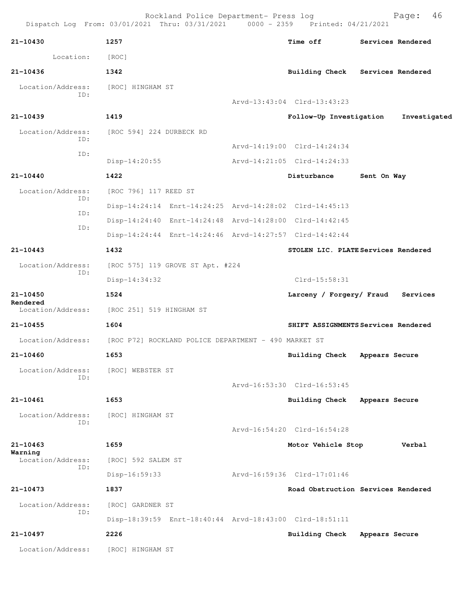Rockland Police Department- Press log Bookland Police Department- Press log Page: 46 Dispatch Log From: 03/01/2021 Thru: 03/31/2021 **21-10430 1257 Time off Services Rendered** Location: [ROC] **21-10436 1342 Building Check Services Rendered** Location/Address: [ROC] HINGHAM ST ID: Arvd-13:43:04 Clrd-13:43:23 **21-10439 1419 Follow-Up Investigation Investigated** Location/Address: [ROC 594] 224 DURBECK RD ID: Arvd-14:19:00 Clrd-14:24:34 ID: Disp-14:20:55 Arvd-14:21:05 Clrd-14:24:33 **21-10440 1422 Disturbance Sent On Way** Location/Address: [ROC 796] 117 REED ST ID: Disp-14:24:14 Enrt-14:24:25 Arvd-14:28:02 Clrd-14:45:13 ID: Disp-14:24:40 Enrt-14:24:48 Arvd-14:28:00 Clrd-14:42:45 ID: Disp-14:24:44 Enrt-14:24:46 Arvd-14:27:57 Clrd-14:42:44 **21-10443 1432 STOLEN LIC. PLATE Services Rendered** Location/Address: [ROC 575] 119 GROVE ST Apt. #224 ID: Disp-14:34:32 Clrd-15:58:31 **21-10450 1524 Larceny / Forgery/ Fraud Services Rendered**  Location/Address: [ROC 251] 519 HINGHAM ST **21-10455 1604 SHIFT ASSIGNMENTS Services Rendered** Location/Address: [ROC P72] ROCKLAND POLICE DEPARTMENT - 490 MARKET ST **21-10460 1653 Building Check Appears Secure** Location/Address: [ROC] WEBSTER ST ID: Arvd-16:53:30 Clrd-16:53:45 **21-10461 1653 Building Check Appears Secure** Location/Address: [ROC] HINGHAM ST ID: Arvd-16:54:20 Clrd-16:54:28 **21-10463 1659 Motor Vehicle Stop Verbal Warning**  Location/Address: [ROC] 592 SALEM ST ID: Disp-16:59:33 Arvd-16:59:36 Clrd-17:01:46 **21-10473 1837 Road Obstruction Services Rendered** Location/Address: [ROC] GARDNER ST ID: Disp-18:39:59 Enrt-18:40:44 Arvd-18:43:00 Clrd-18:51:11 **21-10497 2226 Building Check Appears Secure** Location/Address: [ROC] HINGHAM ST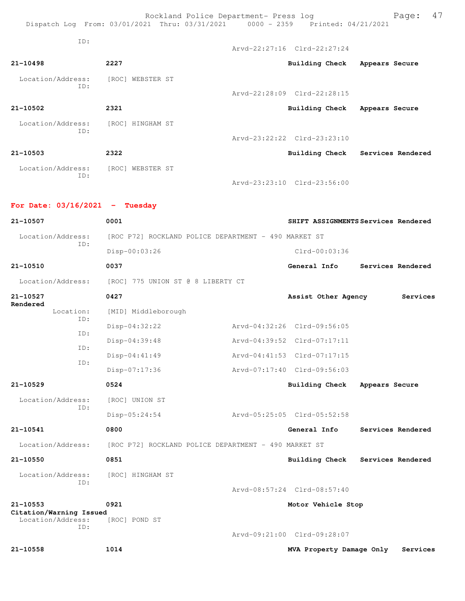Rockland Police Department- Press log entitled and Page: 47 Dispatch Log From: 03/01/2021 Thru: 03/31/2021 0000 - 2359 Printed: 04/21/2021 ID: Arvd-22:27:16 Clrd-22:27:24 **21-10498 2227 Building Check Appears Secure** Location/Address: [ROC] WEBSTER ST ID: Arvd-22:28:09 Clrd-22:28:15 **21-10502 2321 Building Check Appears Secure** Location/Address: [ROC] HINGHAM ST ID: Arvd-23:22:22 Clrd-23:23:10 **21-10503 2322 Building Check Services Rendered** Location/Address: [ROC] WEBSTER ST ID:

Arvd-23:23:10 Clrd-23:56:00

## **For Date: 03/16/2021 - Tuesday**

| 21-10507                                | 0001                                                 | SHIFT ASSIGNMENTS Services Rendered |                |                   |
|-----------------------------------------|------------------------------------------------------|-------------------------------------|----------------|-------------------|
| Location/Address:                       | [ROC P72] ROCKLAND POLICE DEPARTMENT - 490 MARKET ST |                                     |                |                   |
| ID:                                     | Disp-00:03:26                                        | $Clrd-00:03:36$                     |                |                   |
| 21-10510                                | 0037                                                 | General Info                        |                | Services Rendered |
| Location/Address:                       | [ROC] 775 UNION ST @ 8 LIBERTY CT                    |                                     |                |                   |
| 21-10527<br>Rendered                    | 0427                                                 | Assist Other Agency                 |                | Services          |
| Location:<br>TD:                        | [MID] Middleborough                                  |                                     |                |                   |
| ID:                                     | Disp-04:32:22                                        | Arvd-04:32:26 Clrd-09:56:05         |                |                   |
|                                         | Disp-04:39:48                                        | Arvd-04:39:52 Clrd-07:17:11         |                |                   |
| ID:                                     | Disp-04:41:49                                        | Arvd-04:41:53 Clrd-07:17:15         |                |                   |
| ID:                                     | Disp-07:17:36                                        | Arvd-07:17:40 Clrd-09:56:03         |                |                   |
| 21-10529                                | 0524                                                 | <b>Building Check</b>               | Appears Secure |                   |
| Location/Address:                       | [ROC] UNION ST                                       |                                     |                |                   |
| TD:                                     | Disp-05:24:54                                        | Arvd-05:25:05 Clrd-05:52:58         |                |                   |
| 21-10541                                | 0800                                                 | General Info                        |                | Services Rendered |
| Location/Address:                       | [ROC P72] ROCKLAND POLICE DEPARTMENT - 490 MARKET ST |                                     |                |                   |
| 21-10550                                | 0851                                                 | <b>Building Check</b>               |                | Services Rendered |
| Location/Address:                       | [ROC] HINGHAM ST                                     |                                     |                |                   |
| ID:                                     |                                                      | Arvd-08:57:24 Clrd-08:57:40         |                |                   |
| $21 - 10553$<br>Citation/Warning Issued | 0921                                                 | Motor Vehicle Stop                  |                |                   |
| Location/Address:                       | [ROC] POND ST                                        |                                     |                |                   |
| ID:                                     |                                                      | Arvd-09:21:00 Clrd-09:28:07         |                |                   |
| 21-10558                                | 1014                                                 | MVA Property Damage Only            |                | Services          |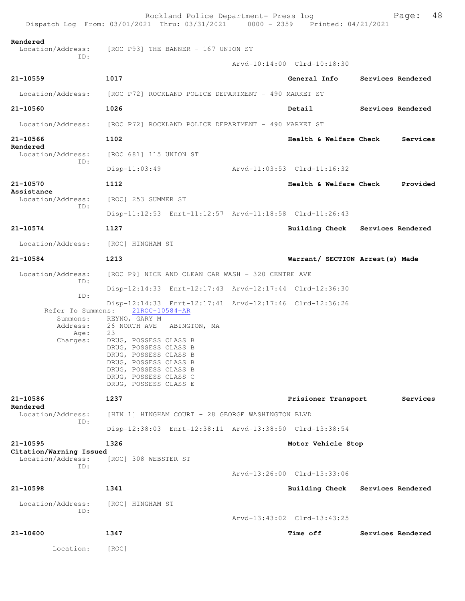|                                                               | Rockland Police Department- Press log<br>Dispatch Log From: 03/01/2021 Thru: 03/31/2021 0000 - 2359 Printed: 04/21/2021                                                                                                                                                                                      |                             | 48<br>Page:                                   |
|---------------------------------------------------------------|--------------------------------------------------------------------------------------------------------------------------------------------------------------------------------------------------------------------------------------------------------------------------------------------------------------|-----------------------------|-----------------------------------------------|
| Rendered<br>Location/Address:                                 | [ROC P93] THE BANNER - 167 UNION ST                                                                                                                                                                                                                                                                          |                             |                                               |
| ID:                                                           |                                                                                                                                                                                                                                                                                                              | Arvd-10:14:00 Clrd-10:18:30 |                                               |
| 21-10559                                                      | 1017                                                                                                                                                                                                                                                                                                         |                             | General Info Services Rendered                |
| Location/Address:                                             | [ROC P72] ROCKLAND POLICE DEPARTMENT - 490 MARKET ST                                                                                                                                                                                                                                                         |                             |                                               |
| $21 - 10560$                                                  | 1026                                                                                                                                                                                                                                                                                                         | Detail                      | Services Rendered                             |
| Location/Address:                                             | [ROC P72] ROCKLAND POLICE DEPARTMENT - 490 MARKET ST                                                                                                                                                                                                                                                         |                             |                                               |
| 21-10566                                                      | 1102                                                                                                                                                                                                                                                                                                         |                             | <b>Health &amp; Welfare Check</b><br>Services |
| Rendered<br>Location/Address:                                 | [ROC 681] 115 UNION ST                                                                                                                                                                                                                                                                                       |                             |                                               |
| ID:                                                           | $Disp-11:03:49$                                                                                                                                                                                                                                                                                              |                             |                                               |
| 21-10570                                                      | 1112                                                                                                                                                                                                                                                                                                         |                             | <b>Health &amp; Welfare Check</b><br>Provided |
| Assistance<br>Location/Address:<br>ID:                        | [ROC] 253 SUMMER ST                                                                                                                                                                                                                                                                                          |                             |                                               |
|                                                               | Disp-11:12:53 Enrt-11:12:57 Arvd-11:18:58 Clrd-11:26:43                                                                                                                                                                                                                                                      |                             |                                               |
| 21-10574                                                      | 1127                                                                                                                                                                                                                                                                                                         |                             | Building Check Services Rendered              |
| Location/Address:                                             | [ROC] HINGHAM ST                                                                                                                                                                                                                                                                                             |                             |                                               |
| 21-10584                                                      | 1213                                                                                                                                                                                                                                                                                                         |                             | Warrant/ SECTION Arrest(s) Made               |
| Location/Address:<br>ID:                                      | [ROC P9] NICE AND CLEAN CAR WASH - 320 CENTRE AVE                                                                                                                                                                                                                                                            |                             |                                               |
| ID:                                                           | Disp-12:14:33 Enrt-12:17:43 Arvd-12:17:44 Clrd-12:36:30                                                                                                                                                                                                                                                      |                             |                                               |
| Refer To Summons:<br>Summons:<br>Address:<br>Age:<br>Charges: | Disp-12:14:33 Enrt-12:17:41 Arvd-12:17:46 Clrd-12:36:26<br>21ROC-10584-AR<br>REYNO, GARY M<br>26 NORTH AVE ABINGTON, MA<br>23<br>DRUG, POSSESS CLASS B<br>DRUG, POSSESS CLASS B<br>DRUG, POSSESS CLASS B<br>DRUG, POSSESS CLASS B<br>DRUG, POSSESS CLASS B<br>DRUG, POSSESS CLASS C<br>DRUG, POSSESS CLASS E |                             |                                               |
| 21-10586<br>Rendered                                          | 1237                                                                                                                                                                                                                                                                                                         | Prisioner Transport         | Services                                      |
| Location/Address:<br>TD:                                      | [HIN 1] HINGHAM COURT - 28 GEORGE WASHINGTON BLVD                                                                                                                                                                                                                                                            |                             |                                               |
|                                                               | Disp-12:38:03 Enrt-12:38:11 Arvd-13:38:50 Clrd-13:38:54                                                                                                                                                                                                                                                      |                             |                                               |
| 21-10595<br>Citation/Warning Issued                           | 1326                                                                                                                                                                                                                                                                                                         | Motor Vehicle Stop          |                                               |
| Location/Address:<br>TD:                                      | [ROC] 308 WEBSTER ST                                                                                                                                                                                                                                                                                         |                             |                                               |
|                                                               |                                                                                                                                                                                                                                                                                                              | Arvd-13:26:00 Clrd-13:33:06 |                                               |
| 21-10598                                                      | 1341                                                                                                                                                                                                                                                                                                         | Building Check              | Services Rendered                             |
| Location/Address:<br>ID:                                      | [ROC] HINGHAM ST                                                                                                                                                                                                                                                                                             |                             |                                               |
|                                                               |                                                                                                                                                                                                                                                                                                              | Arvd-13:43:02 Clrd-13:43:25 |                                               |
| 21-10600                                                      | 1347                                                                                                                                                                                                                                                                                                         | <b>Time off</b>             | Services Rendered                             |
| Location:                                                     | [ROC]                                                                                                                                                                                                                                                                                                        |                             |                                               |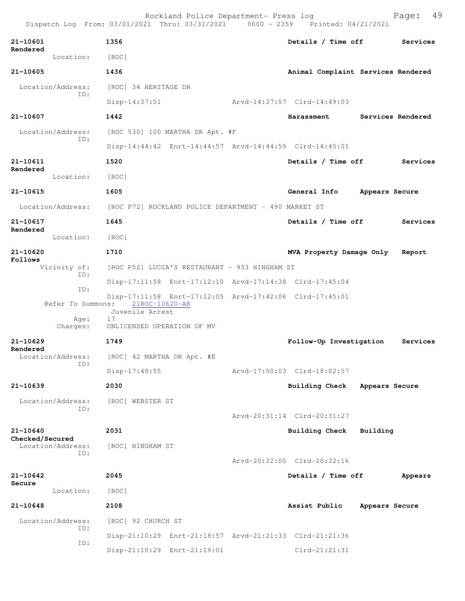|                                             | Rockland Police Department- Press log<br>Dispatch Log From: 03/01/2021 Thru: 03/31/2021 0000 - 2359 Printed: 04/21/2021 |                                    |                   | 49<br>Page: |
|---------------------------------------------|-------------------------------------------------------------------------------------------------------------------------|------------------------------------|-------------------|-------------|
| 21-10601                                    | 1356                                                                                                                    | Details / Time off Services        |                   |             |
| Rendered<br>Location:                       | [ROC]                                                                                                                   |                                    |                   |             |
| 21-10605                                    | 1436                                                                                                                    | Animal Complaint Services Rendered |                   |             |
| Location/Address:                           | [ROC] 34 HERITAGE DR                                                                                                    |                                    |                   |             |
| ID:                                         | $Disp-14:37:51$                                                                                                         | Arvd-14:37:57 Clrd-14:49:03        |                   |             |
| 21-10607                                    | 1442                                                                                                                    | Harassment                         | Services Rendered |             |
| Location/Address:                           | [ROC 530] 100 MARTHA DR Apt. #F                                                                                         |                                    |                   |             |
| ID:                                         | Disp-14:44:42 Enrt-14:44:57 Arvd-14:44:59 Clrd-14:45:01                                                                 |                                    |                   |             |
| 21-10611                                    | 1520                                                                                                                    | Details / Time off                 |                   | Services    |
| Rendered<br>Location:                       | [ROC]                                                                                                                   |                                    |                   |             |
| 21-10615                                    | 1605                                                                                                                    | General Info                       | Appears Secure    |             |
|                                             | Location/Address: [ROC P72] ROCKLAND POLICE DEPARTMENT - 490 MARKET ST                                                  |                                    |                   |             |
| 21-10617                                    | 1645                                                                                                                    | Details / Time off                 |                   | Services    |
| Rendered<br>Location:                       | [ROC]                                                                                                                   |                                    |                   |             |
| 21-10620                                    | 1710                                                                                                                    | MVA Property Damage Only           |                   | Report      |
| Follows<br>Vicinity of:                     | [ROC P52] LUCCA'S RESTAURANT - 933 HINGHAM ST                                                                           |                                    |                   |             |
| ID:                                         | Disp-17:11:58 Enrt-17:12:10 Arvd-17:14:38 Clrd-17:45:04                                                                 |                                    |                   |             |
| ID:<br>Refer To Summons:                    | Disp-17:11:58 Enrt-17:12:05 Arvd-17:42:06 Clrd-17:45:01<br>21ROC-10620-AR<br>Juvenile Arrest                            |                                    |                   |             |
| Age:<br>Charges:                            | 17<br>UNLICENSED OPERATION OF MV                                                                                        |                                    |                   |             |
| 21-10629                                    | 1749                                                                                                                    | Follow-Up Investigation            |                   | Services    |
| Rendered<br>Location/Address:<br>ID:        | [ROC] 42 MARTHA DR Apt. #E                                                                                              |                                    |                   |             |
|                                             | Disp-17:49:55                                                                                                           | Arvd-17:50:03 Clrd-18:02:57        |                   |             |
| 21-10639                                    | 2030                                                                                                                    | <b>Building Check</b>              | Appears Secure    |             |
| Location/Address:<br>ID:                    | [ROC] WEBSTER ST                                                                                                        |                                    |                   |             |
|                                             |                                                                                                                         | Arvd-20:31:14 Clrd-20:31:27        |                   |             |
| 21-10640                                    | 2031                                                                                                                    | Building Check Building            |                   |             |
| Checked/Secured<br>Location/Address:<br>ID: | [ROC] HINGHAM ST                                                                                                        |                                    |                   |             |
|                                             |                                                                                                                         | Arvd-20:32:05 Clrd-20:32:16        |                   |             |
| $21 - 10642$<br>Secure                      | 2045                                                                                                                    | Details / Time off                 |                   | Appears     |
| Location:                                   | [ROC]                                                                                                                   |                                    |                   |             |
| 21-10648                                    | 2108                                                                                                                    | Assist Public                      | Appears Secure    |             |
| Location/Address:<br>ID:                    | [ROC] 92 CHURCH ST                                                                                                      |                                    |                   |             |
| ID:                                         | Disp-21:10:29 Enrt-21:18:57 Arvd-21:21:33 Clrd-21:21:36                                                                 |                                    |                   |             |
|                                             | Disp-21:10:29 Enrt-21:19:01                                                                                             | $Clrd-21:21:31$                    |                   |             |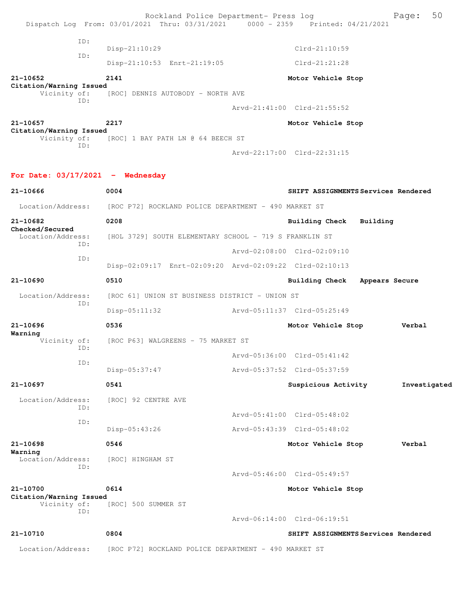|                                         |            | Rockland Police Department- Press log<br>Dispatch Log From: 03/01/2021 Thru: 03/31/2021 | 0000 - 2359 Printed: 04/21/2021     |                | Page:        | 50 |
|-----------------------------------------|------------|-----------------------------------------------------------------------------------------|-------------------------------------|----------------|--------------|----|
|                                         | ID:        | $Disp-21:10:29$                                                                         | Clrd-21:10:59                       |                |              |    |
|                                         | ID:        | Disp-21:10:53 Enrt-21:19:05                                                             | $Clrd-21:21:28$                     |                |              |    |
| 21-10652                                |            | 2141                                                                                    | Motor Vehicle Stop                  |                |              |    |
| Citation/Warning Issued<br>Vicinity of: |            | [ROC] DENNIS AUTOBODY - NORTH AVE                                                       |                                     |                |              |    |
|                                         | ID:        |                                                                                         | Arvd-21:41:00 Clrd-21:55:52         |                |              |    |
| 21-10657                                |            | 2217                                                                                    | Motor Vehicle Stop                  |                |              |    |
| Citation/Warning Issued<br>Vicinity of: |            | [ROC] 1 BAY PATH LN @ 64 BEECH ST                                                       |                                     |                |              |    |
|                                         | ID:        |                                                                                         | Arvd-22:17:00 Clrd-22:31:15         |                |              |    |
| For Date: $03/17/2021$ - Wednesday      |            |                                                                                         |                                     |                |              |    |
| 21-10666                                |            | 0004                                                                                    | SHIFT ASSIGNMENTS Services Rendered |                |              |    |
| Location/Address:                       |            | [ROC P72] ROCKLAND POLICE DEPARTMENT - 490 MARKET ST                                    |                                     |                |              |    |
| 21-10682                                |            | 0208                                                                                    | Building Check                      | Building       |              |    |
| Checked/Secured<br>Location/Address:    |            | [HOL 3729] SOUTH ELEMENTARY SCHOOL - 719 S FRANKLIN ST                                  |                                     |                |              |    |
| ID:                                     |            |                                                                                         | Arvd-02:08:00 Clrd-02:09:10         |                |              |    |
|                                         | ID:        | Disp-02:09:17 Enrt-02:09:20 Arvd-02:09:22 Clrd-02:10:13                                 |                                     |                |              |    |
| 21-10690                                |            | 0510                                                                                    | <b>Building Check</b>               | Appears Secure |              |    |
| Location/Address:                       |            | [ROC 61] UNION ST BUSINESS DISTRICT - UNION ST                                          |                                     |                |              |    |
|                                         | ID:        | $Disp-05:11:32$                                                                         |                                     |                |              |    |
| $21 - 10696$                            |            | 0536                                                                                    | Motor Vehicle Stop                  |                | Verbal       |    |
| Warning<br>Vicinity of:                 |            | [ROC P63] WALGREENS - 75 MARKET ST                                                      |                                     |                |              |    |
|                                         | ID:<br>ID: |                                                                                         | Arvd-05:36:00 Clrd-05:41:42         |                |              |    |
|                                         |            | Disp-05:37:47                                                                           | Arvd-05:37:52 Clrd-05:37:59         |                |              |    |
| 21-10697                                |            | 0541                                                                                    | Suspicious Activity                 |                | Investigated |    |
| Location/Address:                       | ID:        | [ROC] 92 CENTRE AVE                                                                     |                                     |                |              |    |
|                                         | ID:        |                                                                                         | Arvd-05:41:00 Clrd-05:48:02         |                |              |    |
|                                         |            | Disp-05:43:26                                                                           | Arvd-05:43:39 Clrd-05:48:02         |                |              |    |
| 21-10698                                |            | 0546                                                                                    | Motor Vehicle Stop                  |                | Verbal       |    |
| Warning<br>Location/Address:            | ID:        | [ROC] HINGHAM ST                                                                        |                                     |                |              |    |
|                                         |            |                                                                                         | Arvd-05:46:00 Clrd-05:49:57         |                |              |    |
| 21-10700                                |            | 0614                                                                                    | Motor Vehicle Stop                  |                |              |    |
| Citation/Warning Issued<br>Vicinity of: | ID:        | [ROC] 500 SUMMER ST                                                                     |                                     |                |              |    |
|                                         |            |                                                                                         | Arvd-06:14:00 Clrd-06:19:51         |                |              |    |
| 21-10710                                |            | 0804                                                                                    | SHIFT ASSIGNMENTS Services Rendered |                |              |    |
| Location/Address:                       |            | [ROC P72] ROCKLAND POLICE DEPARTMENT - 490 MARKET ST                                    |                                     |                |              |    |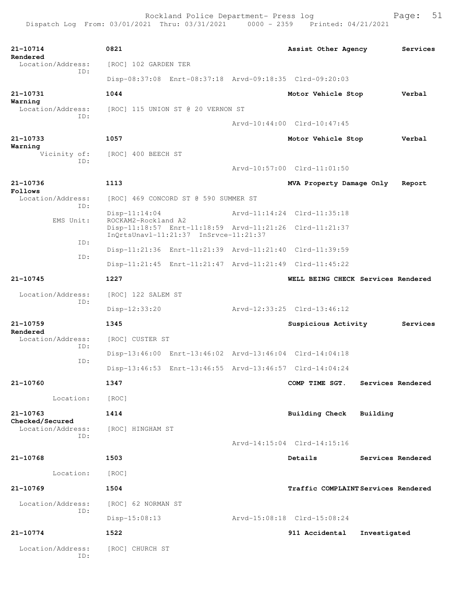| 21-10714<br>Rendered                 | 0821                                                                           | Assist Other Agency                 |                   | Services |
|--------------------------------------|--------------------------------------------------------------------------------|-------------------------------------|-------------------|----------|
| Location/Address:<br>ID:             | [ROC] 102 GARDEN TER                                                           |                                     |                   |          |
|                                      | Disp-08:37:08 Enrt-08:37:18 Arvd-09:18:35 Clrd-09:20:03                        |                                     |                   |          |
| 21-10731<br>Warning                  | 1044                                                                           | Motor Vehicle Stop                  |                   | Verbal   |
| Location/Address:<br>ID:             | [ROC] 115 UNION ST @ 20 VERNON ST                                              |                                     |                   |          |
|                                      |                                                                                | Arvd-10:44:00 Clrd-10:47:45         |                   |          |
| 21-10733                             | 1057                                                                           | Motor Vehicle Stop                  |                   | Verbal   |
| Warning<br>Vicinity of:              | [ROC] 400 BEECH ST                                                             |                                     |                   |          |
| ID:                                  |                                                                                | Arvd-10:57:00 Clrd-11:01:50         |                   |          |
| 21-10736                             | 1113                                                                           | MVA Property Damage Only            |                   | Report   |
| Follows<br>Location/Address:         | [ROC] 469 CONCORD ST @ 590 SUMMER ST                                           |                                     |                   |          |
| ID:                                  | $Disp-11:14:04$                                                                | Arvd-11:14:24 Clrd-11:35:18         |                   |          |
| EMS Unit:                            | ROCKAM2-Rockland A2<br>Disp-11:18:57 Enrt-11:18:59 Arvd-11:21:26 Clrd-11:21:37 |                                     |                   |          |
| ID:                                  | InOrtsUnavl-11:21:37 InSrvce-11:21:37                                          |                                     |                   |          |
| ID:                                  | Disp-11:21:36 Enrt-11:21:39 Arvd-11:21:40 Clrd-11:39:59                        |                                     |                   |          |
|                                      | Disp-11:21:45 Enrt-11:21:47 Arvd-11:21:49 Clrd-11:45:22                        |                                     |                   |          |
| 21-10745                             | 1227                                                                           | WELL BEING CHECK Services Rendered  |                   |          |
| Location/Address:<br>ID:             | [ROC] 122 SALEM ST                                                             |                                     |                   |          |
|                                      | Disp-12:33:20                                                                  | Arvd-12:33:25 Clrd-13:46:12         |                   |          |
| 21-10759<br>Rendered                 | 1345                                                                           | Suspicious Activity                 |                   | Services |
| Location/Address:                    | [ROC] CUSTER ST                                                                |                                     |                   |          |
| ID:                                  | Disp-13:46:00 Enrt-13:46:02 Arvd-13:46:04 Clrd-14:04:18                        |                                     |                   |          |
| ID:                                  | Disp-13:46:53 Enrt-13:46:55 Arvd-13:46:57 Clrd-14:04:24                        |                                     |                   |          |
| 21-10760                             | 1347                                                                           | COMP TIME SGT.                      | Services Rendered |          |
| Location:                            | [ROC]                                                                          |                                     |                   |          |
| 21-10763                             | 1414                                                                           | Building Check                      | Building          |          |
| Checked/Secured<br>Location/Address: | [ROC] HINGHAM ST                                                               |                                     |                   |          |
| ID:                                  |                                                                                | Arvd-14:15:04 Clrd-14:15:16         |                   |          |
| $21 - 10768$                         | 1503                                                                           | Details                             | Services Rendered |          |
| Location:                            | [ROC]                                                                          |                                     |                   |          |
| 21-10769                             |                                                                                |                                     |                   |          |
|                                      | 1504                                                                           | Traffic COMPLAINT Services Rendered |                   |          |
| Location/Address:<br>ID:             | [ROC] 62 NORMAN ST                                                             |                                     |                   |          |
|                                      | Disp-15:08:13                                                                  | Arvd-15:08:18 Clrd-15:08:24         |                   |          |
| 21-10774                             | 1522                                                                           | 911 Accidental                      | Investigated      |          |
| Location/Address:<br>ID:             | [ROC] CHURCH ST                                                                |                                     |                   |          |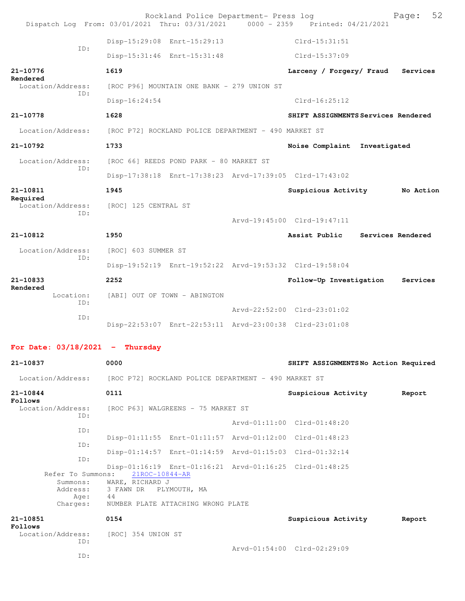|                                   | Rockland Police Department- Press log<br>Dispatch Log From: 03/01/2021 Thru: 03/31/2021   0000 - 2359   Printed: 04/21/2021 | 52<br>Page:                          |
|-----------------------------------|-----------------------------------------------------------------------------------------------------------------------------|--------------------------------------|
|                                   | Disp-15:29:08 Enrt-15:29:13                                                                                                 | $Clrd-15:31:51$                      |
| ID:                               | Disp-15:31:46 Enrt-15:31:48                                                                                                 | Clrd-15:37:09                        |
| 21-10776                          | 1619                                                                                                                        | Larceny / Forgery/ Fraud<br>Services |
| Rendered<br>Location/Address:     | [ROC P96] MOUNTAIN ONE BANK - 279 UNION ST                                                                                  |                                      |
| ID:                               | $Disp-16:24:54$                                                                                                             | $Clrd-16:25:12$                      |
| 21-10778                          | 1628                                                                                                                        | SHIFT ASSIGNMENTS Services Rendered  |
| Location/Address:                 | [ROC P72] ROCKLAND POLICE DEPARTMENT - 490 MARKET ST                                                                        |                                      |
| 21-10792                          | 1733                                                                                                                        | Noise Complaint Investigated         |
| Location/Address:                 | [ROC 66] REEDS POND PARK - 80 MARKET ST                                                                                     |                                      |
| TD:                               | Disp-17:38:18 Enrt-17:38:23 Arvd-17:39:05 Clrd-17:43:02                                                                     |                                      |
| 21-10811                          | 1945                                                                                                                        | Suspicious Activity<br>No Action     |
| Required<br>Location/Address:     | [ROC] 125 CENTRAL ST                                                                                                        |                                      |
| TD:                               |                                                                                                                             | Arvd-19:45:00 Clrd-19:47:11          |
| 21-10812                          | 1950                                                                                                                        | Services Rendered<br>Assist Public   |
| Location/Address:                 | [ROC] 603 SUMMER ST                                                                                                         |                                      |
| ID:                               | Disp-19:52:19 Enrt-19:52:22 Arvd-19:53:32 Clrd-19:58:04                                                                     |                                      |
| 21-10833                          | 2252                                                                                                                        | Follow-Up Investigation<br>Services  |
| Rendered<br>Location:<br>TD:      | [ABI] OUT OF TOWN - ABINGTON                                                                                                |                                      |
| ID:                               |                                                                                                                             | Arvd-22:52:00 Clrd-23:01:02          |
|                                   | Disp-22:53:07 Enrt-22:53:11 Arvd-23:00:38 Clrd-23:01:08                                                                     |                                      |
| For Date: $03/18/2021$ - Thursday |                                                                                                                             |                                      |
| 21-10837                          | 0000                                                                                                                        | SHIFT ASSIGNMENTSNo Action Required  |
| Location/Address:                 | [ROC P72] ROCKLAND POLICE DEPARTMENT - 490 MARKET ST                                                                        |                                      |
| 21-10844<br>Follows               | 0111                                                                                                                        | Suspicious Activity<br>Report        |

Location/Address: [ROC P63] WALGREENS - 75 MARKET ST ID: Arvd-01:11:00 Clrd-01:48:20 ID: Disp-01:11:55 Enrt-01:11:57 Arvd-01:12:00 Clrd-01:48:23 ID: Disp-01:14:57 Enrt-01:14:59 Arvd-01:15:03 Clrd-01:32:14 ID: Disp-01:16:19 Enrt-01:16:21 Arvd-01:16:25 Clrd-01:48:25 Refer To Summons: Summons: WARE, RICHARD J<br>Address: 3 FAWN DR PLYM 3 FAWN DR PLYMOUTH, MA Age:<br>:Charges NUMBER PLATE ATTACHING WRONG PLATE **21-10851 0154 Suspicious Activity Report Follows**  Location/Address: [ROC] 354 UNION ST ID: Arvd-01:54:00 Clrd-02:29:09

ID: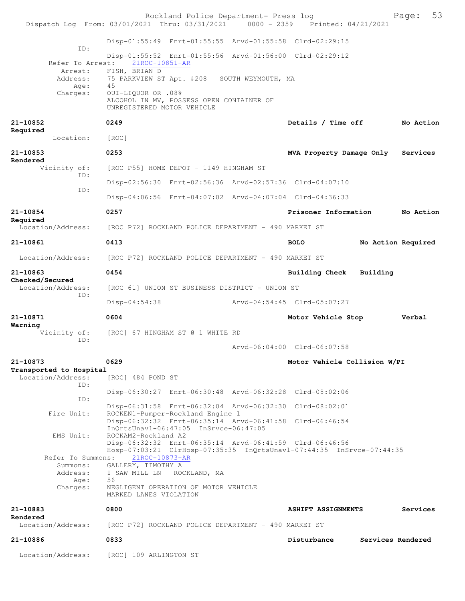| Dispatch Log From: 03/01/2021 Thru: 03/31/2021 0000 - 2359 Printed: 04/21/2021 |                                                        | Rockland Police Department- Press log                                     |                                                                                                                                 | 53<br>Page:        |
|--------------------------------------------------------------------------------|--------------------------------------------------------|---------------------------------------------------------------------------|---------------------------------------------------------------------------------------------------------------------------------|--------------------|
|                                                                                |                                                        | Disp-01:55:49 Enrt-01:55:55 Arvd-01:55:58 Clrd-02:29:15                   |                                                                                                                                 |                    |
| ID:<br>Refer To Arrest:                                                        | $21ROC - 10851 - AR$                                   |                                                                           | Disp-01:55:52 Enrt-01:55:56 Arvd-01:56:00 Clrd-02:29:12                                                                         |                    |
| Arrest:<br>Address:                                                            | FISH, BRIAN D                                          | 75 PARKVIEW ST Apt. #208 SOUTH WEYMOUTH, MA                               |                                                                                                                                 |                    |
| Age:<br>Charges:                                                               | 45<br>OUI-LIQUOR OR .08%<br>UNREGISTERED MOTOR VEHICLE | ALCOHOL IN MV, POSSESS OPEN CONTAINER OF                                  |                                                                                                                                 |                    |
| 21-10852<br>Required                                                           | 0249                                                   |                                                                           | Details / Time off                                                                                                              | No Action          |
| Location:                                                                      | [ROC]                                                  |                                                                           |                                                                                                                                 |                    |
| 21-10853<br>Rendered                                                           | 0253                                                   |                                                                           | MVA Property Damage Only                                                                                                        | Services           |
| Vicinity of:<br>ID:                                                            |                                                        | [ROC P55] HOME DEPOT - 1149 HINGHAM ST                                    |                                                                                                                                 |                    |
| ID:                                                                            |                                                        |                                                                           | Disp-02:56:30 Enrt-02:56:36 Arvd-02:57:36 Clrd-04:07:10                                                                         |                    |
|                                                                                |                                                        |                                                                           | Disp-04:06:56 Enrt-04:07:02 Arvd-04:07:04 Clrd-04:36:33                                                                         |                    |
| 21-10854<br>Required                                                           | 0257                                                   |                                                                           | Prisoner Information                                                                                                            | No Action          |
| Location/Address:                                                              |                                                        | [ROC P72] ROCKLAND POLICE DEPARTMENT - 490 MARKET ST                      |                                                                                                                                 |                    |
| 21-10861                                                                       | 0413                                                   |                                                                           | <b>BOLO</b>                                                                                                                     | No Action Required |
| Location/Address:                                                              |                                                        | [ROC P72] ROCKLAND POLICE DEPARTMENT - 490 MARKET ST                      |                                                                                                                                 |                    |
| 21-10863<br>Checked/Secured                                                    | 0454                                                   |                                                                           | Building Check Building                                                                                                         |                    |
| Location/Address:<br>ID:                                                       |                                                        | [ROC 61] UNION ST BUSINESS DISTRICT - UNION ST                            |                                                                                                                                 |                    |
|                                                                                | $Disp-04:54:38$                                        |                                                                           | Arvd-04:54:45 Clrd-05:07:27                                                                                                     |                    |
| 21-10871<br>Warning                                                            | 0604                                                   |                                                                           | Motor Vehicle Stop                                                                                                              | Verbal             |
| Vicinity of:<br>ID:                                                            |                                                        | [ROC] 67 HINGHAM ST @ 1 WHITE RD                                          |                                                                                                                                 |                    |
|                                                                                |                                                        |                                                                           | Arvd-06:04:00 Clrd-06:07:58                                                                                                     |                    |
| 21-10873<br>Transported to Hospital<br>Location/Address:                       | 0629<br>[ROC] 484 POND ST                              |                                                                           | Motor Vehicle Collision W/PI                                                                                                    |                    |
| ID:                                                                            |                                                        |                                                                           | Disp-06:30:27 Enrt-06:30:48 Arvd-06:32:28 Clrd-08:02:06                                                                         |                    |
| ID:                                                                            |                                                        |                                                                           | Disp-06:31:58 Enrt-06:32:04 Arvd-06:32:30 Clrd-08:02:01                                                                         |                    |
| Fire Unit:                                                                     |                                                        | ROCKEN1-Pumper-Rockland Engine 1<br>InOrtsUnav1-06:47:05 InSrvce-06:47:05 | Disp-06:32:32 Enrt-06:35:14 Arvd-06:41:58 Clrd-06:46:54                                                                         |                    |
| EMS Unit:                                                                      | ROCKAM2-Rockland A2                                    |                                                                           | Disp-06:32:32 Enrt-06:35:14 Arvd-06:41:59 Clrd-06:46:56<br>Hosp-07:03:21 ClrHosp-07:35:35 InQrtsUnavl-07:44:35 InSrvce-07:44:35 |                    |
| Refer To Summons:                                                              | 21ROC-10873-AR                                         |                                                                           |                                                                                                                                 |                    |
| Summons:<br>Address:<br>Age:                                                   | GALLERY, TIMOTHY A<br>56                               | 1 SAW MILL LN ROCKLAND, MA                                                |                                                                                                                                 |                    |
| Charges:                                                                       | MARKED LANES VIOLATION                                 | NEGLIGENT OPERATION OF MOTOR VEHICLE                                      |                                                                                                                                 |                    |
| 21-10883                                                                       | 0800                                                   |                                                                           | <b>ASHIFT ASSIGNMENTS</b>                                                                                                       | Services           |
| Rendered<br>Location/Address:                                                  |                                                        | [ROC P72] ROCKLAND POLICE DEPARTMENT - 490 MARKET ST                      |                                                                                                                                 |                    |
| 21-10886                                                                       | 0833                                                   |                                                                           | Disturbance                                                                                                                     | Services Rendered  |
| Location/Address:                                                              | [ROC] 109 ARLINGTON ST                                 |                                                                           |                                                                                                                                 |                    |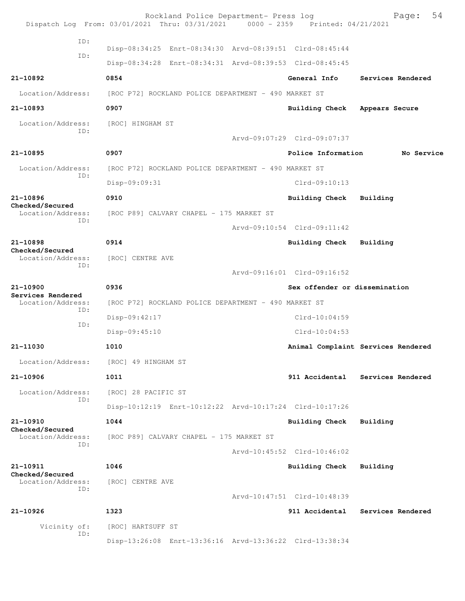Rockland Police Department- Press log Fage: 54 Dispatch Log From: 03/01/2021 Thru: 03/31/2021 0000 - 2359 Printed: 04/21/2021 ID: Disp-08:34:25 Enrt-08:34:30 Arvd-08:39:51 Clrd-08:45:44 ID: Disp-08:34:28 Enrt-08:34:31 Arvd-08:39:53 Clrd-08:45:45 **21-10892 0854 General Info Services Rendered** Location/Address: [ROC P72] ROCKLAND POLICE DEPARTMENT - 490 MARKET ST **21-10893 0907 Building Check Appears Secure** Location/Address: [ROC] HINGHAM ST ID: Arvd-09:07:29 Clrd-09:07:37 **21-10895 0907 Police Information No Service** Location/Address: [ROC P72] ROCKLAND POLICE DEPARTMENT - 490 MARKET ST ID: Disp-09:09:31 Clrd-09:10:13 **21-10896 0910 Building Check Building Checked/Secured**  [ROC P89] CALVARY CHAPEL - 175 MARKET ST ID: Arvd-09:10:54 Clrd-09:11:42 **21-10898 0914 Building Check Building Checked/Secured**  Location/Address: [ROC] CENTRE AVE ID: Arvd-09:16:01 Clrd-09:16:52 **21-10900 0936 Sex offender or dissemination Services Rendered**  Location/Address: [ROC P72] ROCKLAND POLICE DEPARTMENT - 490 MARKET ST ID: Disp-09:42:17 Clrd-10:04:59 ID: Disp-09:45:10 Clrd-10:04:53 **21-11030 1010 Animal Complaint Services Rendered** Location/Address: [ROC] 49 HINGHAM ST **21-10906 1011 911 Accidental Services Rendered** Location/Address: [ROC] 28 PACIFIC ST ID: Disp-10:12:19 Enrt-10:12:22 Arvd-10:17:24 Clrd-10:17:26 **21-10910 1044 Building Check Building Checked/Secured**  [ROC P89] CALVARY CHAPEL - 175 MARKET ST ID: Arvd-10:45:52 Clrd-10:46:02 **21-10911 1046 Building Check Building Checked/Secured**  Location/Address: [ROC] CENTRE AVE ID: Arvd-10:47:51 Clrd-10:48:39 **21-10926 1323 911 Accidental Services Rendered** Vicinity of: [ROC] HARTSUFF ST ID: Disp-13:26:08 Enrt-13:36:16 Arvd-13:36:22 Clrd-13:38:34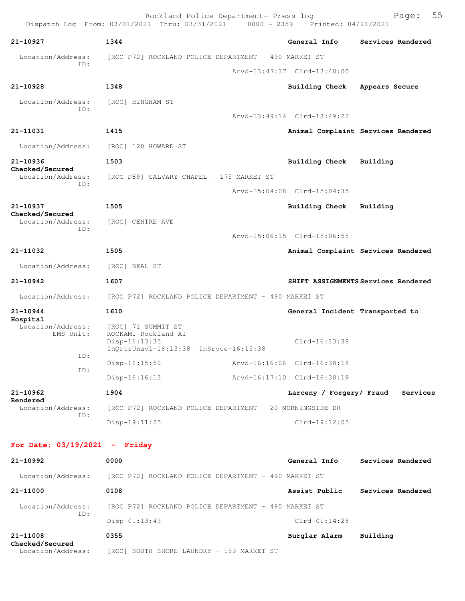|                                 | Rockland Police Department- Press log<br>Dispatch Log From: 03/01/2021 Thru: 03/31/2021 0000 - 2359 Printed: 04/21/2021 |                                 | Page:                               | 55 |
|---------------------------------|-------------------------------------------------------------------------------------------------------------------------|---------------------------------|-------------------------------------|----|
| 21-10927                        | 1344                                                                                                                    | General Info                    | Services Rendered                   |    |
| Location/Address:               | [ROC P72] ROCKLAND POLICE DEPARTMENT - 490 MARKET ST                                                                    |                                 |                                     |    |
| TD:                             |                                                                                                                         | Arvd-13:47:37 Clrd-13:48:00     |                                     |    |
| 21-10928                        | 1348                                                                                                                    | <b>Building Check</b>           | Appears Secure                      |    |
| Location/Address:               | [ROC] HINGHAM ST                                                                                                        |                                 |                                     |    |
| ID:                             |                                                                                                                         | Arvd-13:49:14 Clrd-13:49:22     |                                     |    |
| 21-11031                        | 1415                                                                                                                    |                                 | Animal Complaint Services Rendered  |    |
| Location/Address:               | [ROC] 120 HOWARD ST                                                                                                     |                                 |                                     |    |
| 21-10936<br>Checked/Secured     | 1503                                                                                                                    | Building Check                  | Building                            |    |
| Location/Address:<br>ID:        | [ROC P89] CALVARY CHAPEL - 175 MARKET ST                                                                                |                                 |                                     |    |
|                                 |                                                                                                                         | Arvd-15:04:08 Clrd-15:04:35     |                                     |    |
| 21-10937<br>Checked/Secured     | 1505                                                                                                                    | Building Check                  | Building                            |    |
| Location/Address:<br>ID:        | [ROC] CENTRE AVE                                                                                                        |                                 |                                     |    |
|                                 |                                                                                                                         | Arvd-15:06:15 Clrd-15:06:55     |                                     |    |
| 21-11032                        | 1505                                                                                                                    |                                 | Animal Complaint Services Rendered  |    |
| Location/Address:               | [ROC] BEAL ST                                                                                                           |                                 |                                     |    |
| 21-10942                        | 1607                                                                                                                    |                                 | SHIFT ASSIGNMENTS Services Rendered |    |
| Location/Address:               | [ROC P72] ROCKLAND POLICE DEPARTMENT - 490 MARKET ST                                                                    |                                 |                                     |    |
| $21 - 10944$<br>Hospital        | 1610                                                                                                                    | General Incident Transported to |                                     |    |
| Location/Address:<br>EMS Unit:  | [ROC] 71 SUMMIT ST<br>ROCKAM1-Rockland A1<br>$Disp-16:13:35$<br>InQrtsUnavl-16:13:38 InSrvce-16:13:38                   | Clrd-16:13:38                   |                                     |    |
| ID:<br>ID:                      | $Disp-16:15:50$                                                                                                         | Arvd-16:16:06 Clrd-16:38:18     |                                     |    |
|                                 | $Disp-16:16:13$                                                                                                         | Arvd-16:17:10 Clrd-16:38:19     |                                     |    |
| 21-10962<br>Rendered            | 1904                                                                                                                    | Larceny / Forgery/ Fraud        | Services                            |    |
| Location/Address:<br>ID:        | [ROC P72] ROCKLAND POLICE DEPARTMENT - 20 MORNINGSIDE DR                                                                |                                 |                                     |    |
|                                 | $Disp-19:11:25$                                                                                                         | $Clrd-19:12:05$                 |                                     |    |
| For Date: $03/19/2021$ - Friday |                                                                                                                         |                                 |                                     |    |
| 21-10992                        | 0000                                                                                                                    | General Info                    | Services Rendered                   |    |
| Location/Address:               | [ROC P72] ROCKLAND POLICE DEPARTMENT - 490 MARKET ST                                                                    |                                 |                                     |    |
| 21-11000                        | 0108                                                                                                                    | Assist Public                   | Services Rendered                   |    |
| Location/Address:<br>ID:        | [ROC P72] ROCKLAND POLICE DEPARTMENT - 490 MARKET ST<br>$Disp-01:13:49$                                                 | $Clrd-01:14:28$                 |                                     |    |
| 21-11008                        | 0355                                                                                                                    | Burglar Alarm                   | Building                            |    |

**Checked/Secured** 

Location/Address: [ROC] SOUTH SHORE LAUNDRY - 153 MARKET ST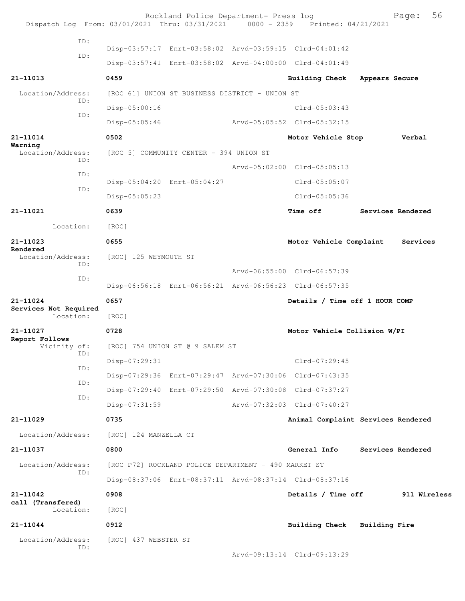|                                    |     |                       | Rockland Police Department- Press log                | Dispatch Log From: 03/01/2021 Thru: 03/31/2021 0000 - 2359 Printed: 04/21/2021 |                | 56<br>Page:       |
|------------------------------------|-----|-----------------------|------------------------------------------------------|--------------------------------------------------------------------------------|----------------|-------------------|
|                                    | ID: |                       |                                                      |                                                                                |                |                   |
|                                    | ID: |                       |                                                      | Disp-03:57:17 Enrt-03:58:02 Arvd-03:59:15 Clrd-04:01:42                        |                |                   |
|                                    |     |                       |                                                      | Disp-03:57:41 Enrt-03:58:02 Arvd-04:00:00 Clrd-04:01:49                        |                |                   |
| 21-11013                           |     | 0459                  |                                                      | <b>Building Check</b>                                                          | Appears Secure |                   |
| Location/Address:                  | ID: |                       | [ROC 61] UNION ST BUSINESS DISTRICT - UNION ST       |                                                                                |                |                   |
|                                    | ID: | Disp-05:00:16         |                                                      | $Clrd-05:03:43$                                                                |                |                   |
|                                    |     | $Disp-05:05:46$       |                                                      | Arvd-05:05:52 Clrd-05:32:15                                                    |                |                   |
| 21-11014<br>Warning                |     | 0502                  |                                                      | Motor Vehicle Stop                                                             |                | Verbal            |
| Location/Address:                  | ID: |                       | [ROC 5] COMMUNITY CENTER - 394 UNION ST              |                                                                                |                |                   |
|                                    | ID: |                       |                                                      | Arvd-05:02:00 Clrd-05:05:13                                                    |                |                   |
|                                    | ID: |                       | Disp-05:04:20 Enrt-05:04:27                          | $Clrd-05:05:07$                                                                |                |                   |
|                                    |     | $Disp-05:05:23$       |                                                      | Clrd-05:05:36                                                                  |                |                   |
| 21-11021                           |     | 0639                  |                                                      | <b>Time off</b>                                                                |                | Services Rendered |
| Location:                          |     | [ROC]                 |                                                      |                                                                                |                |                   |
| 21-11023                           |     | 0655                  |                                                      | Motor Vehicle Complaint                                                        |                | Services          |
| Rendered<br>Location/Address:      |     | [ROC] 125 WEYMOUTH ST |                                                      |                                                                                |                |                   |
| ID:                                |     |                       | Arvd-06:55:00 Clrd-06:57:39                          |                                                                                |                |                   |
|                                    | ID: |                       |                                                      | Disp-06:56:18 Enrt-06:56:21 Arvd-06:56:23 Clrd-06:57:35                        |                |                   |
| 21-11024                           |     | 0657                  |                                                      | Details / Time off 1 HOUR COMP                                                 |                |                   |
| Services Not Required<br>Location: |     | [ROC]                 |                                                      |                                                                                |                |                   |
| 21-11027                           |     | 0728                  |                                                      | Motor Vehicle Collision W/PI                                                   |                |                   |
| Report Follows<br>Vicinity of:     |     |                       | [ROC] 754 UNION ST @ 9 SALEM ST                      |                                                                                |                |                   |
|                                    | ID: | Disp-07:29:31         |                                                      | Clrd-07:29:45                                                                  |                |                   |
|                                    | ID: |                       |                                                      | Disp-07:29:36 Enrt-07:29:47 Arvd-07:30:06 Clrd-07:43:35                        |                |                   |
|                                    | ID: |                       |                                                      | Disp-07:29:40 Enrt-07:29:50 Arvd-07:30:08 Clrd-07:37:27                        |                |                   |
|                                    | ID: | Disp-07:31:59         |                                                      | Arvd-07:32:03 Clrd-07:40:27                                                    |                |                   |
| $21 - 11029$                       |     | 0735                  |                                                      | Animal Complaint Services Rendered                                             |                |                   |
| Location/Address:                  |     | [ROC] 124 MANZELLA CT |                                                      |                                                                                |                |                   |
| 21-11037                           |     | 0800                  |                                                      | General Info                                                                   |                | Services Rendered |
| Location/Address:                  |     |                       | [ROC P72] ROCKLAND POLICE DEPARTMENT - 490 MARKET ST |                                                                                |                |                   |
|                                    | ID: |                       |                                                      | Disp-08:37:06 Enrt-08:37:11 Arvd-08:37:14 Clrd-08:37:16                        |                |                   |
| $21 - 11042$                       |     | 0908                  |                                                      | Details / Time off                                                             |                | 911 Wireless      |
| call (Transfered)<br>Location:     |     | [ROC]                 |                                                      |                                                                                |                |                   |
| 21-11044                           |     | 0912                  |                                                      | Building Check Building Fire                                                   |                |                   |
| Location/Address:                  |     | [ROC] 437 WEBSTER ST  |                                                      |                                                                                |                |                   |
|                                    | ID: |                       |                                                      | Arvd-09:13:14 Clrd-09:13:29                                                    |                |                   |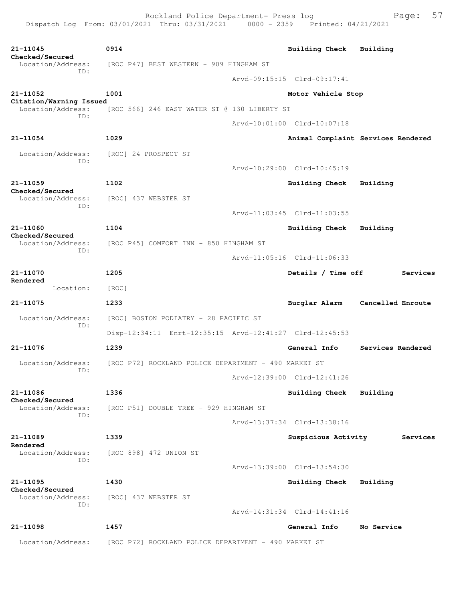| 21-11045<br>Checked/Secured                  | 0914                                                    |  | <b>Building Check</b>       | Building                           |  |  |  |
|----------------------------------------------|---------------------------------------------------------|--|-----------------------------|------------------------------------|--|--|--|
| Location/Address:                            | [ROC P47] BEST WESTERN - 909 HINGHAM ST                 |  |                             |                                    |  |  |  |
| ID:                                          |                                                         |  | Arvd-09:15:15 Clrd-09:17:41 |                                    |  |  |  |
| 21-11052                                     | 1001                                                    |  | Motor Vehicle Stop          |                                    |  |  |  |
| Citation/Warning Issued<br>Location/Address: | [ROC 566] 246 EAST WATER ST @ 130 LIBERTY ST            |  |                             |                                    |  |  |  |
| TD:                                          |                                                         |  | Arvd-10:01:00 Clrd-10:07:18 |                                    |  |  |  |
| $21 - 11054$                                 | 1029                                                    |  |                             | Animal Complaint Services Rendered |  |  |  |
| Location/Address:                            | [ROC] 24 PROSPECT ST                                    |  |                             |                                    |  |  |  |
| ID:                                          |                                                         |  | Arvd-10:29:00 Clrd-10:45:19 |                                    |  |  |  |
| 21-11059                                     | 1102                                                    |  | <b>Building Check</b>       | Building                           |  |  |  |
| Checked/Secured<br>Location/Address:         | [ROC] 437 WEBSTER ST                                    |  |                             |                                    |  |  |  |
| ID:                                          |                                                         |  | Arvd-11:03:45 Clrd-11:03:55 |                                    |  |  |  |
| 21-11060                                     | 1104                                                    |  | Building Check              | Building                           |  |  |  |
| Checked/Secured<br>Location/Address:         | [ROC P45] COMFORT INN - 850 HINGHAM ST                  |  |                             |                                    |  |  |  |
| TD:                                          |                                                         |  | Arvd-11:05:16 Clrd-11:06:33 |                                    |  |  |  |
| 21-11070                                     | 1205                                                    |  | Details / Time off          | Services                           |  |  |  |
| Rendered<br>Location:                        | [ROC]                                                   |  |                             |                                    |  |  |  |
| 21-11075                                     | 1233                                                    |  | Burglar Alarm               | Cancelled Enroute                  |  |  |  |
| Location/Address:                            | [ROC] BOSTON PODIATRY - 28 PACIFIC ST                   |  |                             |                                    |  |  |  |
| ID:                                          | Disp-12:34:11 Enrt-12:35:15 Arvd-12:41:27 Clrd-12:45:53 |  |                             |                                    |  |  |  |
| 21-11076                                     | 1239                                                    |  | General Info                | Services Rendered                  |  |  |  |
| Location/Address:                            | [ROC P72] ROCKLAND POLICE DEPARTMENT - 490 MARKET ST    |  |                             |                                    |  |  |  |
| ID:                                          |                                                         |  | Arvd-12:39:00 Clrd-12:41:26 |                                    |  |  |  |
| 21-11086                                     | 1336                                                    |  | Building Check              | Building                           |  |  |  |
| Checked/Secured<br>Location/Address:         | [ROC P51] DOUBLE TREE - 929 HINGHAM ST                  |  |                             |                                    |  |  |  |
| ID:                                          |                                                         |  | Arvd-13:37:34 Clrd-13:38:16 |                                    |  |  |  |
| 21-11089                                     | 1339                                                    |  | Suspicious Activity         | Services                           |  |  |  |
| Rendered<br>Location/Address:                | [ROC 898] 472 UNION ST                                  |  |                             |                                    |  |  |  |
| ID:                                          |                                                         |  | Arvd-13:39:00 Clrd-13:54:30 |                                    |  |  |  |
| 21-11095                                     | 1430                                                    |  | Building Check              | Building                           |  |  |  |
| Checked/Secured<br>Location/Address:         | [ROC] 437 WEBSTER ST                                    |  |                             |                                    |  |  |  |
| ID:                                          |                                                         |  | Arvd-14:31:34 Clrd-14:41:16 |                                    |  |  |  |
| 21-11098                                     | 1457                                                    |  | General Info                | No Service                         |  |  |  |
| Location/Address:                            | [ROC P72] ROCKLAND POLICE DEPARTMENT - 490 MARKET ST    |  |                             |                                    |  |  |  |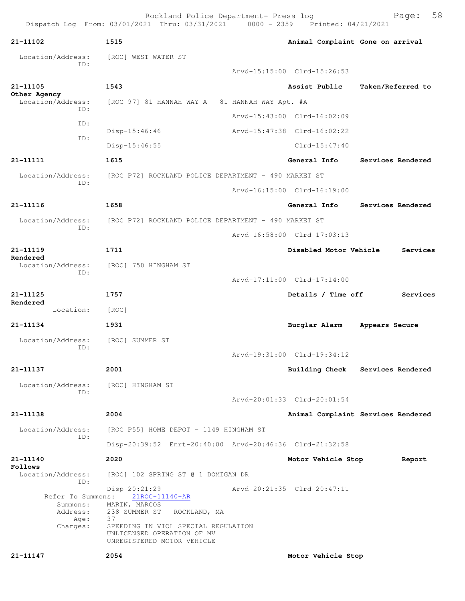| 21-11102                          | 1515                                                                                            | Animal Complaint Gone on arrival |                                    |
|-----------------------------------|-------------------------------------------------------------------------------------------------|----------------------------------|------------------------------------|
| Location/Address:<br>ID:          | [ROC] WEST WATER ST                                                                             |                                  |                                    |
|                                   |                                                                                                 | Arvd-15:15:00 Clrd-15:26:53      |                                    |
| 21-11105                          | 1543                                                                                            | Assist Public                    | Taken/Referred to                  |
| Other Agency<br>Location/Address: | $[ROC 97] 81$ HANNAH WAY A - 81 HANNAH WAY Apt. #A                                              |                                  |                                    |
| ID:                               |                                                                                                 | Arvd-15:43:00 Clrd-16:02:09      |                                    |
| ID:                               | $Disp-15:46:46$                                                                                 | Arvd-15:47:38 Clrd-16:02:22      |                                    |
| ID:                               | $Disp-15:46:55$                                                                                 | $Clrd-15:47:40$                  |                                    |
| 21-11111                          | 1615                                                                                            | General Info                     | Services Rendered                  |
| Location/Address:                 | [ROC P72] ROCKLAND POLICE DEPARTMENT - 490 MARKET ST                                            |                                  |                                    |
| ID:                               |                                                                                                 | Arvd-16:15:00 Clrd-16:19:00      |                                    |
| 21-11116                          | 1658                                                                                            | General Info                     | Services Rendered                  |
| Location/Address:                 | [ROC P72] ROCKLAND POLICE DEPARTMENT - 490 MARKET ST                                            |                                  |                                    |
| ID:                               |                                                                                                 | Arvd-16:58:00 Clrd-17:03:13      |                                    |
| 21-11119                          | 1711                                                                                            | Disabled Motor Vehicle           | Services                           |
| Rendered<br>Location/Address:     | [ROC] 750 HINGHAM ST                                                                            |                                  |                                    |
| ID:                               |                                                                                                 | Arvd-17:11:00 Clrd-17:14:00      |                                    |
| 21-11125                          | 1757                                                                                            | Details / Time off               | Services                           |
| Rendered<br>Location:             | [ROC]                                                                                           |                                  |                                    |
| 21-11134                          | 1931                                                                                            | Burglar Alarm                    | Appears Secure                     |
| Location/Address:                 | [ROC] SUMMER ST                                                                                 |                                  |                                    |
| ID:                               |                                                                                                 | Arvd-19:31:00 Clrd-19:34:12      |                                    |
| 21–11137                          | 2001                                                                                            |                                  | Building Check Services Rendered   |
| Location/Address:                 | [ROC] HINGHAM ST                                                                                |                                  |                                    |
| ID:                               |                                                                                                 | Arvd-20:01:33 Clrd-20:01:54      |                                    |
| 21-11138                          | 2004                                                                                            |                                  | Animal Complaint Services Rendered |
|                                   |                                                                                                 |                                  |                                    |
| Location/Address:<br>ID:          | [ROC P55] HOME DEPOT - 1149 HINGHAM ST                                                          |                                  |                                    |
|                                   | Disp-20:39:52 Enrt-20:40:00 Arvd-20:46:36 Clrd-21:32:58                                         |                                  |                                    |
| 21-11140<br>Follows               | 2020                                                                                            | Motor Vehicle Stop               | Report                             |
| Location/Address:<br>ID:          | [ROC] 102 SPRING ST @ 1 DOMIGAN DR                                                              |                                  |                                    |
| Refer To Summons:<br>Summons:     | Disp-20:21:29<br>21ROC-11140-AR<br>MARIN, MARCOS                                                | Arvd-20:21:35 Clrd-20:47:11      |                                    |
| Address:<br>Age:                  | 238 SUMMER ST ROCKLAND, MA<br>37                                                                |                                  |                                    |
| Charges:                          | SPEEDING IN VIOL SPECIAL REGULATION<br>UNLICENSED OPERATION OF MV<br>UNREGISTERED MOTOR VEHICLE |                                  |                                    |
| 21-11147                          | 2054                                                                                            | Motor Vehicle Stop               |                                    |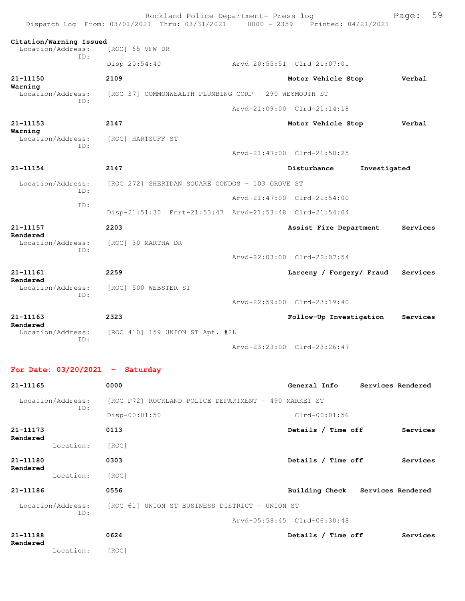|                                                     | Rockland Police Department- Press log<br>Dispatch Log From: 03/01/2021 Thru: 03/31/2021 0000 - 2359 Printed: 04/21/2021 |                             |                   | Page:    | 59 |
|-----------------------------------------------------|-------------------------------------------------------------------------------------------------------------------------|-----------------------------|-------------------|----------|----|
| Citation/Warning Issued<br>Location/Address:<br>TD: | [ROC] 65 VFW DR                                                                                                         |                             |                   |          |    |
|                                                     | $Disp-20:54:40$                                                                                                         | Arvd-20:55:51 Clrd-21:07:01 |                   |          |    |
| 21-11150                                            | 2109                                                                                                                    | Motor Vehicle Stop          |                   | Verbal   |    |
| Warning<br>Location/Address:                        | [ROC 37] COMMONWEALTH PLUMBING CORP - 290 WEYMOUTH ST                                                                   |                             |                   |          |    |
| TD:                                                 |                                                                                                                         | Arvd-21:09:00 Clrd-21:14:18 |                   |          |    |
| 21-11153                                            | 2147                                                                                                                    | Motor Vehicle Stop          |                   | Verbal   |    |
| Warning<br>Location/Address:                        | [ROC] HARTSUFF ST                                                                                                       |                             |                   |          |    |
| ID:                                                 |                                                                                                                         | Arvd-21:47:00 Clrd-21:50:25 |                   |          |    |
| 21-11154                                            | 2147                                                                                                                    | Disturbance                 | Investigated      |          |    |
| Location/Address:                                   | [ROC 272] SHERIDAN SQUARE CONDOS - 103 GROVE ST                                                                         |                             |                   |          |    |
| TD:                                                 |                                                                                                                         | Arvd-21:47:00 Clrd-21:54:00 |                   |          |    |
| ID:                                                 | Disp-21:51:30 Enrt-21:53:47 Arvd-21:53:48 Clrd-21:54:04                                                                 |                             |                   |          |    |
| 21-11157                                            | 2203                                                                                                                    | Assist Fire Department      |                   | Services |    |
| Rendered<br>Location/Address:                       | [ROC] 30 MARTHA DR                                                                                                      |                             |                   |          |    |
| TD:                                                 |                                                                                                                         | Arvd-22:03:00 Clrd-22:07:54 |                   |          |    |
| 21-11161                                            | 2259                                                                                                                    | Larceny / Forgery/ Fraud    |                   | Services |    |
| Rendered<br>Location/Address:                       | [ROC] 500 WEBSTER ST                                                                                                    |                             |                   |          |    |
| ID:                                                 |                                                                                                                         | Arvd-22:59:00 Clrd-23:19:40 |                   |          |    |
| 21-11163                                            | 2323                                                                                                                    | Follow-Up Investigation     |                   | Services |    |
| Rendered<br>Location/Address:                       | [ROC 410] 159 UNION ST Apt. #2L                                                                                         |                             |                   |          |    |
| ID:                                                 |                                                                                                                         | Arvd-23:23:00 Clrd-23:26:47 |                   |          |    |
|                                                     |                                                                                                                         |                             |                   |          |    |
| For Date: $03/20/2021$ - Saturday                   |                                                                                                                         |                             |                   |          |    |
| 21-11165                                            | 0000                                                                                                                    | General Info                | Services Rendered |          |    |
| Location/Address:<br>ID:                            | [ROC P72] ROCKLAND POLICE DEPARTMENT - 490 MARKET ST                                                                    |                             |                   |          |    |
|                                                     | Disp-00:01:50                                                                                                           | $Clrd-00:01:56$             |                   |          |    |
| $21 - 11173$<br>Rendered                            | 0113                                                                                                                    | Details / Time off          |                   | Services |    |
| Location:                                           | [ROC]                                                                                                                   |                             |                   |          |    |
| 21-11180<br>Rendered                                | 0303                                                                                                                    | Details / Time off          |                   | Services |    |
|                                                     |                                                                                                                         |                             |                   |          |    |

Location: [ROC] **21-11186 0556 Building Check Services Rendered** Location/Address: [ROC 61] UNION ST BUSINESS DISTRICT - UNION ST ID: Arvd-05:58:45 Clrd-06:30:48

| 21-11188<br>Rendered |           | 0624  | Details / Time off | Services |
|----------------------|-----------|-------|--------------------|----------|
|                      | Location: | [ROC] |                    |          |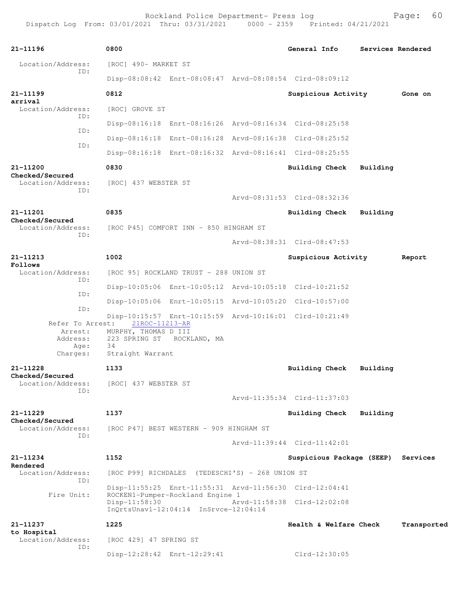| 21-11196                             | 0800                                                   |  | General Info                                            | Services Rendered |             |
|--------------------------------------|--------------------------------------------------------|--|---------------------------------------------------------|-------------------|-------------|
| Location/Address:<br>ID:             | [ROC] 490- MARKET ST                                   |  |                                                         |                   |             |
|                                      |                                                        |  | Disp-08:08:42 Enrt-08:08:47 Arvd-08:08:54 Clrd-08:09:12 |                   |             |
| 21-11199<br>arrival                  | 0812                                                   |  | Suspicious Activity                                     |                   | Gone on     |
| Location/Address:                    | [ROC] GROVE ST                                         |  |                                                         |                   |             |
| TD:                                  |                                                        |  | Disp-08:16:18 Enrt-08:16:26 Arvd-08:16:34 Clrd-08:25:58 |                   |             |
| ID:                                  |                                                        |  | Disp-08:16:18 Enrt-08:16:28 Arvd-08:16:38 Clrd-08:25:52 |                   |             |
| ID:                                  |                                                        |  | Disp-08:16:18 Enrt-08:16:32 Arvd-08:16:41 Clrd-08:25:55 |                   |             |
| 21-11200                             | 0830                                                   |  | Building Check                                          | Building          |             |
| Checked/Secured<br>Location/Address: | [ROC] 437 WEBSTER ST                                   |  |                                                         |                   |             |
| ID:                                  |                                                        |  | Arvd-08:31:53 Clrd-08:32:36                             |                   |             |
| 21-11201                             | 0835                                                   |  | Building Check                                          | Building          |             |
| Checked/Secured<br>Location/Address: | [ROC P45] COMFORT INN - 850 HINGHAM ST                 |  |                                                         |                   |             |
| ID:                                  |                                                        |  | Arvd-08:38:31 Clrd-08:47:53                             |                   |             |
| 21-11213                             | 1002                                                   |  | Suspicious Activity                                     |                   | Report      |
| Follows<br>Location/Address:         | [ROC 95] ROCKLAND TRUST - 288 UNION ST                 |  |                                                         |                   |             |
| ID:                                  |                                                        |  | Disp-10:05:06 Enrt-10:05:12 Arvd-10:05:18 Clrd-10:21:52 |                   |             |
| ID:                                  |                                                        |  | Disp-10:05:06 Enrt-10:05:15 Arvd-10:05:20 Clrd-10:57:00 |                   |             |
| ID:                                  |                                                        |  | Disp-10:15:57 Enrt-10:15:59 Arvd-10:16:01 Clrd-10:21:49 |                   |             |
| Refer To Arrest:<br>Arrest:          | 21ROC-11213-AR<br>MURPHY, THOMAS D III                 |  |                                                         |                   |             |
| Address:<br>Age:                     | 223 SPRING ST ROCKLAND, MA<br>34                       |  |                                                         |                   |             |
| Charges:                             | Straight Warrant                                       |  |                                                         |                   |             |
| 21-11228<br>Checked/Secured          | 1133                                                   |  | Building Check                                          | Building          |             |
| Location/Address:<br>ID:             | [ROC] 437 WEBSTER ST                                   |  |                                                         |                   |             |
|                                      |                                                        |  | Arvd-11:35:34 Clrd-11:37:03                             |                   |             |
| 21-11229<br>Checked/Secured          | 1137                                                   |  | <b>Building Check</b>                                   | Building          |             |
| Location/Address:<br>ID:             | [ROC P47] BEST WESTERN - 909 HINGHAM ST                |  |                                                         |                   |             |
|                                      |                                                        |  | Arvd-11:39:44 Clrd-11:42:01                             |                   |             |
| $21 - 11234$<br>Rendered             | 1152                                                   |  | Suspicious Package (SEEP) Services                      |                   |             |
| Location/Address:<br>ID:             | [ROC P99] RICHDALES (TEDESCHI'S) - 268 UNION ST        |  |                                                         |                   |             |
| Fire Unit:                           | ROCKEN1-Pumper-Rockland Engine 1                       |  | Disp-11:55:25 Enrt-11:55:31 Arvd-11:56:30 Clrd-12:04:41 |                   |             |
|                                      | Disp-11:58:30<br>InQrtsUnavl-12:04:14 InSrvce-12:04:14 |  | Arvd-11:58:38 Clrd-12:02:08                             |                   |             |
| 21-11237                             | 1225                                                   |  | Health & Welfare Check                                  |                   | Transported |
| to Hospital<br>Location/Address:     | [ROC 429] 47 SPRING ST                                 |  |                                                         |                   |             |
| ID:                                  | Disp-12:28:42 Enrt-12:29:41                            |  | Clrd-12:30:05                                           |                   |             |
|                                      |                                                        |  |                                                         |                   |             |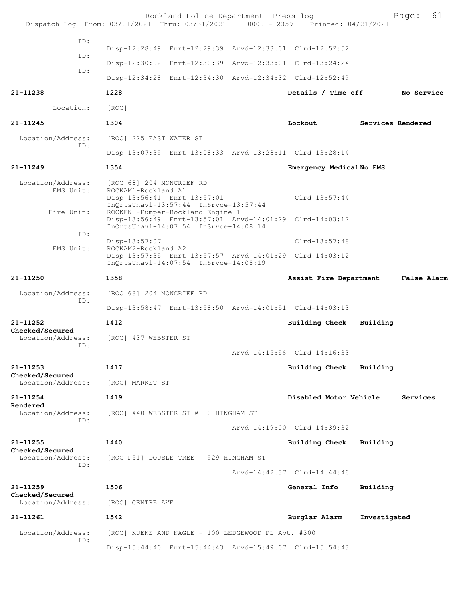|                                             | Rockland Police Department- Press log<br>Dispatch Log From: 03/01/2021 Thru: 03/31/2021 0000 - 2359 Printed: 04/21/2021              |  |                             |                   | 61<br>Page: |  |
|---------------------------------------------|--------------------------------------------------------------------------------------------------------------------------------------|--|-----------------------------|-------------------|-------------|--|
| ID:                                         |                                                                                                                                      |  |                             |                   |             |  |
| ID:                                         | Disp-12:28:49 Enrt-12:29:39 Arvd-12:33:01 Clrd-12:52:52                                                                              |  |                             |                   |             |  |
| ID:                                         | Disp-12:30:02 Enrt-12:30:39 Arvd-12:33:01 Clrd-13:24:24                                                                              |  |                             |                   |             |  |
|                                             | Disp-12:34:28 Enrt-12:34:30 Arvd-12:34:32 Clrd-12:52:49                                                                              |  |                             |                   |             |  |
| 21-11238                                    | 1228                                                                                                                                 |  | Details / Time off          |                   | No Service  |  |
| Location:                                   | [ROC]                                                                                                                                |  |                             |                   |             |  |
| 21-11245                                    | 1304                                                                                                                                 |  | Lockout                     | Services Rendered |             |  |
| Location/Address:                           | [ROC] 225 EAST WATER ST                                                                                                              |  |                             |                   |             |  |
| ID:                                         | Disp-13:07:39 Enrt-13:08:33 Arvd-13:28:11 Clrd-13:28:14                                                                              |  |                             |                   |             |  |
| $21 - 11249$                                | 1354                                                                                                                                 |  | Emergency MedicalNo EMS     |                   |             |  |
| Location/Address:<br>EMS Unit:              | [ROC 68] 204 MONCRIEF RD<br>ROCKAM1-Rockland A1<br>Disp-13:56:41 Enrt-13:57:01<br>$InOrtsUnav1-13:57:44$ $InStvce-13:57:44$          |  | $Clrd-13:57:44$             |                   |             |  |
| Fire Unit:                                  | ROCKEN1-Pumper-Rockland Engine 1<br>Disp-13:56:49 Enrt-13:57:01 Arvd-14:01:29 Clrd-14:03:12<br>InQrtsUnavl-14:07:54 InSrvce-14:08:14 |  |                             |                   |             |  |
| ID:                                         | $Disp-13:57:07$                                                                                                                      |  | $Clrd-13:57:48$             |                   |             |  |
| EMS Unit:                                   | ROCKAM2-Rockland A2<br>Disp-13:57:35 Enrt-13:57:57 Arvd-14:01:29 Clrd-14:03:12<br>InOrtsUnav1-14:07:54 InSrvce-14:08:19              |  |                             |                   |             |  |
| 21-11250                                    | 1358                                                                                                                                 |  | Assist Fire Department      |                   | False Alarm |  |
| Location/Address:                           | [ROC 68] 204 MONCRIEF RD                                                                                                             |  |                             |                   |             |  |
| ID:                                         | Disp-13:58:47 Enrt-13:58:50 Arvd-14:01:51 Clrd-14:03:13                                                                              |  |                             |                   |             |  |
| $21 - 11252$                                | 1412                                                                                                                                 |  | Building Check              | Building          |             |  |
| Checked/Secured<br>Location/Address:<br>ID: | [ROC] 437 WEBSTER ST                                                                                                                 |  | Arvd-14:15:56 Clrd-14:16:33 |                   |             |  |
| 21-11253                                    | 1417                                                                                                                                 |  | Building Check              | Building          |             |  |
| Checked/Secured<br>Location/Address:        | [ROC] MARKET ST                                                                                                                      |  |                             |                   |             |  |
| 21-11254                                    | 1419                                                                                                                                 |  | Disabled Motor Vehicle      |                   | Services    |  |
| Rendered<br>Location/Address:               |                                                                                                                                      |  |                             |                   |             |  |
| ID:                                         | [ROC] 440 WEBSTER ST @ 10 HINGHAM ST                                                                                                 |  |                             |                   |             |  |
|                                             |                                                                                                                                      |  | Arvd-14:19:00 Clrd-14:39:32 |                   |             |  |
| 21-11255<br>Checked/Secured                 | 1440                                                                                                                                 |  | <b>Building Check</b>       | Building          |             |  |
| Location/Address:<br>ID:                    | [ROC P51] DOUBLE TREE - 929 HINGHAM ST                                                                                               |  |                             |                   |             |  |
|                                             |                                                                                                                                      |  | Arvd-14:42:37 Clrd-14:44:46 |                   |             |  |
| 21-11259<br>Checked/Secured                 | 1506                                                                                                                                 |  | General Info                | Building          |             |  |
| Location/Address:                           | [ROC] CENTRE AVE                                                                                                                     |  |                             |                   |             |  |
| 21-11261                                    | 1542                                                                                                                                 |  | Burglar Alarm               | Investigated      |             |  |
| Location/Address:<br>ID:                    | [ROC] KUENE AND NAGLE - 100 LEDGEWOOD PL Apt. #300                                                                                   |  |                             |                   |             |  |
|                                             | Disp-15:44:40 Enrt-15:44:43 Arvd-15:49:07 Clrd-15:54:43                                                                              |  |                             |                   |             |  |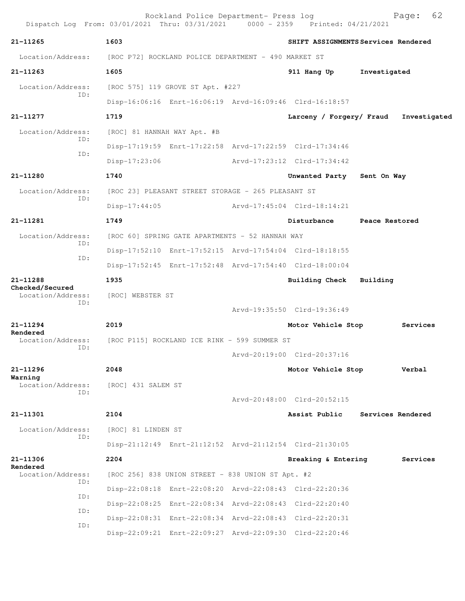| Dispatch Log From: 03/01/2021 Thru: 03/31/2021 0000 - 2359 Printed: 04/21/2021 |                             | Rockland Police Department- Press log              |                                                         | 62<br>Page:                         |
|--------------------------------------------------------------------------------|-----------------------------|----------------------------------------------------|---------------------------------------------------------|-------------------------------------|
| $21 - 11265$                                                                   | 1603                        |                                                    |                                                         | SHIFT ASSIGNMENTS Services Rendered |
| Location/Address: [ROC P72] ROCKLAND POLICE DEPARTMENT - 490 MARKET ST         |                             |                                                    |                                                         |                                     |
| 21-11263                                                                       | 1605                        |                                                    | 911 Hang Up                                             | Investigated                        |
| Location/Address:                                                              |                             | [ROC 575] 119 GROVE ST Apt. #227                   |                                                         |                                     |
| ID:                                                                            |                             |                                                    | Disp-16:06:16 Enrt-16:06:19 Arvd-16:09:46 Clrd-16:18:57 |                                     |
| 21-11277                                                                       | 1719                        |                                                    | Larceny / Forgery/ Fraud                                | Investigated                        |
| Location/Address:<br>ID:                                                       | [ROC] 81 HANNAH WAY Apt. #B |                                                    |                                                         |                                     |
|                                                                                |                             |                                                    | Disp-17:19:59 Enrt-17:22:58 Arvd-17:22:59 Clrd-17:34:46 |                                     |
| ID:                                                                            | $Disp-17:23:06$             |                                                    | Arvd-17:23:12 Clrd-17:34:42                             |                                     |
| 21-11280                                                                       | 1740                        |                                                    | Unwanted Party Sent On Way                              |                                     |
| Location/Address:                                                              |                             | [ROC 23] PLEASANT STREET STORAGE - 265 PLEASANT ST |                                                         |                                     |
| ID:                                                                            | $Disp-17:44:05$             |                                                    | Arvd-17:45:04 Clrd-18:14:21                             |                                     |
| 21-11281                                                                       | 1749                        |                                                    | Disturbance                                             | Peace Restored                      |
| Location/Address:                                                              |                             | [ROC 60] SPRING GATE APARTMENTS - 52 HANNAH WAY    |                                                         |                                     |
| ID:<br>ID:                                                                     |                             |                                                    | Disp-17:52:10 Enrt-17:52:15 Arvd-17:54:04 Clrd-18:18:55 |                                     |
|                                                                                |                             |                                                    | Disp-17:52:45 Enrt-17:52:48 Arvd-17:54:40 Clrd-18:00:04 |                                     |
| 21-11288                                                                       | 1935                        |                                                    | <b>Building Check</b>                                   | Building                            |
| Checked/Secured<br>Location/Address:<br>ID:                                    | [ROC] WEBSTER ST            |                                                    |                                                         |                                     |
|                                                                                |                             |                                                    | Arvd-19:35:50 Clrd-19:36:49                             |                                     |
| $21 - 11294$<br>Rendered                                                       | 2019                        |                                                    | Motor Vehicle Stop                                      | Services                            |
| Location/Address:<br>ID:                                                       |                             | [ROC P115] ROCKLAND ICE RINK - 599 SUMMER ST       |                                                         |                                     |
|                                                                                |                             |                                                    | Arvd-20:19:00 Clrd-20:37:16                             |                                     |
| 21-11296<br>Warning                                                            | 2048                        |                                                    | Motor Vehicle Stop                                      | Verbal                              |
| Location/Address:<br>TD:                                                       | [ROC] 431 SALEM ST          |                                                    |                                                         |                                     |
|                                                                                |                             |                                                    | Arvd-20:48:00 Clrd-20:52:15                             |                                     |
| 21-11301                                                                       | 2104                        |                                                    | Assist Public                                           | Services Rendered                   |
| Location/Address:                                                              | [ROC] 81 LINDEN ST          |                                                    |                                                         |                                     |
| ID:                                                                            |                             |                                                    | Disp-21:12:49 Enrt-21:12:52 Arvd-21:12:54 Clrd-21:30:05 |                                     |
| 21-11306<br>Rendered                                                           | 2204                        |                                                    | Breaking & Entering                                     | Services                            |
| Location/Address:<br>ID:                                                       |                             | [ROC 256] 838 UNION STREET - 838 UNION ST Apt. #2  |                                                         |                                     |
|                                                                                |                             |                                                    | Disp-22:08:18 Enrt-22:08:20 Arvd-22:08:43 Clrd-22:20:36 |                                     |
| ID:                                                                            |                             |                                                    | Disp-22:08:25 Enrt-22:08:34 Arvd-22:08:43 Clrd-22:20:40 |                                     |
| ID:                                                                            |                             |                                                    | Disp-22:08:31 Enrt-22:08:34 Arvd-22:08:43 Clrd-22:20:31 |                                     |
| ID:                                                                            |                             |                                                    | Disp-22:09:21 Enrt-22:09:27 Arvd-22:09:30 Clrd-22:20:46 |                                     |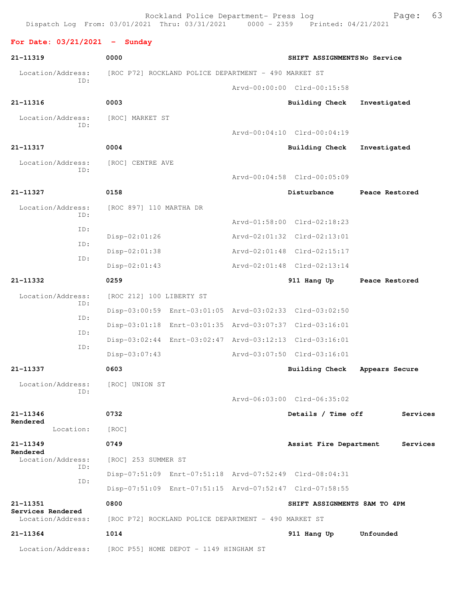Dispatch Log From: 03/01/2021 Thru: 03/31/2021 0000 - 2359 Printed: 04/21/2021 **For Date: 03/21/2021 - Sunday 21-11319 0000 SHIFT ASSIGNMENTS No Service** Location/Address: [ROC P72] ROCKLAND POLICE DEPARTMENT - 490 MARKET ST ID: Arvd-00:00:00 Clrd-00:15:58 **21-11316 0003 Building Check Investigated** Location/Address: [ROC] MARKET ST ID: Arvd-00:04:10 Clrd-00:04:19 **21-11317 0004 Building Check Investigated** Location/Address: [ROC] CENTRE AVE ID: Arvd-00:04:58 Clrd-00:05:09 **21-11327 0158 Disturbance Peace Restored** Location/Address: [ROC 897] 110 MARTHA DR ID: Arvd-01:58:00 Clrd-02:18:23 ID: Disp-02:01:26 Arvd-02:01:32 Clrd-02:13:01 ID: Disp-02:01:38 Arvd-02:01:48 Clrd-02:15:17 ID: Disp-02:01:43 Arvd-02:01:48 Clrd-02:13:14 **21-11332 0259 911 Hang Up Peace Restored** Location/Address: [ROC 212] 100 LIBERTY ST ID: Disp-03:00:59 Enrt-03:01:05 Arvd-03:02:33 Clrd-03:02:50 ID: Disp-03:01:18 Enrt-03:01:35 Arvd-03:07:37 Clrd-03:16:01 ID: Disp-03:02:44 Enrt-03:02:47 Arvd-03:12:13 Clrd-03:16:01 ID: Disp-03:07:43 Arvd-03:07:50 Clrd-03:16:01 **21-11337 0603 Building Check Appears Secure** Location/Address: [ROC] UNION ST ID: Arvd-06:03:00 Clrd-06:35:02 **21-11346 0732 Details / Time off Services Rendered**  Location: [ROC] **21-11349 0749 Assist Fire Department Services Rendered**<br>Location/Address: [ROC] 253 SUMMER ST ID: Disp-07:51:09 Enrt-07:51:18 Arvd-07:52:49 Clrd-08:04:31 ID: Disp-07:51:09 Enrt-07:51:15 Arvd-07:52:47 Clrd-07:58:55 **21-11351 0800 SHIFT ASSIGNMENTS 8AM TO 4PM Services Rendered**  Location/Address: [ROC P72] ROCKLAND POLICE DEPARTMENT - 490 MARKET ST **21-11364 1014 911 Hang Up Unfounded**  Location/Address: [ROC P55] HOME DEPOT - 1149 HINGHAM ST

Rockland Police Department- Press log Fage: 63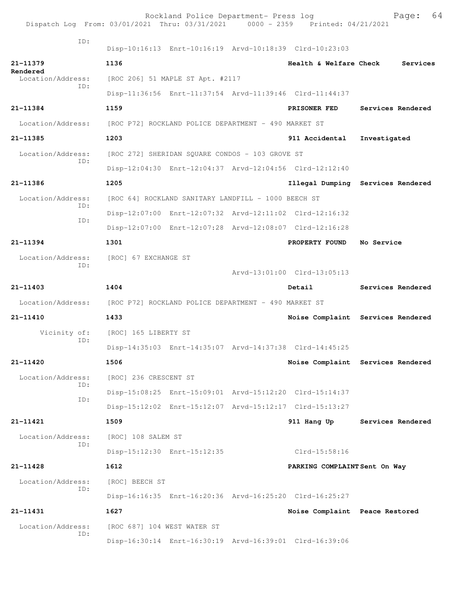| Dispatch Log From: 03/01/2021 Thru: 03/31/2021 0000 - 2359 Printed: 04/21/2021 |                                                      | Rockland Police Department- Press log               |                                                         | 64<br>Page:                       |
|--------------------------------------------------------------------------------|------------------------------------------------------|-----------------------------------------------------|---------------------------------------------------------|-----------------------------------|
| TD:                                                                            |                                                      |                                                     |                                                         |                                   |
|                                                                                |                                                      |                                                     | Disp-10:16:13 Enrt-10:16:19 Arvd-10:18:39 Clrd-10:23:03 |                                   |
| 21-11379<br>Rendered                                                           | 1136                                                 |                                                     | Health & Welfare Check                                  | Services                          |
| Location/Address:<br>TD:                                                       | [ROC 206] 51 MAPLE ST Apt. #2117                     |                                                     |                                                         |                                   |
|                                                                                |                                                      |                                                     | Disp-11:36:56 Enrt-11:37:54 Arvd-11:39:46 Clrd-11:44:37 |                                   |
| 21-11384                                                                       | 1159                                                 |                                                     | PRISONER FED                                            | Services Rendered                 |
| Location/Address:                                                              | [ROC P72] ROCKLAND POLICE DEPARTMENT - 490 MARKET ST |                                                     |                                                         |                                   |
| 21-11385                                                                       | 1203                                                 |                                                     | 911 Accidental                                          | Investigated                      |
| Location/Address:                                                              |                                                      | [ROC 272] SHERIDAN SQUARE CONDOS - 103 GROVE ST     |                                                         |                                   |
| TD:                                                                            |                                                      |                                                     | Disp-12:04:30 Enrt-12:04:37 Arvd-12:04:56 Clrd-12:12:40 |                                   |
| 21-11386                                                                       | 1205                                                 |                                                     |                                                         | Illegal Dumping Services Rendered |
| Location/Address:                                                              |                                                      | [ROC 64] ROCKLAND SANITARY LANDFILL - 1000 BEECH ST |                                                         |                                   |
| ID:                                                                            |                                                      |                                                     | Disp-12:07:00 Enrt-12:07:32 Arvd-12:11:02 Clrd-12:16:32 |                                   |
| TD:                                                                            |                                                      |                                                     | Disp-12:07:00 Enrt-12:07:28 Arvd-12:08:07 Clrd-12:16:28 |                                   |
| 21-11394                                                                       | 1301                                                 |                                                     | PROPERTY FOUND                                          | No Service                        |
| Location/Address:                                                              | [ROC] 67 EXCHANGE ST                                 |                                                     |                                                         |                                   |
| ID:                                                                            |                                                      |                                                     | Arvd-13:01:00 Clrd-13:05:13                             |                                   |
| 21-11403                                                                       | 1404                                                 |                                                     | Detail                                                  | Services Rendered                 |
| Location/Address:                                                              | [ROC P72] ROCKLAND POLICE DEPARTMENT - 490 MARKET ST |                                                     |                                                         |                                   |
| $21 - 11410$                                                                   | 1433                                                 |                                                     |                                                         | Noise Complaint Services Rendered |
| Vicinity of:                                                                   | [ROC] 165 LIBERTY ST                                 |                                                     |                                                         |                                   |
| ID:                                                                            |                                                      |                                                     | Disp-14:35:03 Enrt-14:35:07 Arvd-14:37:38 Clrd-14:45:25 |                                   |
| $21 - 11420$                                                                   | 1506                                                 |                                                     |                                                         | Noise Complaint Services Rendered |
| Location/Address:                                                              | [ROC] 236 CRESCENT ST                                |                                                     |                                                         |                                   |
| TD:                                                                            |                                                      |                                                     | Disp-15:08:25 Enrt-15:09:01 Arvd-15:12:20 Clrd-15:14:37 |                                   |
| ID:                                                                            |                                                      |                                                     | Disp-15:12:02 Enrt-15:12:07 Arvd-15:12:17 Clrd-15:13:27 |                                   |
| 21-11421                                                                       | 1509                                                 |                                                     | 911 Hang Up                                             | Services Rendered                 |
| Location/Address:                                                              | [ROC] 108 SALEM ST                                   |                                                     |                                                         |                                   |
| TD:                                                                            |                                                      | Disp-15:12:30 Enrt-15:12:35                         | Clrd-15:58:16                                           |                                   |
| 21-11428                                                                       | 1612                                                 |                                                     | PARKING COMPLAINT Sent On Way                           |                                   |
| Location/Address:                                                              | [ROC] BEECH ST                                       |                                                     |                                                         |                                   |
| ID:                                                                            |                                                      |                                                     | Disp-16:16:35 Enrt-16:20:36 Arvd-16:25:20 Clrd-16:25:27 |                                   |
| 21-11431                                                                       | 1627                                                 |                                                     | Noise Complaint Peace Restored                          |                                   |
| Location/Address:                                                              |                                                      |                                                     |                                                         |                                   |
| ID:                                                                            | [ROC 687] 104 WEST WATER ST                          |                                                     | Disp-16:30:14 Enrt-16:30:19 Arvd-16:39:01 Clrd-16:39:06 |                                   |
|                                                                                |                                                      |                                                     |                                                         |                                   |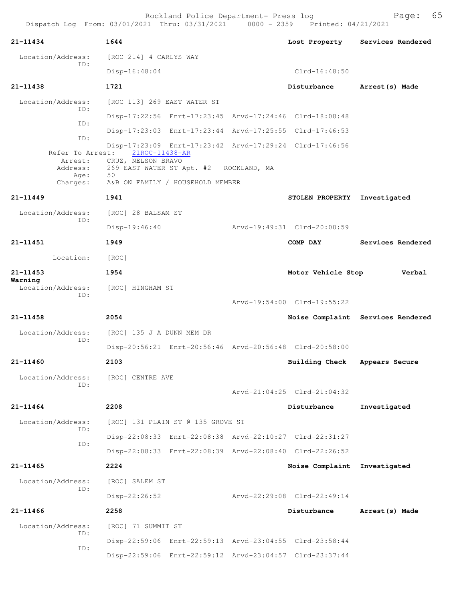| 21-11434                     | 1644                                                                                                    |                                                                                     | Lost Property                             | Services Rendered                 |  |  |  |
|------------------------------|---------------------------------------------------------------------------------------------------------|-------------------------------------------------------------------------------------|-------------------------------------------|-----------------------------------|--|--|--|
| Location/Address:            | [ROC 214] 4 CARLYS WAY                                                                                  |                                                                                     |                                           |                                   |  |  |  |
| TD:                          | $Disp-16:48:04$                                                                                         |                                                                                     | $Clrd-16:48:50$                           |                                   |  |  |  |
| $21 - 11438$                 | 1721                                                                                                    |                                                                                     | Disturbance                               | Arrest (s) Made                   |  |  |  |
| Location/Address:            | [ROC 113] 269 EAST WATER ST                                                                             |                                                                                     |                                           |                                   |  |  |  |
| TD:                          | Disp-17:22:56 Enrt-17:23:45 Arvd-17:24:46 Clrd-18:08:48                                                 |                                                                                     |                                           |                                   |  |  |  |
| ID:                          | Disp-17:23:03 Enrt-17:23:44 Arvd-17:25:55 Clrd-17:46:53                                                 |                                                                                     |                                           |                                   |  |  |  |
| ID:<br>Refer To Arrest:      | Disp-17:23:09 Enrt-17:23:42 Arvd-17:29:24 Clrd-17:46:56<br>21ROC-11438-AR<br>Arrest: CRUZ, NELSON BRAVO |                                                                                     |                                           |                                   |  |  |  |
| Age:<br>Charges:             | 50                                                                                                      | Address: 269 EAST WATER ST Apt. #2 ROCKLAND, MA<br>A&B ON FAMILY / HOUSEHOLD MEMBER |                                           |                                   |  |  |  |
| $21 - 11449$                 | 1941                                                                                                    |                                                                                     | <b>STOLEN PROPERTY</b>                    | Investigated                      |  |  |  |
| Location/Address:            | [ROC] 28 BALSAM ST                                                                                      |                                                                                     |                                           |                                   |  |  |  |
| TD:                          | $Disp-19:46:40$                                                                                         |                                                                                     | Arvd-19:49:31 Clrd-20:00:59               |                                   |  |  |  |
| 21-11451                     | 1949                                                                                                    |                                                                                     | COMP DAY                                  | Services Rendered                 |  |  |  |
| Location:                    | [ROC]                                                                                                   |                                                                                     |                                           |                                   |  |  |  |
| $21 - 11453$                 | 1954                                                                                                    |                                                                                     | Motor Vehicle Stop                        | Verbal                            |  |  |  |
| Warning<br>Location/Address: | [ROC] HINGHAM ST                                                                                        |                                                                                     |                                           |                                   |  |  |  |
| ID:                          |                                                                                                         |                                                                                     | Arvd-19:54:00 Clrd-19:55:22               |                                   |  |  |  |
| 21-11458                     | 2054                                                                                                    |                                                                                     |                                           | Noise Complaint Services Rendered |  |  |  |
| Location/Address:            | [ROC] 135 J A DUNN MEM DR                                                                               |                                                                                     |                                           |                                   |  |  |  |
| ID:                          | Disp-20:56:21 Enrt-20:56:46 Arvd-20:56:48 Clrd-20:58:00                                                 |                                                                                     |                                           |                                   |  |  |  |
| $21 - 11460$                 | 2103                                                                                                    |                                                                                     | <b>Building Check</b>                     | Appears Secure                    |  |  |  |
| Location/Address:            | [ROC] CENTRE AVE                                                                                        |                                                                                     |                                           |                                   |  |  |  |
| ID:                          |                                                                                                         |                                                                                     | $Arvd - 21:04:25 \text{ Clrd} - 21:04:32$ |                                   |  |  |  |
| $21 - 11464$                 | 2208                                                                                                    |                                                                                     | Disturbance                               | Investigated                      |  |  |  |
| Location/Address:            | [ROC] 131 PLAIN ST @ 135 GROVE ST                                                                       |                                                                                     |                                           |                                   |  |  |  |
| ID:                          | Disp-22:08:33 Enrt-22:08:38 Arvd-22:10:27 Clrd-22:31:27                                                 |                                                                                     |                                           |                                   |  |  |  |
| ID:                          | Disp-22:08:33 Enrt-22:08:39 Arvd-22:08:40 Clrd-22:26:52                                                 |                                                                                     |                                           |                                   |  |  |  |
| $21 - 11465$                 | 2224                                                                                                    |                                                                                     | Noise Complaint Investigated              |                                   |  |  |  |
| Location/Address:            | [ROC] SALEM ST                                                                                          |                                                                                     |                                           |                                   |  |  |  |
| ID:                          | Disp-22:26:52                                                                                           |                                                                                     | Arvd-22:29:08 Clrd-22:49:14               |                                   |  |  |  |
| $21 - 11466$                 | 2258                                                                                                    |                                                                                     | Disturbance                               | Arrest (s) Made                   |  |  |  |
| Location/Address:            | [ROC] 71 SUMMIT ST                                                                                      |                                                                                     |                                           |                                   |  |  |  |
| ID:                          | Disp-22:59:06 Enrt-22:59:13 Arvd-23:04:55 Clrd-23:58:44                                                 |                                                                                     |                                           |                                   |  |  |  |
| ID:                          | Disp-22:59:06 Enrt-22:59:12 Arvd-23:04:57 Clrd-23:37:44                                                 |                                                                                     |                                           |                                   |  |  |  |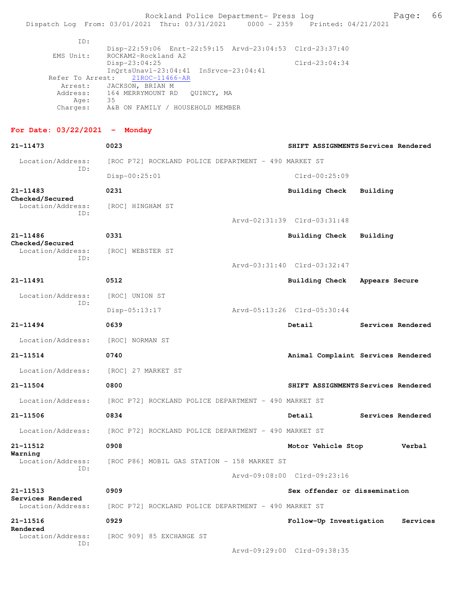EMS Unit: ROCKAM2-Rockland A2 Disp-23:04:25 Clrd-23:04:34 InQrtsUnavl-23:04:41 InSrvce-23:04:41 Refer To Arrest: 21ROC-11466-AR Arrest: JACKSON, BRIAN M Address: 164 MERRYMOUNT RD QUINCY, MA Age: 35 Charges: A&B ON FAMILY / HOUSEHOLD MEMBER

## **For Date: 03/22/2021 - Monday**

| 21-11473                               | 0023                                                                                          | SHIFT ASSIGNMENTS Services Rendered     |  |  |  |
|----------------------------------------|-----------------------------------------------------------------------------------------------|-----------------------------------------|--|--|--|
| Location/Address:<br>ID:               | [ROC P72] ROCKLAND POLICE DEPARTMENT - 490 MARKET ST                                          |                                         |  |  |  |
|                                        | $Disp-00:25:01$                                                                               | $Clrd-00:25:09$                         |  |  |  |
| 21-11483                               | 0231                                                                                          | <b>Building Check</b><br>Building       |  |  |  |
| Checked/Secured<br>Location/Address:   | [ROC] HINGHAM ST                                                                              |                                         |  |  |  |
| ID:                                    |                                                                                               | Arvd-02:31:39 Clrd-03:31:48             |  |  |  |
| 21-11486<br>Checked/Secured            | 0331                                                                                          | <b>Building Check</b><br>Building       |  |  |  |
| Location/Address:                      | [ROC] WEBSTER ST                                                                              |                                         |  |  |  |
| ID:                                    |                                                                                               | Arvd-03:31:40 Clrd-03:32:47             |  |  |  |
| 21-11491                               | 0512                                                                                          | <b>Building Check</b><br>Appears Secure |  |  |  |
| Location/Address:                      | [ROC] UNION ST                                                                                |                                         |  |  |  |
| ID:                                    | $Disp-05:13:17$                                                                               | Arvd-05:13:26 Clrd-05:30:44             |  |  |  |
| 21-11494                               | 0639                                                                                          | Services Rendered<br>Detail             |  |  |  |
| Location/Address:                      | [ROC] NORMAN ST                                                                               |                                         |  |  |  |
| 21-11514                               | 0740                                                                                          | Animal Complaint Services Rendered      |  |  |  |
| Location/Address:                      | [ROC] 27 MARKET ST                                                                            |                                         |  |  |  |
| 21-11504                               | 0800                                                                                          | SHIFT ASSIGNMENTS Services Rendered     |  |  |  |
| Location/Address:                      | [ROC P72] ROCKLAND POLICE DEPARTMENT - 490 MARKET ST                                          |                                         |  |  |  |
| 21-11506                               | 0834                                                                                          | Detail<br>Services Rendered             |  |  |  |
|                                        | Location/Address: [ROC P72] ROCKLAND POLICE DEPARTMENT - 490 MARKET ST                        |                                         |  |  |  |
| 21-11512                               | 0908                                                                                          | Motor Vehicle Stop<br>Verbal            |  |  |  |
| Warning<br>Location/Address:           | [ROC P86] MOBIL GAS STATION - 158 MARKET ST                                                   |                                         |  |  |  |
| ID:                                    |                                                                                               | Arvd-09:08:00 Clrd-09:23:16             |  |  |  |
| 21-11513                               | 0909<br>Sex offender or dissemination<br>[ROC P72] ROCKLAND POLICE DEPARTMENT - 490 MARKET ST |                                         |  |  |  |
| Services Rendered<br>Location/Address: |                                                                                               |                                         |  |  |  |
| 21-11516                               | 0929                                                                                          | Follow-Up Investigation<br>Services     |  |  |  |
| Rendered<br>Location/Address:          | [ROC 909] 85 EXCHANGE ST                                                                      |                                         |  |  |  |
| ID:                                    |                                                                                               | Arvd-09:29:00 Clrd-09:38:35             |  |  |  |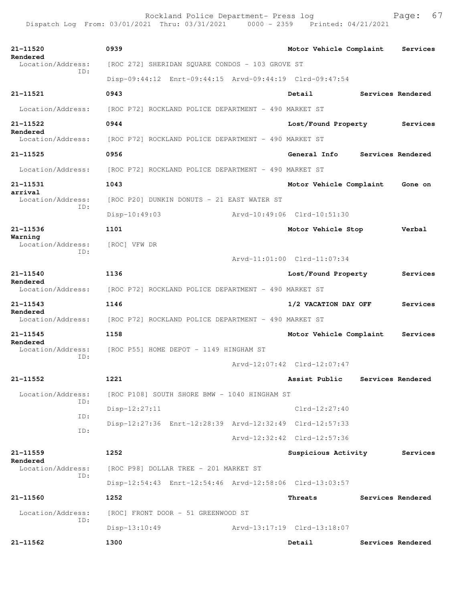Rockland Police Department- Press log entitled and Page: 67 Dispatch Log From: 03/01/2021 Thru: 03/31/2021 0000 - 2359 Printed: 04/21/2021

| 21-11520                      | 0939                                                                   |  | Motor Vehicle Complaint     |  | Services          |  |
|-------------------------------|------------------------------------------------------------------------|--|-----------------------------|--|-------------------|--|
| Rendered<br>Location/Address: | [ROC 272] SHERIDAN SQUARE CONDOS - 103 GROVE ST                        |  |                             |  |                   |  |
| ID:                           | Disp-09:44:12 Enrt-09:44:15 Arvd-09:44:19 Clrd-09:47:54                |  |                             |  |                   |  |
| 21-11521                      | 0943                                                                   |  | Detail                      |  | Services Rendered |  |
| Location/Address:             | [ROC P72] ROCKLAND POLICE DEPARTMENT - 490 MARKET ST                   |  |                             |  |                   |  |
| 21-11522                      | 0944                                                                   |  | Lost/Found Property         |  | Services          |  |
| Rendered                      | Location/Address: [ROC P72] ROCKLAND POLICE DEPARTMENT - 490 MARKET ST |  |                             |  |                   |  |
| 21-11525                      | 0956                                                                   |  | General Info                |  | Services Rendered |  |
|                               | Location/Address: [ROC P72] ROCKLAND POLICE DEPARTMENT - 490 MARKET ST |  |                             |  |                   |  |
| 21-11531                      | 1043                                                                   |  | Motor Vehicle Complaint     |  | Gone on           |  |
| arrival<br>Location/Address:  | [ROC P20] DUNKIN DONUTS - 21 EAST WATER ST                             |  |                             |  |                   |  |
| ID:                           | Disp-10:49:03                                                          |  | Arvd-10:49:06 Clrd-10:51:30 |  |                   |  |
| 21-11536                      | 1101                                                                   |  | Motor Vehicle Stop          |  | Verbal            |  |
| Warning<br>Location/Address:  | [ROC] VFW DR                                                           |  |                             |  |                   |  |
| TD:                           | Arvd-11:01:00 Clrd-11:07:34                                            |  |                             |  |                   |  |
| 21-11540                      | 1136                                                                   |  | Lost/Found Property         |  | Services          |  |
| Rendered                      | Location/Address: [ROC P72] ROCKLAND POLICE DEPARTMENT - 490 MARKET ST |  |                             |  |                   |  |
| $21 - 11543$                  | 1146                                                                   |  | 1/2 VACATION DAY OFF        |  | Services          |  |
| Rendered<br>Location/Address: |                                                                        |  |                             |  |                   |  |
| $21 - 11545$                  | [ROC P72] ROCKLAND POLICE DEPARTMENT - 490 MARKET ST<br>1158           |  |                             |  | Services          |  |
| Rendered                      | Motor Vehicle Complaint<br>[ROC P55] HOME DEPOT - 1149 HINGHAM ST      |  |                             |  |                   |  |
| Location/Address:<br>TD:      |                                                                        |  |                             |  |                   |  |
|                               |                                                                        |  | Arvd-12:07:42 Clrd-12:07:47 |  |                   |  |
| 21-11552                      | 1221                                                                   |  | Assist Public               |  | Services Rendered |  |
| Location/Address:<br>ID:      | [ROC P108] SOUTH SHORE BMW - 1040 HINGHAM ST                           |  |                             |  |                   |  |
| ID:                           | Disp-12:27:11                                                          |  | $Clrd-12:27:40$             |  |                   |  |
| ID:                           | Disp-12:27:36 Enrt-12:28:39 Arvd-12:32:49 Clrd-12:57:33                |  |                             |  |                   |  |
|                               |                                                                        |  | Arvd-12:32:42 Clrd-12:57:36 |  |                   |  |
| $21 - 11559$<br>Rendered      | 1252                                                                   |  | Suspicious Activity         |  | Services          |  |
| Location/Address:<br>ID:      | [ROC P98] DOLLAR TREE - 201 MARKET ST                                  |  |                             |  |                   |  |
|                               | Disp-12:54:43 Enrt-12:54:46 Arvd-12:58:06 Clrd-13:03:57                |  |                             |  |                   |  |
| 21-11560                      | 1252                                                                   |  | Threats                     |  | Services Rendered |  |
| Location/Address:<br>ID:      | [ROC] FRONT DOOR - 51 GREENWOOD ST                                     |  |                             |  |                   |  |
|                               | Disp-13:10:49                                                          |  | Arvd-13:17:19 Clrd-13:18:07 |  |                   |  |
| 21-11562                      | 1300                                                                   |  | Detail                      |  | Services Rendered |  |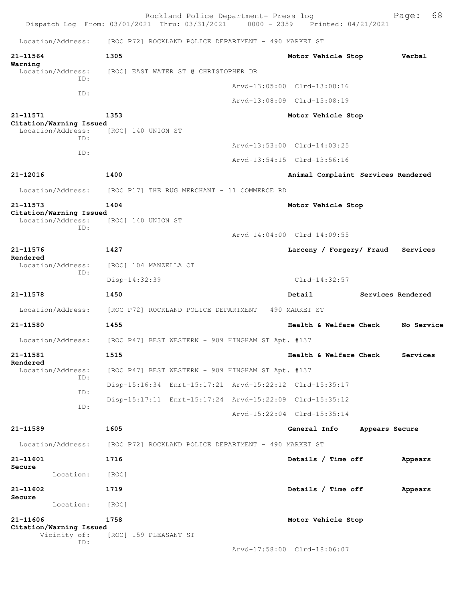|                                              |     |                       | Rockland Police Department- Press log<br>Dispatch Log From: 03/01/2021 Thru: 03/31/2021 | 0000 - 2359 Printed: 04/21/2021    |                   | Page: 68   |
|----------------------------------------------|-----|-----------------------|-----------------------------------------------------------------------------------------|------------------------------------|-------------------|------------|
| Location/Address:                            |     |                       | [ROC P72] ROCKLAND POLICE DEPARTMENT - 490 MARKET ST                                    |                                    |                   |            |
| 21-11564                                     |     | 1305                  |                                                                                         | Motor Vehicle Stop                 |                   | Verbal     |
| Warning<br>Location/Address:                 |     |                       | [ROC] EAST WATER ST @ CHRISTOPHER DR                                                    |                                    |                   |            |
|                                              | TD: |                       |                                                                                         | Arvd-13:05:00 Clrd-13:08:16        |                   |            |
|                                              | ID: |                       |                                                                                         | Arvd-13:08:09 Clrd-13:08:19        |                   |            |
| 21-11571                                     |     | 1353                  |                                                                                         | Motor Vehicle Stop                 |                   |            |
| Citation/Warning Issued<br>Location/Address: | TD: | [ROC] 140 UNION ST    |                                                                                         |                                    |                   |            |
|                                              | ID: |                       |                                                                                         | Arvd-13:53:00 Clrd-14:03:25        |                   |            |
|                                              |     |                       |                                                                                         | Arvd-13:54:15 Clrd-13:56:16        |                   |            |
| 21-12016                                     |     | 1400                  |                                                                                         | Animal Complaint Services Rendered |                   |            |
| Location/Address:                            |     |                       | [ROC P17] THE RUG MERCHANT - 11 COMMERCE RD                                             |                                    |                   |            |
| 21-11573                                     |     | 1404                  |                                                                                         | Motor Vehicle Stop                 |                   |            |
| Citation/Warning Issued<br>Location/Address: | ID: | [ROC] 140 UNION ST    |                                                                                         |                                    |                   |            |
|                                              |     |                       |                                                                                         | Arvd-14:04:00 Clrd-14:09:55        |                   |            |
| 21-11576<br>Rendered                         |     | 1427                  |                                                                                         | Larceny / Forgery/ Fraud           |                   | Services   |
| Location/Address:                            | ID: | [ROC] 104 MANZELLA CT |                                                                                         |                                    |                   |            |
|                                              |     | Disp-14:32:39         |                                                                                         | $Clrd-14:32:57$                    |                   |            |
| 21-11578                                     |     | 1450                  |                                                                                         | Detail                             | Services Rendered |            |
| Location/Address:                            |     |                       | [ROC P72] ROCKLAND POLICE DEPARTMENT - 490 MARKET ST                                    |                                    |                   |            |
| 21-11580                                     |     | 1455                  |                                                                                         | Health & Welfare Check             |                   | No Service |
| Location/Address:                            |     |                       | [ROC P47] BEST WESTERN - 909 HINGHAM ST Apt. #137                                       |                                    |                   |            |
| 21-11581                                     |     | 1515                  |                                                                                         | Health & Welfare Check             |                   | Services   |
| Rendered<br>Location/Address:                |     |                       | [ROC P47] BEST WESTERN - 909 HINGHAM ST Apt. #137                                       |                                    |                   |            |
|                                              | TD: |                       | Disp-15:16:34 Enrt-15:17:21 Arvd-15:22:12 Clrd-15:35:17                                 |                                    |                   |            |
|                                              | TD: |                       | Disp-15:17:11 Enrt-15:17:24 Arvd-15:22:09 Clrd-15:35:12                                 |                                    |                   |            |
|                                              | ID: |                       |                                                                                         | Arvd-15:22:04 Clrd-15:35:14        |                   |            |
| 21-11589                                     |     | 1605                  |                                                                                         | General Info                       | Appears Secure    |            |
| Location/Address:                            |     |                       | [ROC P72] ROCKLAND POLICE DEPARTMENT - 490 MARKET ST                                    |                                    |                   |            |
| 21-11601                                     |     | 1716                  |                                                                                         | Details / Time off                 |                   | Appears    |
| Secure<br>Location:                          |     | [ROC]                 |                                                                                         |                                    |                   |            |
| 21-11602                                     |     | 1719                  |                                                                                         | Details / Time off                 |                   | Appears    |
| Secure<br>Location:                          |     | [ROC]                 |                                                                                         |                                    |                   |            |
| 21-11606                                     |     | 1758                  |                                                                                         | Motor Vehicle Stop                 |                   |            |
| Citation/Warning Issued                      |     |                       |                                                                                         |                                    |                   |            |
| Vicinity of:                                 | ID: | [ROC] 159 PLEASANT ST |                                                                                         |                                    |                   |            |
|                                              |     |                       |                                                                                         | Arvd-17:58:00 Clrd-18:06:07        |                   |            |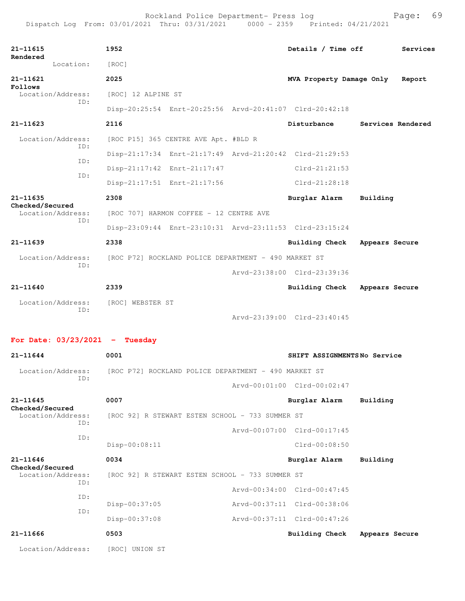| 21-11615<br>Rendered                 | 1952                                                    |  | Details / Time off          | Services          |
|--------------------------------------|---------------------------------------------------------|--|-----------------------------|-------------------|
| Location:                            | [ROC]                                                   |  |                             |                   |
| 21-11621                             | 2025                                                    |  | MVA Property Damage Only    | Report            |
| Follows<br>Location/Address:         | [ROC] 12 ALPINE ST                                      |  |                             |                   |
| ID:                                  | Disp-20:25:54 Enrt-20:25:56 Arvd-20:41:07 Clrd-20:42:18 |  |                             |                   |
| 21-11623                             | 2116                                                    |  | Disturbance                 | Services Rendered |
| Location/Address:<br>TD:             | [ROC P15] 365 CENTRE AVE Apt. #BLD R                    |  |                             |                   |
| ID:                                  | Disp-21:17:34 Enrt-21:17:49 Arvd-21:20:42 Clrd-21:29:53 |  |                             |                   |
|                                      | Disp-21:17:42 Enrt-21:17:47                             |  | $Clrd-21:21:53$             |                   |
| ID:                                  | Disp-21:17:51 Enrt-21:17:56                             |  | $Clrd-21:28:18$             |                   |
| 21-11635                             | 2308                                                    |  | Burglar Alarm               | Building          |
| Checked/Secured<br>Location/Address: | [ROC 707] HARMON COFFEE - 12 CENTRE AVE                 |  |                             |                   |
| ID:                                  | Disp-23:09:44 Enrt-23:10:31 Arvd-23:11:53 Clrd-23:15:24 |  |                             |                   |
| $21 - 11639$                         | 2338                                                    |  | Building Check              | Appears Secure    |
| Location/Address:                    | [ROC P72] ROCKLAND POLICE DEPARTMENT - 490 MARKET ST    |  |                             |                   |
| ID:                                  |                                                         |  | Arvd-23:38:00 Clrd-23:39:36 |                   |
| 21-11640                             | 2339                                                    |  | Building Check              | Appears Secure    |
| Location/Address:                    | [ROC] WEBSTER ST                                        |  |                             |                   |
| ID:                                  |                                                         |  | Arvd-23:39:00 Clrd-23:40:45 |                   |
| For Date: $03/23/2021$ - Tuesday     |                                                         |  |                             |                   |
|                                      |                                                         |  |                             |                   |
| 21-11644                             | 0001                                                    |  | SHIFT ASSIGNMENTSNo Service |                   |
| Location/Address:<br>ID:             | [ROC P72] ROCKLAND POLICE DEPARTMENT - 490 MARKET ST    |  |                             |                   |
|                                      |                                                         |  | Arvd-00:01:00 Clrd-00:02:47 |                   |
| 21-11645<br>Checked/Secured          | 0007                                                    |  | Burglar Alarm               | Building          |
| Location/Address:<br>ID:             | [ROC 92] R STEWART ESTEN SCHOOL - 733 SUMMER ST         |  |                             |                   |
| ID:                                  |                                                         |  | Arvd-00:07:00 Clrd-00:17:45 |                   |
|                                      | Disp-00:08:11                                           |  | Clrd-00:08:50               |                   |
| 21-11646<br>Checked/Secured          | 0034                                                    |  | Burglar Alarm               | Building          |
| Location/Address:<br>ID:             | [ROC 92] R STEWART ESTEN SCHOOL - 733 SUMMER ST         |  |                             |                   |
| ID:                                  |                                                         |  | Arvd-00:34:00 Clrd-00:47:45 |                   |
| ID:                                  | Disp-00:37:05                                           |  | Arvd-00:37:11 Clrd-00:38:06 |                   |
|                                      | Disp-00:37:08                                           |  | Arvd-00:37:11 Clrd-00:47:26 |                   |
| 21-11666                             | 0503                                                    |  | <b>Building Check</b>       | Appears Secure    |
| Location/Address:                    | [ROC] UNION ST                                          |  |                             |                   |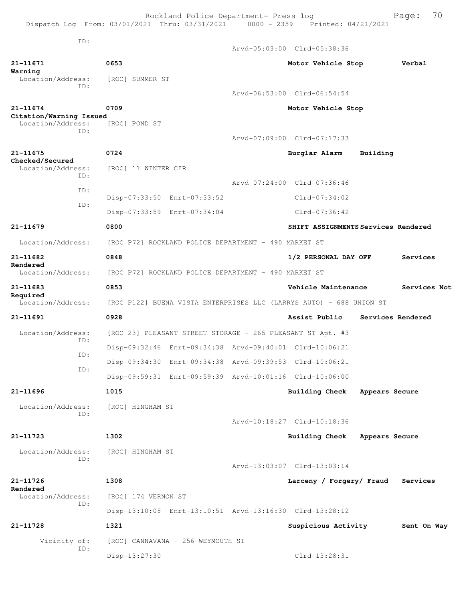Rockland Police Department- Press log Fage: 70 Dispatch Log From: 03/01/2021 Thru: 03/31/2021 0000 - 2359 Printed: 04/21/2021 ID: Arvd-05:03:00 Clrd-05:38:36 **21-11671 0653 Motor Vehicle Stop Verbal Warning**  Location/Address: [ROC] SUMMER ST ID: Arvd-06:53:00 Clrd-06:54:54 **21-11674 0709 Motor Vehicle Stop Citation/Warning Issued**  Location/Address: [ROC] POND ST ID: Arvd-07:09:00 Clrd-07:17:33 **21-11675 0724 Burglar Alarm Building Checked/Secured**  Location/Address: [ROC] 11 WINTER CIR ID: Arvd-07:24:00 Clrd-07:36:46 ID: Disp-07:33:50 Enrt-07:33:52 Clrd-07:34:02 ID: Disp-07:33:59 Enrt-07:34:04 Clrd-07:36:42 **21-11679 0800 SHIFT ASSIGNMENTS Services Rendered** Location/Address: [ROC P72] ROCKLAND POLICE DEPARTMENT - 490 MARKET ST **21-11682 0848 1/2 PERSONAL DAY OFF Services Rendered**  Location/Address: [ROC P72] ROCKLAND POLICE DEPARTMENT - 490 MARKET ST **21-11683 0853 Vehicle Maintenance Services Not Required**  Location/Address: [ROC P122] BUENA VISTA ENTERPRISES LLC (LARRYS AUTO) - 688 UNION ST **21-11691 0928 Assist Public Services Rendered** Location/Address: [ROC 23] PLEASANT STREET STORAGE - 265 PLEASANT ST Apt. #3 ID: Disp-09:32:46 Enrt-09:34:38 Arvd-09:40:01 Clrd-10:06:21 ID: Disp-09:34:30 Enrt-09:34:38 Arvd-09:39:53 Clrd-10:06:21 ID: Disp-09:59:31 Enrt-09:59:39 Arvd-10:01:16 Clrd-10:06:00 **21-11696 1015 Building Check Appears Secure** Location/Address: [ROC] HINGHAM ST ID: Arvd-10:18:27 Clrd-10:18:36 **21-11723 1302 Building Check Appears Secure** Location/Address: [ROC] HINGHAM ST ID: Arvd-13:03:07 Clrd-13:03:14 **21-11726 1308 Larceny / Forgery/ Fraud Services Rendered**  Location/Address: [ROC] 174 VERNON ST ID: Disp-13:10:08 Enrt-13:10:51 Arvd-13:16:30 Clrd-13:28:12 **21-11728 1321 Suspicious Activity Sent On Way** Vicinity of: [ROC] CANNAVANA - 256 WEYMOUTH ST ID: Disp-13:27:30 Clrd-13:28:31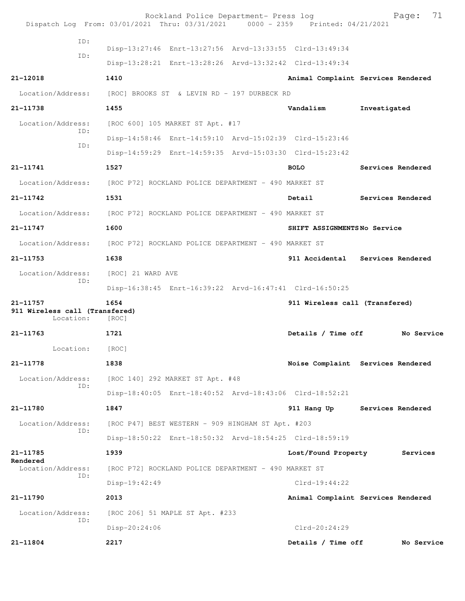|                                                         | Rockland Police Department- Press log<br>Dispatch Log From: 03/01/2021 Thru: 03/31/2021 0000 - 2359 Printed: 04/21/2021 |                                | 71<br>Page:                        |  |
|---------------------------------------------------------|-------------------------------------------------------------------------------------------------------------------------|--------------------------------|------------------------------------|--|
| ID:                                                     |                                                                                                                         |                                |                                    |  |
| ID:                                                     | Disp-13:27:46 Enrt-13:27:56 Arvd-13:33:55 Clrd-13:49:34                                                                 |                                |                                    |  |
|                                                         | Disp-13:28:21 Enrt-13:28:26 Arvd-13:32:42 Clrd-13:49:34                                                                 |                                |                                    |  |
| 21-12018                                                | 1410                                                                                                                    |                                | Animal Complaint Services Rendered |  |
| Location/Address:                                       | [ROC] BROOKS ST & LEVIN RD - 197 DURBECK RD                                                                             |                                |                                    |  |
| 21-11738                                                | 1455                                                                                                                    | Vandalism                      | Investigated                       |  |
| Location/Address:                                       | [ROC 600] 105 MARKET ST Apt. #17                                                                                        |                                |                                    |  |
| ID:                                                     | Disp-14:58:46 Enrt-14:59:10 Arvd-15:02:39 Clrd-15:23:46                                                                 |                                |                                    |  |
| ID:                                                     | Disp-14:59:29 Enrt-14:59:35 Arvd-15:03:30 Clrd-15:23:42                                                                 |                                |                                    |  |
| 21-11741                                                | 1527                                                                                                                    | <b>BOLO</b>                    | Services Rendered                  |  |
|                                                         | Location/Address: [ROC P72] ROCKLAND POLICE DEPARTMENT - 490 MARKET ST                                                  |                                |                                    |  |
| 21-11742                                                | 1531                                                                                                                    | Detail                         | Services Rendered                  |  |
|                                                         | Location/Address: [ROC P72] ROCKLAND POLICE DEPARTMENT - 490 MARKET ST                                                  |                                |                                    |  |
| 21-11747                                                | 1600                                                                                                                    | SHIFT ASSIGNMENTSNo Service    |                                    |  |
| Location/Address:                                       | [ROC P72] ROCKLAND POLICE DEPARTMENT - 490 MARKET ST                                                                    |                                |                                    |  |
| 21-11753                                                | 1638                                                                                                                    |                                | 911 Accidental Services Rendered   |  |
| Location/Address:                                       | [ROC] 21 WARD AVE                                                                                                       |                                |                                    |  |
| ID:                                                     | Disp-16:38:45 Enrt-16:39:22 Arvd-16:47:41 Clrd-16:50:25                                                                 |                                |                                    |  |
| 21-11757<br>911 Wireless call (Transfered)<br>Location: | 1654<br>[ROC]                                                                                                           | 911 Wireless call (Transfered) |                                    |  |
| 21-11763                                                | 1721                                                                                                                    | Details / Time off             | No Service                         |  |
| Location:                                               | [ROC]                                                                                                                   |                                |                                    |  |
| 21-11778                                                | 1838                                                                                                                    |                                | Noise Complaint Services Rendered  |  |
| Location/Address:                                       | [ROC 140] 292 MARKET ST Apt. #48                                                                                        |                                |                                    |  |
| ID:                                                     | Disp-18:40:05 Enrt-18:40:52 Arvd-18:43:06 Clrd-18:52:21                                                                 |                                |                                    |  |
| 21-11780                                                | 1847                                                                                                                    | 911 Hang Up                    | Services Rendered                  |  |
| Location/Address:                                       | [ROC P47] BEST WESTERN - 909 HINGHAM ST Apt. #203                                                                       |                                |                                    |  |
| ID:                                                     | Disp-18:50:22 Enrt-18:50:32 Arvd-18:54:25 Clrd-18:59:19                                                                 |                                |                                    |  |
| 21-11785                                                | 1939                                                                                                                    | Lost/Found Property            | Services                           |  |
| Rendered<br>Location/Address:                           | [ROC P72] ROCKLAND POLICE DEPARTMENT - 490 MARKET ST                                                                    |                                |                                    |  |
| ID:                                                     | $Disp-19:42:49$                                                                                                         | $Clrd-19:44:22$                |                                    |  |
| 21-11790                                                | 2013                                                                                                                    |                                | Animal Complaint Services Rendered |  |
| Location/Address:                                       | [ROC 206] 51 MAPLE ST Apt. #233                                                                                         |                                |                                    |  |
| ID:                                                     | Disp-20:24:06                                                                                                           | Clrd-20:24:29                  |                                    |  |
| 21-11804                                                | 2217                                                                                                                    | Details / Time off             | No Service                         |  |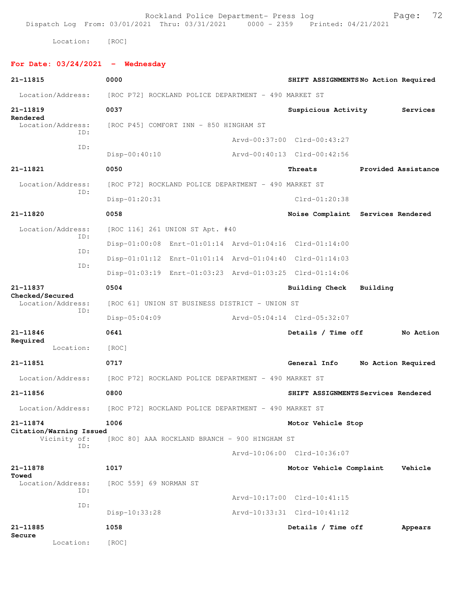Rockland Police Department- Press log entitled and Page: 72 Dispatch Log From: 03/01/2021 Thru: 03/31/2021 0000 - 2359 Printed: 04/21/2021

Location: [ROC]

## **For Date: 03/24/2021 - Wednesday**

| 21-11815                                | 0000                                                    |  | SHIFT ASSIGNMENTSNo Action Required |          |                     |  |
|-----------------------------------------|---------------------------------------------------------|--|-------------------------------------|----------|---------------------|--|
| Location/Address:                       | [ROC P72] ROCKLAND POLICE DEPARTMENT - 490 MARKET ST    |  |                                     |          |                     |  |
| 21-11819                                | 0037                                                    |  | Suspicious Activity                 |          | Services            |  |
| Rendered<br>Location/Address:           | [ROC P45] COMFORT INN - 850 HINGHAM ST                  |  |                                     |          |                     |  |
| ID:<br>ID:                              |                                                         |  | Arvd-00:37:00 Clrd-00:43:27         |          |                     |  |
|                                         | $Disp-00:40:10$                                         |  | Arvd-00:40:13 Clrd-00:42:56         |          |                     |  |
| 21-11821                                | 0050                                                    |  | Threats                             |          | Provided Assistance |  |
| Location/Address:<br>ID:                | [ROC P72] ROCKLAND POLICE DEPARTMENT - 490 MARKET ST    |  |                                     |          |                     |  |
|                                         | $Disp-01:20:31$                                         |  | $Clrd-01:20:38$                     |          |                     |  |
| 21-11820                                | 0058                                                    |  | Noise Complaint Services Rendered   |          |                     |  |
| Location/Address:<br>ID:                | [ROC 116] 261 UNION ST Apt. #40                         |  |                                     |          |                     |  |
| ID:                                     | Disp-01:00:08 Enrt-01:01:14 Arvd-01:04:16 Clrd-01:14:00 |  |                                     |          |                     |  |
| ID:                                     | Disp-01:01:12 Enrt-01:01:14 Arvd-01:04:40 Clrd-01:14:03 |  |                                     |          |                     |  |
|                                         | Disp-01:03:19 Enrt-01:03:23 Arvd-01:03:25 Clrd-01:14:06 |  |                                     |          |                     |  |
| 21-11837<br>Checked/Secured             | 0504                                                    |  | Building Check                      | Building |                     |  |
| Location/Address:<br>ID:                | [ROC 61] UNION ST BUSINESS DISTRICT - UNION ST          |  |                                     |          |                     |  |
|                                         | Disp-05:04:09                                           |  | Arvd-05:04:14 Clrd-05:32:07         |          |                     |  |
| $21 - 11846$<br>Required                | 0641                                                    |  | Details / Time off                  |          | No Action           |  |
| Location:                               | [ROC]                                                   |  |                                     |          |                     |  |
| 21-11851                                | 0717                                                    |  | General Info                        |          | No Action Required  |  |
| Location/Address:                       | [ROC P72] ROCKLAND POLICE DEPARTMENT - 490 MARKET ST    |  |                                     |          |                     |  |
| 21-11856                                | 0800                                                    |  | SHIFT ASSIGNMENTS Services Rendered |          |                     |  |
| Location/Address:                       | [ROC P72] ROCKLAND POLICE DEPARTMENT - 490 MARKET ST    |  |                                     |          |                     |  |
| 21-11874                                | 1006                                                    |  | Motor Vehicle Stop                  |          |                     |  |
| Citation/Warning Issued<br>Vicinity of: | [ROC 80] AAA ROCKLAND BRANCH - 900 HINGHAM ST           |  |                                     |          |                     |  |
| ID:                                     |                                                         |  | Arvd-10:06:00 Clrd-10:36:07         |          |                     |  |
| 21-11878                                | 1017                                                    |  | Motor Vehicle Complaint             |          | Vehicle             |  |
| Towed<br>Location/Address:              | [ROC 559] 69 NORMAN ST                                  |  |                                     |          |                     |  |
| ID:                                     |                                                         |  | Arvd-10:17:00 Clrd-10:41:15         |          |                     |  |
| ID:                                     | Disp-10:33:28                                           |  | Arvd-10:33:31 Clrd-10:41:12         |          |                     |  |
| 21-11885                                | 1058                                                    |  | Details / Time off                  |          | Appears             |  |
| Secure<br>Location:                     | [ROC]                                                   |  |                                     |          |                     |  |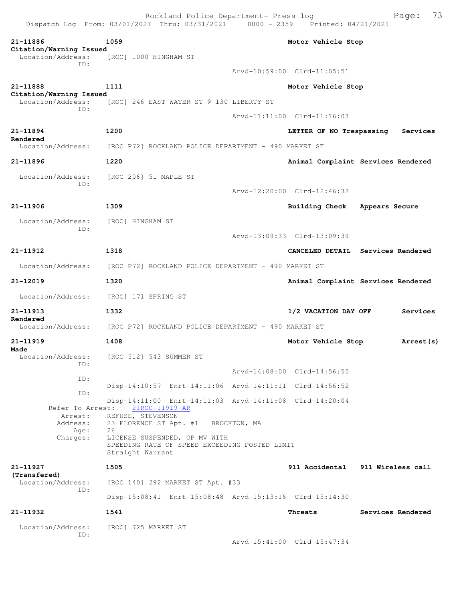Rockland Police Department- Press log Bookland Police Department- Press log Page: 73 Dispatch Log From:  $03/01/2021$  Thru:  $03/31/2021$  0000 - 2359 **21-11886 1059 Motor Vehicle Stop Citation/Warning Issued**  Location/Address: [ROC] 1000 HINGHAM ST ID: Arvd-10:59:00 Clrd-11:05:51 **21-11888 1111 Motor Vehicle Stop Citation/Warning Issued**  Location/Address: [ROC] 246 EAST WATER ST @ 130 LIBERTY ST ID: Arvd-11:11:00 Clrd-11:16:03 **21-11894 1200 LETTER OF NO Trespassing Services Rendered**  Location/Address: [ROC P72] ROCKLAND POLICE DEPARTMENT - 490 MARKET ST **21-11896 1220 Animal Complaint Services Rendered** Location/Address: [ROC 206] 51 MAPLE ST ID: Arvd-12:20:00 Clrd-12:46:32 **21-11906 1309 Building Check Appears Secure** Location/Address: [ROC] HINGHAM ST ID: Arvd-13:09:33 Clrd-13:09:39 **21-11912 1318 CANCELED DETAIL Services Rendered** Location/Address: [ROC P72] ROCKLAND POLICE DEPARTMENT - 490 MARKET ST **21-12019 1320 Animal Complaint Services Rendered** Location/Address: [ROC] 171 SPRING ST **21-11913 1332 1/2 VACATION DAY OFF Services Rendered**  Location/Address: [ROC P72] ROCKLAND POLICE DEPARTMENT - 490 MARKET ST **21-11919 1408 Motor Vehicle Stop Arrest(s) Made**  Location/Address: [ROC 512] 543 SUMMER ST ID: Arvd-14:08:00 Clrd-14:56:55 ID: Disp-14:10:57 Enrt-14:11:06 Arvd-14:11:11 Clrd-14:56:52 ID: Disp-14:11:00 Enrt-14:11:03 Arvd-14:11:08 Clrd-14:20:04 Refer To Arrest: Arrest: REFUSE, STEVENSON Address: 23 FLORENCE ST Apt. #1 BROCKTON, MA Age: 26 Charges: LICENSE SUSPENDED, OP MV WITH SPEEDING RATE OF SPEED EXCEEDING POSTED LIMIT Straight Warrant **21-11927 1505 911 Accidental 911 Wireless call (Transfered)**  Location/Address: [ROC 140] 292 MARKET ST Apt. #33 ID: Disp-15:08:41 Enrt-15:08:48 Arvd-15:13:16 Clrd-15:14:30 **21-11932 1541 Threats Services Rendered** Location/Address: [ROC] 725 MARKET ST ID: Arvd-15:41:00 Clrd-15:47:34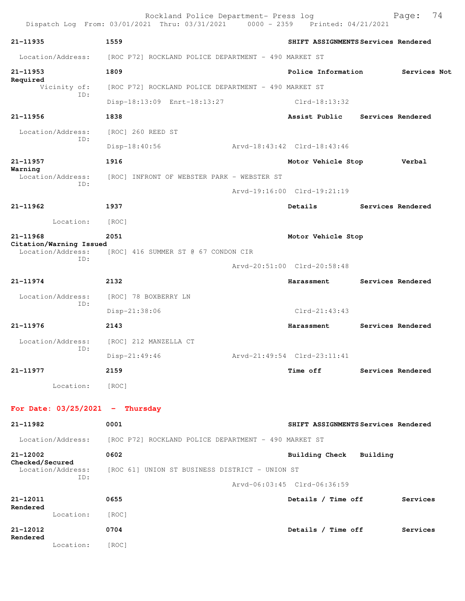|                                              | Rockland Police Department- Press log<br>Dispatch Log From: 03/01/2021 Thru: 03/31/2021 0000 - 2359 Printed: 04/21/2021 |                                     |          | 74<br>Page:       |
|----------------------------------------------|-------------------------------------------------------------------------------------------------------------------------|-------------------------------------|----------|-------------------|
| 21-11935                                     | 1559                                                                                                                    | SHIFT ASSIGNMENTS Services Rendered |          |                   |
| Location/Address:                            | [ROC P72] ROCKLAND POLICE DEPARTMENT - 490 MARKET ST                                                                    |                                     |          |                   |
| 21-11953                                     | 1809                                                                                                                    | Police Information                  |          | Services Not      |
| Required<br>Vicinity of:                     | [ROC P72] ROCKLAND POLICE DEPARTMENT - 490 MARKET ST                                                                    |                                     |          |                   |
| ID:                                          | Disp-18:13:09 Enrt-18:13:27                                                                                             | $Clrd-18:13:32$                     |          |                   |
| 21-11956                                     | 1838                                                                                                                    | Assist Public                       |          | Services Rendered |
| Location/Address:                            | [ROC] 260 REED ST                                                                                                       |                                     |          |                   |
| ID:                                          | $Disp-18:40:56$                                                                                                         | Arvd-18:43:42 Clrd-18:43:46         |          |                   |
| 21-11957                                     | 1916                                                                                                                    | Motor Vehicle Stop                  |          | Verbal            |
| Warning<br>Location/Address:                 | [ROC] INFRONT OF WEBSTER PARK - WEBSTER ST                                                                              |                                     |          |                   |
| ID:                                          |                                                                                                                         | Arvd-19:16:00 Clrd-19:21:19         |          |                   |
| 21-11962                                     | 1937                                                                                                                    | Details                             |          | Services Rendered |
| Location:                                    | [ROC]                                                                                                                   |                                     |          |                   |
| 21-11968                                     | 2051                                                                                                                    | Motor Vehicle Stop                  |          |                   |
| Citation/Warning Issued<br>Location/Address: | [ROC] 416 SUMMER ST @ 67 CONDON CIR                                                                                     |                                     |          |                   |
| ID:                                          |                                                                                                                         | Arvd-20:51:00 Clrd-20:58:48         |          |                   |
| 21-11974                                     | 2132                                                                                                                    | Harassment                          |          | Services Rendered |
| Location/Address:                            | [ROC] 78 BOXBERRY LN                                                                                                    |                                     |          |                   |
| ID:                                          | Disp-21:38:06                                                                                                           | $Clrd-21:43:43$                     |          |                   |
| 21-11976                                     | 2143                                                                                                                    | Harassment                          |          | Services Rendered |
| Location/Address:                            | [ROC] 212 MANZELLA CT                                                                                                   |                                     |          |                   |
| ID:                                          | Disp-21:49:46                                                                                                           | Arvd-21:49:54 Clrd-23:11:41         |          |                   |
| 21-11977                                     | 2159                                                                                                                    | Time off                            |          | Services Rendered |
| Location:                                    | [ROC]                                                                                                                   |                                     |          |                   |
|                                              |                                                                                                                         |                                     |          |                   |
| For Date: $03/25/2021$ - Thursday            |                                                                                                                         |                                     |          |                   |
| 21-11982                                     | 0001                                                                                                                    | SHIFT ASSIGNMENTS Services Rendered |          |                   |
| Location/Address:                            | [ROC P72] ROCKLAND POLICE DEPARTMENT - 490 MARKET ST                                                                    |                                     |          |                   |
| 21-12002<br>Checked/Secured                  | 0602                                                                                                                    | <b>Building Check</b>               | Building |                   |
| Location/Address:<br>ID:                     | [ROC 61] UNION ST BUSINESS DISTRICT - UNION ST                                                                          |                                     |          |                   |
|                                              |                                                                                                                         | Arvd-06:03:45 Clrd-06:36:59         |          |                   |
| 21-12011<br>Rendered                         | 0655                                                                                                                    | Details / Time off                  |          | Services          |
| Location:                                    | [ROC]                                                                                                                   |                                     |          |                   |
| 21-12012<br>Rendered                         | 0704                                                                                                                    | Details / Time off                  |          | Services          |
| Location:                                    | [ROC]                                                                                                                   |                                     |          |                   |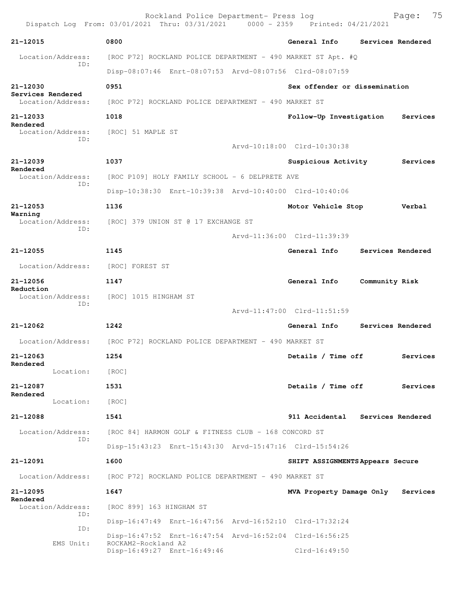|                                            | Rockland Police Department- Press log<br>Dispatch Log From: 03/01/2021 Thru: 03/31/2021 0000 - 2359 Printed: 04/21/2021 | 75<br>Page:                          |
|--------------------------------------------|-------------------------------------------------------------------------------------------------------------------------|--------------------------------------|
| 21-12015                                   | 0800                                                                                                                    | General Info<br>Services Rendered    |
| Location/Address:                          | [ROC P72] ROCKLAND POLICE DEPARTMENT - 490 MARKET ST Apt. #Q                                                            |                                      |
| ID:                                        | Disp-08:07:46 Enrt-08:07:53 Arvd-08:07:56 Clrd-08:07:59                                                                 |                                      |
| 21-12030                                   | 0951                                                                                                                    | Sex offender or dissemination        |
| Services Rendered<br>Location/Address:     | [ROC P72] ROCKLAND POLICE DEPARTMENT - 490 MARKET ST                                                                    |                                      |
| 21-12033                                   | 1018                                                                                                                    | Follow-Up Investigation<br>Services  |
| Rendered<br>Location/Address:              | [ROC] 51 MAPLE ST                                                                                                       |                                      |
| ID:                                        |                                                                                                                         | Arvd-10:18:00 Clrd-10:30:38          |
| 21-12039                                   | 1037                                                                                                                    | Suspicious Activity<br>Services      |
| Rendered<br>Location/Address:              | [ROC P109] HOLY FAMILY SCHOOL - 6 DELPRETE AVE                                                                          |                                      |
| ID:                                        | Disp-10:38:30 Enrt-10:39:38 Arvd-10:40:00 Clrd-10:40:06                                                                 |                                      |
| $21 - 12053$                               | 1136                                                                                                                    | Motor Vehicle Stop<br>Verbal         |
| Warning<br>Location/Address:               | [ROC] 379 UNION ST @ 17 EXCHANGE ST                                                                                     |                                      |
| ID:                                        |                                                                                                                         | Arvd-11:36:00 Clrd-11:39:39          |
| 21-12055                                   | 1145                                                                                                                    | General Info<br>Services Rendered    |
| Location/Address:                          | [ROC] FOREST ST                                                                                                         |                                      |
| 21-12056<br>Reduction<br>Location/Address: | 1147                                                                                                                    | General Info<br>Community Risk       |
|                                            | [ROC] 1015 HINGHAM ST                                                                                                   |                                      |
| ID:                                        |                                                                                                                         | Arvd-11:47:00 Clrd-11:51:59          |
| 21-12062                                   | 1242                                                                                                                    | General Info<br>Services Rendered    |
| Location/Address:                          | [ROC P72] ROCKLAND POLICE DEPARTMENT - 490 MARKET ST                                                                    |                                      |
| 21-12063                                   | 1254                                                                                                                    | Details / Time off<br>Services       |
| Rendered<br>Location:                      | [ROC]                                                                                                                   |                                      |
| 21-12087                                   | 1531                                                                                                                    | Details / Time off<br>Services       |
| Rendered<br>Location:                      | [ROC]                                                                                                                   |                                      |
| 21-12088                                   | 1541                                                                                                                    | 911 Accidental Services Rendered     |
| Location/Address:<br>ID:                   | [ROC 84] HARMON GOLF & FITNESS CLUB - 168 CONCORD ST                                                                    |                                      |
|                                            | Disp-15:43:23 Enrt-15:43:30 Arvd-15:47:16 Clrd-15:54:26                                                                 |                                      |
| 21-12091                                   | 1600                                                                                                                    | SHIFT ASSIGNMENTS Appears Secure     |
| Location/Address:                          | [ROC P72] ROCKLAND POLICE DEPARTMENT - 490 MARKET ST                                                                    |                                      |
| 21-12095<br>Rendered                       | 1647                                                                                                                    | MVA Property Damage Only<br>Services |
| Location/Address:<br>ID:                   | [ROC 899] 163 HINGHAM ST                                                                                                |                                      |
| ID:                                        | Disp-16:47:49 Enrt-16:47:56 Arvd-16:52:10 Clrd-17:32:24                                                                 |                                      |
| EMS Unit:                                  | Disp-16:47:52 Enrt-16:47:54 Arvd-16:52:04 Clrd-16:56:25<br>ROCKAM2-Rockland A2                                          |                                      |
|                                            | Disp-16:49:27 Enrt-16:49:46                                                                                             | $Clrd-16:49:50$                      |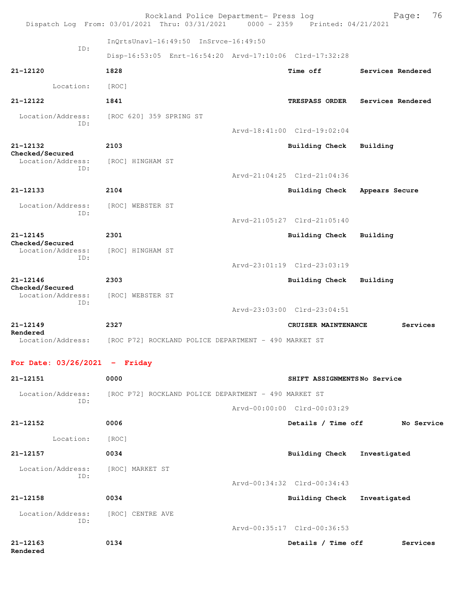|                                                  | Rockland Police Department- Press log<br>Dispatch Log From: 03/01/2021 Thru: 03/31/2021 0000 - 2359 Printed: 04/21/2021 |                             | 76<br>Page:       |
|--------------------------------------------------|-------------------------------------------------------------------------------------------------------------------------|-----------------------------|-------------------|
|                                                  | InQrtsUnavl-16:49:50 InSrvce-16:49:50                                                                                   |                             |                   |
| ID:                                              | Disp-16:53:05 Enrt-16:54:20 Arvd-17:10:06 Clrd-17:32:28                                                                 |                             |                   |
| 21-12120                                         | 1828                                                                                                                    | <b>Time off</b>             | Services Rendered |
| Location:                                        | [ROC]                                                                                                                   |                             |                   |
| 21-12122                                         | 1841                                                                                                                    | <b>TRESPASS ORDER</b>       | Services Rendered |
| Location/Address:<br>ID:                         | [ROC 620] 359 SPRING ST                                                                                                 |                             |                   |
|                                                  |                                                                                                                         | Arvd-18:41:00 Clrd-19:02:04 |                   |
| 21-12132<br>Checked/Secured<br>Location/Address: | 2103<br>[ROC] HINGHAM ST                                                                                                | <b>Building Check</b>       | Building          |
| ID:                                              |                                                                                                                         | Arvd-21:04:25 Clrd-21:04:36 |                   |
| 21-12133                                         | 2104                                                                                                                    | Building Check              | Appears Secure    |
| Location/Address:<br>ID:                         | [ROC] WEBSTER ST                                                                                                        |                             |                   |
|                                                  |                                                                                                                         | Arvd-21:05:27 Clrd-21:05:40 |                   |
| $21 - 12145$<br>Checked/Secured                  | 2301                                                                                                                    | Building Check              | Building          |
| Location/Address:<br>ID:                         | [ROC] HINGHAM ST                                                                                                        |                             |                   |
|                                                  |                                                                                                                         | Arvd-23:01:19 Clrd-23:03:19 |                   |
| 21-12146<br>Checked/Secured                      | 2303                                                                                                                    | Building Check              | Building          |
| Location/Address:<br>ID:                         | [ROC] WEBSTER ST                                                                                                        | Arvd-23:03:00 Clrd-23:04:51 |                   |
| 21-12149                                         | 2327                                                                                                                    | CRUISER MAINTENANCE         | Services          |
| Rendered<br>Location/Address:                    | [ROC P72] ROCKLAND POLICE DEPARTMENT - 490 MARKET ST                                                                    |                             |                   |
| For Date: $03/26/2021$ - Friday                  |                                                                                                                         |                             |                   |
| 21-12151                                         | 0000                                                                                                                    | SHIFT ASSIGNMENTSNo Service |                   |
|                                                  | Location/Address: [ROC P72] ROCKLAND POLICE DEPARTMENT - 490 MARKET ST                                                  |                             |                   |
| ID:                                              |                                                                                                                         | Arvd-00:00:00 Clrd-00:03:29 |                   |
| 21-12152                                         | 0006                                                                                                                    | Details / Time off          | No Service        |
| Location:                                        | [ROC]                                                                                                                   |                             |                   |
| 21-12157                                         | 0034                                                                                                                    | Building Check Investigated |                   |

 Location/Address: [ROC] MARKET ST ID:

 Arvd-00:34:32 Clrd-00:34:43 **21-12158 0034 Building Check Investigated** Location/Address: [ROC] CENTRE AVE ID: Arvd-00:35:17 Clrd-00:36:53 **21-12163 0134 Details / Time off Services**

**Rendered**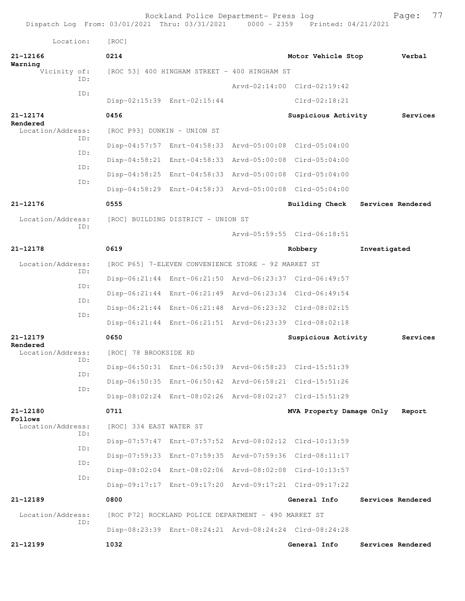Rockland Police Department- Press log Fage: 77<br>21 Thru: 03/31/2021 0000 - 2359 Printed: 04/21/2021 Dispatch Log From: 03/01/2021 Thru: 03/31/2021 Location: [ROC] **21-12166 0214 Motor Vehicle Stop Verbal Warning**<br>Vicinity of: [ROC 53] 400 HINGHAM STREET - 400 HINGHAM ST ID: Arvd-02:14:00 Clrd-02:19:42 ID: Disp-02:15:39 Enrt-02:15:44 Clrd-02:18:21 **21-12174 0456 Suspicious Activity Services Rendered**  Location/Address: [ROC P93] DUNKIN - UNION ST ID: Disp-04:57:57 Enrt-04:58:33 Arvd-05:00:08 Clrd-05:04:00 ID: Disp-04:58:21 Enrt-04:58:33 Arvd-05:00:08 Clrd-05:04:00 ID: Disp-04:58:25 Enrt-04:58:33 Arvd-05:00:08 Clrd-05:04:00 ID: Disp-04:58:29 Enrt-04:58:33 Arvd-05:00:08 Clrd-05:04:00 **21-12176 0555 Building Check Services Rendered** Location/Address: [ROC] BUILDING DISTRICT - UNION ST ID: Arvd-05:59:55 Clrd-06:18:51 **21-12178 0619 Robbery Investigated** Location/Address: [ROC P65] 7-ELEVEN CONVENIENCE STORE - 92 MARKET ST ID: Disp-06:21:44 Enrt-06:21:50 Arvd-06:23:37 Clrd-06:49:57 ID: Disp-06:21:44 Enrt-06:21:49 Arvd-06:23:34 Clrd-06:49:54 ID: Disp-06:21:44 Enrt-06:21:48 Arvd-06:23:32 Clrd-08:02:15 ID: Disp-06:21:44 Enrt-06:21:51 Arvd-06:23:39 Clrd-08:02:18 **21-12179 0650 Suspicious Activity Services Rendered**  Location/Address: [ROC] 78 BROOKSIDE RD ID: Disp-06:50:31 Enrt-06:50:39 Arvd-06:58:23 Clrd-15:51:39 ID: Disp-06:50:35 Enrt-06:50:42 Arvd-06:58:21 Clrd-15:51:26 ID: Disp-08:02:24 Enrt-08:02:26 Arvd-08:02:27 Clrd-15:51:29 **21-12180 0711 MVA Property Damage Only Report Follows**  Location/Address: [ROC] 334 EAST WATER ST ID: Disp-07:57:47 Enrt-07:57:52 Arvd-08:02:12 Clrd-10:13:59 ID: Disp-07:59:33 Enrt-07:59:35 Arvd-07:59:36 Clrd-08:11:17 ID: Disp-08:02:04 Enrt-08:02:06 Arvd-08:02:08 Clrd-10:13:57 ID: Disp-09:17:17 Enrt-09:17:20 Arvd-09:17:21 Clrd-09:17:22 **21-12189 0800 General Info Services Rendered** Location/Address: [ROC P72] ROCKLAND POLICE DEPARTMENT - 490 MARKET ST ID: Disp-08:23:39 Enrt-08:24:21 Arvd-08:24:24 Clrd-08:24:28 **21-12199 1032 General Info Services Rendered**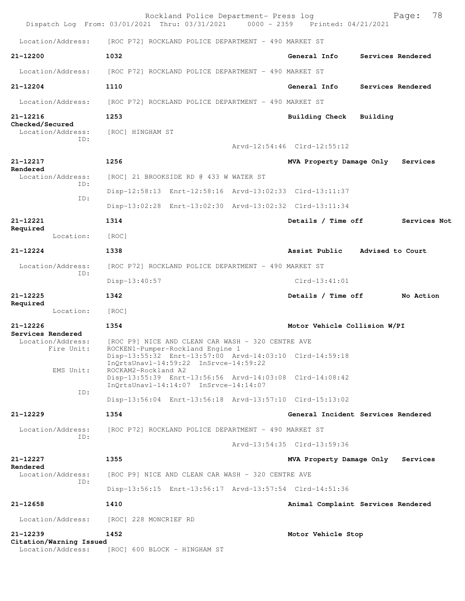| [ROC P72] ROCKLAND POLICE DEPARTMENT - 490 MARKET ST                          | Dispatch Log From: 03/01/2021 Thru: 03/31/2021 0000 - 2359 Printed: 04/21/2021 | 78<br>Page:                                              |
|-------------------------------------------------------------------------------|--------------------------------------------------------------------------------|----------------------------------------------------------|
|                                                                               |                                                                                |                                                          |
| General Info                                                                  |                                                                                | Services Rendered                                        |
| [ROC P72] ROCKLAND POLICE DEPARTMENT - 490 MARKET ST                          |                                                                                |                                                          |
| General Info                                                                  |                                                                                | Services Rendered                                        |
| [ROC P72] ROCKLAND POLICE DEPARTMENT - 490 MARKET ST                          |                                                                                |                                                          |
| Building Check                                                                | Building                                                                       |                                                          |
| Arvd-12:54:46 Clrd-12:55:12                                                   |                                                                                |                                                          |
|                                                                               |                                                                                |                                                          |
| MVA Property Damage Only                                                      |                                                                                | Services                                                 |
|                                                                               |                                                                                |                                                          |
| Disp-12:58:13 Enrt-12:58:16 Arvd-13:02:33 Clrd-13:11:37                       |                                                                                |                                                          |
| Disp-13:02:28 Enrt-13:02:30 Arvd-13:02:32 Clrd-13:11:34<br>Details / Time off |                                                                                | Services Not                                             |
|                                                                               |                                                                                |                                                          |
| Assist Public Advised to Court                                                |                                                                                |                                                          |
|                                                                               |                                                                                |                                                          |
| [ROC P72] ROCKLAND POLICE DEPARTMENT - 490 MARKET ST                          |                                                                                |                                                          |
| $Clrd-13:41:01$                                                               |                                                                                |                                                          |
| Details / Time off                                                            |                                                                                | No Action                                                |
|                                                                               |                                                                                |                                                          |
| Motor Vehicle Collision W/PI                                                  |                                                                                |                                                          |
| Disp-13:55:32 Enrt-13:57:00 Arvd-14:03:10 Clrd-14:59:18                       |                                                                                |                                                          |
| Disp-13:55:39 Enrt-13:56:56 Arvd-14:03:08 Clrd-14:08:42                       |                                                                                |                                                          |
| Disp-13:56:04 Enrt-13:56:18 Arvd-13:57:10 Clrd-15:13:02                       |                                                                                |                                                          |
| General Incident Services Rendered                                            |                                                                                |                                                          |
| [ROC P72] ROCKLAND POLICE DEPARTMENT - 490 MARKET ST                          |                                                                                |                                                          |
| Arvd-13:54:35 Clrd-13:59:36                                                   |                                                                                |                                                          |
| MVA Property Damage Only                                                      |                                                                                | Services                                                 |
|                                                                               |                                                                                |                                                          |
|                                                                               |                                                                                |                                                          |
| Disp-13:56:15 Enrt-13:56:17 Arvd-13:57:54 Clrd-14:51:36                       |                                                                                |                                                          |
|                                                                               |                                                                                |                                                          |
|                                                                               |                                                                                |                                                          |
|                                                                               |                                                                                |                                                          |
|                                                                               |                                                                                | Animal Complaint Services Rendered<br>Motor Vehicle Stop |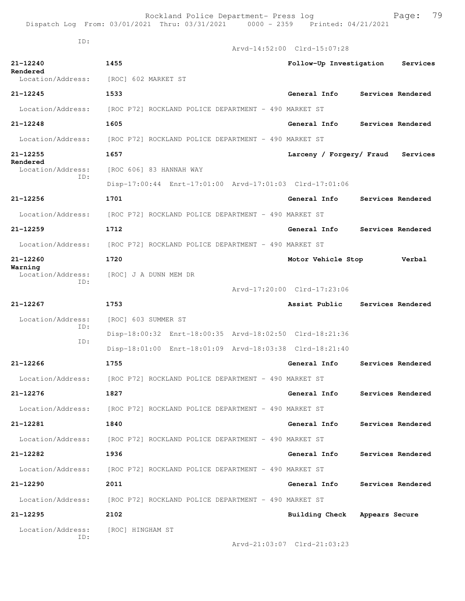|                                    | Dispatch Log From: 03/01/2021 Thru: 03/31/2021<br>$0000 - 2359$        | Printed: 04/21/2021           |                   |
|------------------------------------|------------------------------------------------------------------------|-------------------------------|-------------------|
| ID:                                |                                                                        | Arvd-14:52:00 Clrd-15:07:28   |                   |
| 21-12240                           | 1455                                                                   | Follow-Up Investigation       | Services          |
| Rendered<br>Location/Address:      | [ROC] 602 MARKET ST                                                    |                               |                   |
| 21-12245                           | 1533                                                                   | General Info                  | Services Rendered |
| Location/Address:                  | [ROC P72] ROCKLAND POLICE DEPARTMENT - 490 MARKET ST                   |                               |                   |
| $21 - 12248$                       | 1605                                                                   | <b>General Info</b>           | Services Rendered |
| Location/Address:                  | [ROC P72] ROCKLAND POLICE DEPARTMENT - 490 MARKET ST                   |                               |                   |
| 21-12255                           | 1657                                                                   | Larceny / Forgery/ Fraud      | Services          |
| Rendered<br>Location/Address:      | [ROC 606] 83 HANNAH WAY                                                |                               |                   |
| ID:                                | Disp-17:00:44 Enrt-17:01:00 Arvd-17:01:03 Clrd-17:01:06                |                               |                   |
| 21-12256                           | 1701                                                                   | General Info                  | Services Rendered |
| Location/Address:                  | [ROC P72] ROCKLAND POLICE DEPARTMENT - 490 MARKET ST                   |                               |                   |
| $21 - 12259$                       | 1712                                                                   | General Info                  | Services Rendered |
| Location/Address:                  | [ROC P72] ROCKLAND POLICE DEPARTMENT - 490 MARKET ST                   |                               |                   |
| 21-12260                           | 1720                                                                   | Motor Vehicle Stop            | Verbal            |
| Warning<br>Location/Address:       | [ROC] J A DUNN MEM DR                                                  |                               |                   |
| ID:                                |                                                                        | Arvd-17:20:00 Clrd-17:23:06   |                   |
| 21-12267                           | 1753                                                                   | Assist Public                 | Services Rendered |
| Location/Address:<br>ID:           | [ROC] 603 SUMMER ST                                                    |                               |                   |
| ID:                                | Disp-18:00:32 Enrt-18:00:35 Arvd-18:02:50 Clrd-18:21:36                |                               |                   |
|                                    | Disp-18:01:00 Enrt-18:01:09 Arvd-18:03:38 Clrd-18:21:40                |                               |                   |
| 21-12266                           | 1755                                                                   | General Info                  | Services Rendered |
|                                    | Location/Address: [ROC P72] ROCKLAND POLICE DEPARTMENT - 490 MARKET ST |                               |                   |
| $21 - 12276$                       | 1827                                                                   | <b>General Info</b>           | Services Rendered |
|                                    | Location/Address: [ROC P72] ROCKLAND POLICE DEPARTMENT - 490 MARKET ST |                               |                   |
| 21-12281                           | 1840                                                                   | General Info                  | Services Rendered |
|                                    | Location/Address: [ROC P72] ROCKLAND POLICE DEPARTMENT - 490 MARKET ST |                               |                   |
| 21-12282                           | 1936                                                                   | General Info                  | Services Rendered |
|                                    | Location/Address: [ROC P72] ROCKLAND POLICE DEPARTMENT - 490 MARKET ST |                               |                   |
| 21-12290                           | 2011                                                                   | General Info                  | Services Rendered |
|                                    | Location/Address: [ROC P72] ROCKLAND POLICE DEPARTMENT - 490 MARKET ST |                               |                   |
| 21-12295                           | 2102                                                                   | Building Check Appears Secure |                   |
| Location/Address: [ROC] HINGHAM ST |                                                                        |                               |                   |
| ID:                                |                                                                        | Arvd-21:03:07 Clrd-21:03:23   |                   |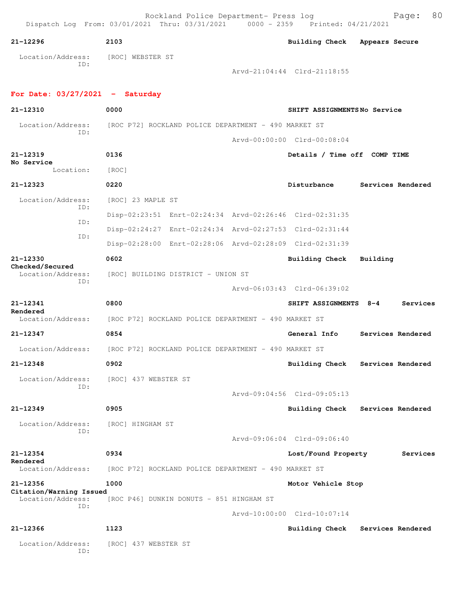| 21-12296                                     | 2103                                                                   | Building Check Appears Secure |                                  |
|----------------------------------------------|------------------------------------------------------------------------|-------------------------------|----------------------------------|
| Location/Address: [ROC] WEBSTER ST           |                                                                        |                               |                                  |
| ID:                                          |                                                                        | Arvd-21:04:44 Clrd-21:18:55   |                                  |
| For Date: $03/27/2021$ - Saturday            |                                                                        |                               |                                  |
| 21-12310                                     | 0000                                                                   | SHIFT ASSIGNMENTSNo Service   |                                  |
|                                              | Location/Address: [ROC P72] ROCKLAND POLICE DEPARTMENT - 490 MARKET ST |                               |                                  |
| ID:                                          |                                                                        | Arvd-00:00:00 Clrd-00:08:04   |                                  |
| 21-12319                                     | 0136                                                                   | Details / Time off COMP TIME  |                                  |
| No Service<br>Location:                      | [ROC]                                                                  |                               |                                  |
| 21-12323                                     | 0220                                                                   | Disturbance                   | Services Rendered                |
| Location/Address:                            | [ROC] 23 MAPLE ST                                                      |                               |                                  |
| ID:                                          | Disp-02:23:51 Enrt-02:24:34 Arvd-02:26:46 Clrd-02:31:35                |                               |                                  |
| ID:                                          | Disp-02:24:27 Enrt-02:24:34 Arvd-02:27:53 Clrd-02:31:44                |                               |                                  |
| ID:                                          | Disp-02:28:00 Enrt-02:28:06 Arvd-02:28:09 Clrd-02:31:39                |                               |                                  |
| 21-12330                                     | 0602                                                                   | Building Check Building       |                                  |
| Checked/Secured<br>Location/Address:         | [ROC] BUILDING DISTRICT - UNION ST                                     |                               |                                  |
| ID:                                          |                                                                        | Arvd-06:03:43 Clrd-06:39:02   |                                  |
| 21-12341                                     | 0800                                                                   | SHIFT ASSIGNMENTS 8-4         | Services                         |
| Rendered                                     | Location/Address: [ROC P72] ROCKLAND POLICE DEPARTMENT - 490 MARKET ST |                               |                                  |
| 21-12347                                     | 0854                                                                   | General Info                  | Services Rendered                |
|                                              | Location/Address: [ROC P72] ROCKLAND POLICE DEPARTMENT - 490 MARKET ST |                               |                                  |
| 21-12348                                     | 0902                                                                   |                               | Building Check Services Rendered |
| Location/Address:                            | [ROC] 437 WEBSTER ST                                                   |                               |                                  |
| ID:                                          |                                                                        | Arvd-09:04:56 Clrd-09:05:13   |                                  |
| 21-12349                                     | 0905                                                                   | <b>Building Check</b>         | Services Rendered                |
| Location/Address:                            | [ROC] HINGHAM ST                                                       |                               |                                  |
| ID:                                          |                                                                        | Arvd-09:06:04 Clrd-09:06:40   |                                  |
| 21-12354                                     | 0934                                                                   | Lost/Found Property           | Services                         |
| Rendered<br>Location/Address:                | [ROC P72] ROCKLAND POLICE DEPARTMENT - 490 MARKET ST                   |                               |                                  |
| 21-12356                                     | 1000                                                                   | Motor Vehicle Stop            |                                  |
| Citation/Warning Issued<br>Location/Address: | [ROC P46] DUNKIN DONUTS - 851 HINGHAM ST                               |                               |                                  |
| ID:                                          |                                                                        | Arvd-10:00:00 Clrd-10:07:14   |                                  |
| 21-12366                                     | 1123                                                                   | <b>Building Check</b>         | Services Rendered                |
| Location/Address:<br>ID:                     | [ROC] 437 WEBSTER ST                                                   |                               |                                  |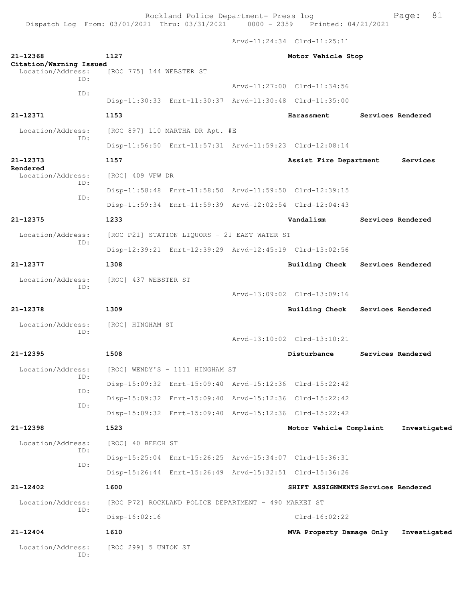Rockland Police Department- Press log Page: 81 Dispatch Log From:  $03/01/2021$  Thru:  $03/31/2021$  0000 - 2359

 Arvd-11:24:34 Clrd-11:25:11 **21-12368 1127 Motor Vehicle Stop Citation/Warning Issued**  Location/Address: [ROC 775] 144 WEBSTER ST ID: Arvd-11:27:00 Clrd-11:34:56 ID: Disp-11:30:33 Enrt-11:30:37 Arvd-11:30:48 Clrd-11:35:00 **21-12371 1153 Harassment Services Rendered** Location/Address: [ROC 897] 110 MARTHA DR Apt. #E ID: Disp-11:56:50 Enrt-11:57:31 Arvd-11:59:23 Clrd-12:08:14 **21-12373 1157 Assist Fire Department Services Rendered**  Location/Address: [ROC] 409 VFW DR ID: Disp-11:58:48 Enrt-11:58:50 Arvd-11:59:50 Clrd-12:39:15 ID: Disp-11:59:34 Enrt-11:59:39 Arvd-12:02:54 Clrd-12:04:43 **21-12375 1233 Vandalism Services Rendered** Location/Address: [ROC P21] STATION LIQUORS - 21 EAST WATER ST ID: Disp-12:39:21 Enrt-12:39:29 Arvd-12:45:19 Clrd-13:02:56 **21-12377 1308 Building Check Services Rendered** Location/Address: [ROC] 437 WEBSTER ST ID: Arvd-13:09:02 Clrd-13:09:16 **21-12378 1309 Building Check Services Rendered** Location/Address: [ROC] HINGHAM ST ID: Arvd-13:10:02 Clrd-13:10:21 **21-12395 1508 Disturbance Services Rendered** Location/Address: [ROC] WENDY'S - 1111 HINGHAM ST ID: Disp-15:09:32 Enrt-15:09:40 Arvd-15:12:36 Clrd-15:22:42 ID: Disp-15:09:32 Enrt-15:09:40 Arvd-15:12:36 Clrd-15:22:42 ID: Disp-15:09:32 Enrt-15:09:40 Arvd-15:12:36 Clrd-15:22:42 **21-12398 1523 Motor Vehicle Complaint Investigated** Location/Address: [ROC] 40 BEECH ST ID: Disp-15:25:04 Enrt-15:26:25 Arvd-15:34:07 Clrd-15:36:31 ID: Disp-15:26:44 Enrt-15:26:49 Arvd-15:32:51 Clrd-15:36:26 **21-12402 1600 SHIFT ASSIGNMENTS Services Rendered** Location/Address: [ROC P72] ROCKLAND POLICE DEPARTMENT - 490 MARKET ST ID: Disp-16:02:16 Clrd-16:02:22 **21-12404 1610 MVA Property Damage Only Investigated** Location/Address: [ROC 299] 5 UNION ST ID: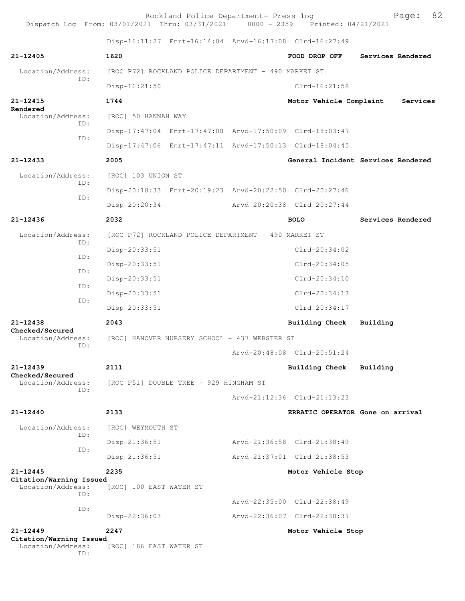Rockland Police Department- Press log  $P = 82$ <br>21 Thru: 03/31/2021 0000 - 2359 Printed: 04/21/2021 Dispatch Log From:  $03/01/2021$  Thru:  $03/31/2021$  0000 - 2359 Disp-16:11:27 Enrt-16:14:04 Arvd-16:17:08 Clrd-16:27:49 **21-12405 1620 FOOD DROP OFF Services Rendered** Location/Address: [ROC P72] ROCKLAND POLICE DEPARTMENT - 490 MARKET ST ID: Disp-16:21:50 Clrd-16:21:58 **21-12415 1744 Motor Vehicle Complaint Services Rendered**<br>Location/Address: [ROC] 50 HANNAH WAY ID: Disp-17:47:04 Enrt-17:47:08 Arvd-17:50:09 Clrd-18:03:47 ID: Disp-17:47:06 Enrt-17:47:11 Arvd-17:50:13 Clrd-18:04:45 **21-12433 2005 General Incident Services Rendered** Location/Address: [ROC] 103 UNION ST ID: Disp-20:18:33 Enrt-20:19:23 Arvd-20:22:50 Clrd-20:27:46 ID: Disp-20:20:34 Arvd-20:20:38 Clrd-20:27:44 **21-12436 2032 BOLO Services Rendered** Location/Address: [ROC P72] ROCKLAND POLICE DEPARTMENT - 490 MARKET ST ID: Disp-20:33:51 Clrd-20:34:02 ID: Disp-20:33:51 Clrd-20:34:05 ID: Disp-20:33:51 Clrd-20:34:10 ID: Disp-20:33:51 Clrd-20:34:13 ID: Disp-20:33:51 Clrd-20:34:17 **21-12438 2043 Building Check Building Checked/Secured**  Location/Address: [ROC] HANOVER NURSERY SCHOOL - 437 WEBSTER ST ID: Arvd-20:48:08 Clrd-20:51:24 **21-12439 2111 Building Check Building Checked/Secured**  Location/Address: [ROC P51] DOUBLE TREE - 929 HINGHAM ST ID: Arvd-21:12:36 Clrd-21:13:23 **21-12440 2133 ERRATIC OPERATOR Gone on arrival** Location/Address: [ROC] WEYMOUTH ST ID: Disp-21:36:51 Arvd-21:36:58 Clrd-21:38:49 ID: Disp-21:36:51 Arvd-21:37:01 Clrd-21:38:53 **21-12445 2235 Motor Vehicle Stop Citation/Warning Issued**  Location/Address: [ROC] 100 EAST WATER ST ID: Arvd-22:35:00 Clrd-22:38:49 ID: Disp-22:36:03 Arvd-22:36:07 Clrd-22:38:37 **21-12449 2247 Motor Vehicle Stop Citation/Warning Issued**  Location/Address: [ROC] 186 EAST WATER ST ID: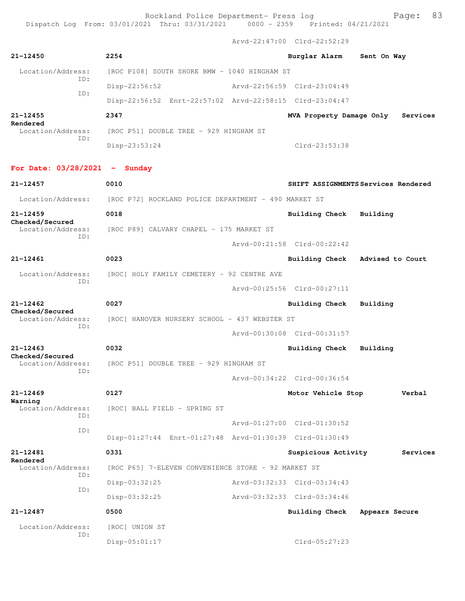Dispatch Log From: 03/01/2021 Thru: 03/31/2021 0000 - 2359 Printed: 04/21/2021

Arvd-22:47:00 Clrd-22:52:29

| $21 - 12450$                                | 2254                                                                   |  | Burglar Alarm               | Sent On Way                         |  |
|---------------------------------------------|------------------------------------------------------------------------|--|-----------------------------|-------------------------------------|--|
| Location/Address:                           | [ROC P108] SOUTH SHORE BMW - 1040 HINGHAM ST                           |  |                             |                                     |  |
| TD:                                         | Disp-22:56:52                                                          |  | Arvd-22:56:59 Clrd-23:04:49 |                                     |  |
| ID:                                         | Disp-22:56:52 Enrt-22:57:02 Arvd-22:58:15 Clrd-23:04:47                |  |                             |                                     |  |
| 21-12455<br>Rendered                        | 2347                                                                   |  | MVA Property Damage Only    | Services                            |  |
| Location/Address:<br>TD:                    | [ROC P51] DOUBLE TREE - 929 HINGHAM ST                                 |  |                             |                                     |  |
|                                             | Disp-23:53:24                                                          |  | $Clrd-23:53:38$             |                                     |  |
| For Date: $03/28/2021$ - Sunday             |                                                                        |  |                             |                                     |  |
| $21 - 12457$                                | 0010                                                                   |  |                             | SHIFT ASSIGNMENTS Services Rendered |  |
|                                             | Location/Address: [ROC P72] ROCKLAND POLICE DEPARTMENT - 490 MARKET ST |  |                             |                                     |  |
| $21 - 12459$                                | 0018                                                                   |  | <b>Building Check</b>       | Building                            |  |
| Checked/Secured<br>Location/Address:<br>ID: | [ROC P89] CALVARY CHAPEL - 175 MARKET ST                               |  |                             |                                     |  |
|                                             |                                                                        |  | Arvd-00:21:58 Clrd-00:22:42 |                                     |  |
| $21 - 12461$                                | 0023                                                                   |  | Building Check              | Advised to Court                    |  |
| Location/Address:<br>TD:                    | [ROC] HOLY FAMILY CEMETERY - 92 CENTRE AVE                             |  |                             |                                     |  |
|                                             |                                                                        |  | Arvd-00:25:56 Clrd-00:27:11 |                                     |  |
| $21 - 12462$                                | 0027                                                                   |  | Building Check              | Building                            |  |
| Checked/Secured<br>Location/Address:<br>ID: | [ROC] HANOVER NURSERY SCHOOL - 437 WEBSTER ST                          |  |                             |                                     |  |
|                                             |                                                                        |  | Arvd-00:30:08 Clrd-00:31:57 |                                     |  |
| $21 - 12463$<br>Checked/Secured             | 0032                                                                   |  | <b>Building Check</b>       | Building                            |  |
| Location/Address:<br>ID:                    | [ROC P51] DOUBLE TREE - 929 HINGHAM ST                                 |  |                             |                                     |  |
|                                             |                                                                        |  | Arvd-00:34:22 Clrd-00:36:54 |                                     |  |
| $21 - 12469$<br>Warning                     | 0127                                                                   |  | Motor Vehicle Stop          | Verbal                              |  |
| Location/Address:<br>TD:                    | [ROC] BALL FIELD - SPRING ST                                           |  |                             |                                     |  |
| ID:                                         |                                                                        |  | Arvd-01:27:00 Clrd-01:30:52 |                                     |  |
|                                             | Disp-01:27:44 Enrt-01:27:48 Arvd-01:30:39 Clrd-01:30:49                |  |                             |                                     |  |
| 21-12481<br>Rendered                        | 0331                                                                   |  | Suspicious Activity         | Services                            |  |
| Location/Address:<br>ID:                    | [ROC P65] 7-ELEVEN CONVENIENCE STORE - 92 MARKET ST                    |  |                             |                                     |  |
| ID:                                         | Disp-03:32:25                                                          |  | Arvd-03:32:33 Clrd-03:34:43 |                                     |  |
|                                             | Disp-03:32:25                                                          |  | Arvd-03:32:33 Clrd-03:34:46 |                                     |  |
| 21-12487                                    | 0500                                                                   |  | Building Check              | Appears Secure                      |  |
| Location/Address:<br>ID:                    | [ROC] UNION ST                                                         |  |                             |                                     |  |
|                                             | Disp-05:01:17                                                          |  | Clrd-05:27:23               |                                     |  |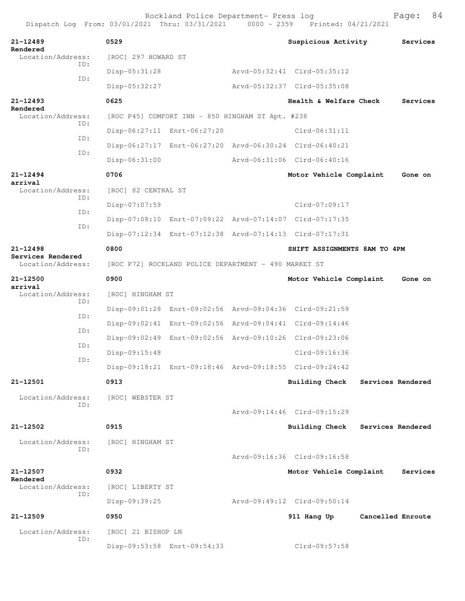Rockland Police Department- Press log Bookland Police Department- Press log Page: 84 Dispatch Log From:  $03/01/2021$  Thru:  $03/31/2021$  0000 - 2359 **21-12489 0529 Suspicious Activity Services Rendered**  [ROC] 297 HOWARD ST ID: Disp-05:31:28 Arvd-05:32:41 Clrd-05:35:12 ID: Disp-05:32:27 Arvd-05:32:37 Clrd-05:35:08 **21-12493 0625 Health & Welfare Check Services Rendered**<br>Location/Address: [ROC P45] COMFORT INN - 850 HINGHAM ST Apt. #238 ID: Disp-06:27:11 Enrt-06:27:20 Clrd-06:31:11 ID: Disp-06:27:17 Enrt-06:27:20 Arvd-06:30:24 Clrd-06:40:21 ID: Disp-06:31:00 Arvd-06:31:06 Clrd-06:40:16 **21-12494 0706 Motor Vehicle Complaint Gone on arrival**  Location/Address: [ROC] 82 CENTRAL ST ID: Disp-07:07:59 Clrd-07:09:17 ID: Disp-07:08:10 Enrt-07:09:22 Arvd-07:14:07 Clrd-07:17:35 ID: Disp-07:12:34 Enrt-07:12:38 Arvd-07:14:13 Clrd-07:17:31 **21-12498 0800 SHIFT ASSIGNMENTS 8AM TO 4PM Services Rendered**  Location/Address: [ROC P72] ROCKLAND POLICE DEPARTMENT - 490 MARKET ST **21-12500 0900 Motor Vehicle Complaint Gone on arrival**  Location/Address: [ROC] HINGHAM ST ID: Disp-09:01:28 Enrt-09:02:56 Arvd-09:04:36 Clrd-09:21:59 ID: Disp-09:02:41 Enrt-09:02:56 Arvd-09:04:41 Clrd-09:14:46 ID: Disp-09:02:49 Enrt-09:02:56 Arvd-09:10:26 Clrd-09:23:06 ID: Disp-09:15:48 Clrd-09:16:36 ID: Disp-09:18:21 Enrt-09:18:46 Arvd-09:18:55 Clrd-09:24:42 **21-12501 0913 Building Check Services Rendered** Location/Address: [ROC] WEBSTER ST ID: Arvd-09:14:46 Clrd-09:15:29 **21-12502 0915 Building Check Services Rendered** Location/Address: [ROC] HINGHAM ST ID: Arvd-09:16:36 Clrd-09:16:58 **21-12507 0932 Motor Vehicle Complaint Services Rendered**  Location/Address: [ROC] LIBERTY ST ID: Disp-09:39:25 Arvd-09:49:12 Clrd-09:50:14 **21-12509 0950 911 Hang Up Cancelled Enroute** Location/Address: [ROC] 21 BISHOP LN ID: Disp-09:53:58 Enrt-09:54:33 Clrd-09:57:58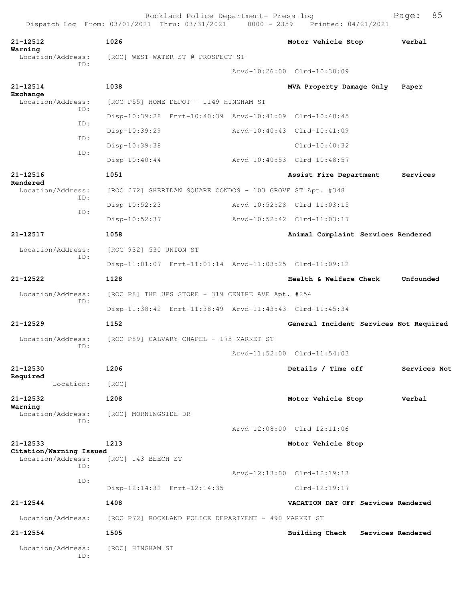| 21-12512                                     | 1026                                                      | Motor Vehicle Stop                     | Verbal       |
|----------------------------------------------|-----------------------------------------------------------|----------------------------------------|--------------|
| Warning<br>Location/Address:                 | [ROC] WEST WATER ST @ PROSPECT ST                         |                                        |              |
| ID:                                          |                                                           | Arvd-10:26:00 Clrd-10:30:09            |              |
| 21-12514                                     | 1038                                                      | MVA Property Damage Only               | Paper        |
| Exchange<br>Location/Address:                | [ROC P55] HOME DEPOT - 1149 HINGHAM ST                    |                                        |              |
| ID:                                          | Disp-10:39:28 Enrt-10:40:39 Arvd-10:41:09 Clrd-10:48:45   |                                        |              |
| ID:                                          | Disp-10:39:29                                             | Arvd-10:40:43 Clrd-10:41:09            |              |
| ID:                                          | Disp-10:39:38                                             | $Clrd-10:40:32$                        |              |
| ID:                                          | $Disp-10:40:44$                                           | Arvd-10:40:53 Clrd-10:48:57            |              |
| 21-12516                                     | 1051                                                      | Assist Fire Department                 | Services     |
| Rendered<br>Location/Address:                | [ROC 272] SHERIDAN SQUARE CONDOS - 103 GROVE ST Apt. #348 |                                        |              |
| ID:                                          | Disp-10:52:23                                             | Arvd-10:52:28 Clrd-11:03:15            |              |
| ID:                                          | Disp-10:52:37                                             | Arvd-10:52:42 Clrd-11:03:17            |              |
| 21-12517                                     | 1058                                                      | Animal Complaint Services Rendered     |              |
| Location/Address:                            | [ROC 932] 530 UNION ST                                    |                                        |              |
| ID:                                          | Disp-11:01:07 Enrt-11:01:14 Arvd-11:03:25 Clrd-11:09:12   |                                        |              |
| 21-12522                                     | 1128                                                      | Health & Welfare Check                 | Unfounded    |
| Location/Address:                            | [ROC P8] THE UPS STORE - 319 CENTRE AVE Apt. #254         |                                        |              |
| ID:                                          | Disp-11:38:42 Enrt-11:38:49 Arvd-11:43:43 Clrd-11:45:34   |                                        |              |
| 21-12529                                     | 1152                                                      | General Incident Services Not Required |              |
| Location/Address:                            | [ROC P89] CALVARY CHAPEL - 175 MARKET ST                  |                                        |              |
| ID:                                          |                                                           | Arvd-11:52:00 Clrd-11:54:03            |              |
| 21-12530                                     | 1206                                                      | Details / Time off                     | Services Not |
| Required<br>Location:                        | [ROC]                                                     |                                        |              |
| 21-12532                                     | 1208                                                      | Motor Vehicle Stop                     | Verbal       |
| Warning<br>Location/Address:                 | [ROC] MORNINGSIDE DR                                      |                                        |              |
| ID:                                          |                                                           | Arvd-12:08:00 Clrd-12:11:06            |              |
| 21-12533                                     | 1213                                                      | Motor Vehicle Stop                     |              |
| Citation/Warning Issued<br>Location/Address: | [ROC] 143 BEECH ST                                        |                                        |              |
| ID:                                          |                                                           | Arvd-12:13:00 Clrd-12:19:13            |              |
| ID:                                          | Disp-12:14:32 Enrt-12:14:35                               | $Clrd-12:19:17$                        |              |
| 21-12544                                     | 1408                                                      | VACATION DAY OFF Services Rendered     |              |
| Location/Address:                            | [ROC P72] ROCKLAND POLICE DEPARTMENT - 490 MARKET ST      |                                        |              |
| 21-12554                                     | 1505                                                      | Building Check Services Rendered       |              |
| Location/Address:<br>ID:                     | [ROC] HINGHAM ST                                          |                                        |              |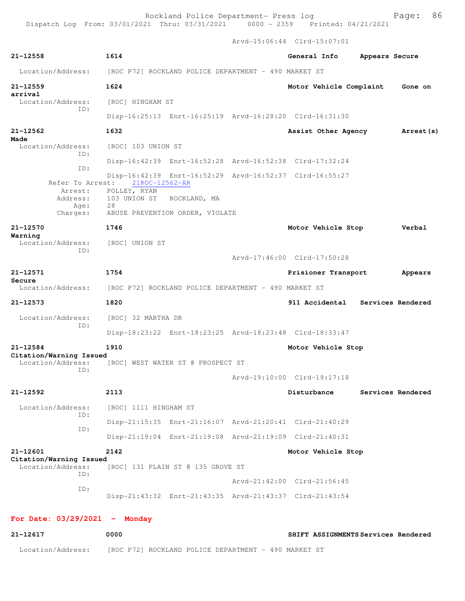Arvd-15:06:44 Clrd-15:07:01

| 21-12558                                     | 1614                                                    | General Info                | Appears Secure    |            |
|----------------------------------------------|---------------------------------------------------------|-----------------------------|-------------------|------------|
| Location/Address:                            | [ROC P72] ROCKLAND POLICE DEPARTMENT - 490 MARKET ST    |                             |                   |            |
| $21 - 12559$<br>arrival                      | 1624                                                    | Motor Vehicle Complaint     |                   | Gone on    |
| Location/Address:                            | [ROC] HINGHAM ST                                        |                             |                   |            |
| TD:                                          | Disp-16:25:13 Enrt-16:25:19 Arvd-16:28:20 Clrd-16:31:30 |                             |                   |            |
| $21 - 12562$                                 | 1632                                                    | Assist Other Agency         |                   | Arrest (s) |
| Made<br>Location/Address:                    | [ROC] 103 UNION ST                                      |                             |                   |            |
| ID:<br>TD:                                   | Disp-16:42:39 Enrt-16:52:28 Arvd-16:52:38 Clrd-17:32:24 |                             |                   |            |
|                                              | Disp-16:42:39 Enrt-16:52:29 Arvd-16:52:37 Clrd-16:55:27 |                             |                   |            |
| Refer To Arrest:<br>Arrest:                  | 21ROC-12562-AR<br>POLLEY, RYAN                          |                             |                   |            |
| Address:                                     | 103 UNION ST<br>ROCKLAND, MA                            |                             |                   |            |
| Age:<br>Charges:                             | 28<br>ABUSE PREVENTION ORDER, VIOLATE                   |                             |                   |            |
| $21 - 12570$                                 | 1746                                                    | Motor Vehicle Stop          |                   | Verbal     |
| Warning<br>Location/Address: [ROC] UNION ST  |                                                         |                             |                   |            |
| TD:                                          |                                                         |                             |                   |            |
|                                              |                                                         | Arvd-17:46:00 Clrd-17:50:28 |                   |            |
| 21-12571<br>Secure                           | 1754                                                    | Prisioner Transport         |                   | Appears    |
| Location/Address:                            | [ROC P72] ROCKLAND POLICE DEPARTMENT - 490 MARKET ST    |                             |                   |            |
| 21-12573                                     | 1820                                                    | 911 Accidental              | Services Rendered |            |
| Location/Address:<br>ID:                     | [ROC] 32 MARTHA DR                                      |                             |                   |            |
|                                              | Disp-18:23:22 Enrt-18:23:25 Arvd-18:23:48 Clrd-18:33:47 |                             |                   |            |
| $21 - 12584$                                 | 1910                                                    | Motor Vehicle Stop          |                   |            |
| Citation/Warning Issued<br>Location/Address: | [ROC] WEST WATER ST @ PROSPECT ST                       |                             |                   |            |
| ID:                                          |                                                         | Arvd-19:10:00 Clrd-19:17:18 |                   |            |
| 21-12592                                     | 2113                                                    | Disturbance                 | Services Rendered |            |
| Location/Address:                            | [ROC] 1111 HINGHAM ST                                   |                             |                   |            |
| ID:<br>ID:                                   | Disp-21:15:35 Enrt-21:16:07 Arvd-21:20:41 Clrd-21:40:29 |                             |                   |            |
|                                              | Disp-21:19:04 Enrt-21:19:08 Arvd-21:19:09 Clrd-21:40:31 |                             |                   |            |
| 21-12601<br>Citation/Warning Issued          | 2142                                                    | Motor Vehicle Stop          |                   |            |
| Location/Address:<br>ID:                     | [ROC] 131 PLAIN ST @ 135 GROVE ST                       |                             |                   |            |
|                                              |                                                         | Arvd-21:42:00 Clrd-21:56:45 |                   |            |
| ID:                                          | Disp-21:43:32 Enrt-21:43:35 Arvd-21:43:37 Clrd-21:43:54 |                             |                   |            |
|                                              |                                                         |                             |                   |            |

## **For Date: 03/29/2021 - Monday**

| 21-12617          | 0000                                                 | SHIFT ASSIGNMENTS Services Rendered |
|-------------------|------------------------------------------------------|-------------------------------------|
| Location/Address: | [ROC P72] ROCKLAND POLICE DEPARTMENT - 490 MARKET ST |                                     |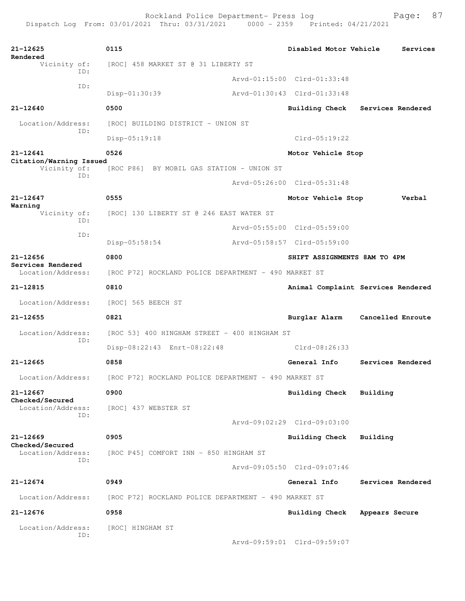| $21 - 12625$<br>Rendered                    | 0115                                                 |                                        | Disabled Motor Vehicle       | Services                           |  |  |
|---------------------------------------------|------------------------------------------------------|----------------------------------------|------------------------------|------------------------------------|--|--|
| Vicinity of:<br>TD:                         | [ROC] 458 MARKET ST @ 31 LIBERTY ST                  |                                        |                              |                                    |  |  |
|                                             |                                                      |                                        | Arvd-01:15:00 Clrd-01:33:48  |                                    |  |  |
| ID:                                         | Disp-01:30:39                                        |                                        | Arvd-01:30:43 Clrd-01:33:48  |                                    |  |  |
| 21-12640                                    | 0500                                                 |                                        | Building Check               | Services Rendered                  |  |  |
| Location/Address:                           | [ROC] BUILDING DISTRICT - UNION ST                   |                                        |                              |                                    |  |  |
| ID:                                         | $Disp-05:19:18$                                      |                                        | $Clrd-05:19:22$              |                                    |  |  |
| 21-12641                                    | 0526                                                 |                                        | Motor Vehicle Stop           |                                    |  |  |
| Citation/Warning Issued<br>Vicinity of:     | [ROC P86] BY MOBIL GAS STATION - UNION ST            |                                        |                              |                                    |  |  |
| ID:                                         |                                                      |                                        | Arvd-05:26:00 Clrd-05:31:48  |                                    |  |  |
| $21 - 12647$                                | 0555                                                 |                                        | Motor Vehicle Stop           | Verbal                             |  |  |
| Warning<br>Vicinity of:                     | [ROC] 130 LIBERTY ST @ 246 EAST WATER ST             |                                        |                              |                                    |  |  |
| ID:                                         |                                                      |                                        | Arvd-05:55:00 Clrd-05:59:00  |                                    |  |  |
| ID:                                         | Disp-05:58:54                                        |                                        | Arvd-05:58:57 Clrd-05:59:00  |                                    |  |  |
| $21 - 12656$                                | 0800                                                 |                                        | SHIFT ASSIGNMENTS 8AM TO 4PM |                                    |  |  |
| Services Rendered<br>Location/Address:      | [ROC P72] ROCKLAND POLICE DEPARTMENT - 490 MARKET ST |                                        |                              |                                    |  |  |
| 21-12815                                    | 0810                                                 |                                        |                              | Animal Complaint Services Rendered |  |  |
| Location/Address:                           | [ROC] 565 BEECH ST                                   |                                        |                              |                                    |  |  |
| 21-12655                                    | 0821                                                 |                                        | Burglar Alarm                | Cancelled Enroute                  |  |  |
| Location/Address:                           | [ROC 53] 400 HINGHAM STREET - 400 HINGHAM ST         |                                        |                              |                                    |  |  |
| TD:                                         | Disp-08:22:43 Enrt-08:22:48                          |                                        | Clrd-08:26:33                |                                    |  |  |
| $21 - 12665$                                | 0858                                                 |                                        | General Info                 | Services Rendered                  |  |  |
| Location/Address:                           | [ROC P72] ROCKLAND POLICE DEPARTMENT - 490 MARKET ST |                                        |                              |                                    |  |  |
| 21-12667                                    | 0900                                                 |                                        | <b>Building Check</b>        | Building                           |  |  |
| Checked/Secured<br>Location/Address:<br>ID: | [ROC] 437 WEBSTER ST                                 |                                        |                              |                                    |  |  |
|                                             |                                                      |                                        | Arvd-09:02:29 Clrd-09:03:00  |                                    |  |  |
| $21 - 12669$                                | 0905                                                 |                                        | <b>Building Check</b>        | Building                           |  |  |
| Checked/Secured<br>Location/Address:        |                                                      | [ROC P45] COMFORT INN - 850 HINGHAM ST |                              |                                    |  |  |
| ID:                                         |                                                      |                                        | Arvd-09:05:50 Clrd-09:07:46  |                                    |  |  |
| $21 - 12674$                                | 0949                                                 |                                        | General Info                 | Services Rendered                  |  |  |
| Location/Address:                           | [ROC P72] ROCKLAND POLICE DEPARTMENT - 490 MARKET ST |                                        |                              |                                    |  |  |
| $21 - 12676$                                | 0958                                                 |                                        | Building Check               | Appears Secure                     |  |  |
| Location/Address:                           | [ROC] HINGHAM ST                                     |                                        |                              |                                    |  |  |
| ID:                                         |                                                      |                                        |                              |                                    |  |  |
|                                             |                                                      |                                        | Arvd-09:59:01 Clrd-09:59:07  |                                    |  |  |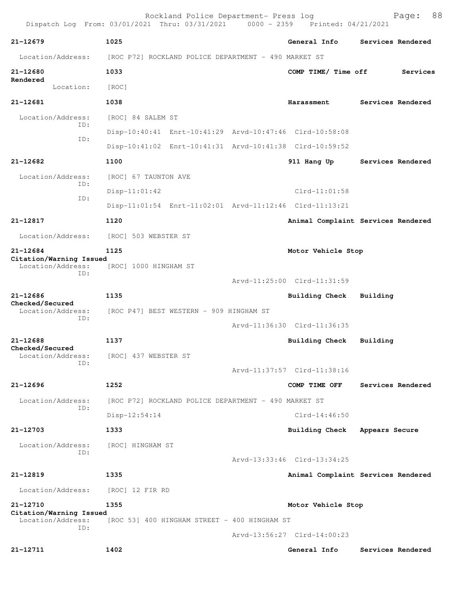| Dispatch Log From: 03/01/2021 Thru: 03/31/2021 0000 - 2359 Printed: 04/21/2021 |                                                      | Rockland Police Department- Press log |  |                                                         |                | 88<br>Page:       |
|--------------------------------------------------------------------------------|------------------------------------------------------|---------------------------------------|--|---------------------------------------------------------|----------------|-------------------|
| $21 - 12679$                                                                   | 1025                                                 |                                       |  | General Info                                            |                | Services Rendered |
| Location/Address:                                                              | [ROC P72] ROCKLAND POLICE DEPARTMENT - 490 MARKET ST |                                       |  |                                                         |                |                   |
| 21-12680                                                                       | 1033                                                 |                                       |  | COMP TIME/ Time off                                     |                | Services          |
| Rendered<br>Location:                                                          | [ROC]                                                |                                       |  |                                                         |                |                   |
| 21-12681                                                                       | 1038                                                 |                                       |  | Harassment                                              |                | Services Rendered |
| Location/Address:                                                              | [ROC] 84 SALEM ST                                    |                                       |  |                                                         |                |                   |
| ID:                                                                            |                                                      |                                       |  | Disp-10:40:41 Enrt-10:41:29 Arvd-10:47:46 Clrd-10:58:08 |                |                   |
| ID:                                                                            |                                                      |                                       |  | Disp-10:41:02 Enrt-10:41:31 Arvd-10:41:38 Clrd-10:59:52 |                |                   |
| 21-12682                                                                       | 1100                                                 |                                       |  | 911 Hang Up                                             |                | Services Rendered |
| Location/Address:                                                              | [ROC] 67 TAUNTON AVE                                 |                                       |  |                                                         |                |                   |
| ID:                                                                            | $Disp-11:01:42$                                      |                                       |  | $Clrd-11:01:58$                                         |                |                   |
| ID:                                                                            |                                                      |                                       |  | Disp-11:01:54 Enrt-11:02:01 Arvd-11:12:46 Clrd-11:13:21 |                |                   |
| 21-12817                                                                       | 1120                                                 |                                       |  | Animal Complaint Services Rendered                      |                |                   |
| Location/Address:                                                              | [ROC] 503 WEBSTER ST                                 |                                       |  |                                                         |                |                   |
| $21 - 12684$                                                                   | 1125                                                 |                                       |  | Motor Vehicle Stop                                      |                |                   |
| Citation/Warning Issued<br>Location/Address:                                   | [ROC] 1000 HINGHAM ST                                |                                       |  |                                                         |                |                   |
| ID:                                                                            |                                                      |                                       |  | Arvd-11:25:00 Clrd-11:31:59                             |                |                   |
| 21-12686                                                                       | 1135                                                 |                                       |  | Building Check                                          | Building       |                   |
| Checked/Secured<br>Location/Address:                                           | [ROC P47] BEST WESTERN - 909 HINGHAM ST              |                                       |  |                                                         |                |                   |
| ID:                                                                            |                                                      |                                       |  | Arvd-11:36:30 Clrd-11:36:35                             |                |                   |
| $21 - 12688$                                                                   | 1137                                                 |                                       |  | Building Check                                          | Building       |                   |
| Checked/Secured<br>Location/Address:                                           | [ROC] 437 WEBSTER ST                                 |                                       |  |                                                         |                |                   |
| ID:                                                                            |                                                      |                                       |  | Arvd-11:37:57 Clrd-11:38:16                             |                |                   |
| $21 - 12696$                                                                   | 1252                                                 |                                       |  | COMP TIME OFF                                           |                | Services Rendered |
| Location/Address:                                                              | [ROC P72] ROCKLAND POLICE DEPARTMENT - 490 MARKET ST |                                       |  |                                                         |                |                   |
| TD:                                                                            | $Disp-12:54:14$                                      |                                       |  | $C1rd-14:46:50$                                         |                |                   |
| 21-12703                                                                       | 1333                                                 |                                       |  | <b>Building Check</b>                                   | Appears Secure |                   |
| Location/Address:                                                              | [ROC] HINGHAM ST                                     |                                       |  |                                                         |                |                   |
| ID:                                                                            |                                                      |                                       |  | Arvd-13:33:46 Clrd-13:34:25                             |                |                   |
| 21-12819                                                                       | 1335                                                 |                                       |  | Animal Complaint Services Rendered                      |                |                   |
| Location/Address:                                                              | [ROC] 12 FIR RD                                      |                                       |  |                                                         |                |                   |
| 21-12710                                                                       | 1355                                                 |                                       |  | Motor Vehicle Stop                                      |                |                   |
| Citation/Warning Issued<br>Location/Address:                                   | [ROC 53] 400 HINGHAM STREET - 400 HINGHAM ST         |                                       |  |                                                         |                |                   |
| TD:                                                                            |                                                      |                                       |  | Arvd-13:56:27 Clrd-14:00:23                             |                |                   |
| 21-12711                                                                       | 1402                                                 |                                       |  | General Info                                            |                | Services Rendered |
|                                                                                |                                                      |                                       |  |                                                         |                |                   |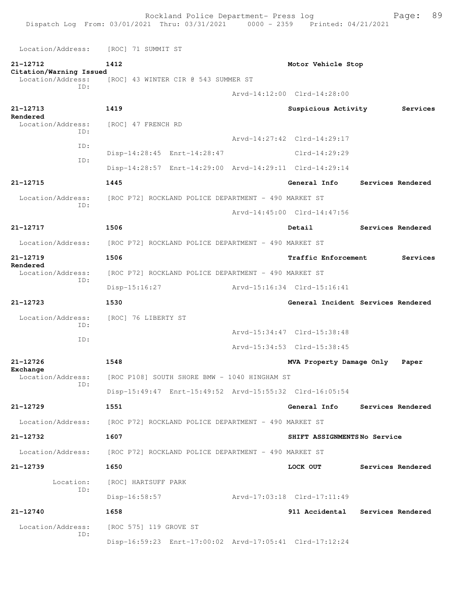Location/Address: [ROC] 71 SUMMIT ST **21-12712 1412 Motor Vehicle Stop Citation/Warning Issued**  Location/Address: [ROC] 43 WINTER CIR @ 543 SUMMER ST ID: Arvd-14:12:00 Clrd-14:28:00 **21-12713 1419 Suspicious Activity Services Rendered**  [ROC] 47 FRENCH RD ID: Arvd-14:27:42 Clrd-14:29:17 ID: Disp-14:28:45 Enrt-14:28:47 Clrd-14:29:29 ID: Disp-14:28:57 Enrt-14:29:00 Arvd-14:29:11 Clrd-14:29:14 **21-12715 1445 General Info Services Rendered** Location/Address: [ROC P72] ROCKLAND POLICE DEPARTMENT - 490 MARKET ST ID: Arvd-14:45:00 Clrd-14:47:56 **21-12717 1506 Detail Services Rendered** Location/Address: [ROC P72] ROCKLAND POLICE DEPARTMENT - 490 MARKET ST **21-12719 1506 Traffic Enforcement Services Rendered**  Location/Address: [ROC P72] ROCKLAND POLICE DEPARTMENT - 490 MARKET ST ID: Disp-15:16:27 Arvd-15:16:34 Clrd-15:16:41 **21-12723 1530 General Incident Services Rendered** Location/Address: [ROC] 76 LIBERTY ST ID: Arvd-15:34:47 Clrd-15:38:48 ID: Arvd-15:34:53 Clrd-15:38:45 **21-12726 1548 MVA Property Damage Only Paper Exchange**<br>Location/Address: [ROC P108] SOUTH SHORE BMW - 1040 HINGHAM ST ID: Disp-15:49:47 Enrt-15:49:52 Arvd-15:55:32 Clrd-16:05:54 **21-12729 1551 General Info Services Rendered** Location/Address: [ROC P72] ROCKLAND POLICE DEPARTMENT - 490 MARKET ST **21-12732 1607 SHIFT ASSIGNMENTS No Service** Location/Address: [ROC P72] ROCKLAND POLICE DEPARTMENT - 490 MARKET ST **21-12739 1650 LOCK OUT Services Rendered** Location: [ROC] HARTSUFF PARK ID: Disp-16:58:57 Arvd-17:03:18 Clrd-17:11:49 **21-12740 1658 911 Accidental Services Rendered** Location/Address: [ROC 575] 119 GROVE ST ID: Disp-16:59:23 Enrt-17:00:02 Arvd-17:05:41 Clrd-17:12:24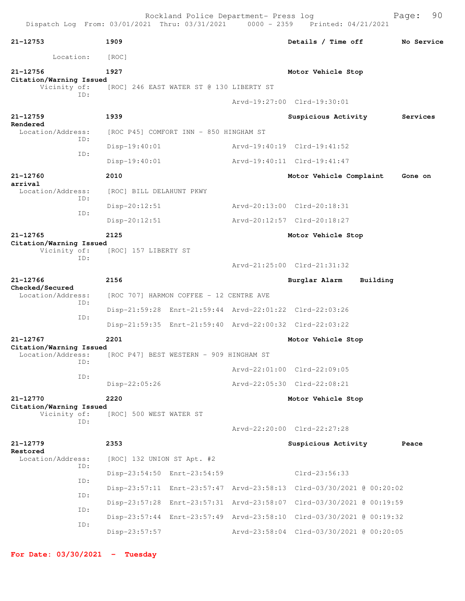|                                              |     |                                        | Rockland Police Department- Press log    | Dispatch Log From: 03/01/2021 Thru: 03/31/2021 0000 - 2359 Printed: 04/21/2021 |          | 90<br>Page: |  |
|----------------------------------------------|-----|----------------------------------------|------------------------------------------|--------------------------------------------------------------------------------|----------|-------------|--|
| 21-12753                                     |     | 1909                                   |                                          | Details / Time off                                                             |          | No Service  |  |
| Location:                                    |     | [ROC]                                  |                                          |                                                                                |          |             |  |
| 21-12756                                     |     | 1927                                   |                                          | Motor Vehicle Stop                                                             |          |             |  |
| Citation/Warning Issued<br>Vicinity of:      | ID: |                                        | [ROC] 246 EAST WATER ST @ 130 LIBERTY ST |                                                                                |          |             |  |
|                                              |     |                                        |                                          | Arvd-19:27:00 Clrd-19:30:01                                                    |          |             |  |
| 21-12759<br>Rendered                         |     | 1939                                   |                                          | Suspicious Activity                                                            |          | Services    |  |
| Location/Address:                            | TD: | [ROC P45] COMFORT INN - 850 HINGHAM ST |                                          |                                                                                |          |             |  |
|                                              | ID: | $Disp-19:40:01$                        |                                          | Arvd-19:40:19 Clrd-19:41:52                                                    |          |             |  |
|                                              |     | $Disp-19:40:01$                        |                                          | Arvd-19:40:11 Clrd-19:41:47                                                    |          |             |  |
| 21-12760<br>arrival                          |     | 2010                                   |                                          | Motor Vehicle Complaint                                                        |          | Gone on     |  |
| Location/Address:                            | ID: | [ROC] BILL DELAHUNT PKWY               |                                          |                                                                                |          |             |  |
|                                              |     | $Disp-20:12:51$                        |                                          | Arvd-20:13:00 Clrd-20:18:31                                                    |          |             |  |
|                                              | ID: | Disp-20:12:51                          |                                          | Arvd-20:12:57 Clrd-20:18:27                                                    |          |             |  |
| 21-12765                                     |     | 2125                                   |                                          | Motor Vehicle Stop                                                             |          |             |  |
| Citation/Warning Issued<br>Vicinity of:      | ID: | [ROC] 157 LIBERTY ST                   |                                          | Arvd-21:25:00 Clrd-21:31:32                                                    |          |             |  |
| 21-12766                                     |     | 2156                                   |                                          | Burglar Alarm                                                                  | Building |             |  |
| Checked/Secured<br>Location/Address:         | ID: |                                        | [ROC 707] HARMON COFFEE - 12 CENTRE AVE  |                                                                                |          |             |  |
|                                              | ID: |                                        |                                          | Disp-21:59:28 Enrt-21:59:44 Arvd-22:01:22 Clrd-22:03:26                        |          |             |  |
|                                              |     |                                        |                                          | Disp-21:59:35 Enrt-21:59:40 Arvd-22:00:32 Clrd-22:03:22                        |          |             |  |
| 21-12767                                     |     | 2201                                   |                                          | Motor Vehicle Stop                                                             |          |             |  |
| Citation/Warning Issued<br>Location/Address: |     |                                        | [ROC P47] BEST WESTERN - 909 HINGHAM ST  |                                                                                |          |             |  |
|                                              | ID: |                                        |                                          | Arvd-22:01:00 Clrd-22:09:05                                                    |          |             |  |
|                                              | ID: | Disp-22:05:26                          |                                          | Arvd-22:05:30 Clrd-22:08:21                                                    |          |             |  |
| 21-12770                                     |     | 2220                                   |                                          | Motor Vehicle Stop                                                             |          |             |  |
| Citation/Warning Issued<br>Vicinity of:      |     | [ROC] 500 WEST WATER ST                |                                          |                                                                                |          |             |  |
|                                              | ID: |                                        |                                          | Arvd-22:20:00 Clrd-22:27:28                                                    |          |             |  |
| 21-12779                                     |     | 2353                                   |                                          | Suspicious Activity                                                            |          | Peace       |  |
| Restored<br>Location/Address:                |     | [ROC] 132 UNION ST Apt. #2             |                                          |                                                                                |          |             |  |
| ID:<br>ID:                                   |     | Disp-23:54:50 Enrt-23:54:59            |                                          | $Clrd-23:56:33$                                                                |          |             |  |
|                                              |     |                                        |                                          | Disp-23:57:11 Enrt-23:57:47 Arvd-23:58:13 Clrd-03/30/2021 @ 00:20:02           |          |             |  |
|                                              | ID: |                                        |                                          | Disp-23:57:28 Enrt-23:57:31 Arvd-23:58:07 Clrd-03/30/2021 @ 00:19:59           |          |             |  |
| ID:                                          |     |                                        |                                          | Disp-23:57:44 Enrt-23:57:49 Arvd-23:58:10 Clrd-03/30/2021 @ 00:19:32           |          |             |  |
|                                              | ID: | Disp-23:57:57                          |                                          | Arvd-23:58:04 Clrd-03/30/2021 @ 00:20:05                                       |          |             |  |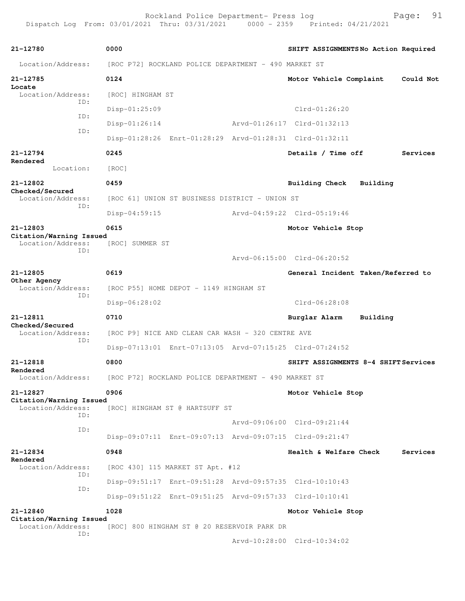| 21-12780                                     | 0000                                                    |  | SHIFT ASSIGNMENTSNo Action Required  |          |           |  |
|----------------------------------------------|---------------------------------------------------------|--|--------------------------------------|----------|-----------|--|
| Location/Address:                            | [ROC P72] ROCKLAND POLICE DEPARTMENT - 490 MARKET ST    |  |                                      |          |           |  |
| 21-12785                                     | 0124                                                    |  | Motor Vehicle Complaint              |          | Could Not |  |
| Locate<br>Location/Address:<br>ID:<br>ID:    | [ROC] HINGHAM ST                                        |  |                                      |          |           |  |
|                                              | $Disp-01:25:09$                                         |  | $Clrd-01:26:20$                      |          |           |  |
|                                              | $Disp-01:26:14$                                         |  | Arvd-01:26:17 Clrd-01:32:13          |          |           |  |
| ID:                                          | Disp-01:28:26 Enrt-01:28:29 Arvd-01:28:31 Clrd-01:32:11 |  |                                      |          |           |  |
| 21-12794                                     | 0245                                                    |  | Details / Time off                   |          | Services  |  |
| Rendered<br>Location:                        | [ROC]                                                   |  |                                      |          |           |  |
| 21-12802                                     | 0459                                                    |  | <b>Building Check</b>                | Building |           |  |
| Checked/Secured<br>Location/Address:         | [ROC 61] UNION ST BUSINESS DISTRICT - UNION ST          |  |                                      |          |           |  |
| ID:                                          | $Disp-04:59:15$                                         |  | Arvd-04:59:22 Clrd-05:19:46          |          |           |  |
| 21-12803                                     | 0615                                                    |  | Motor Vehicle Stop                   |          |           |  |
| Citation/Warning Issued<br>Location/Address: | <b>IROCI SUMMER ST</b>                                  |  |                                      |          |           |  |
| ID:                                          |                                                         |  | Arvd-06:15:00 Clrd-06:20:52          |          |           |  |
| 21-12805                                     | 0619                                                    |  | General Incident Taken/Referred to   |          |           |  |
| Other Agency<br>Location/Address:            | [ROC P55] HOME DEPOT - 1149 HINGHAM ST                  |  |                                      |          |           |  |
| ID:                                          | Disp-06:28:02                                           |  | Clrd-06:28:08                        |          |           |  |
| 21-12811                                     | 0710                                                    |  | Burglar Alarm                        | Building |           |  |
| Checked/Secured<br>Location/Address:         | [ROC P9] NICE AND CLEAN CAR WASH - 320 CENTRE AVE       |  |                                      |          |           |  |
| ID:                                          | Disp-07:13:01 Enrt-07:13:05 Arvd-07:15:25 Clrd-07:24:52 |  |                                      |          |           |  |
| 21-12818                                     | 0800                                                    |  | SHIFT ASSIGNMENTS 8-4 SHIFT Services |          |           |  |
| Rendered<br>Location/Address:                | [ROC P72] ROCKLAND POLICE DEPARTMENT - 490 MARKET ST    |  |                                      |          |           |  |
| 21-12827                                     | 0906                                                    |  | Motor Vehicle Stop                   |          |           |  |
| Citation/Warning Issued<br>Location/Address: | [ROC] HINGHAM ST @ HARTSUFF ST                          |  |                                      |          |           |  |
| ID:                                          |                                                         |  | Arvd-09:06:00 Clrd-09:21:44          |          |           |  |
| ID:                                          | Disp-09:07:11 Enrt-09:07:13 Arvd-09:07:15 Clrd-09:21:47 |  |                                      |          |           |  |
| 21-12834                                     | 0948                                                    |  | Health & Welfare Check               |          | Services  |  |
| Rendered<br>Location/Address:                | [ROC 430] 115 MARKET ST Apt. #12                        |  |                                      |          |           |  |
| ID:<br>ID:                                   | Disp-09:51:17 Enrt-09:51:28 Arvd-09:57:35 Clrd-10:10:43 |  |                                      |          |           |  |
|                                              | Disp-09:51:22 Enrt-09:51:25 Arvd-09:57:33 Clrd-10:10:41 |  |                                      |          |           |  |
| 21-12840                                     | 1028                                                    |  | Motor Vehicle Stop                   |          |           |  |
| Citation/Warning Issued<br>Location/Address: |                                                         |  |                                      |          |           |  |
| ID:                                          | [ROC] 800 HINGHAM ST @ 20 RESERVOIR PARK DR             |  | Arvd-10:28:00 Clrd-10:34:02          |          |           |  |
|                                              |                                                         |  |                                      |          |           |  |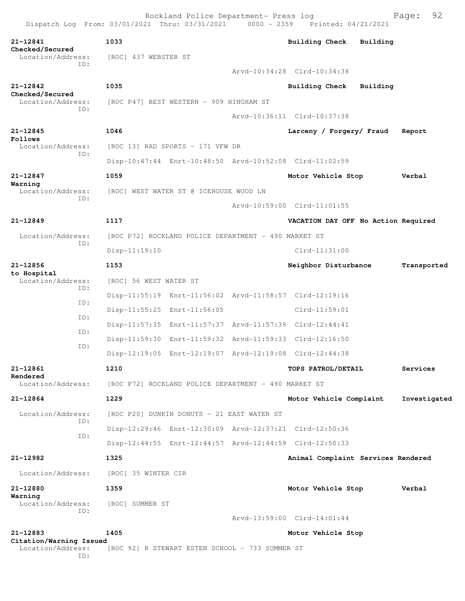**21-12841 1033 Building Check Building Checked/Secured**  Location/Address: [ROC] 437 WEBSTER ST ID: Arvd-10:34:28 Clrd-10:34:38 **21-12842 1035 Building Check Building Checked/Secured**  Location/Address: [ROC P47] BEST WESTERN - 909 HINGHAM ST ID: Arvd-10:36:11 Clrd-10:37:38 **21-12845 1046 Larceny / Forgery/ Fraud Report Follows**  Location/Address: [ROC 13] RAD SPORTS - 171 VFW DR ID: Disp-10:47:44 Enrt-10:48:50 Arvd-10:52:08 Clrd-11:02:59 **21-12847 1059 Motor Vehicle Stop Verbal Warning**  Location/Address: [ROC] WEST WATER ST @ ICEHOUSE WOOD LN ID: Arvd-10:59:00 Clrd-11:01:55 **21-12849 1117 VACATION DAY OFF No Action Required** Location/Address: [ROC P72] ROCKLAND POLICE DEPARTMENT - 490 MARKET ST ID: Disp-11:19:10 Clrd-11:31:00 **21-12856 1153 Neighbor Disturbance Transported to Hospital**  Location/Address: [ROC] 56 WEST WATER ST ID: Disp-11:55:19 Enrt-11:56:02 Arvd-11:58:57 Clrd-12:19:16 ID: Disp-11:55:25 Enrt-11:56:05 Clrd-11:59:01 ID: Disp-11:57:35 Enrt-11:57:37 Arvd-11:57:39 Clrd-12:44:41 ID: Disp-11:59:30 Enrt-11:59:32 Arvd-11:59:33 Clrd-12:16:50 ID: Disp-12:19:05 Enrt-12:19:07 Arvd-12:19:08 Clrd-12:44:38 **21-12861 1210 TOPS PATROL/DETAIL Services Rendered**  Location/Address: [ROC P72] ROCKLAND POLICE DEPARTMENT - 490 MARKET ST **21-12864 1229 Motor Vehicle Complaint Investigated** Location/Address: [ROC P20] DUNKIN DONUTS - 21 EAST WATER ST ID: Disp-12:29:46 Enrt-12:30:09 Arvd-12:37:21 Clrd-12:50:36 ID: Disp-12:44:55 Enrt-12:44:57 Arvd-12:44:59 Clrd-12:50:33 **21-12982 1325 Animal Complaint Services Rendered** Location/Address: [ROC] 35 WINTER CIR **21-12880 1359 Motor Vehicle Stop Verbal Warning**  Location/Address: [ROC] SUMMER ST ID: Arvd-13:59:00 Clrd-14:01:44 **21-12883 1405 Motor Vehicle Stop**

**Citation/Warning Issued** 

Location/Address: [ROC 92] R STEWART ESTEN SCHOOL - 733 SUMMER ST ID: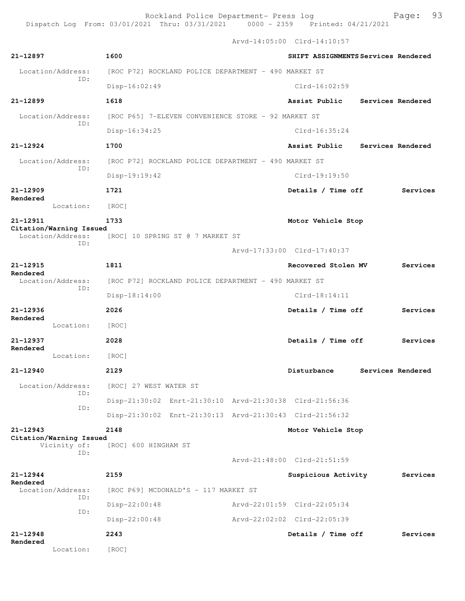Arvd-14:05:00 Clrd-14:10:57

| 21-12897                                     | 1600                                                    | SHIFT ASSIGNMENTS Services Rendered |
|----------------------------------------------|---------------------------------------------------------|-------------------------------------|
| Location/Address:                            | [ROC P72] ROCKLAND POLICE DEPARTMENT - 490 MARKET ST    |                                     |
| ID:                                          | $Disp-16:02:49$                                         | $Clrd-16:02:59$                     |
| 21-12899                                     | 1618                                                    | Assist Public<br>Services Rendered  |
| Location/Address:                            | [ROC P65] 7-ELEVEN CONVENIENCE STORE - 92 MARKET ST     |                                     |
| TD:                                          | $Disp-16:34:25$                                         | $Clrd-16:35:24$                     |
| $21 - 12924$                                 | 1700                                                    | Assist Public<br>Services Rendered  |
| Location/Address:                            | [ROC P72] ROCKLAND POLICE DEPARTMENT - 490 MARKET ST    |                                     |
| ID:                                          | Disp-19:19:42                                           | $Clrd-19:19:50$                     |
| $21 - 12909$                                 | 1721                                                    | Details / Time off<br>Services      |
| Rendered<br>Location:                        | [ROC]                                                   |                                     |
| 21-12911                                     | 1733                                                    | Motor Vehicle Stop                  |
| Citation/Warning Issued<br>Location/Address: | [ROC] 10 SPRING ST @ 7 MARKET ST                        |                                     |
| TD:                                          |                                                         | Arvd-17:33:00 Clrd-17:40:37         |
| 21-12915                                     | 1811                                                    | Recovered Stolen MV<br>Services     |
| Rendered<br>Location/Address:                | [ROC P72] ROCKLAND POLICE DEPARTMENT - 490 MARKET ST    |                                     |
| ID:                                          |                                                         | $Clrd-18:14:11$                     |
|                                              | Disp-18:14:00                                           |                                     |
| 21-12936                                     | 2026                                                    | Details / Time off<br>Services      |
| Rendered<br>Location:                        | [ROC]                                                   |                                     |
| 21-12937                                     | 2028                                                    | Details / Time off<br>Services      |
| Rendered<br>Location:                        | [ROC]                                                   |                                     |
| 21-12940                                     | 2129                                                    | Disturbance<br>Services Rendered    |
| Location/Address:                            | [ROC] 27 WEST WATER ST                                  |                                     |
| ID:                                          | Disp-21:30:02 Enrt-21:30:10 Arvd-21:30:38 Clrd-21:56:36 |                                     |
| ID:                                          | Disp-21:30:02 Enrt-21:30:13 Arvd-21:30:43 Clrd-21:56:32 |                                     |
| 21-12943                                     | 2148                                                    | Motor Vehicle Stop                  |
| Citation/Warning Issued<br>Vicinity of:      | [ROC] 600 HINGHAM ST                                    |                                     |
| ID:                                          |                                                         | Arvd-21:48:00 Clrd-21:51:59         |
| $21 - 12944$                                 | 2159                                                    | Suspicious Activity<br>Services     |
| Rendered<br>Location/Address:                | [ROC P69] MCDONALD'S - 117 MARKET ST                    |                                     |
| ID:                                          | Disp-22:00:48                                           | Arvd-22:01:59 Clrd-22:05:34         |
| ID:                                          | Disp-22:00:48                                           | Arvd-22:02:02 Clrd-22:05:39         |
| 21-12948<br>Rendered                         | 2243                                                    | Details / Time off<br>Services      |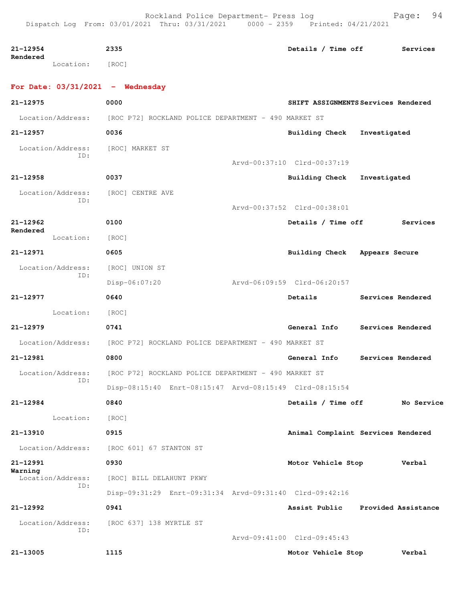| 21-12954                           | 2335                                                                   | Details / Time off            | Services                            |
|------------------------------------|------------------------------------------------------------------------|-------------------------------|-------------------------------------|
| Rendered<br>Location: [ROC]        |                                                                        |                               |                                     |
| For Date: $03/31/2021$ - Wednesday |                                                                        |                               |                                     |
| 21-12975                           | 0000                                                                   |                               | SHIFT ASSIGNMENTS Services Rendered |
|                                    | Location/Address: [ROC P72] ROCKLAND POLICE DEPARTMENT - 490 MARKET ST |                               |                                     |
| 21-12957                           | 0036                                                                   | <b>Building Check</b>         | Investigated                        |
| Location/Address:<br>ID:           | [ROC] MARKET ST                                                        |                               |                                     |
|                                    |                                                                        | Arvd-00:37:10 Clrd-00:37:19   |                                     |
| 21-12958                           | 0037                                                                   | Building Check Investigated   |                                     |
| Location/Address:<br>ID:           | [ROC] CENTRE AVE                                                       |                               |                                     |
|                                    |                                                                        | Arvd-00:37:52 Clrd-00:38:01   |                                     |
| $21 - 12962$<br>Rendered           | 0100                                                                   | Details / Time off            | Services                            |
| Location:                          | [ROC]                                                                  |                               |                                     |
| $21 - 12971$                       | 0605                                                                   | Building Check Appears Secure |                                     |
| Location/Address:<br>ID:           | [ROC] UNION ST                                                         |                               |                                     |
|                                    | Disp-06:07:20                                                          | Arvd-06:09:59 Clrd-06:20:57   |                                     |
| 21-12977                           | 0640                                                                   | Details                       | Services Rendered                   |
| Location: [ROC]                    |                                                                        |                               |                                     |
| $21 - 12979$                       | 0741                                                                   | General Info                  | Services Rendered                   |
| Location/Address:                  | [ROC P72] ROCKLAND POLICE DEPARTMENT - 490 MARKET ST                   |                               |                                     |
| 21-12981                           | 0800                                                                   | General Info                  | Services Rendered                   |
|                                    | Location/Address: [ROC P72] ROCKLAND POLICE DEPARTMENT - 490 MARKET ST |                               |                                     |
| ID:                                | Disp-08:15:40 Enrt-08:15:47 Arvd-08:15:49 Clrd-08:15:54                |                               |                                     |
| $21 - 12984$                       | 0840                                                                   | Details / Time off            | No Service                          |
| Location:                          | [ROC]                                                                  |                               |                                     |
| 21-13910                           | 0915                                                                   |                               | Animal Complaint Services Rendered  |
| Location/Address:                  |                                                                        |                               |                                     |
|                                    | [ROC 601] 67 STANTON ST                                                |                               |                                     |
| 21-12991<br>Warning                | 0930                                                                   | Motor Vehicle Stop            | Verbal                              |
| Location/Address:<br>ID:           | [ROC] BILL DELAHUNT PKWY                                               |                               |                                     |
|                                    | Disp-09:31:29 Enrt-09:31:34 Arvd-09:31:40 Clrd-09:42:16                |                               |                                     |
| 21-12992                           | 0941                                                                   | Assist Public                 | Provided Assistance                 |
| Location/Address:<br>ID:           | [ROC 637] 138 MYRTLE ST                                                | Arvd-09:41:00 Clrd-09:45:43   |                                     |
| 21-13005                           | 1115                                                                   | Motor Vehicle Stop            | Verbal                              |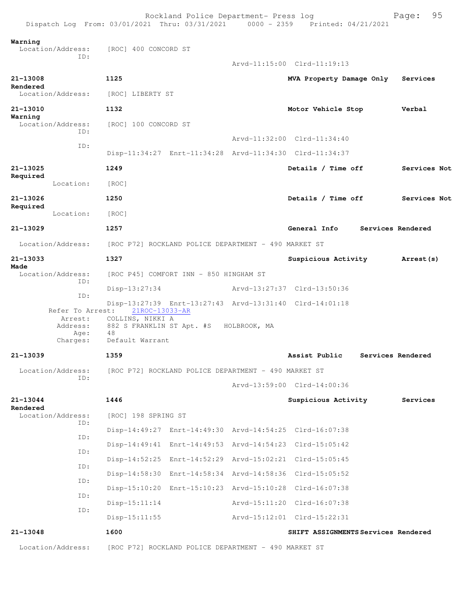| Dispatch Log From: 03/01/2021 Thru: 03/31/2021 0000 - 2359 Printed: 04/21/2021 |                                                                                             | Rockland Police Department- Press log |                                                         | 95<br>Page:       |
|--------------------------------------------------------------------------------|---------------------------------------------------------------------------------------------|---------------------------------------|---------------------------------------------------------|-------------------|
| Warning<br>Location/Address:<br>ID:                                            | [ROC] 400 CONCORD ST                                                                        |                                       |                                                         |                   |
|                                                                                |                                                                                             |                                       | Arvd-11:15:00 Clrd-11:19:13                             |                   |
| 21-13008                                                                       | 1125                                                                                        |                                       | MVA Property Damage Only                                | Services          |
| Rendered<br>Location/Address:                                                  | [ROC] LIBERTY ST                                                                            |                                       |                                                         |                   |
| 21-13010                                                                       | 1132                                                                                        |                                       | Motor Vehicle Stop                                      | Verbal            |
| Warning<br>Location/Address:<br>TD:                                            | [ROC] 100 CONCORD ST                                                                        |                                       |                                                         |                   |
| ID:                                                                            |                                                                                             |                                       | Arvd-11:32:00 Clrd-11:34:40                             |                   |
|                                                                                |                                                                                             |                                       | Disp-11:34:27 Enrt-11:34:28 Arvd-11:34:30 Clrd-11:34:37 |                   |
| 21-13025<br>Required                                                           | 1249                                                                                        |                                       | Details / Time off                                      | Services Not      |
| Location:                                                                      | [ROC]                                                                                       |                                       |                                                         |                   |
| 21-13026<br>Required                                                           | 1250                                                                                        |                                       | Details / Time off                                      | Services Not      |
| Location:                                                                      | [ROC]                                                                                       |                                       |                                                         |                   |
| 21-13029                                                                       | 1257                                                                                        |                                       | General Info                                            | Services Rendered |
| Location/Address:                                                              | [ROC P72] ROCKLAND POLICE DEPARTMENT - 490 MARKET ST                                        |                                       |                                                         |                   |
| 21-13033<br>Made                                                               | 1327                                                                                        |                                       | Suspicious Activity                                     | <b>Arrest (s)</b> |
| Location/Address:<br>ID:                                                       | [ROC P45] COMFORT INN - 850 HINGHAM ST                                                      |                                       |                                                         |                   |
| ID:                                                                            | $Disp-13:27:34$                                                                             |                                       | Arvd-13:27:37 Clrd-13:50:36                             |                   |
|                                                                                | 21ROC-13033-AR                                                                              |                                       | Disp-13:27:39 Enrt-13:27:43 Arvd-13:31:40 Clrd-14:01:18 |                   |
| Refer To Arrest:<br>Address:<br>Age:<br>Charges:                               | Arrest: COLLINS, NIKKI A<br>882 S FRANKLIN ST Apt. #S HOLBROOK, MA<br>48<br>Default Warrant |                                       |                                                         |                   |
| 21-13039                                                                       | 1359                                                                                        |                                       | Assist Public                                           | Services Rendered |
| Location/Address:                                                              | [ROC P72] ROCKLAND POLICE DEPARTMENT - 490 MARKET ST                                        |                                       |                                                         |                   |
| ID:                                                                            |                                                                                             |                                       | Arvd-13:59:00 Clrd-14:00:36                             |                   |
| 21-13044<br>Rendered                                                           | 1446                                                                                        |                                       | Suspicious Activity                                     | Services          |
| Location/Address:                                                              | [ROC] 198 SPRING ST                                                                         |                                       |                                                         |                   |
| ID:<br>ID:                                                                     |                                                                                             |                                       | Disp-14:49:27 Enrt-14:49:30 Arvd-14:54:25 Clrd-16:07:38 |                   |
|                                                                                |                                                                                             |                                       | Disp-14:49:41 Enrt-14:49:53 Arvd-14:54:23 Clrd-15:05:42 |                   |
| ID:                                                                            |                                                                                             |                                       | Disp-14:52:25 Enrt-14:52:29 Arvd-15:02:21 Clrd-15:05:45 |                   |
| ID:                                                                            |                                                                                             |                                       | Disp-14:58:30 Enrt-14:58:34 Arvd-14:58:36 Clrd-15:05:52 |                   |
| ID:                                                                            |                                                                                             |                                       | Disp-15:10:20 Enrt-15:10:23 Arvd-15:10:28 Clrd-16:07:38 |                   |
| ID:                                                                            | $Disp-15:11:14$                                                                             |                                       | Arvd-15:11:20 Clrd-16:07:38                             |                   |
| ID:                                                                            | $Disp-15:11:55$                                                                             |                                       | Arvd-15:12:01 Clrd-15:22:31                             |                   |
| 21-13048                                                                       | 1600                                                                                        |                                       | SHIFT ASSIGNMENTS Services Rendered                     |                   |
| Location/Address:                                                              | [ROC P72] ROCKLAND POLICE DEPARTMENT - 490 MARKET ST                                        |                                       |                                                         |                   |